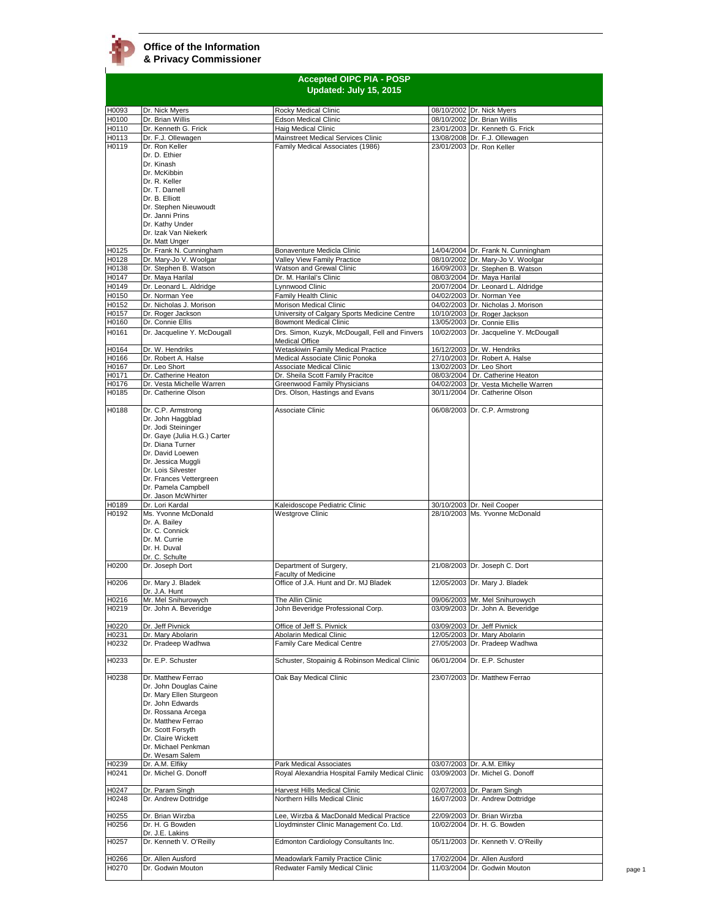|                | <b>Accepted OIPC PIA - POSP</b><br>Updated: July 15, 2015 |                                                                               |  |                                                                         |  |
|----------------|-----------------------------------------------------------|-------------------------------------------------------------------------------|--|-------------------------------------------------------------------------|--|
| H0093          | Dr. Nick Myers                                            | Rocky Medical Clinic                                                          |  | 08/10/2002 Dr. Nick Myers                                               |  |
| H0100          | Dr. Brian Willis                                          | <b>Edson Medical Clinic</b>                                                   |  | 08/10/2002 Dr. Brian Willis                                             |  |
| H0110          | Dr. Kenneth G. Frick                                      | Haig Medical Clinic                                                           |  | 23/01/2003 Dr. Kenneth G. Frick                                         |  |
| H0113          | Dr. F.J. Ollewagen                                        | Mainstreet Medical Services Clinic                                            |  | 13/08/2008 Dr. F.J. Ollewagen                                           |  |
| H0119          | Dr. Ron Keller<br>Dr. D. Ethier                           | Family Medical Associates (1986)                                              |  | 23/01/2003 Dr. Ron Keller                                               |  |
|                | Dr. Kinash                                                |                                                                               |  |                                                                         |  |
|                | Dr. McKibbin                                              |                                                                               |  |                                                                         |  |
|                | Dr. R. Keller                                             |                                                                               |  |                                                                         |  |
|                | Dr. T. Darnell                                            |                                                                               |  |                                                                         |  |
|                | Dr. B. Elliott<br>Dr. Stephen Nieuwoudt                   |                                                                               |  |                                                                         |  |
|                | Dr. Janni Prins                                           |                                                                               |  |                                                                         |  |
|                | Dr. Kathy Under                                           |                                                                               |  |                                                                         |  |
|                | Dr. Izak Van Niekerk                                      |                                                                               |  |                                                                         |  |
| H0125          | Dr. Matt Unger<br>Dr. Frank N. Cunningham                 | Bonaventure Medicla Clinic                                                    |  | 14/04/2004 Dr. Frank N. Cunningham                                      |  |
| H0128          | Dr. Mary-Jo V. Woolgar                                    | Valley View Family Practice                                                   |  | 08/10/2002 Dr. Mary-Jo V. Woolgar                                       |  |
| H0138          | Dr. Stephen B. Watson                                     | Watson and Grewal Clinic                                                      |  | 16/09/2003 Dr. Stephen B. Watson                                        |  |
| H0147          | Dr. Maya Harilal                                          | Dr. M. Harilal's Clinic                                                       |  | 08/03/2004 Dr. Maya Harilal                                             |  |
| H0149          | Dr. Leonard L. Aldridge                                   | Lynnwood Clinic                                                               |  | 20/07/2004 Dr. Leonard L. Aldridge                                      |  |
| H0150          | Dr. Norman Yee                                            | Family Health Clinic                                                          |  | 04/02/2003 Dr. Norman Yee                                               |  |
| H0152          | Dr. Nicholas J. Morison                                   | Morison Medical Clinic                                                        |  | 04/02/2003 Dr. Nicholas J. Morison                                      |  |
| H0157<br>H0160 | Dr. Roger Jackson<br>Dr. Connie Ellis                     | University of Calgary Sports Medicine Centre<br><b>Bowmont Medical Clinic</b> |  | 10/10/2003 Dr. Roger Jackson<br>13/05/2003 Dr. Connie Ellis             |  |
| H0161          | Dr. Jacqueline Y. McDougall                               | Drs. Simon, Kuzyk, McDougall, Fell and Finvers                                |  | 10/02/2003 Dr. Jacqueline Y. McDougall                                  |  |
|                |                                                           | <b>Medical Office</b>                                                         |  |                                                                         |  |
| H0164          | Dr. W. Hendriks                                           | Wetaskiwin Family Medical Practice                                            |  | 16/12/2003 Dr. W. Hendriks                                              |  |
| H0166          | Dr. Robert A. Halse                                       | Medical Associate Clinic Ponoka                                               |  | 27/10/2003 Dr. Robert A. Halse                                          |  |
| H0167          | Dr. Leo Short                                             | Associate Medical Clinic                                                      |  | 13/02/2003 Dr. Leo Short                                                |  |
| H0171<br>H0176 | Dr. Catherine Heaton<br>Dr. Vesta Michelle Warren         | Dr. Sheila Scott Family Pracitce<br>Greenwood Family Physicians               |  | 08/03/2004 Dr. Catherine Heaton<br>04/02/2003 Dr. Vesta Michelle Warren |  |
| H0185          | Dr. Catherine Olson                                       | Drs. Olson, Hastings and Evans                                                |  | 30/11/2004 Dr. Catherine Olson                                          |  |
|                |                                                           |                                                                               |  |                                                                         |  |
| H0188          | Dr. C.P. Armstrong                                        | Associate Clinic                                                              |  | 06/08/2003 Dr. C.P. Armstrong                                           |  |
|                | Dr. John Haggblad                                         |                                                                               |  |                                                                         |  |
|                | Dr. Jodi Steininger<br>Dr. Gaye (Julia H.G.) Carter       |                                                                               |  |                                                                         |  |
|                | Dr. Diana Turner                                          |                                                                               |  |                                                                         |  |
|                | Dr. David Loewen                                          |                                                                               |  |                                                                         |  |
|                | Dr. Jessica Muggli                                        |                                                                               |  |                                                                         |  |
|                | Dr. Lois Silvester                                        |                                                                               |  |                                                                         |  |
|                | Dr. Frances Vettergreen                                   |                                                                               |  |                                                                         |  |
|                | Dr. Pamela Campbell<br>Dr. Jason McWhirter                |                                                                               |  |                                                                         |  |
| H0189          | Dr. Lori Kardal                                           | Kaleidoscope Pediatric Clinic                                                 |  | 30/10/2003 Dr. Neil Cooper                                              |  |
| H0192          | Ms. Yvonne McDonald                                       | Westgrove Clinic                                                              |  | 28/10/2003 Ms. Yvonne McDonald                                          |  |
|                | Dr. A. Bailey                                             |                                                                               |  |                                                                         |  |
|                | Dr. C. Connick                                            |                                                                               |  |                                                                         |  |
|                | Dr. M. Currie<br>Dr. H. Duval                             |                                                                               |  |                                                                         |  |
|                | Dr. C. Schulte                                            |                                                                               |  |                                                                         |  |
| H0200          | Dr. Joseph Dort                                           | Department of Surgery,                                                        |  | 21/08/2003 Dr. Joseph C. Dort                                           |  |
|                |                                                           | <b>Faculty of Medicine</b>                                                    |  |                                                                         |  |
| H0206          | Dr. Mary J. Bladek                                        | Office of J.A. Hunt and Dr. MJ Bladek                                         |  | 12/05/2003 Dr. Mary J. Bladek                                           |  |
|                | Dr. J.A. Hunt                                             |                                                                               |  |                                                                         |  |
| H0216<br>H0219 | Mr. Mel Snihurowych<br>Dr. John A. Beveridge              | The Allin Clinic<br>John Beveridge Professional Corp.                         |  | 09/06/2003 Mr. Mel Snihurowych<br>03/09/2003 Dr. John A. Beveridge      |  |
|                |                                                           |                                                                               |  |                                                                         |  |
| H0220          | Dr. Jeff Pivnick                                          | Office of Jeff S. Pivnick                                                     |  | 03/09/2003 Dr. Jeff Pivnick                                             |  |
| H0231          | Dr. Mary Abolarin                                         | Abolarin Medical Clinic                                                       |  | 12/05/2003 Dr. Mary Abolarin                                            |  |
| H0232          | Dr. Pradeep Wadhwa                                        | Family Care Medical Centre                                                    |  | 27/05/2003 Dr. Pradeep Wadhwa                                           |  |
| H0233          | Dr. E.P. Schuster                                         | Schuster, Stopainig & Robinson Medical Clinic                                 |  | 06/01/2004 Dr. E.P. Schuster                                            |  |
|                |                                                           |                                                                               |  |                                                                         |  |
| H0238          | Dr. Matthew Ferrao                                        | Oak Bay Medical Clinic                                                        |  | 23/07/2003 Dr. Matthew Ferrao                                           |  |
|                | Dr. John Douglas Caine                                    |                                                                               |  |                                                                         |  |
|                | Dr. Mary Ellen Sturgeon                                   |                                                                               |  |                                                                         |  |
|                | Dr. John Edwards                                          |                                                                               |  |                                                                         |  |
|                | Dr. Rossana Arcega<br>Dr. Matthew Ferrao                  |                                                                               |  |                                                                         |  |
|                | Dr. Scott Forsyth                                         |                                                                               |  |                                                                         |  |
|                | Dr. Claire Wickett                                        |                                                                               |  |                                                                         |  |
|                | Dr. Michael Penkman                                       |                                                                               |  |                                                                         |  |
|                | Dr. Wesam Salem                                           |                                                                               |  |                                                                         |  |
| H0239          | Dr. A.M. Elfiky                                           | Park Medical Associates                                                       |  | 03/07/2003 Dr. A.M. Elfiky                                              |  |
| H0241          | Dr. Michel G. Donoff                                      | Royal Alexandria Hospital Family Medical Clinic                               |  | 03/09/2003 Dr. Michel G. Donoff                                         |  |
| H0247          | Dr. Param Singh                                           | Harvest Hills Medical Clinic                                                  |  | 02/07/2003 Dr. Param Singh                                              |  |
| H0248          | Dr. Andrew Dottridge                                      | Northern Hills Medical Clinic                                                 |  | 16/07/2003 Dr. Andrew Dottridge                                         |  |
|                |                                                           |                                                                               |  |                                                                         |  |
| H0255          | Dr. Brian Wirzba                                          | Lee, Wirzba & MacDonald Medical Practice                                      |  | 22/09/2003 Dr. Brian Wirzba                                             |  |
| H0256          | Dr. H. G Bowden                                           | Lloydminster Clinic Management Co. Ltd.                                       |  | 10/02/2004 Dr. H. G. Bowden                                             |  |
| H0257          | Dr. J.E. Lakins<br>Dr. Kenneth V. O'Reilly                | Edmonton Cardiology Consultants Inc.                                          |  | 05/11/2003 Dr. Kenneth V. O'Reilly                                      |  |
|                |                                                           |                                                                               |  |                                                                         |  |
| H0266          | Dr. Allen Ausford                                         | Meadowlark Family Practice Clinic                                             |  | 17/02/2004 Dr. Allen Ausford                                            |  |
| H0270          | Dr. Godwin Mouton                                         | Redwater Family Medical Clinic                                                |  | 11/03/2004 Dr. Godwin Mouton                                            |  |
|                |                                                           |                                                                               |  |                                                                         |  |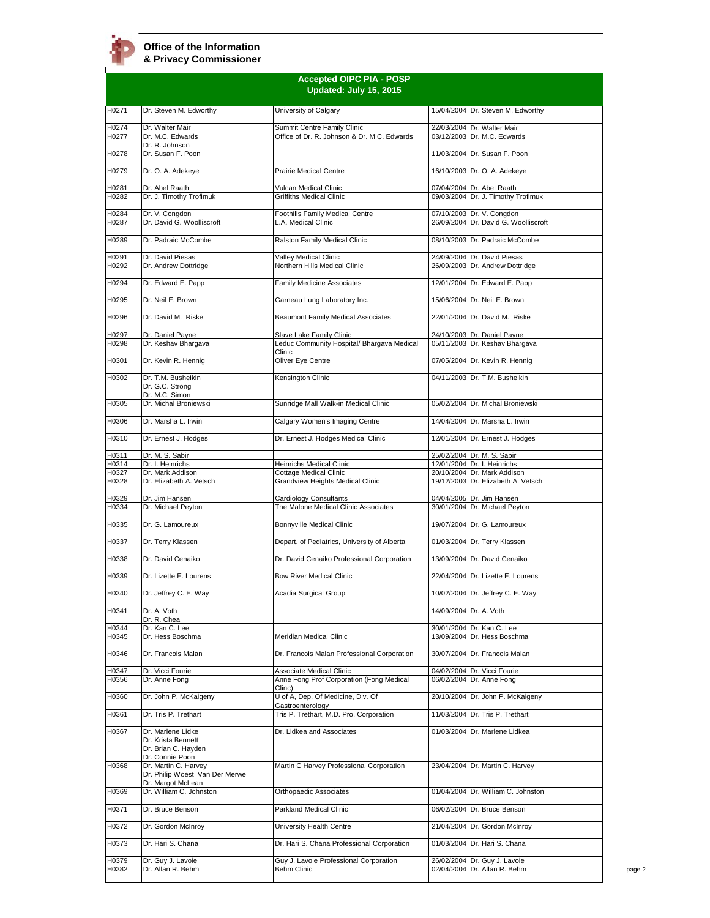|                | <b>Accepted OIPC PIA - POSP</b><br>Updated: July 15, 2015                                      |                                                                            |  |                                                                   |  |
|----------------|------------------------------------------------------------------------------------------------|----------------------------------------------------------------------------|--|-------------------------------------------------------------------|--|
| H0271          | Dr. Steven M. Edworthy                                                                         | University of Calgary                                                      |  | 15/04/2004 Dr. Steven M. Edworthy                                 |  |
| H0274<br>H0277 | Dr. Walter Mair<br>Dr. M.C. Edwards<br>Dr. R. Johnson                                          | Summit Centre Family Clinic<br>Office of Dr. R. Johnson & Dr. M C. Edwards |  | 22/03/2004 Dr. Walter Mair<br>03/12/2003 Dr. M.C. Edwards         |  |
| H0278          | Dr. Susan F. Poon                                                                              |                                                                            |  | 11/03/2004 Dr. Susan F. Poon                                      |  |
| H0279          | Dr. O. A. Adekeye                                                                              | <b>Prairie Medical Centre</b>                                              |  | 16/10/2003 Dr. O. A. Adekeye                                      |  |
| H0281<br>H0282 | Dr. Abel Raath<br>Dr. J. Timothy Trofimuk                                                      | Vulcan Medical Clinic<br><b>Griffiths Medical Clinic</b>                   |  | 07/04/2004 Dr. Abel Raath<br>09/03/2004 Dr. J. Timothy Trofimuk   |  |
| H0284<br>H0287 | Dr. V. Congdon<br>Dr. David G. Woolliscroft                                                    | Foothills Family Medical Centre<br>L.A. Medical Clinic                     |  | 07/10/2003 Dr. V. Congdon<br>26/09/2004 Dr. David G. Woolliscroft |  |
| H0289          | Dr. Padraic McCombe                                                                            | Ralston Family Medical Clinic                                              |  | 08/10/2003 Dr. Padraic McCombe                                    |  |
|                | Dr. David Piesas                                                                               |                                                                            |  | 24/09/2004 Dr. David Piesas                                       |  |
| H0291<br>H0292 | Dr. Andrew Dottridge                                                                           | Valley Medical Clinic<br>Northern Hills Medical Clinic                     |  | 26/09/2003 Dr. Andrew Dottridge                                   |  |
| H0294          | Dr. Edward E. Papp                                                                             | <b>Family Medicine Associates</b>                                          |  | 12/01/2004 Dr. Edward E. Papp                                     |  |
| H0295          | Dr. Neil E. Brown                                                                              | Garneau Lung Laboratory Inc.                                               |  | 15/06/2004 Dr. Neil E. Brown                                      |  |
| H0296          | Dr. David M. Riske                                                                             | Beaumont Family Medical Associates                                         |  | 22/01/2004 Dr. David M. Riske                                     |  |
| H0297          | Dr. Daniel Payne                                                                               | Slave Lake Family Clinic                                                   |  | 24/10/2003 Dr. Daniel Payne                                       |  |
| H0298          | Dr. Keshav Bhargava                                                                            | Leduc Community Hospital/ Bhargava Medical<br>Clinic                       |  | 05/11/2003 Dr. Keshav Bhargava                                    |  |
| H0301          | Dr. Kevin R. Hennig                                                                            | Oliver Eye Centre                                                          |  | 07/05/2004 Dr. Kevin R. Hennig                                    |  |
| H0302          | Dr. T.M. Busheikin<br>Dr. G.C. Strong<br>Dr. M.C. Simon                                        | Kensington Clinic                                                          |  | 04/11/2003 Dr. T.M. Busheikin                                     |  |
| H0305          | Dr. Michal Broniewski                                                                          | Sunridge Mall Walk-in Medical Clinic                                       |  | 05/02/2004 Dr. Michal Broniewski                                  |  |
| H0306          | Dr. Marsha L. Irwin                                                                            | Calgary Women's Imaging Centre                                             |  | 14/04/2004 Dr. Marsha L. Irwin                                    |  |
| H0310          | Dr. Ernest J. Hodges                                                                           | Dr. Ernest J. Hodges Medical Clinic                                        |  | 12/01/2004 Dr. Ernest J. Hodges                                   |  |
| H0311<br>H0314 | Dr. M. S. Sabir<br>Dr. I. Heinrichs                                                            | Heinrichs Medical Clinic                                                   |  | 25/02/2004 Dr. M. S. Sabir<br>12/01/2004 Dr. I. Heinrichs         |  |
| H0327          | Dr. Mark Addison                                                                               | Cottage Medical Clinic                                                     |  | 20/10/2004 Dr. Mark Addison                                       |  |
| H0328          | Dr. Elizabeth A. Vetsch                                                                        | Grandview Heights Medical Clinic                                           |  | 19/12/2003 Dr. Elizabeth A. Vetsch                                |  |
| H0329<br>H0334 | Dr. Jim Hansen<br>Dr. Michael Peyton                                                           | Cardiology Consultants<br>The Malone Medical Clinic Associates             |  | 04/04/2005 Dr. Jim Hansen<br>30/01/2004 Dr. Michael Peyton        |  |
| H0335          | Dr. G. Lamoureux                                                                               | <b>Bonnyville Medical Clinic</b>                                           |  | 19/07/2004 Dr. G. Lamoureux                                       |  |
| H0337          | Dr. Terry Klassen                                                                              | Depart. of Pediatrics, University of Alberta                               |  | 01/03/2004 Dr. Terry Klassen                                      |  |
| H0338          | Dr. David Cenaiko                                                                              | Dr. David Cenaiko Professional Corporation                                 |  | 13/09/2004 Dr. David Cenaiko                                      |  |
| H0339          | Dr. Lizette E. Lourens                                                                         | <b>Bow River Medical Clinic</b>                                            |  | 22/04/2004 Dr. Lizette E. Lourens                                 |  |
| H0340          | Dr. Jeffrey C. E. Way                                                                          | Acadia Surgical Group                                                      |  | 10/02/2004 Dr. Jeffrey C. E. Way                                  |  |
| H0341          | Dr. A. Voth<br>Dr. R. Chea                                                                     |                                                                            |  | 14/09/2004 Dr. A. Voth                                            |  |
| H0344<br>H0345 | Dr. Kan C. Lee<br>Dr. Hess Boschma                                                             | Meridian Medical Clinic                                                    |  | 30/01/2004 Dr. Kan C. Lee<br>13/09/2004 Dr. Hess Boschma          |  |
| H0346          | Dr. Francois Malan                                                                             | Dr. Francois Malan Professional Corporation                                |  | 30/07/2004 Dr. Francois Malan                                     |  |
| H0347          | Dr. Vicci Fourie                                                                               | Associate Medical Clinic                                                   |  | 04/02/2004 Dr. Vicci Fourie                                       |  |
| H0356          | Dr. Anne Fong                                                                                  | Anne Fong Prof Corporation (Fong Medical<br>Clinc)                         |  | 06/02/2004 Dr. Anne Fong                                          |  |
| H0360          | Dr. John P. McKaigeny                                                                          | U of A, Dep. Of Medicine, Div. Of<br>Gastroenterology                      |  | 20/10/2004 Dr. John P. McKaigeny                                  |  |
| H0361          | Dr. Tris P. Trethart                                                                           | Tris P. Trethart, M.D. Pro. Corporation                                    |  | 11/03/2004 Dr. Tris P. Trethart                                   |  |
| H0367          | Dr. Marlene Lidke<br>Dr. Krista Bennett<br>Dr. Brian C. Hayden                                 | Dr. Lidkea and Associates                                                  |  | 01/03/2004 Dr. Marlene Lidkea                                     |  |
| H0368          | Dr. Connie Poon<br>Dr. Martin C. Harvey<br>Dr. Philip Woest Van Der Merwe<br>Dr. Margot McLean | Martin C Harvey Professional Corporation                                   |  | 23/04/2004 Dr. Martin C. Harvey                                   |  |
| H0369          | Dr. William C. Johnston                                                                        | Orthopaedic Associates                                                     |  | 01/04/2004 Dr. William C. Johnston                                |  |
| H0371          | Dr. Bruce Benson                                                                               | Parkland Medical Clinic                                                    |  | 06/02/2004 Dr. Bruce Benson                                       |  |
| H0372          | Dr. Gordon McInroy                                                                             | University Health Centre                                                   |  | 21/04/2004 Dr. Gordon McInroy                                     |  |
| H0373          | Dr. Hari S. Chana                                                                              | Dr. Hari S. Chana Professional Corporation                                 |  | 01/03/2004 Dr. Hari S. Chana                                      |  |
| H0379<br>H0382 | Dr. Guy J. Lavoie<br>Dr. Allan R. Behm                                                         | Guy J. Lavoie Professional Corporation<br>Behm Clinic                      |  | 26/02/2004 Dr. Guy J. Lavoie<br>02/04/2004 Dr. Allan R. Behm      |  |
|                |                                                                                                |                                                                            |  |                                                                   |  |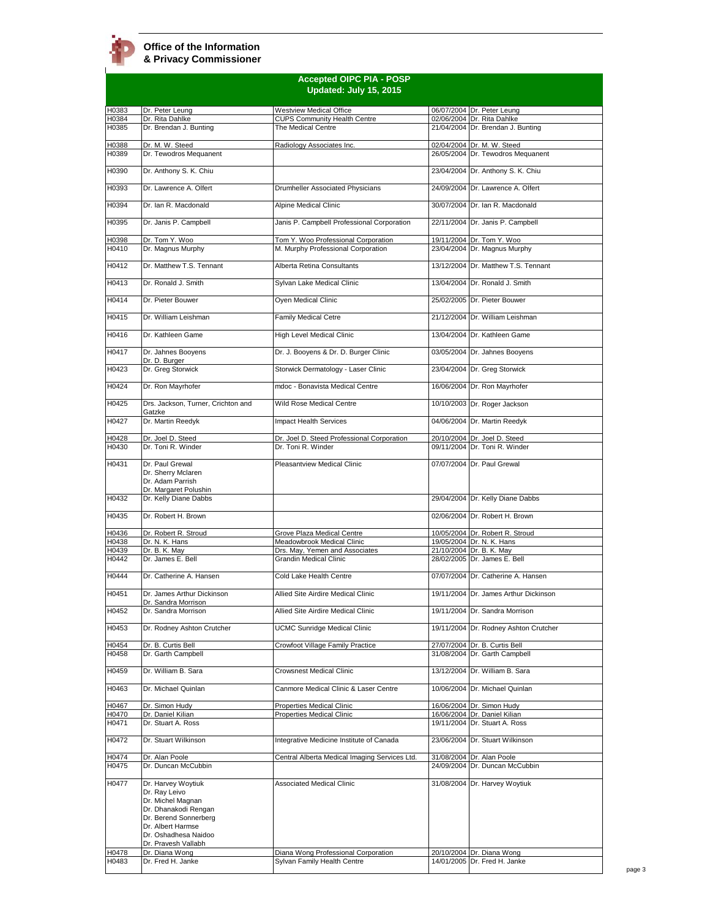|                |                                                                                                                                                        | <b>Accepted OIPC PIA - POSP</b><br>Updated: July 15, 2015                 |                                                                        |
|----------------|--------------------------------------------------------------------------------------------------------------------------------------------------------|---------------------------------------------------------------------------|------------------------------------------------------------------------|
| H0383          | Dr. Peter Leuna                                                                                                                                        | <b>Westview Medical Office</b>                                            | 06/07/2004 Dr. Peter Leung                                             |
| H0384          | Dr. Rita Dahlke                                                                                                                                        | <b>CUPS Community Health Centre</b>                                       | 02/06/2004 Dr. Rita Dahlke                                             |
| H0385          | Dr. Brendan J. Bunting                                                                                                                                 | The Medical Centre                                                        | 21/04/2004 Dr. Brendan J. Bunting                                      |
| H0388<br>H0389 | Dr. M. W. Steed<br>Dr. Tewodros Mequanent                                                                                                              | Radiology Associates Inc.                                                 | 02/04/2004 Dr. M. W. Steed<br>26/05/2004 Dr. Tewodros Mequanent        |
| H0390          | Dr. Anthony S. K. Chiu                                                                                                                                 |                                                                           | 23/04/2004 Dr. Anthony S. K. Chiu                                      |
| H0393          | Dr. Lawrence A. Olfert                                                                                                                                 | Drumheller Associated Physicians                                          | 24/09/2004 Dr. Lawrence A. Olfert                                      |
| H0394          | Dr. Ian R. Macdonald                                                                                                                                   | Alpine Medical Clinic                                                     | 30/07/2004 Dr. Ian R. Macdonald                                        |
| H0395          | Dr. Janis P. Campbell                                                                                                                                  | Janis P. Campbell Professional Corporation                                | 22/11/2004 Dr. Janis P. Campbell                                       |
| H0398<br>H0410 | Dr. Tom Y. Woo<br>Dr. Magnus Murphy                                                                                                                    | Tom Y. Woo Professional Corporation<br>M. Murphy Professional Corporation | 19/11/2004 Dr. Tom Y. Woo<br>23/04/2004 Dr. Magnus Murphy              |
| H0412          | Dr. Matthew T.S. Tennant                                                                                                                               | Alberta Retina Consultants                                                | 13/12/2004 Dr. Matthew T.S. Tennant                                    |
| H0413          | Dr. Ronald J. Smith                                                                                                                                    | Sylvan Lake Medical Clinic                                                | 13/04/2004 Dr. Ronald J. Smith                                         |
| H0414          | Dr. Pieter Bouwer                                                                                                                                      | Oyen Medical Clinic                                                       | 25/02/2005 Dr. Pieter Bouwer                                           |
| H0415<br>H0416 | Dr. William Leishman<br>Dr. Kathleen Game                                                                                                              | <b>Family Medical Cetre</b><br>High Level Medical Clinic                  | 21/12/2004 Dr. William Leishman<br>13/04/2004 Dr. Kathleen Game        |
| H0417          | Dr. Jahnes Booyens                                                                                                                                     | Dr. J. Booyens & Dr. D. Burger Clinic                                     | 03/05/2004 Dr. Jahnes Booyens                                          |
| H0423          | Dr. D. Burger<br>Dr. Greg Storwick                                                                                                                     | Storwick Dermatology - Laser Clinic                                       | 23/04/2004 Dr. Greg Storwick                                           |
| H0424          | Dr. Ron Mayrhofer                                                                                                                                      | mdoc - Bonavista Medical Centre                                           | 16/06/2004 Dr. Ron Mayrhofer                                           |
| H0425          | Drs. Jackson, Turner, Crichton and                                                                                                                     | Wild Rose Medical Centre                                                  | 10/10/2003 Dr. Roger Jackson                                           |
| H0427          | Gatzke<br>Dr. Martin Reedyk                                                                                                                            | Impact Health Services                                                    | 04/06/2004 Dr. Martin Reedyk                                           |
| H0428          | Dr. Joel D. Steed                                                                                                                                      | Dr. Joel D. Steed Professional Corporation                                | 20/10/2004 Dr. Joel D. Steed                                           |
| H0430          | Dr. Toni R. Winder                                                                                                                                     | Dr. Toni R. Winder                                                        | 09/11/2004 Dr. Toni R. Winder                                          |
| H0431          | Dr. Paul Grewal<br>Dr. Sherry Mclaren<br>Dr. Adam Parrish<br>Dr. Margaret Polushin                                                                     | Pleasantview Medical Clinic                                               | 07/07/2004 Dr. Paul Grewal                                             |
| H0432          | Dr. Kelly Diane Dabbs                                                                                                                                  |                                                                           | 29/04/2004 Dr. Kelly Diane Dabbs                                       |
| H0435          | Dr. Robert H. Brown                                                                                                                                    |                                                                           | 02/06/2004 Dr. Robert H. Brown                                         |
| H0436          | Dr. Robert R. Stroud                                                                                                                                   | Grove Plaza Medical Centre                                                | 10/05/2004 Dr. Robert R. Stroud                                        |
| H0438          | Dr. N. K. Hans                                                                                                                                         | Meadowbrook Medical Clinic                                                | 19/05/2004 Dr. N. K. Hans                                              |
| H0439<br>H0442 | Dr. B. K. May<br>Dr. James E. Bell                                                                                                                     | Drs. May, Yemen and Associates<br><b>Grandin Medical Clinic</b>           | 21/10/2004 Dr. B. K. May<br>28/02/2005 Dr. James E. Bell               |
| H0444          | Dr. Catherine A. Hansen                                                                                                                                | Cold Lake Health Centre                                                   | 07/07/2004 Dr. Catherine A. Hansen                                     |
| H0451          | Dr. James Arthur Dickinson<br>Dr. Sandra Morrison                                                                                                      | Allied Site Airdire Medical Clinic                                        | 19/11/2004 Dr. James Arthur Dickinson                                  |
| H0452          | Dr. Sandra Morrison                                                                                                                                    | Allied Site Airdire Medical Clinic                                        | 19/11/2004 Dr. Sandra Morrison                                         |
| H0453<br>H0454 | Dr. Rodney Ashton Crutcher<br>Dr. B. Curtis Bell                                                                                                       | UCMC Sunridge Medical Clinic                                              | 19/11/2004 Dr. Rodney Ashton Crutcher<br>27/07/2004 Dr. B. Curtis Bell |
| H0458          | Dr. Garth Campbell                                                                                                                                     | Crowfoot Village Family Practice                                          | 31/08/2004 Dr. Garth Campbell                                          |
| H0459          | Dr. William B. Sara                                                                                                                                    | <b>Crowsnest Medical Clinic</b>                                           | 13/12/2004 Dr. William B. Sara                                         |
| H0463          | Dr. Michael Quinlan                                                                                                                                    | Canmore Medical Clinic & Laser Centre                                     | 10/06/2004 Dr. Michael Quinlan                                         |
| H0467          | Dr. Simon Hudy                                                                                                                                         | <b>Properties Medical Clinic</b>                                          | 16/06/2004 Dr. Simon Hudy                                              |
| H0470<br>H0471 | Dr. Daniel Kilian<br>Dr. Stuart A. Ross                                                                                                                | Properties Medical Clinic                                                 | 16/06/2004 Dr. Daniel Kilian<br>19/11/2004 Dr. Stuart A. Ross          |
| H0472          | Dr. Stuart Wilkinson                                                                                                                                   | Integrative Medicine Institute of Canada                                  | 23/06/2004 Dr. Stuart Wilkinson                                        |
| H0474          | Dr. Alan Poole                                                                                                                                         | Central Alberta Medical Imaging Services Ltd.                             | 31/08/2004 Dr. Alan Poole                                              |
| H0475          | Dr. Duncan McCubbin                                                                                                                                    |                                                                           | 24/09/2004 Dr. Duncan McCubbin                                         |
| H0477          | Dr. Harvey Woytiuk<br>Dr. Ray Leivo<br>Dr. Michel Magnan<br>Dr. Dhanakodi Rengan<br>Dr. Berend Sonnerberg<br>Dr. Albert Harmse<br>Dr. Oshadhesa Naidoo | <b>Associated Medical Clinic</b>                                          | 31/08/2004 Dr. Harvey Woytiuk                                          |
|                | Dr. Pravesh Vallabh                                                                                                                                    |                                                                           |                                                                        |
| H0478<br>H0483 | Dr. Diana Wong<br>Dr. Fred H. Janke                                                                                                                    | Diana Wong Professional Corporation<br>Sylvan Family Health Centre        | 20/10/2004 Dr. Diana Wong<br>14/01/2005 Dr. Fred H. Janke              |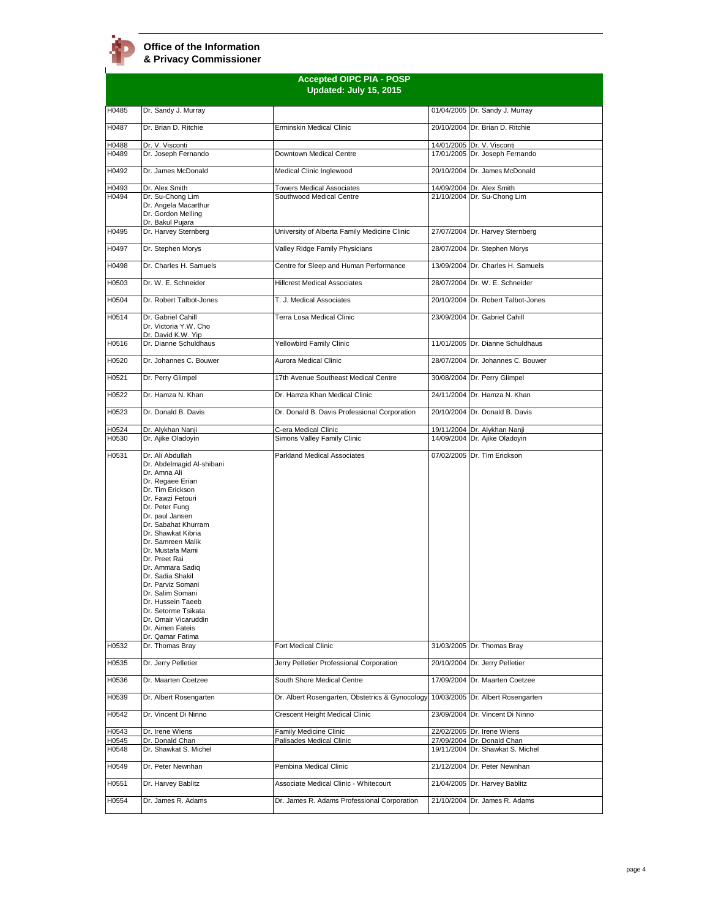|                | <b>Accepted OIPC PIA - POSP</b><br>Updated: July 15, 2015                                                                                                                                                                                                                                                                                                                                                                                                                              |                                                           |            |                                                                |  |
|----------------|----------------------------------------------------------------------------------------------------------------------------------------------------------------------------------------------------------------------------------------------------------------------------------------------------------------------------------------------------------------------------------------------------------------------------------------------------------------------------------------|-----------------------------------------------------------|------------|----------------------------------------------------------------|--|
| H0485          | Dr. Sandy J. Murray                                                                                                                                                                                                                                                                                                                                                                                                                                                                    |                                                           |            | 01/04/2005 Dr. Sandy J. Murray                                 |  |
| H0487          | Dr. Brian D. Ritchie                                                                                                                                                                                                                                                                                                                                                                                                                                                                   | Erminskin Medical Clinic                                  |            | 20/10/2004 Dr. Brian D. Ritchie                                |  |
| H0488          | Dr. V. Visconti                                                                                                                                                                                                                                                                                                                                                                                                                                                                        |                                                           |            | 14/01/2005 Dr. V. Visconti                                     |  |
| H0489          | Dr. Joseph Fernando                                                                                                                                                                                                                                                                                                                                                                                                                                                                    | Downtown Medical Centre                                   |            | 17/01/2005 Dr. Joseph Fernando                                 |  |
| H0492          | Dr. James McDonald                                                                                                                                                                                                                                                                                                                                                                                                                                                                     | Medical Clinic Inglewood                                  |            | 20/10/2004 Dr. James McDonald                                  |  |
| H0493          | Dr. Alex Smith                                                                                                                                                                                                                                                                                                                                                                                                                                                                         | <b>Towers Medical Associates</b>                          |            | 14/09/2004 Dr. Alex Smith                                      |  |
| H0494          | Dr. Su-Chong Lim<br>Dr. Angela Macarthur<br>Dr. Gordon Melling                                                                                                                                                                                                                                                                                                                                                                                                                         | Southwood Medical Centre                                  |            | 21/10/2004 Dr. Su-Chong Lim                                    |  |
| H0495          | Dr. Bakul Pujara<br>Dr. Harvey Sternberg                                                                                                                                                                                                                                                                                                                                                                                                                                               | University of Alberta Family Medicine Clinic              |            | 27/07/2004 Dr. Harvey Sternberg                                |  |
| H0497          | Dr. Stephen Morys                                                                                                                                                                                                                                                                                                                                                                                                                                                                      | Valley Ridge Family Physicians                            |            | 28/07/2004 Dr. Stephen Morys                                   |  |
| H0498          | Dr. Charles H. Samuels                                                                                                                                                                                                                                                                                                                                                                                                                                                                 | Centre for Sleep and Human Performance                    | 13/09/2004 | Dr. Charles H. Samuels                                         |  |
| H0503          | Dr. W. E. Schneider                                                                                                                                                                                                                                                                                                                                                                                                                                                                    | <b>Hillcrest Medical Associates</b>                       |            | 28/07/2004 Dr. W. E. Schneider                                 |  |
| H0504          | Dr. Robert Talbot-Jones                                                                                                                                                                                                                                                                                                                                                                                                                                                                | T. J. Medical Associates                                  |            | 20/10/2004 Dr. Robert Talbot-Jones                             |  |
| H0514          | Dr. Gabriel Cahill                                                                                                                                                                                                                                                                                                                                                                                                                                                                     | Terra Losa Medical Clinic                                 |            | 23/09/2004 Dr. Gabriel Cahill                                  |  |
|                | Dr. Victoria Y.W. Cho<br>Dr. David K.W. Yip                                                                                                                                                                                                                                                                                                                                                                                                                                            |                                                           |            |                                                                |  |
| H0516          | Dr. Dianne Schuldhaus                                                                                                                                                                                                                                                                                                                                                                                                                                                                  | Yellowbird Family Clinic                                  |            | 11/01/2005 Dr. Dianne Schuldhaus                               |  |
| H0520          | Dr. Johannes C. Bouwer                                                                                                                                                                                                                                                                                                                                                                                                                                                                 | Aurora Medical Clinic                                     |            | 28/07/2004 Dr. Johannes C. Bouwer                              |  |
| H0521          | Dr. Perry Glimpel                                                                                                                                                                                                                                                                                                                                                                                                                                                                      | 17th Avenue Southeast Medical Centre                      |            | 30/08/2004 Dr. Perry Glimpel                                   |  |
| H0522          | Dr. Hamza N. Khan                                                                                                                                                                                                                                                                                                                                                                                                                                                                      | Dr. Hamza Khan Medical Clinic                             |            | 24/11/2004 Dr. Hamza N. Khan                                   |  |
| H0523          | Dr. Donald B. Davis                                                                                                                                                                                                                                                                                                                                                                                                                                                                    | Dr. Donald B. Davis Professional Corporation              |            | 20/10/2004 Dr. Donald B. Davis                                 |  |
| H0524          | Dr. Alykhan Nanji                                                                                                                                                                                                                                                                                                                                                                                                                                                                      | C-era Medical Clinic                                      |            | 19/11/2004 Dr. Alykhan Nanji                                   |  |
| H0530          | Dr. Ajike Oladoyin                                                                                                                                                                                                                                                                                                                                                                                                                                                                     | Simons Valley Family Clinic                               |            | 14/09/2004 Dr. Ajike Oladoyin                                  |  |
| H0531<br>H0532 | Dr. Ali Abdullah<br>Dr. Abdelmagid Al-shibani<br>Dr. Amna Ali<br>Dr. Regaee Erian<br>Dr. Tim Erickson<br>Dr. Fawzi Fetouri<br>Dr. Peter Fung<br>Dr. paul Jansen<br>Dr. Sabahat Khurram<br>Dr. Shawkat Kibria<br>Dr. Samreen Malik<br>Dr. Mustafa Mami<br>Dr. Preet Rai<br>Dr. Ammara Sadiq<br>Dr. Sadia Shakil<br>Dr. Parviz Somani<br>Dr. Salim Somani<br>Dr. Hussein Taeeb<br>Dr. Setorme Tsikata<br>Dr. Omair Vicaruddin<br>Dr. Aimen Fateis<br>Dr. Qamar Fatima<br>Dr. Thomas Bray | <b>Parkland Medical Associates</b><br>Fort Medical Clinic |            | 07/02/2005 Dr. Tim Erickson<br>31/03/2005 Dr. Thomas Bray      |  |
| H0535          | Dr. Jerry Pelletier                                                                                                                                                                                                                                                                                                                                                                                                                                                                    | Jerry Pelletier Professional Corporation                  |            | 20/10/2004 Dr. Jerry Pelletier                                 |  |
| H0536          | Dr. Maarten Coetzee                                                                                                                                                                                                                                                                                                                                                                                                                                                                    | South Shore Medical Centre                                |            | 17/09/2004 Dr. Maarten Coetzee                                 |  |
| H0539          | Dr. Albert Rosengarten                                                                                                                                                                                                                                                                                                                                                                                                                                                                 | Dr. Albert Rosengarten, Obstetrics & Gynocology           |            | 10/03/2005 Dr. Albert Rosengarten                              |  |
| H0542          | Dr. Vincent Di Ninno                                                                                                                                                                                                                                                                                                                                                                                                                                                                   | Crescent Height Medical Clinic                            |            | 23/09/2004 Dr. Vincent Di Ninno                                |  |
|                |                                                                                                                                                                                                                                                                                                                                                                                                                                                                                        |                                                           |            |                                                                |  |
| H0543          | Dr. Irene Wiens                                                                                                                                                                                                                                                                                                                                                                                                                                                                        | Family Medicine Clinic                                    |            | 22/02/2005 Dr. Irene Wiens                                     |  |
| H0545<br>H0548 | Dr. Donald Chan<br>Dr. Shawkat S. Michel                                                                                                                                                                                                                                                                                                                                                                                                                                               | Palisades Medical Clinic                                  |            | 27/09/2004 Dr. Donald Chan<br>19/11/2004 Dr. Shawkat S. Michel |  |
| H0549          | Dr. Peter Newnhan                                                                                                                                                                                                                                                                                                                                                                                                                                                                      | Pembina Medical Clinic                                    |            | 21/12/2004 Dr. Peter Newnhan                                   |  |
| H0551          | Dr. Harvey Bablitz                                                                                                                                                                                                                                                                                                                                                                                                                                                                     | Associate Medical Clinic - Whitecourt                     |            | 21/04/2005 Dr. Harvey Bablitz                                  |  |
| H0554          | Dr. James R. Adams                                                                                                                                                                                                                                                                                                                                                                                                                                                                     | Dr. James R. Adams Professional Corporation               |            | 21/10/2004 Dr. James R. Adams                                  |  |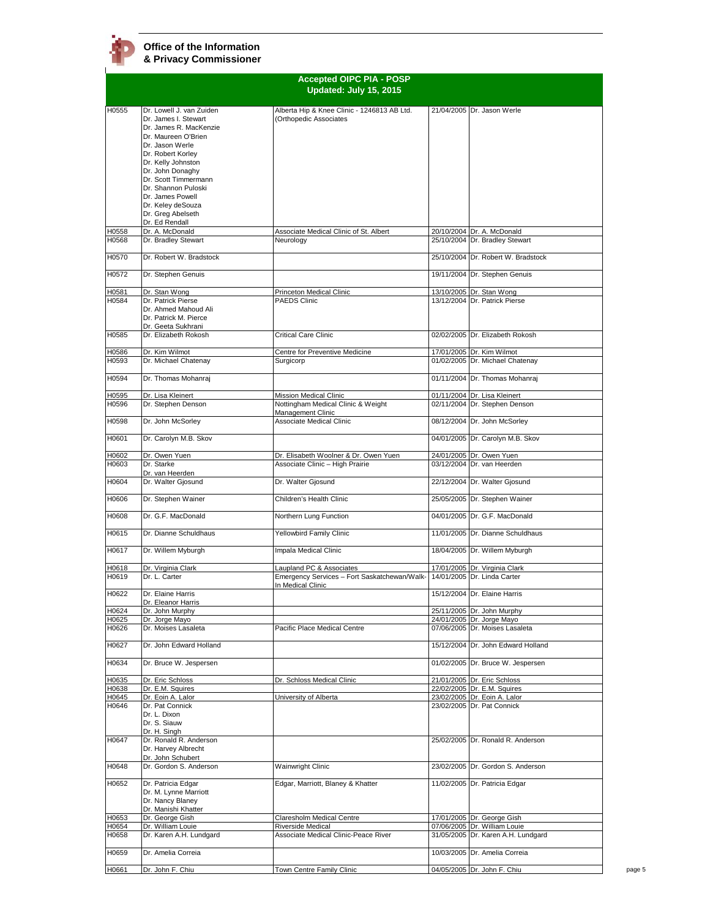|                | <b>Accepted OIPC PIA - POSP</b><br>Updated: July 15, 2015                                                                                                                                                                                              |                                                                         |  |                                                                      |
|----------------|--------------------------------------------------------------------------------------------------------------------------------------------------------------------------------------------------------------------------------------------------------|-------------------------------------------------------------------------|--|----------------------------------------------------------------------|
|                |                                                                                                                                                                                                                                                        |                                                                         |  |                                                                      |
| H0555          | Dr. Lowell J. van Zuiden<br>Dr. James I. Stewart<br>Dr. James R. MacKenzie<br>Dr. Maureen O'Brien<br>Dr. Jason Werle<br>Dr. Robert Korlev<br>Dr. Kelly Johnston<br>Dr. John Donaghy<br>Dr. Scott Timmermann<br>Dr. Shannon Puloski<br>Dr. James Powell | Alberta Hip & Knee Clinic - 1246813 AB Ltd.<br>(Orthopedic Associates   |  | 21/04/2005 Dr. Jason Werle                                           |
|                | Dr. Keley deSouza<br>Dr. Greg Abelseth<br>Dr. Ed Rendall                                                                                                                                                                                               |                                                                         |  |                                                                      |
| H0558          | Dr. A. McDonald                                                                                                                                                                                                                                        | Associate Medical Clinic of St. Albert                                  |  | 20/10/2004 Dr. A. McDonald                                           |
| H0568<br>H0570 | Dr. Bradley Stewart<br>Dr. Robert W. Bradstock                                                                                                                                                                                                         | Neurology                                                               |  | 25/10/2004 Dr. Bradley Stewart<br>25/10/2004 Dr. Robert W. Bradstock |
| H0572          | Dr. Stephen Genuis                                                                                                                                                                                                                                     |                                                                         |  | 19/11/2004 Dr. Stephen Genuis                                        |
|                |                                                                                                                                                                                                                                                        |                                                                         |  |                                                                      |
| H0581<br>H0584 | Dr. Stan Wong<br>Dr. Patrick Pierse<br>Dr. Ahmed Mahoud Ali<br>Dr. Patrick M. Pierce<br>Dr. Geeta Sukhrani                                                                                                                                             | Princeton Medical Clinic<br><b>PAEDS Clinic</b>                         |  | 13/10/2005 Dr. Stan Wong<br>13/12/2004 Dr. Patrick Pierse            |
| H0585          | Dr. Elizabeth Rokosh                                                                                                                                                                                                                                   | Critical Care Clinic                                                    |  | 02/02/2005 Dr. Elizabeth Rokosh                                      |
| H0586<br>H0593 | Dr. Kim Wilmot<br>Dr. Michael Chatenay                                                                                                                                                                                                                 | Centre for Preventive Medicine<br>Surgicorp                             |  | 17/01/2005 Dr. Kim Wilmot<br>01/02/2005 Dr. Michael Chatenay         |
| H0594          | Dr. Thomas Mohanraj                                                                                                                                                                                                                                    |                                                                         |  | 01/11/2004 Dr. Thomas Mohanraj                                       |
| H0595<br>H0596 | Dr. Lisa Kleinert<br>Dr. Stephen Denson                                                                                                                                                                                                                | <b>Mission Medical Clinic</b><br>Nottingham Medical Clinic & Weight     |  | 01/11/2004 Dr. Lisa Kleinert<br>02/11/2004 Dr. Stephen Denson        |
| H0598          | Dr. John McSorley                                                                                                                                                                                                                                      | Management Clinic<br><b>Associate Medical Clinic</b>                    |  | 08/12/2004 Dr. John McSorley                                         |
| H0601          | Dr. Carolyn M.B. Skov                                                                                                                                                                                                                                  |                                                                         |  | 04/01/2005 Dr. Carolyn M.B. Skov                                     |
| H0602          | Dr. Owen Yuen                                                                                                                                                                                                                                          | Dr. Elisabeth Woolner & Dr. Owen Yuen                                   |  | 24/01/2005 Dr. Owen Yuen                                             |
| H0603          | Dr. Starke                                                                                                                                                                                                                                             | Associate Clinic - High Prairie                                         |  | 03/12/2004 Dr. van Heerden                                           |
| H0604          | Dr. van Heerden<br>Dr. Walter Gjosund                                                                                                                                                                                                                  | Dr. Walter Gjosund                                                      |  | 22/12/2004 Dr. Walter Gjosund                                        |
| H0606          | Dr. Stephen Wainer                                                                                                                                                                                                                                     | Children's Health Clinic                                                |  | 25/05/2005 Dr. Stephen Wainer                                        |
| H0608          | Dr. G.F. MacDonald                                                                                                                                                                                                                                     | Northern Lung Function                                                  |  | 04/01/2005 Dr. G.F. MacDonald                                        |
| H0615          | Dr. Dianne Schuldhaus                                                                                                                                                                                                                                  | Yellowbird Family Clinic                                                |  | 11/01/2005 Dr. Dianne Schuldhaus                                     |
| H0617          | Dr. Willem Myburgh                                                                                                                                                                                                                                     | Impala Medical Clinic                                                   |  | 18/04/2005 Dr. Willem Myburgh                                        |
| H0618<br>H0619 | Dr. Virginia Clark<br>Dr. L. Carter                                                                                                                                                                                                                    | aupland PC & Associates<br>Emergency Services - Fort Saskatchewan/Walk- |  | 17/01/2005 Dr. Virginia Clark<br>14/01/2005 Dr. Linda Carter         |
| H0622          | Dr. Elaine Harris<br>Dr. Eleanor Harris                                                                                                                                                                                                                | In Medical Clinic                                                       |  | 15/12/2004 Dr. Elaine Harris                                         |
| H0624          | Dr. John Murphy                                                                                                                                                                                                                                        |                                                                         |  | 25/11/2005 Dr. John Murphy                                           |
| H0625<br>H0626 | Dr. Jorge Mayo<br>Dr. Moises Lasaleta                                                                                                                                                                                                                  | Pacific Place Medical Centre                                            |  | 24/01/2005 Dr. Jorge Mayo<br>07/06/2005 Dr. Moises Lasaleta          |
| H0627          | Dr. John Edward Holland                                                                                                                                                                                                                                |                                                                         |  | 15/12/2004 Dr. John Edward Holland                                   |
| H0634          | Dr. Bruce W. Jespersen                                                                                                                                                                                                                                 |                                                                         |  | 01/02/2005 Dr. Bruce W. Jespersen                                    |
| H0635          | Dr. Eric Schloss                                                                                                                                                                                                                                       | Dr. Schloss Medical Clinic                                              |  | 21/01/2005 Dr. Eric Schloss                                          |
| H0638<br>H0645 | Dr. E.M. Squires<br>Dr. Eoin A. Lalor                                                                                                                                                                                                                  | University of Alberta                                                   |  | 22/02/2005 Dr. E.M. Squires<br>23/02/2005 Dr. Eoin A. Lalor          |
| H0646          | Dr. Pat Connick<br>Dr. L. Dixon<br>Dr. S. Siauw<br>Dr. H. Singh                                                                                                                                                                                        |                                                                         |  | 23/02/2005 Dr. Pat Connick                                           |
| H0647          | Dr. Ronald R. Anderson<br>Dr. Harvey Albrecht                                                                                                                                                                                                          |                                                                         |  | 25/02/2005 Dr. Ronald R. Anderson                                    |
| H0648          | Dr. John Schubert<br>Dr. Gordon S. Anderson                                                                                                                                                                                                            | Wainwright Clinic                                                       |  | 23/02/2005 Dr. Gordon S. Anderson                                    |
| H0652          | Dr. Patricia Edgar<br>Dr. M. Lynne Marriott<br>Dr. Nancy Blaney<br>Dr. Manishi Khatter                                                                                                                                                                 | Edgar, Marriott, Blaney & Khatter                                       |  | 11/02/2005 Dr. Patricia Edgar                                        |
| H0653<br>H0654 | Dr. George Gish<br>Dr. William Louie                                                                                                                                                                                                                   | Claresholm Medical Centre<br>Riverside Medical                          |  | 17/01/2005 Dr. George Gish<br>07/06/2005 Dr. William Louie           |
| H0658          | Dr. Karen A.H. Lundgard                                                                                                                                                                                                                                | Associate Medical Clinic-Peace River                                    |  | 31/05/2005 Dr. Karen A.H. Lundgard                                   |
| H0659          | Dr. Amelia Correia                                                                                                                                                                                                                                     |                                                                         |  | 10/03/2005 Dr. Amelia Correia                                        |
| H0661          | Dr. John F. Chiu                                                                                                                                                                                                                                       | Town Centre Family Clinic                                               |  | 04/05/2005 Dr. John F. Chiu                                          |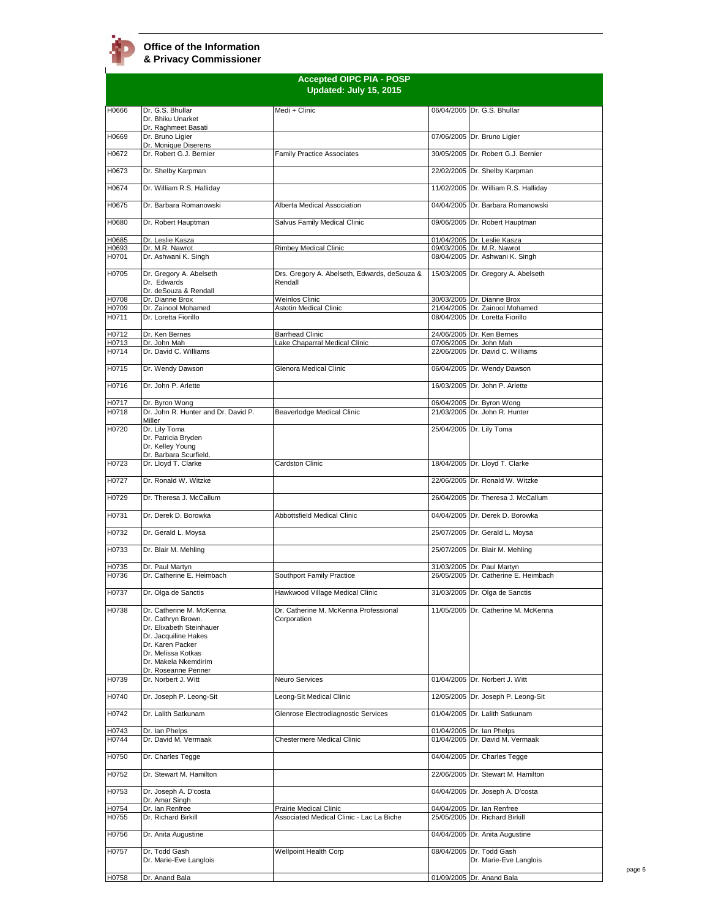

|                | <b>Accepted OIPC PIA - POSP</b><br>Updated: July 15, 2015                                                                                                                                   |                                                         |  |                                                               |  |
|----------------|---------------------------------------------------------------------------------------------------------------------------------------------------------------------------------------------|---------------------------------------------------------|--|---------------------------------------------------------------|--|
| H0666          | Dr. G.S. Bhullar                                                                                                                                                                            | Medi + Clinic                                           |  | 06/04/2005 Dr. G.S. Bhullar                                   |  |
|                | Dr. Bhiku Unarket                                                                                                                                                                           |                                                         |  |                                                               |  |
| H0669          | Dr. Raghmeet Basati<br>Dr. Bruno Ligier                                                                                                                                                     |                                                         |  | 07/06/2005 Dr. Bruno Ligier                                   |  |
| H0672          | Dr. Monique Diserens<br>Dr. Robert G.J. Bernier                                                                                                                                             | <b>Family Practice Associates</b>                       |  | 30/05/2005 Dr. Robert G.J. Bernier                            |  |
| H0673          | Dr. Shelby Karpman                                                                                                                                                                          |                                                         |  | 22/02/2005 Dr. Shelby Karpman                                 |  |
| H0674          |                                                                                                                                                                                             |                                                         |  | 11/02/2005 Dr. William R.S. Halliday                          |  |
|                | Dr. William R.S. Halliday                                                                                                                                                                   |                                                         |  |                                                               |  |
| H0675          | Dr. Barbara Romanowski                                                                                                                                                                      | Alberta Medical Association                             |  | 04/04/2005 Dr. Barbara Romanowski                             |  |
| H0680          | Dr. Robert Hauptman                                                                                                                                                                         | Salvus Family Medical Clinic                            |  | 09/06/2005 Dr. Robert Hauptman                                |  |
| H0685          | Dr. Leslie Kasza                                                                                                                                                                            |                                                         |  | 01/04/2005 Dr. Leslie Kasza                                   |  |
| H0693<br>H0701 | Dr. M.R. Nawrot<br>Dr. Ashwani K. Singh                                                                                                                                                     | <b>Rimbey Medical Clinic</b>                            |  | 09/03/2005 Dr. M.R. Nawrot<br>08/04/2005 Dr. Ashwani K. Singh |  |
|                |                                                                                                                                                                                             |                                                         |  |                                                               |  |
| H0705          | Dr. Gregory A. Abelseth<br>Dr. Edwards<br>Dr. deSouza & Rendall                                                                                                                             | Drs. Gregory A. Abelseth, Edwards, deSouza &<br>Rendall |  | 15/03/2005 Dr. Gregory A. Abelseth                            |  |
| H0708          | Dr. Dianne Brox                                                                                                                                                                             | <b>Weinlos Clinic</b>                                   |  | 30/03/2005 Dr. Dianne Brox                                    |  |
| H0709          | Dr. Zainool Mohamed                                                                                                                                                                         | <b>Astotin Medical Clinic</b>                           |  | 21/04/2005 Dr. Zainool Mohamed                                |  |
| H0711          | Dr. Loretta Fiorillo                                                                                                                                                                        |                                                         |  | 08/04/2005 Dr. Loretta Fiorillo                               |  |
| H0712          | Dr. Ken Bernes                                                                                                                                                                              | <b>Barrhead Clinic</b>                                  |  | 24/06/2005 Dr. Ken Bernes                                     |  |
| H0713<br>H0714 | Dr. John Mah<br>Dr. David C. Williams                                                                                                                                                       | Lake Chaparral Medical Clinic                           |  | 07/06/2005 Dr. John Mah<br>22/06/2005 Dr. David C. Williams   |  |
|                |                                                                                                                                                                                             |                                                         |  |                                                               |  |
| H0715          | Dr. Wendy Dawson                                                                                                                                                                            | Glenora Medical Clinic                                  |  | 06/04/2005 Dr. Wendy Dawson                                   |  |
| H0716          | Dr. John P. Arlette                                                                                                                                                                         |                                                         |  | 16/03/2005 Dr. John P. Arlette                                |  |
| H0717          | Dr. Byron Wong                                                                                                                                                                              |                                                         |  | 06/04/2005 Dr. Byron Wong                                     |  |
| H0718          | Dr. John R. Hunter and Dr. David P.<br>Miller                                                                                                                                               | Beaverlodge Medical Clinic                              |  | 21/03/2005 Dr. John R. Hunter                                 |  |
| H0720          | Dr. Lily Toma<br>Dr. Patricia Bryden<br>Dr. Kelley Young<br>Dr. Barbara Scurfield.                                                                                                          |                                                         |  | 25/04/2005 Dr. Lily Toma                                      |  |
| H0723          | Dr. Lloyd T. Clarke                                                                                                                                                                         | Cardston Clinic                                         |  | 18/04/2005 Dr. Lloyd T. Clarke                                |  |
| H0727          | Dr. Ronald W. Witzke                                                                                                                                                                        |                                                         |  | 22/06/2005 Dr. Ronald W. Witzke                               |  |
| H0729          | Dr. Theresa J. McCallum                                                                                                                                                                     |                                                         |  | 26/04/2005 Dr. Theresa J. McCallum                            |  |
| H0731          | Dr. Derek D. Borowka                                                                                                                                                                        | Abbottsfield Medical Clinic                             |  | 04/04/2005 Dr. Derek D. Borowka                               |  |
| H0732          | Dr. Gerald L. Moysa                                                                                                                                                                         |                                                         |  | 25/07/2005 Dr. Gerald L. Moysa                                |  |
| H0733          | Dr. Blair M. Mehling                                                                                                                                                                        |                                                         |  | 25/07/2005 Dr. Blair M. Mehling                               |  |
| H0735          | Dr. Paul Martyn                                                                                                                                                                             |                                                         |  | 31/03/2005 Dr. Paul Martyn                                    |  |
| H0736          | Dr. Catherine E. Heimbach                                                                                                                                                                   | Southport Family Practice                               |  | 26/05/2005 Dr. Catherine E. Heimbach                          |  |
| H0737          | Dr. Olga de Sanctis                                                                                                                                                                         | Hawkwood Village Medical Clinic                         |  | 31/03/2005 IDr. Olga de Sanctis                               |  |
| H0738          | Dr. Catherine M. McKenna<br>Dr. Cathryn Brown.<br>Dr. Elixabeth Steinhauer<br>Dr. Jacquiline Hakes<br>Dr. Karen Packer<br>Dr. Melissa Kotkas<br>Dr. Makela Nkemdirim<br>Dr. Roseanne Penner | Dr. Catherine M. McKenna Professional<br>Corporation    |  | 11/05/2005 Dr. Catherine M. McKenna                           |  |
| H0739          | Dr. Norbert J. Witt                                                                                                                                                                         | Neuro Services                                          |  | 01/04/2005 Dr. Norbert J. Witt                                |  |
| H0740          | Dr. Joseph P. Leong-Sit                                                                                                                                                                     | Leong-Sit Medical Clinic                                |  | 12/05/2005 Dr. Joseph P. Leong-Sit                            |  |
| H0742          | Dr. Lalith Satkunam                                                                                                                                                                         | Glenrose Electrodiagnostic Services                     |  | 01/04/2005 Dr. Lalith Satkunam                                |  |
| H0743<br>H0744 | Dr. Ian Phelps<br>Dr. David M. Vermaak                                                                                                                                                      | Chestermere Medical Clinic                              |  | 01/04/2005 Dr. Ian Phelps<br>01/04/2005 Dr. David M. Vermaak  |  |
|                |                                                                                                                                                                                             |                                                         |  |                                                               |  |
| H0750          | Dr. Charles Tegge                                                                                                                                                                           |                                                         |  | 04/04/2005 Dr. Charles Tegge                                  |  |
| H0752          | Dr. Stewart M. Hamilton                                                                                                                                                                     |                                                         |  | 22/06/2005 Dr. Stewart M. Hamilton                            |  |
| H0753          | Dr. Joseph A. D'costa<br>Dr. Amar Singh                                                                                                                                                     |                                                         |  | 04/04/2005 Dr. Joseph A. D'costa                              |  |
| H0754          | Dr. Ian Renfree                                                                                                                                                                             | Prairie Medical Clinic                                  |  | 04/04/2005 Dr. Ian Renfree                                    |  |
| H0755          | Dr. Richard Birkill                                                                                                                                                                         | Associated Medical Clinic - Lac La Biche                |  | 25/05/2005 Dr. Richard Birkill                                |  |
| H0756          | Dr. Anita Augustine                                                                                                                                                                         |                                                         |  | 04/04/2005 Dr. Anita Augustine                                |  |
| H0757          | Dr. Todd Gash<br>Dr. Marie-Eve Langlois                                                                                                                                                     | <b>Wellpoint Health Corp</b>                            |  | 08/04/2005 Dr. Todd Gash<br>Dr. Marie-Eve Langlois            |  |
| H0758          | Dr. Anand Bala                                                                                                                                                                              |                                                         |  | 01/09/2005 Dr. Anand Bala                                     |  |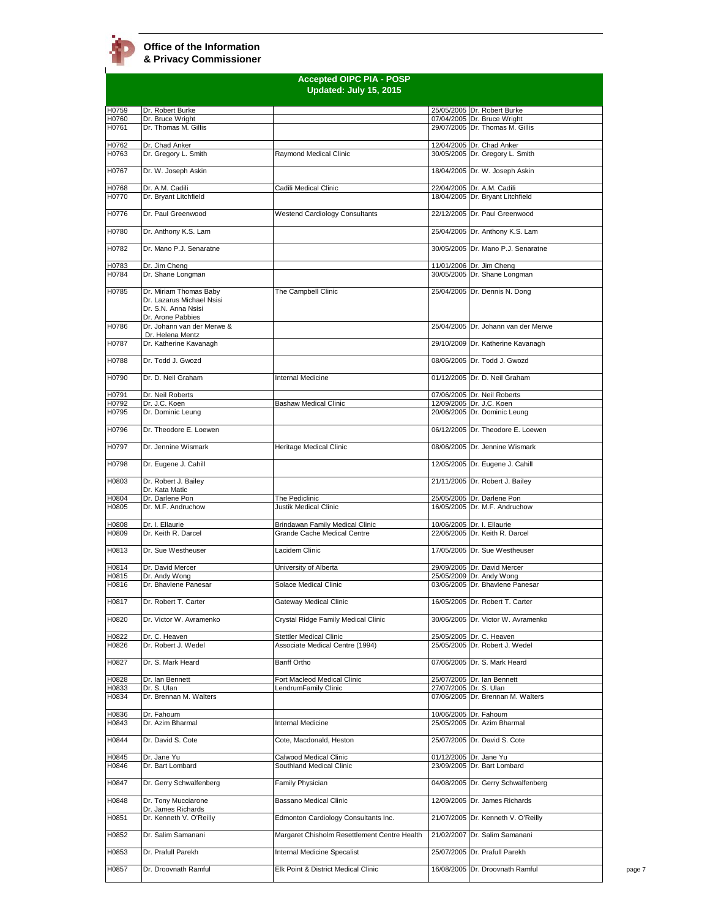|                | <b>Accepted OIPC PIA - POSP</b><br>Updated: July 15, 2015                                       |                                                                |                        |                                                                       |
|----------------|-------------------------------------------------------------------------------------------------|----------------------------------------------------------------|------------------------|-----------------------------------------------------------------------|
| H0759          | Dr. Robert Burke                                                                                |                                                                |                        | 25/05/2005 Dr. Robert Burke                                           |
| H0760          | Dr. Bruce Wright                                                                                |                                                                |                        | 07/04/2005 Dr. Bruce Wright                                           |
| H0761          | Dr. Thomas M. Gillis                                                                            |                                                                |                        | 29/07/2005 Dr. Thomas M. Gillis                                       |
| H0762<br>H0763 | Dr. Chad Anker<br>Dr. Gregory L. Smith                                                          | Raymond Medical Clinic                                         |                        | 12/04/2005 Dr. Chad Anker<br>30/05/2005 Dr. Gregory L. Smith          |
| H0767          | Dr. W. Joseph Askin                                                                             |                                                                |                        | 18/04/2005 Dr. W. Joseph Askin                                        |
| H0768          | Dr. A.M. Cadili                                                                                 | Cadili Medical Clinic                                          |                        | 22/04/2005 Dr. A.M. Cadili                                            |
| H0770          | Dr. Bryant Litchfield                                                                           |                                                                |                        | 18/04/2005 Dr. Bryant Litchfield                                      |
| H0776          | Dr. Paul Greenwood                                                                              | <b>Westend Cardiology Consultants</b>                          |                        | 22/12/2005 Dr. Paul Greenwood                                         |
| H0780<br>H0782 | Dr. Anthony K.S. Lam<br>Dr. Mano P.J. Senaratne                                                 |                                                                |                        | 25/04/2005 Dr. Anthony K.S. Lam<br>30/05/2005 Dr. Mano P.J. Senaratne |
| H0783          | Dr. Jim Cheng                                                                                   |                                                                |                        | 11/01/2006 Dr. Jim Cheng                                              |
| H0784          | Dr. Shane Longman                                                                               |                                                                |                        | 30/05/2005 Dr. Shane Longman                                          |
| H0785          | Dr. Miriam Thomas Baby<br>Dr. Lazarus Michael Nsisi<br>Dr. S.N. Anna Nsisi<br>Dr. Arone Pabbies | The Campbell Clinic                                            |                        | 25/04/2005 Dr. Dennis N. Dong                                         |
| H0786          | Dr. Johann van der Merwe &<br>Dr. Helena Mentz                                                  |                                                                |                        | 25/04/2005 Dr. Johann van der Merwe                                   |
| H0787          | Dr. Katherine Kavanagh                                                                          |                                                                |                        | 29/10/2009 Dr. Katherine Kavanagh                                     |
| H0788          | Dr. Todd J. Gwozd                                                                               |                                                                |                        | 08/06/2005 Dr. Todd J. Gwozd                                          |
| H0790          | Dr. D. Neil Graham                                                                              | Internal Medicine                                              |                        | 01/12/2005 Dr. D. Neil Graham                                         |
| H0791          | Dr. Neil Roberts                                                                                |                                                                |                        | 07/06/2005 Dr. Neil Roberts                                           |
| H0792<br>H0795 | Dr. J.C. Koen<br>Dr. Dominic Leung                                                              | <b>Bashaw Medical Clinic</b>                                   |                        | 12/09/2005 Dr. J.C. Koen<br>20/06/2005 Dr. Dominic Leung              |
| H0796          | Dr. Theodore E. Loewen                                                                          |                                                                |                        | 06/12/2005 Dr. Theodore E. Loewen                                     |
| H0797          | Dr. Jennine Wismark                                                                             | Heritage Medical Clinic                                        |                        | 08/06/2005 Dr. Jennine Wismark                                        |
| H0798          | Dr. Eugene J. Cahill                                                                            |                                                                |                        | 12/05/2005 Dr. Eugene J. Cahill                                       |
| H0803          | Dr. Robert J. Bailey<br>Dr. Kata Matic                                                          |                                                                |                        | 21/11/2005 Dr. Robert J. Bailey                                       |
| H0804<br>H0805 | Dr. Darlene Pon<br>Dr. M.F. Andruchow                                                           | The Pediclinic<br>Justik Medical Clinic                        |                        | 25/05/2005 Dr. Darlene Pon<br>16/05/2005 Dr. M.F. Andruchow           |
| H0808<br>H0809 | Dr. I. Ellaurie<br>Dr. Keith R. Darcel                                                          | Brindawan Family Medical Clinic<br>Grande Cache Medical Centre |                        | 10/06/2005 Dr. I. Ellaurie<br>22/06/2005 Dr. Keith R. Darcel          |
| H0813          | Dr. Sue Westheuser                                                                              | Lacidem Clinic                                                 |                        | 17/05/2005 Dr. Sue Westheuser                                         |
|                |                                                                                                 |                                                                |                        |                                                                       |
| H0814<br>H0815 | Dr. David Mercer<br>Dr. Andy Wong                                                               | University of Alberta                                          |                        | 29/09/2005 Dr. David Mercer<br>25/05/2009 Dr. Andy Wong               |
| H0816          | Dr. Bhavlene Panesar                                                                            | Solace Medical Clinic                                          |                        | 03/06/2005 Dr. Bhavlene Panesar                                       |
| H0817          | Dr. Robert T. Carter                                                                            | Gateway Medical Clinic                                         |                        | 16/05/2005 Dr. Robert T. Carter                                       |
| H0820          | Dr. Victor W. Avramenko                                                                         | Crystal Ridge Family Medical Clinic                            |                        | 30/06/2005 Dr. Victor W. Avramenko                                    |
| H0822          | Dr. C. Heaven<br>Dr. Robert J. Wedel                                                            | Stettler Medical Clinic<br>Associate Medical Centre (1994)     |                        | 25/05/2005 Dr. C. Heaven<br>25/05/2005 Dr. Robert J. Wedel            |
| H0826<br>H0827 | Dr. S. Mark Heard                                                                               | Banff Ortho                                                    |                        | 07/06/2005 Dr. S. Mark Heard                                          |
| 10828          | Dr. Ian Bennett                                                                                 | Fort Macleod Medical Clinic                                    |                        | 25/07/2005 Dr. Ian Bennett                                            |
| 10833          | Dr. S. Ulan                                                                                     | LendrumFamily Clinic                                           | 27/07/2005 Dr. S. Ulan |                                                                       |
| H0834          | Dr. Brennan M. Walters                                                                          |                                                                |                        | 07/06/2005 Dr. Brennan M. Walters                                     |
| H0836<br>H0843 | Dr. Fahoum<br>Dr. Azim Bharmal                                                                  | <b>Internal Medicine</b>                                       |                        | 10/06/2005 Dr. Fahoum<br>25/05/2005 Dr. Azim Bharmal                  |
| H0844          | Dr. David S. Cote                                                                               | Cote, Macdonald, Heston                                        |                        | 25/07/2005 Dr. David S. Cote                                          |
|                |                                                                                                 |                                                                |                        |                                                                       |
| H0845<br>H0846 | Dr. Jane Yu<br>Dr. Bart Lombard                                                                 | Calwood Medical Clinic<br>Southland Medical Clinic             |                        | 01/12/2005 Dr. Jane Yu<br>23/09/2005 Dr. Bart Lombard                 |
| H0847          | Dr. Gerry Schwalfenberg                                                                         | Family Physician                                               |                        | 04/08/2005 Dr. Gerry Schwalfenberg                                    |
| H0848          | Dr. Tony Mucciarone<br>Dr. James Richards                                                       | Bassano Medical Clinic                                         |                        | 12/09/2005 Dr. James Richards                                         |
| H0851          | Dr. Kenneth V. O'Reilly                                                                         | Edmonton Cardiology Consultants Inc.                           |                        | 21/07/2005 Dr. Kenneth V. O'Reilly                                    |
| H0852          | Dr. Salim Samanani                                                                              | Margaret Chisholm Resettlement Centre Health                   |                        | 21/02/2007 Dr. Salim Samanani                                         |
| H0853          | Dr. Prafull Parekh                                                                              | Internal Medicine Specalist                                    |                        | 25/07/2005 Dr. Prafull Parekh                                         |
| H0857          | Dr. Droovnath Ramful                                                                            | Elk Point & District Medical Clinic                            |                        | 16/08/2005 Dr. Droovnath Ramful                                       |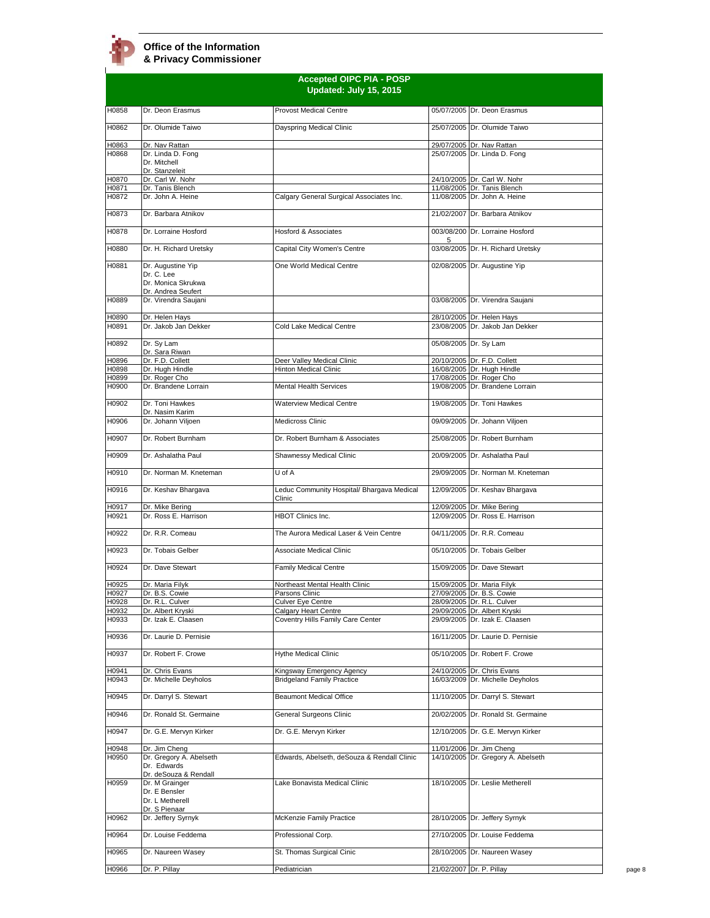| <b>Accepted OIPC PIA - POSP</b><br>Updated: July 15, 2015 |                                                                             |                                                          |   |                                                               |
|-----------------------------------------------------------|-----------------------------------------------------------------------------|----------------------------------------------------------|---|---------------------------------------------------------------|
| H0858                                                     | Dr. Deon Erasmus                                                            | <b>Provost Medical Centre</b>                            |   | 05/07/2005 Dr. Deon Erasmus                                   |
| H0862                                                     | Dr. Olumide Taiwo                                                           | Dayspring Medical Clinic                                 |   | 25/07/2005 Dr. Olumide Taiwo                                  |
| H0863                                                     | Dr. Nav Rattan                                                              |                                                          |   | 29/07/2005 Dr. Nav Rattan                                     |
| H0868                                                     | Dr. Linda D. Fong                                                           |                                                          |   | 25/07/2005 Dr. Linda D. Fong                                  |
|                                                           | Dr. Mitchell<br>Dr. Stanzeleit                                              |                                                          |   |                                                               |
| H0870                                                     | Dr. Carl W. Nohr                                                            |                                                          |   | 24/10/2005 Dr. Carl W. Nohr                                   |
| H0871<br>H0872                                            | Dr. Tanis Blench<br>Dr. John A. Heine                                       | Calgary General Surgical Associates Inc.                 |   | 11/08/2005 Dr. Tanis Blench<br>11/08/2005 Dr. John A. Heine   |
|                                                           |                                                                             |                                                          |   |                                                               |
| H0873                                                     | Dr. Barbara Atnikov                                                         |                                                          |   | 21/02/2007 Dr. Barbara Atnikov                                |
| H0878                                                     | Dr. Lorraine Hosford                                                        | Hosford & Associates                                     | 5 | 003/08/200 Dr. Lorraine Hosford                               |
| H0880                                                     | Dr. H. Richard Uretsky                                                      | Capital City Women's Centre                              |   | 03/08/2005 Dr. H. Richard Uretsky                             |
| H0881                                                     | Dr. Augustine Yip<br>Dr. C. Lee<br>Dr. Monica Skrukwa<br>Dr. Andrea Seufert | One World Medical Centre                                 |   | 02/08/2005 Dr. Augustine Yip                                  |
| H0889                                                     | Dr. Virendra Saujani                                                        |                                                          |   | 03/08/2005 Dr. Virendra Saujani                               |
| H0890<br>H0891                                            | Dr. Helen Hays<br>Dr. Jakob Jan Dekker                                      | Cold Lake Medical Centre                                 |   | 28/10/2005 Dr. Helen Hays<br>23/08/2005 Dr. Jakob Jan Dekker  |
|                                                           |                                                                             |                                                          |   |                                                               |
| H0892                                                     | Dr. Sv Lam<br>Dr. Sara Riwan                                                |                                                          |   | 05/08/2005 Dr. Sy Lam                                         |
| H0896                                                     | Dr. F.D. Collett                                                            | Deer Valley Medical Clinic<br>Hinton Medical Clinic      |   | 20/10/2005 Dr. F.D. Collett                                   |
| H0898<br>H0899                                            | Dr. Hugh Hindle<br>Dr. Roger Cho                                            |                                                          |   | 16/08/2005 Dr. Hugh Hindle<br>17/08/2005 Dr. Roger Cho        |
| H0900                                                     | Dr. Brandene Lorrain                                                        | <b>Mental Health Services</b>                            |   | 19/08/2005 Dr. Brandene Lorrain                               |
| H0902                                                     | Dr. Toni Hawkes<br>Dr. Nasim Karim                                          | <b>Waterview Medical Centre</b>                          |   | 19/08/2005 Dr. Toni Hawkes                                    |
| H0906                                                     | Dr. Johann Viljoen                                                          | Medicross Clinic                                         |   | 09/09/2005 Dr. Johann Viljoen                                 |
| H0907                                                     | Dr. Robert Burnham                                                          | Dr. Robert Burnham & Associates                          |   | 25/08/2005 Dr. Robert Burnham                                 |
| H0909                                                     | Dr. Ashalatha Paul                                                          | Shawnessy Medical Clinic                                 |   | 20/09/2005 Dr. Ashalatha Paul                                 |
| H0910                                                     | Dr. Norman M. Kneteman                                                      | U of A                                                   |   | 29/09/2005 Dr. Norman M. Kneteman                             |
| H0916                                                     | Dr. Keshav Bhargava                                                         | Leduc Community Hospital/ Bhargava Medical<br>Clinic     |   | 12/09/2005 Dr. Keshav Bhargava                                |
| H0917<br>H0921                                            | Dr. Mike Bering<br>Dr. Ross E. Harrison                                     | <b>HBOT Clinics Inc.</b>                                 |   | 12/09/2005 Dr. Mike Bering<br>12/09/2005 Dr. Ross E. Harrison |
| H0922                                                     | Dr. R.R. Comeau                                                             | The Aurora Medical Laser & Vein Centre                   |   | 04/11/2005 Dr. R.R. Comeau                                    |
| H0923                                                     | Dr. Tobais Gelber                                                           | Associate Medical Clinic                                 |   | 05/10/2005 Dr. Tobais Gelber                                  |
| H0924                                                     | Dr. Dave Stewart                                                            | <b>Family Medical Centre</b>                             |   | 15/09/2005 Dr. Dave Stewart                                   |
|                                                           |                                                                             |                                                          |   |                                                               |
| H0925<br>H0927                                            | Dr. Maria Filyk<br>Dr. B.S. Cowie                                           | Northeast Mental Health Clinic<br>Parsons Clinic         |   | 15/09/2005 Dr. Maria Filyk<br>27/09/2005 Dr. B.S. Cowie       |
| H0928                                                     | Dr. R.L. Culver                                                             | Culver Eye Centre                                        |   | 28/09/2005 Dr. R.L. Culver                                    |
| H0932                                                     | Dr. Albert Kryski                                                           | Calgary Heart Centre                                     |   | 29/09/2005 Dr. Albert Kryski                                  |
| H0933                                                     | Dr. Izak E. Claasen                                                         | Coventry Hills Family Care Center                        |   | 29/09/2005 Dr. Izak E. Claasen                                |
| H0936                                                     | Dr. Laurie D. Pernisie                                                      |                                                          |   | 16/11/2005 Dr. Laurie D. Pernisie                             |
| H0937                                                     | Dr. Robert F. Crowe                                                         | <b>Hythe Medical Clinic</b><br>Kingsway Emergency Agency |   | 05/10/2005 Dr. Robert F. Crowe<br>24/10/2005 Dr. Chris Evans  |
| H0941<br>H0943                                            | Dr. Chris Evans<br>Dr. Michelle Deyholos                                    | <b>Bridgeland Family Practice</b>                        |   | 16/03/2009 Dr. Michelle Deyholos                              |
| H0945                                                     | Dr. Darryl S. Stewart                                                       | <b>Beaumont Medical Office</b>                           |   | 11/10/2005 Dr. Darryl S. Stewart                              |
| H0946                                                     | Dr. Ronald St. Germaine                                                     | General Surgeons Clinic                                  |   | 20/02/2005 Dr. Ronald St. Germaine                            |
| H0947                                                     | Dr. G.E. Mervyn Kirker                                                      | Dr. G.E. Mervyn Kirker                                   |   | 12/10/2005 Dr. G.E. Mervyn Kirker                             |
| H0948                                                     | Dr. Jim Cheng                                                               |                                                          |   | 11/01/2006 Dr. Jim Cheng                                      |
| H0950                                                     | Dr. Gregory A. Abelseth<br>Dr. Edwards                                      | Edwards, Abelseth, deSouza & Rendall Clinic              |   | 14/10/2005 Dr. Gregory A. Abelseth                            |
| H0959                                                     | Dr. deSouza & Rendall<br>Dr. M Grainger<br>Dr. E Bensler<br>Dr. L Metherell | Lake Bonavista Medical Clinic                            |   | 18/10/2005 Dr. Leslie Metherell                               |
| H0962                                                     | Dr. S Pienaar<br>Dr. Jeffery Syrnyk                                         | McKenzie Family Practice                                 |   | 28/10/2005 Dr. Jeffery Syrnyk                                 |
| H0964                                                     | Dr. Louise Feddema                                                          | Professional Corp.                                       |   | 27/10/2005 Dr. Louise Feddema                                 |
| H0965                                                     | Dr. Naureen Wasey                                                           | St. Thomas Surgical Cinic                                |   | 28/10/2005 Dr. Naureen Wasey                                  |
| H0966                                                     | Dr. P. Pillay                                                               | Pediatrician                                             |   | 21/02/2007 Dr. P. Pillay                                      |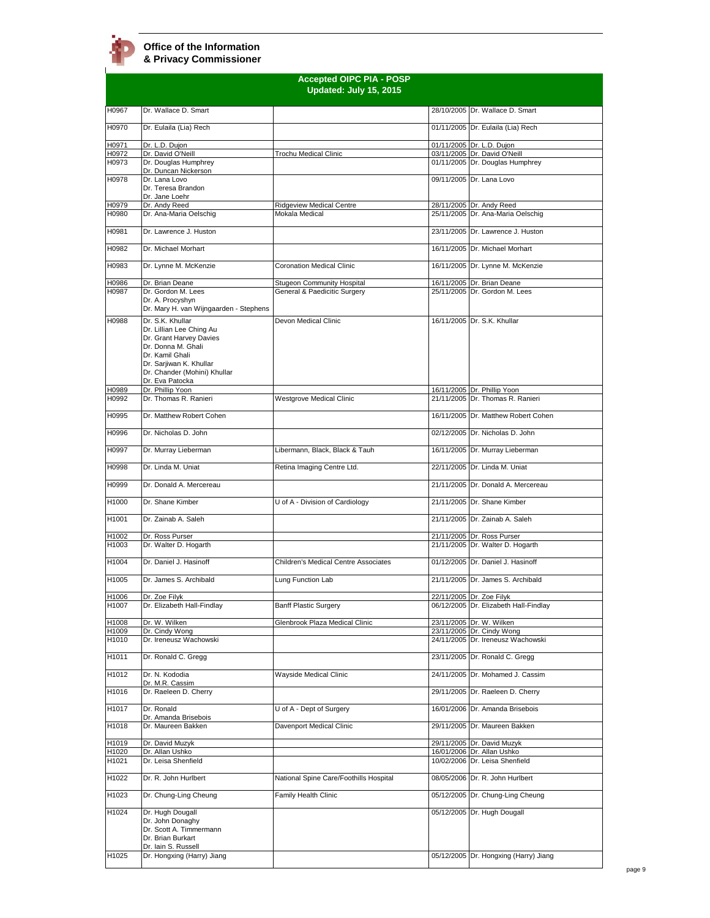$\mathbf{r}$ 

|                | <b>Accepted OIPC PIA - POSP</b>                                                      |                                                                   |  |                                                                 |  |
|----------------|--------------------------------------------------------------------------------------|-------------------------------------------------------------------|--|-----------------------------------------------------------------|--|
|                |                                                                                      | Updated: July 15, 2015                                            |  |                                                                 |  |
| H0967          | Dr. Wallace D. Smart                                                                 |                                                                   |  | 28/10/2005 Dr. Wallace D. Smart                                 |  |
| H0970          | Dr. Eulaila (Lia) Rech                                                               |                                                                   |  | 01/11/2005 Dr. Eulaila (Lia) Rech                               |  |
| H0971          | Dr. L.D. Dujon                                                                       |                                                                   |  | 01/11/2005 Dr. L.D. Dujon                                       |  |
| H0972          | Dr. David O'Neill                                                                    | Trochu Medical Clinic                                             |  | 03/11/2005 Dr. David O'Neill                                    |  |
| H0973          | Dr. Douglas Humphrey<br>Dr. Duncan Nickerson                                         |                                                                   |  | 01/11/2005 Dr. Douglas Humphrey                                 |  |
| H0978          | Dr. Lana Lovo<br>Dr. Teresa Brandon<br>Dr. Jane Loehr                                |                                                                   |  | 09/11/2005 Dr. Lana Lovo                                        |  |
| H0979<br>H0980 | Dr. Andy Reed<br>Dr. Ana-Maria Oelschig                                              | <b>Ridgeview Medical Centre</b><br>Mokala Medical                 |  | 28/11/2005 Dr. Andy Reed<br>25/11/2005 Dr. Ana-Maria Oelschig   |  |
|                | Dr. Lawrence J. Huston                                                               |                                                                   |  |                                                                 |  |
| H0981          |                                                                                      |                                                                   |  | 23/11/2005 Dr. Lawrence J. Huston                               |  |
| H0982          | Dr. Michael Morhart                                                                  |                                                                   |  | 16/11/2005 Dr. Michael Morhart                                  |  |
| H0983          | Dr. Lynne M. McKenzie                                                                | <b>Coronation Medical Clinic</b>                                  |  | 16/11/2005 Dr. Lynne M. McKenzie                                |  |
| H0986<br>H0987 | Dr. Brian Deane<br>Dr. Gordon M. Lees                                                | <b>Stugeon Community Hospital</b><br>General & Paedicitic Surgery |  | 16/11/2005 Dr. Brian Deane<br>25/11/2005 Dr. Gordon M. Lees     |  |
|                | Dr. A. Procyshyn<br>Dr. Mary H. van Wijngaarden - Stephens                           |                                                                   |  |                                                                 |  |
| H0988          | Dr. S.K. Khullar<br>Dr. Lillian Lee Ching Au                                         | Devon Medical Clinic                                              |  | 16/11/2005 Dr. S.K. Khullar                                     |  |
|                | Dr. Grant Harvey Davies<br>Dr. Donna M. Ghali<br>Dr. Kamil Ghali                     |                                                                   |  |                                                                 |  |
|                | Dr. Sarjiwan K. Khullar<br>Dr. Chander (Mohini) Khullar<br>Dr. Eva Patocka           |                                                                   |  |                                                                 |  |
| H0989<br>H0992 | Dr. Phillip Yoon<br>Dr. Thomas R. Ranieri                                            | Westgrove Medical Clinic                                          |  | 16/11/2005 Dr. Phillip Yoon<br>21/11/2005 Dr. Thomas R. Ranieri |  |
| H0995          | Dr. Matthew Robert Cohen                                                             |                                                                   |  | 16/11/2005 Dr. Matthew Robert Cohen                             |  |
| H0996          | Dr. Nicholas D. John                                                                 |                                                                   |  | 02/12/2005 Dr. Nicholas D. John                                 |  |
| H0997          | Dr. Murray Lieberman                                                                 | Libermann, Black, Black & Tauh                                    |  | 16/11/2005 Dr. Murray Lieberman                                 |  |
| H0998          | Dr. Linda M. Uniat                                                                   | Retina Imaging Centre Ltd.                                        |  | 22/11/2005 Dr. Linda M. Uniat                                   |  |
| H0999          | Dr. Donald A. Mercereau                                                              |                                                                   |  | 21/11/2005 Dr. Donald A. Mercereau                              |  |
| H1000          | Dr. Shane Kimber                                                                     | U of A - Division of Cardiology                                   |  | 21/11/2005 Dr. Shane Kimber                                     |  |
| H1001          | Dr. Zainab A. Saleh                                                                  |                                                                   |  | 21/11/2005 Dr. Zainab A. Saleh                                  |  |
| H1002          | Dr. Ross Purser                                                                      |                                                                   |  | 21/11/2005 Dr. Ross Purser                                      |  |
| H1003          | Dr. Walter D. Hogarth                                                                |                                                                   |  | 21/11/2005 Dr. Walter D. Hogarth                                |  |
| H1004          | Dr. Daniel J. Hasinoff                                                               | Children's Medical Centre Associates                              |  | 01/12/2005 Dr. Daniel J. Hasinoff                               |  |
| H1005          | Dr. James S. Archibald                                                               | Lung Function Lab                                                 |  | 21/11/2005 Dr. James S. Archibald                               |  |
| H1006          | Dr. Zoe Filyk                                                                        |                                                                   |  | 22/11/2005 Dr. Zoe Filyk                                        |  |
| H1007          | Dr. Elizabeth Hall-Findlay                                                           | <b>Banff Plastic Surgery</b>                                      |  | 06/12/2005 Dr. Elizabeth Hall-Findlay                           |  |
| H1008          | Dr. W. Wilken                                                                        | Glenbrook Plaza Medical Clinic                                    |  | 23/11/2005 Dr. W. Wilken                                        |  |
| H1009<br>H1010 | Dr. Cindy Wong<br>Dr. Ireneusz Wachowski                                             |                                                                   |  | 23/11/2005 Dr. Cindy Wong<br>24/11/2005 Dr. Ireneusz Wachowski  |  |
| H1011          | Dr. Ronald C. Gregg                                                                  |                                                                   |  | 23/11/2005 Dr. Ronald C. Gregg                                  |  |
| H1012          | Dr. N. Kododia                                                                       | Wayside Medical Clinic                                            |  | 24/11/2005 Dr. Mohamed J. Cassim                                |  |
| H1016          | Dr. M.R. Cassim<br>Dr. Raeleen D. Cherry                                             |                                                                   |  | 29/11/2005 Dr. Raeleen D. Cherry                                |  |
| H1017          | Dr. Ronald                                                                           | U of A - Dept of Surgery                                          |  |                                                                 |  |
|                | Dr. Amanda Brisebois                                                                 |                                                                   |  | 16/01/2006 Dr. Amanda Brisebois                                 |  |
| H1018          | Dr. Maureen Bakken                                                                   | Davenport Medical Clinic                                          |  | 29/11/2005 Dr. Maureen Bakken                                   |  |
| H1019<br>H1020 | Dr. David Muzyk<br>Dr. Allan Ushko                                                   |                                                                   |  | 29/11/2005 Dr. David Muzyk<br>16/01/2006 Dr. Allan Ushko        |  |
| H1021          | Dr. Leisa Shenfield                                                                  |                                                                   |  | 10/02/2006 Dr. Leisa Shenfield                                  |  |
| H1022          | Dr. R. John Hurlbert                                                                 | National Spine Care/Foothills Hospital                            |  | 08/05/2006 Dr. R. John Hurlbert                                 |  |
| H1023          | Dr. Chung-Ling Cheung                                                                | Family Health Clinic                                              |  | 05/12/2005 Dr. Chung-Ling Cheung                                |  |
| H1024          | Dr. Hugh Dougall<br>Dr. John Donaghy<br>Dr. Scott A. Timmermann<br>Dr. Brian Burkart |                                                                   |  | 05/12/2005 Dr. Hugh Dougall                                     |  |
| H1025          | Dr. Iain S. Russell<br>Dr. Hongxing (Harry) Jiang                                    |                                                                   |  | 05/12/2005 Dr. Hongxing (Harry) Jiang                           |  |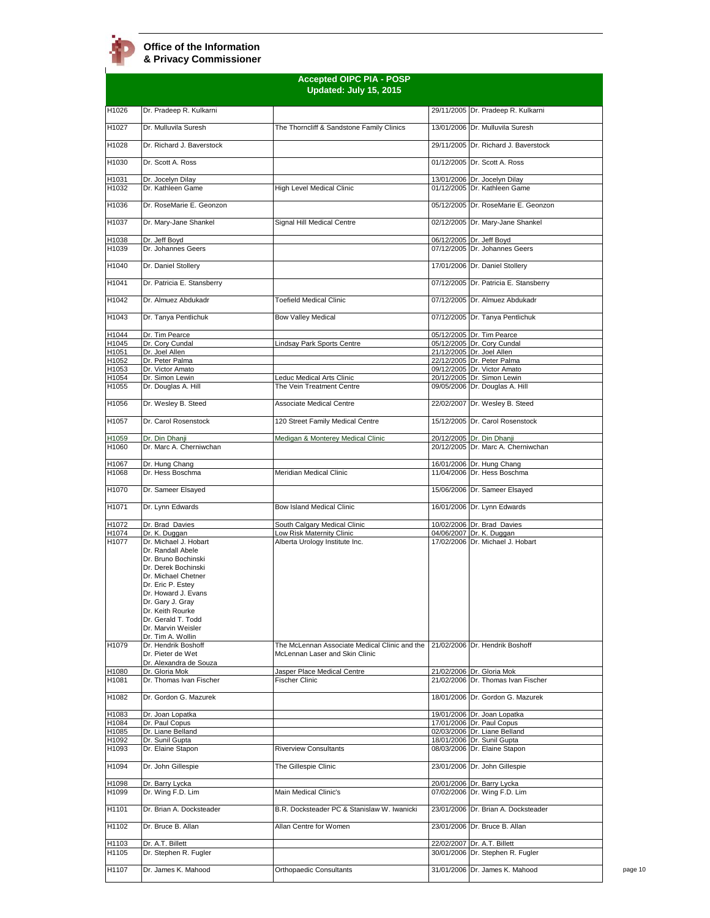|                | <b>Accepted OIPC PIA - POSP</b><br>Updated: July 15, 2015                                                                                                                                                                                                            |                                                                                 |  |                                                              |
|----------------|----------------------------------------------------------------------------------------------------------------------------------------------------------------------------------------------------------------------------------------------------------------------|---------------------------------------------------------------------------------|--|--------------------------------------------------------------|
| H1026          | Dr. Pradeep R. Kulkarni                                                                                                                                                                                                                                              |                                                                                 |  | 29/11/2005 Dr. Pradeep R. Kulkarni                           |
| H1027          | Dr. Mulluvila Suresh                                                                                                                                                                                                                                                 | The Thorncliff & Sandstone Family Clinics                                       |  | 13/01/2006 Dr. Mulluvila Suresh                              |
| H1028          | Dr. Richard J. Baverstock                                                                                                                                                                                                                                            |                                                                                 |  | 29/11/2005 Dr. Richard J. Baverstock                         |
| H1030          | Dr. Scott A. Ross                                                                                                                                                                                                                                                    |                                                                                 |  | 01/12/2005 Dr. Scott A. Ross                                 |
| H1031<br>H1032 | Dr. Jocelyn Dilay<br>Dr. Kathleen Game                                                                                                                                                                                                                               | High Level Medical Clinic                                                       |  | 13/01/2006 Dr. Jocelyn Dilay<br>01/12/2005 Dr. Kathleen Game |
| H1036          | Dr. RoseMarie E. Geonzon                                                                                                                                                                                                                                             |                                                                                 |  | 05/12/2005 Dr. RoseMarie E. Geonzon                          |
| H1037          | Dr. Mary-Jane Shankel                                                                                                                                                                                                                                                | Signal Hill Medical Centre                                                      |  | 02/12/2005 Dr. Mary-Jane Shankel                             |
| H1038          | Dr. Jeff Boyd                                                                                                                                                                                                                                                        |                                                                                 |  | 06/12/2005 Dr. Jeff Boyd                                     |
| H1039          | Dr. Johannes Geers                                                                                                                                                                                                                                                   |                                                                                 |  | 07/12/2005 Dr. Johannes Geers                                |
| H1040          | Dr. Daniel Stollery                                                                                                                                                                                                                                                  |                                                                                 |  | 17/01/2006 Dr. Daniel Stollery                               |
| H1041          | Dr. Patricia E. Stansberry                                                                                                                                                                                                                                           |                                                                                 |  | 07/12/2005 Dr. Patricia E. Stansberry                        |
| H1042          | Dr. Almuez Abdukadr                                                                                                                                                                                                                                                  | <b>Toefield Medical Clinic</b>                                                  |  | 07/12/2005 Dr. Almuez Abdukadr                               |
| H1043          | Dr. Tanya Pentlichuk                                                                                                                                                                                                                                                 | <b>Bow Valley Medical</b>                                                       |  | 07/12/2005 Dr. Tanya Pentlichuk                              |
| H1044<br>H1045 | Dr. Tim Pearce<br>Dr. Cory Cundal                                                                                                                                                                                                                                    | indsay Park Sports Centre                                                       |  | 05/12/2005 Dr. Tim Pearce<br>05/12/2005 Dr. Cory Cundal      |
| H1051          | Dr. Joel Allen                                                                                                                                                                                                                                                       |                                                                                 |  | 21/12/2005 Dr. Joel Allen                                    |
| H1052          | Dr. Peter Palma                                                                                                                                                                                                                                                      |                                                                                 |  | 22/12/2005 Dr. Peter Palma                                   |
| H1053          | Dr. Victor Amato                                                                                                                                                                                                                                                     | <b>Leduc Medical Arts Clinic</b>                                                |  | 09/12/2005 Dr. Victor Amato                                  |
| H1054<br>H1055 | Dr. Simon Lewin<br>Dr. Douglas A. Hill                                                                                                                                                                                                                               | The Vein Treatment Centre                                                       |  | 20/12/2005 Dr. Simon Lewin<br>09/05/2006 Dr. Douglas A. Hill |
| H1056          | Dr. Wesley B. Steed                                                                                                                                                                                                                                                  | <b>Associate Medical Centre</b>                                                 |  | 22/02/2007 Dr. Wesley B. Steed                               |
| H1057          | Dr. Carol Rosenstock                                                                                                                                                                                                                                                 | 120 Street Family Medical Centre                                                |  | 15/12/2005 Dr. Carol Rosenstock                              |
| H1059          | Dr. Din Dhanji                                                                                                                                                                                                                                                       | Medigan & Monterey Medical Clinic                                               |  | 20/12/2005 Dr. Din Dhanji                                    |
| H1060          | Dr. Marc A. Cherniwchan                                                                                                                                                                                                                                              |                                                                                 |  | 20/12/2005 Dr. Marc A. Cherniwchan                           |
| H1067<br>H1068 | Dr. Hung Chang<br>Dr. Hess Boschma                                                                                                                                                                                                                                   | Meridian Medical Clinic                                                         |  | 16/01/2006 Dr. Hung Chang<br>11/04/2006 Dr. Hess Boschma     |
| H1070          | Dr. Sameer Elsayed                                                                                                                                                                                                                                                   |                                                                                 |  | 15/06/2006 Dr. Sameer Elsayed                                |
| H1071          | Dr. Lynn Edwards                                                                                                                                                                                                                                                     | Bow Island Medical Clinic                                                       |  | 16/01/2006 Dr. Lynn Edwards                                  |
| H1072          | Dr. Brad Davies                                                                                                                                                                                                                                                      | South Calgary Medical Clinic                                                    |  | 10/02/2006 Dr. Brad Davies                                   |
| H1074          | Dr. K. Duggan                                                                                                                                                                                                                                                        | Low Risk Maternity Clinic                                                       |  | 04/06/2007 Dr. K. Duggan                                     |
| H1077          | Dr. Michael J. Hobart<br>Dr. Randall Abele<br>Dr. Bruno Bochinski<br>Dr. Derek Bochinski<br>Dr. Michael Chetner<br>Dr. Eric P. Estey<br>Dr. Howard J. Evans<br>Dr. Gary J. Gray<br>Dr. Keith Rourke<br>Dr. Gerald T. Todd<br>Dr. Marvin Weisler<br>Dr. Tim A. Wollin | Alberta Urology Institute Inc.                                                  |  | 17/02/2006 Dr. Michael J. Hobart                             |
| H1079          | Dr. Hendrik Boshoff<br>Dr. Pieter de Wet<br>Dr. Alexandra de Souza                                                                                                                                                                                                   | The McLennan Associate Medical Clinic and the<br>McLennan Laser and Skin Clinic |  | 21/02/2006 Dr. Hendrik Boshoff                               |
| H1080          | Dr. Gloria Mok                                                                                                                                                                                                                                                       | Jasper Place Medical Centre                                                     |  | 21/02/2006 Dr. Gloria Mok                                    |
| H1081          | Dr. Thomas Ivan Fischer                                                                                                                                                                                                                                              | Fischer Clinic                                                                  |  | 21/02/2006 Dr. Thomas Ivan Fischer                           |
| H1082          | Dr. Gordon G. Mazurek                                                                                                                                                                                                                                                |                                                                                 |  | 18/01/2006 Dr. Gordon G. Mazurek                             |
| H1083          | Dr. Joan Lopatka                                                                                                                                                                                                                                                     |                                                                                 |  | 19/01/2006 Dr. Joan Lopatka                                  |
| H1084<br>H1085 | Dr. Paul Copus<br>Dr. Liane Belland                                                                                                                                                                                                                                  |                                                                                 |  | 17/01/2006 Dr. Paul Copus<br>02/03/2006 Dr. Liane Belland    |
| H1092          | Dr. Sunil Gupta                                                                                                                                                                                                                                                      |                                                                                 |  | 18/01/2006 Dr. Sunil Gupta                                   |
| H1093          | Dr. Elaine Stapon                                                                                                                                                                                                                                                    | <b>Riverview Consultants</b>                                                    |  | 08/03/2006 Dr. Elaine Stapon                                 |
| H1094          | Dr. John Gillespie                                                                                                                                                                                                                                                   | The Gillespie Clinic                                                            |  | 23/01/2006 Dr. John Gillespie                                |
| H1098          | Dr. Barry Lycka                                                                                                                                                                                                                                                      |                                                                                 |  | 20/01/2006 Dr. Barry Lycka                                   |
| H1099          | Dr. Wing F.D. Lim                                                                                                                                                                                                                                                    | Main Medical Clinic's                                                           |  | 07/02/2006 Dr. Wing F.D. Lim                                 |
| H1101          | Dr. Brian A. Docksteader                                                                                                                                                                                                                                             | B.R. Docksteader PC & Stanislaw W. Iwanicki                                     |  | 23/01/2006 Dr. Brian A. Docksteader                          |
| H1102          | Dr. Bruce B. Allan                                                                                                                                                                                                                                                   | Allan Centre for Women                                                          |  | 23/01/2006 Dr. Bruce B. Allan                                |
| H1103          | Dr. A.T. Billett                                                                                                                                                                                                                                                     |                                                                                 |  | 22/02/2007 Dr. A.T. Billett                                  |
| H1105          | Dr. Stephen R. Fugler                                                                                                                                                                                                                                                |                                                                                 |  | 30/01/2006 Dr. Stephen R. Fugler                             |
| H1107          | Dr. James K. Mahood                                                                                                                                                                                                                                                  | Orthopaedic Consultants                                                         |  | 31/01/2006 Dr. James K. Mahood                               |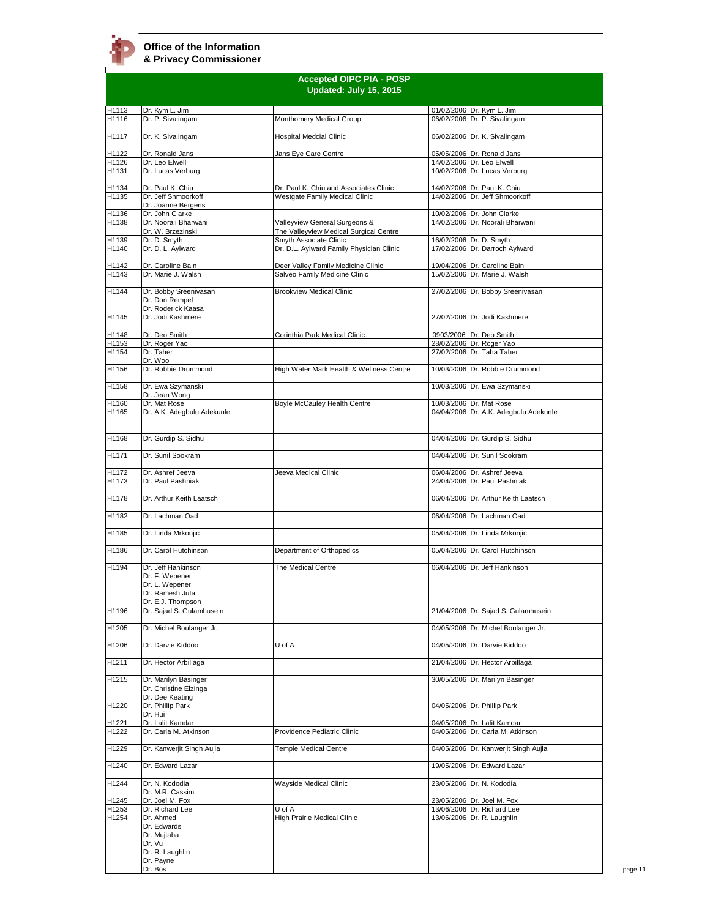|                | <b>Accepted OIPC PIA - POSP</b><br>Updated: July 15, 2015        |                                                                         |  |                                                                  |
|----------------|------------------------------------------------------------------|-------------------------------------------------------------------------|--|------------------------------------------------------------------|
|                |                                                                  |                                                                         |  |                                                                  |
| H1113<br>H1116 | Dr. Kym L. Jim<br>Dr. P. Sivalingam                              | Monthomery Medical Group                                                |  | 01/02/2006 Dr. Kym L. Jim<br>06/02/2006 Dr. P. Sivalingam        |
| H1117          | Dr. K. Sivalingam                                                | <b>Hospital Medcial Clinic</b>                                          |  | 06/02/2006 Dr. K. Sivalingam                                     |
| H1122          | Dr. Ronald Jans                                                  | Jans Eye Care Centre                                                    |  | 05/05/2006 Dr. Ronald Jans                                       |
| H1126          | Dr. Leo Elwell                                                   |                                                                         |  | 14/02/2006 Dr. Leo Elwell                                        |
| H1131          | Dr. Lucas Verburg                                                |                                                                         |  | 10/02/2006 Dr. Lucas Verburg                                     |
| H1134          | Dr. Paul K. Chiu                                                 | Dr. Paul K. Chiu and Associates Clinic                                  |  | 14/02/2006 Dr. Paul K. Chiu                                      |
| H1135          | Dr. Jeff Shmoorkoff<br>Dr. Joanne Bergens                        | Westgate Family Medical Clinic                                          |  | 14/02/2006 Dr. Jeff Shmoorkoff                                   |
| H1136          | Dr. John Clarke                                                  |                                                                         |  | 10/02/2006 Dr. John Clarke                                       |
| H1138          | Dr. Noorali Bharwani<br>Dr. W. Brzezinski                        | Valleyview General Surgeons &<br>The Valleyview Medical Surgical Centre |  | 14/02/2006 Dr. Noorali Bharwani                                  |
| H1139          | Dr. D. Smyth                                                     | Smyth Associate Clinic                                                  |  | 16/02/2006 Dr. D. Smyth                                          |
| H1140          | Dr. D. L. Aylward                                                | Dr. D.L. Aylward Family Physician Clinic                                |  | 17/02/2006 Dr. Darroch Aylward                                   |
| H1142<br>H1143 | Dr. Caroline Bain<br>Dr. Marie J. Walsh                          | Deer Valley Family Medicine Clinic<br>Salveo Family Medicine Clinic     |  | 19/04/2006 Dr. Caroline Bain<br>15/02/2006 Dr. Marie J. Walsh    |
|                |                                                                  |                                                                         |  |                                                                  |
| H1144          | Dr. Bobby Sreenivasan<br>Dr. Don Rempel<br>Dr. Roderick Kaasa    | <b>Brookview Medical Clinic</b>                                         |  | 27/02/2006 Dr. Bobby Sreenivasan                                 |
| H1145          | Dr. Jodi Kashmere                                                |                                                                         |  | 27/02/2006 Dr. Jodi Kashmere                                     |
| H1148          | Dr. Deo Smith                                                    | Corinthia Park Medical Clinic                                           |  | 0903/2006 Dr. Deo Smith                                          |
| H1153<br>H1154 | Dr. Roger Yao<br>Dr. Taher                                       |                                                                         |  | 28/02/2006 Dr. Roger Yao<br>27/02/2006 Dr. Taha Taher            |
|                | Dr. Woo                                                          |                                                                         |  |                                                                  |
| H1156          | Dr. Robbie Drummond                                              | High Water Mark Health & Wellness Centre                                |  | 10/03/2006 Dr. Robbie Drummond                                   |
| H1158          | Dr. Ewa Szymanski<br>Dr. Jean Wong                               |                                                                         |  | 10/03/2006 Dr. Ewa Szymanski                                     |
| H1160<br>H1165 | Dr. Mat Rose<br>Dr. A.K. Adegbulu Adekunle                       | Boyle McCauley Health Centre                                            |  | 10/03/2006 Dr. Mat Rose<br>04/04/2006 Dr. A.K. Adegbulu Adekunle |
|                |                                                                  |                                                                         |  |                                                                  |
| H1168          | Dr. Gurdip S. Sidhu                                              |                                                                         |  | 04/04/2006 Dr. Gurdip S. Sidhu                                   |
| H1171          | Dr. Sunil Sookram                                                |                                                                         |  | 04/04/2006 Dr. Sunil Sookram                                     |
| H1172<br>H1173 | Dr. Ashref Jeeva<br>Dr. Paul Pashniak                            | Jeeva Medical Clinic                                                    |  | 06/04/2006 Dr. Ashref Jeeva<br>24/04/2006 Dr. Paul Pashniak      |
| H1178          | Dr. Arthur Keith Laatsch                                         |                                                                         |  | 06/04/2006 Dr. Arthur Keith Laatsch                              |
| H1182          | Dr. Lachman Oad                                                  |                                                                         |  | 06/04/2006 Dr. Lachman Oad                                       |
| H1185          | Dr. Linda Mrkonjic                                               |                                                                         |  | 05/04/2006 Dr. Linda Mrkonjic                                    |
| H1186          | Dr. Carol Hutchinson                                             | Department of Orthopedics                                               |  | 05/04/2006 Dr. Carol Hutchinson                                  |
| H1194          | Dr. Jeff Hankinson                                               | The Medical Centre                                                      |  | 06/04/2006 Dr. Jeff Hankinson                                    |
|                | Dr. F. Wepener<br>Dr. L. Wepener                                 |                                                                         |  |                                                                  |
|                | Dr. Ramesh Juta                                                  |                                                                         |  |                                                                  |
| H1196          | Dr. E.J. Thompson<br>Dr. Sajad S. Gulamhusein                    |                                                                         |  | 21/04/2006 Dr. Sajad S. Gulamhusein                              |
| H1205          | Dr. Michel Boulanger Jr.                                         |                                                                         |  | 04/05/2006 Dr. Michel Boulanger Jr.                              |
| H1206          | Dr. Darvie Kiddoo                                                | U of A                                                                  |  | 04/05/2006 Dr. Darvie Kiddoo                                     |
| H1211          | Dr. Hector Arbillaga                                             |                                                                         |  | 21/04/2006 Dr. Hector Arbillaga                                  |
|                |                                                                  |                                                                         |  |                                                                  |
| H1215          | Dr. Marilyn Basinger<br>Dr. Christine Elzinga<br>Dr. Dee Keating |                                                                         |  | 30/05/2006 Dr. Marilyn Basinger                                  |
| H1220          | Dr. Phillip Park<br>Dr. Hui                                      |                                                                         |  | 04/05/2006 Dr. Phillip Park                                      |
| H1221          | Dr. Lalit Kamdar                                                 |                                                                         |  | 04/05/2006 Dr. Lalit Kamdar                                      |
| H1222          | Dr. Carla M. Atkinson                                            | Providence Pediatric Clinic                                             |  | 04/05/2006 Dr. Carla M. Atkinson                                 |
| H1229          | Dr. Kanwerjit Singh Aujla                                        | <b>Temple Medical Centre</b>                                            |  | 04/05/2006 Dr. Kanwerjit Singh Aujla                             |
| H1240          | Dr. Edward Lazar                                                 |                                                                         |  | 19/05/2006 Dr. Edward Lazar                                      |
| H1244          | Dr. N. Kododia<br>Dr. M.R. Cassim                                | Wayside Medical Clinic                                                  |  | 23/05/2006 Dr. N. Kododia                                        |
| H1245          | Dr. Joel M. Fox                                                  |                                                                         |  | 23/05/2006 Dr. Joel M. Fox                                       |
| H1253          | Dr. Richard Lee<br>Dr. Ahmed                                     | U of A<br>High Prairie Medical Clinic                                   |  | 13/06/2006 Dr. Richard Lee                                       |
| H1254          | Dr. Edwards                                                      |                                                                         |  | 13/06/2006 Dr. R. Laughlin                                       |
|                | Dr. Mujtaba<br>Dr. Vu                                            |                                                                         |  |                                                                  |
|                | Dr. R. Laughlin                                                  |                                                                         |  |                                                                  |
|                | Dr. Payne<br>Dr. Bos                                             |                                                                         |  |                                                                  |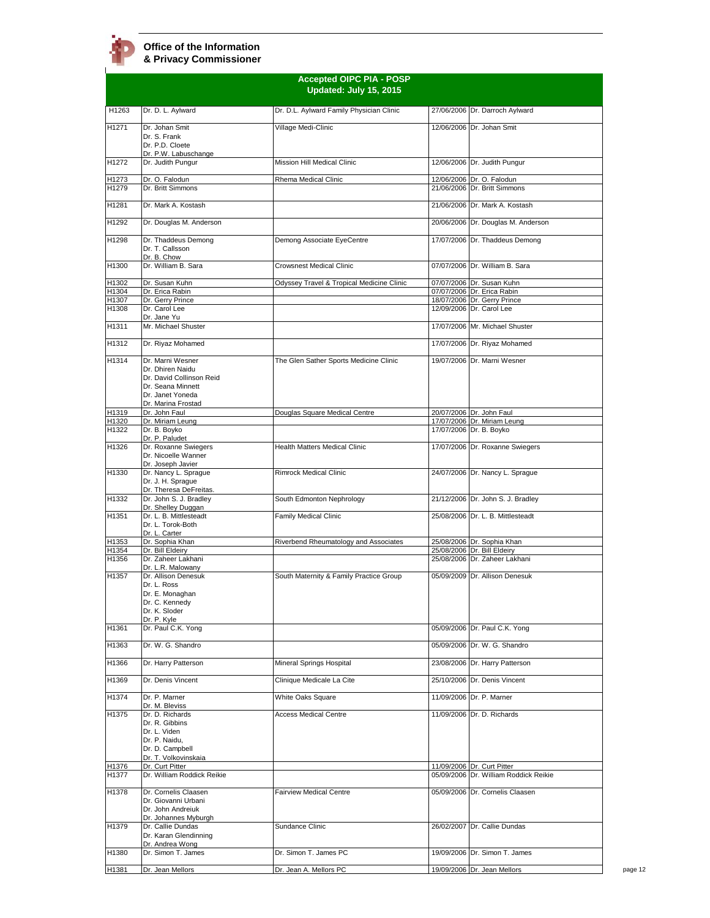# **Office of the Information**

**& Privacy Commissioner**

|                | <b>Accepted OIPC PIA - POSP</b><br>Updated: July 15, 2015                                                                       |                                           |  |                                                                     |
|----------------|---------------------------------------------------------------------------------------------------------------------------------|-------------------------------------------|--|---------------------------------------------------------------------|
| H1263          | Dr. D. L. Aylward                                                                                                               | Dr. D.L. Aylward Family Physician Clinic  |  | 27/06/2006 Dr. Darroch Aylward                                      |
| H1271          | Dr. Johan Smit<br>Dr. S. Frank<br>Dr. P.D. Cloete                                                                               | Village Medi-Clinic                       |  | 12/06/2006 Dr. Johan Smit                                           |
| H1272          | Dr. P.W. Labuschange<br>Dr. Judith Pungur                                                                                       | Mission Hill Medical Clinic               |  | 12/06/2006 Dr. Judith Pungur                                        |
| H1273<br>H1279 | Dr. O. Falodun<br>Dr. Britt Simmons                                                                                             | Rhema Medical Clinic                      |  | 12/06/2006 Dr. O. Falodun<br>21/06/2006 Dr. Britt Simmons           |
| H1281          | Dr. Mark A. Kostash                                                                                                             |                                           |  | 21/06/2006 Dr. Mark A. Kostash                                      |
| H1292          | Dr. Douglas M. Anderson                                                                                                         |                                           |  | 20/06/2006 Dr. Douglas M. Anderson                                  |
| H1298          | Dr. Thaddeus Demong<br>Dr. T. Callsson                                                                                          | Demong Associate EyeCentre                |  | 17/07/2006 Dr. Thaddeus Demong                                      |
| H1300          | Dr. B. Chow<br>Dr. William B. Sara                                                                                              | <b>Crowsnest Medical Clinic</b>           |  | 07/07/2006 Dr. William B. Sara                                      |
| H1302          | Dr. Susan Kuhn                                                                                                                  | Odyssey Travel & Tropical Medicine Clinic |  | 07/07/2006 Dr. Susan Kuhn                                           |
| H1304          | Dr. Erica Rabin                                                                                                                 |                                           |  | 07/07/2006 Dr. Erica Rabin                                          |
| H1307<br>H1308 | Dr. Gerry Prince<br>Dr. Carol Lee                                                                                               |                                           |  | 18/07/2006 Dr. Gerry Prince<br>12/09/2006 Dr. Carol Lee             |
|                | Dr. Jane Yu                                                                                                                     |                                           |  |                                                                     |
| H1311          | Mr. Michael Shuster                                                                                                             |                                           |  | 17/07/2006 Mr. Michael Shuster                                      |
| H1312          | Dr. Riyaz Mohamed                                                                                                               |                                           |  | 17/07/2006 Dr. Riyaz Mohamed                                        |
| H1314          | Dr. Marni Wesner<br>Dr. Dhiren Naidu<br>Dr. David Collinson Reid<br>Dr. Seana Minnett<br>Dr. Janet Yoneda<br>Dr. Marina Frostad | The Glen Sather Sports Medicine Clinic    |  | 19/07/2006 Dr. Marni Wesner                                         |
| H1319          | Dr. John Faul                                                                                                                   | Douglas Square Medical Centre             |  | 20/07/2006 Dr. John Faul                                            |
| H1320<br>H1322 | Dr. Miriam Leung                                                                                                                |                                           |  | 17/07/2006 Dr. Miriam Leung                                         |
|                | Dr. B. Boyko<br>Dr. P. Paludet                                                                                                  |                                           |  | 17/07/2006 Dr. B. Boyko                                             |
| H1326          | Dr. Roxanne Swiegers<br>Dr. Nicoelle Wanner<br>Dr. Joseph Javier                                                                | <b>Health Matters Medical Clinic</b>      |  | 17/07/2006 Dr. Roxanne Swiegers                                     |
| H1330          | Dr. Nancy L. Sprague<br>Dr. J. H. Sprague<br>Dr. Theresa DeFreitas.                                                             | <b>Rimrock Medical Clinic</b>             |  | 24/07/2006 Dr. Nancy L. Sprague                                     |
| H1332          | Dr. John S. J. Bradley<br>Dr. Shelley Duggan                                                                                    | South Edmonton Nephrology                 |  | 21/12/2006 Dr. John S. J. Bradley                                   |
| H1351          | Dr. L. B. Mittlesteadt<br>Dr. L. Torok-Both<br>Dr. L. Carter                                                                    | Family Medical Clinic                     |  | 25/08/2006 Dr. L. B. Mittlesteadt                                   |
| H1353          | Dr. Sophia Khan                                                                                                                 | Riverbend Rheumatology and Associates     |  | 25/08/2006 Dr. Sophia Khan                                          |
| H1354          | Dr. Bill Eldeiry                                                                                                                |                                           |  | 25/08/2006 Dr. Bill Eldeiry                                         |
| H1356          | Dr. Zaheer Lakhani<br>Dr. L.R. Malowany                                                                                         |                                           |  | 25/08/2006 Dr. Zaheer Lakhani                                       |
| H1357          | Dr. Allison Denesuk<br>Dr. L. Ross<br>Dr. E. Monaghan<br>Dr. C. Kennedy<br>Dr. K. Sloder                                        | South Maternity & Family Practice Group   |  | 05/09/2009 Dr. Allison Denesuk                                      |
| H1361          | Dr. P. Kyle<br>Dr. Paul C.K. Yong                                                                                               |                                           |  | 05/09/2006 Dr. Paul C.K. Yong                                       |
| H1363          | Dr. W. G. Shandro                                                                                                               |                                           |  | 05/09/2006 Dr. W. G. Shandro                                        |
| H1366          | Dr. Harry Patterson                                                                                                             | Mineral Springs Hospital                  |  | 23/08/2006 Dr. Harry Patterson                                      |
| H1369          | Dr. Denis Vincent                                                                                                               | Clinique Medicale La Cite                 |  | 25/10/2006 Dr. Denis Vincent                                        |
| H1374          | Dr. P. Marner<br>Dr. M. Bleviss                                                                                                 | <b>White Oaks Square</b>                  |  | 11/09/2006 Dr. P. Marner                                            |
| H1375          | Dr. D. Richards<br>Dr. R. Gibbins<br>Dr. L. Viden<br>Dr. P. Naidu,<br>Dr. D. Campbell<br>Dr. T. Volkovinskaia                   | <b>Access Medical Centre</b>              |  | 11/09/2006 Dr. D. Richards                                          |
| H1376<br>H1377 | Dr. Curt Pitter<br>Dr. William Roddick Reikie                                                                                   |                                           |  | 11/09/2006 Dr. Curt Pitter<br>05/09/2006 Dr. William Roddick Reikie |
| H1378          | Dr. Cornelis Claasen                                                                                                            | <b>Fairview Medical Centre</b>            |  | 05/09/2006 Dr. Cornelis Claasen                                     |
|                | Dr. Giovanni Urbani<br>Dr. John Andreiuk<br>Dr. Johannes Myburgh                                                                |                                           |  |                                                                     |
| H1379          | Dr. Callie Dundas<br>Dr. Karan Glendinning<br>Dr. Andrea Wong                                                                   | Sundance Clinic                           |  | 26/02/2007 Dr. Callie Dundas                                        |
| H1380          | Dr. Simon T. James                                                                                                              | Dr. Simon T. James PC                     |  | 19/09/2006 Dr. Simon T. James                                       |
| H1381          | Dr. Jean Mellors                                                                                                                | Dr. Jean A. Mellors PC                    |  | 19/09/2006 Dr. Jean Mellors                                         |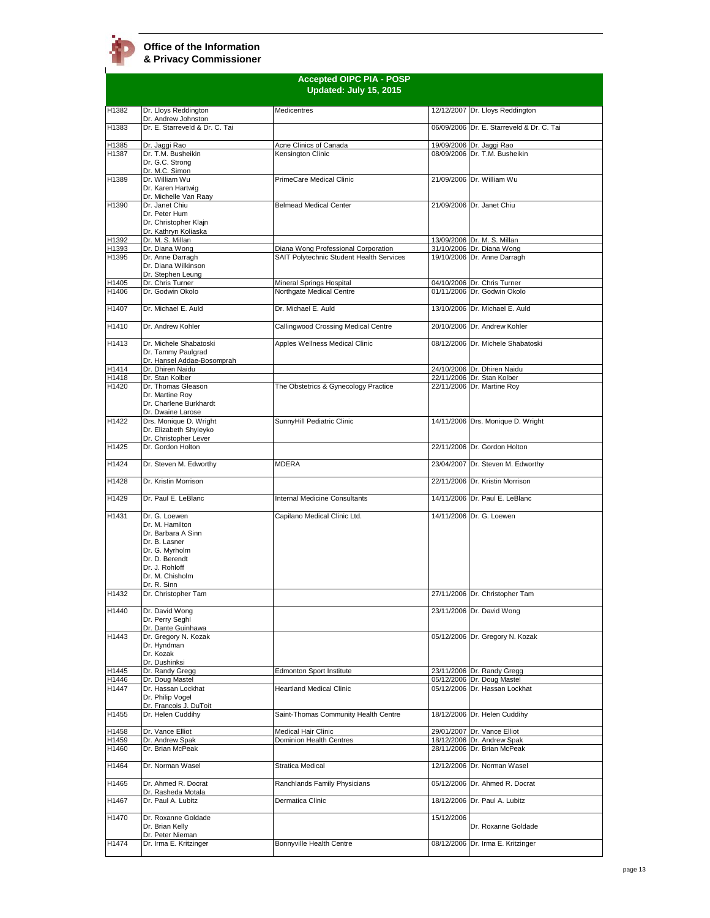**Accepted OIPC PIA - POSP Updated: July 15, 2015** H1382 Dr. Lloys Reddington Dr. Andrew Johnston Medicentres 12/12/2007 Dr. Lloys Reddington H1383 Dr. E. Starreveld & Dr. C. Tai 06/09/2006 Dr. E. Starreveld & Dr. C. Tai H1385 Dr. Jaggi Rao Acne Clinics of Canada 19/09/2006 Dr. Jaggi Rao H1387 Dr. T.M. Busheikin Dr. G.C. Strong Dr. M.C. Simon Kensington Clinic 08/09/2006 Dr. T.M. Busheikin H1389 Dr. William Wu Dr. Karen Hartwig<br><u>Dr. Michelle Van Raay</u> PrimeCare Medical Clinic 21/09/2006 Dr. William Wu H<sub>1390</sub> Dr. Janet Chiu Dr. Peter Hum Dr. Christopher Klajn Dr. Kathryn Koliaska<br>Dr. M. S. Millan Belmead Medical Center 21/09/2006 Dr. Janet Chiu H1392 Dr. M. S. Millan North Communist Communist Communist Communist Communist Communist Communist Communist Communist Communist Communist Communist Communist Communist Communist Communist Communist Communist Communist Com H1393 Dr. Diana Wong **Diana Wong Professional Corporation** 31/10/2006 Dr. Diana Wong<br>H1395 Dr. Anne Darragh SAIT Polytechnic Student Health Services 19/10/2006 Dr. Anne Darragh Dr. Anne Darragh Dr. Diana Wilkinson Dr. Stephen Leung<br>Dr. Chris Turner **SAIT Polytechnic Student Health Services** H1405 Dr. Chris Turner Mineral Springs Hospital (1941) 04/10/2006 Dr. Chris Turner Mineral Springs Hospital (19<br>1991) H1406 Dr. Godwin Okolo (1941) Northgate Medical Centre (1941) 01/11/2006 Dr. Godwin Okolo Northgate Medical Centre H1407 Dr. Michael E. Auld Dr. Michael E. Auld 13/10/2006 Dr. Michael E. Auld H1410 Dr. Andrew Kohler Callingwood Crossing Medical Centre 20/10/2006 Dr. Andrew Kohler H1413 Dr. Michele Shabatoski Dr. Tammy Paulgrad Dr. Hansel Addae-Bos<br>Dr. Dhiren Naidu Apples Wellness Medical Clinic 08/12/2006 Dr. Michele Shabatoski 1991 H1414 Dr. Dhiren Naidu<br>
1991 H1418 Dr. Stan Kolber<br>
22/11/2006 Dr. Thomas Gleason The Obstetrics & Gynecology Practice 22/11/2006 Dr. Martine Roy 22/11/2006 Dr. Stan Kolber<br>22/11/2006 Dr. Martine Rov Dr. Thomas Gleason Dr. Martine Roy Dr. Charlene Burkhardt Dr. Dwaine Larose The Obstetrics & Gynecology Practice H1422 Drs. Monique D. Wright Dr. Elizabeth Shyleyko Dr. Christopher Lever H1425 Dr. Gordon Holton 22/11/2006 Dr. Gordon Holton SunnyHill Pediatric Clinic 14/11/2006 Drs. Monique D. Wright H1424 Dr. Steven M. Edworthy MDERA 23/04/2007 Dr. Steven M. Edworthy H1428 Dr. Kristin Morrison 22/11/2006 Dr. Kristin Morrison H1429 Dr. Paul E. LeBlanc Internal Medicine Consultants 14/11/2006 Dr. Paul E. LeBlanc H1431 Dr. G. Loewen Dr. M. Hamilton Dr. Barbara A Sinn Dr. B. Lasner Dr. G. Myrholm Dr. D. Berendt Dr. J. Rohloff Dr. M. Chisholm Dr. R. Sinn<br>Dr. Christopher Tam Capilano Medical Clinic Ltd. 14/11/2006 Dr. G. Loewen H1432 Dr. Christopher Tam 27/11/2006 Dr. Christopher Tam H1440 Dr. David Wong Dr. Perry Seghl Dr. Dante Guinhawa 23/11/2006 Dr. David Wong H1443 Dr. Gregory N. Kozak Dr. Hyndman Dr. Kozak Dr. Dushinksi<br>Dr. Randy Gregg 05/12/2006 Dr. Gregory N. Kozak H1445 Dr. Randy Gregg **Edmonton Sport Institute** 23/11/2006 Dr. Randy Gregg (23/11/2006 Dr. Randy Gregg (23/11/2006 Dr. Doug Mastel H1446 Dr. Doug Mastel 05/12/2006 Dr. Doug Mastel H1447 **Dr. Hassan Lockhat** Dr. Philip Vogel Dr. Francois J. DuToit Heartland Medical Clinic **Clinic Clinic Clinic** 05/12/2006 Dr. Hassan Lockhat H1455 Dr. Helen Cuddihy Saint-Thomas Community Health Centre 18/12/2006 Dr. Helen Cuddihy H1458 Dr. Vance Elliot Medical Hair Clinic 29/01/2007 Dr. Vance Elliot H1459 Dr. Andrew Spak Dominion Health Centre<br>H1460 Dr. Brian McPeak 28/11/2006 Dr. Brian McPeak H1464 Dr. Norman Wasel Stratica Medical 12/12/2006 Dr. Norman Wasel H1465 Dr. Ahmed R. Docrat Dr. Rasheda Motala Ranchlands Family Physicians 05/12/2006 Dr. Ahmed R. Docrat H1467 Dr. Paul A. Lubitz Dermatica Clinic 18/12/2006 Dr. Paul A. Lubitz H1470 Dr. Roxanne Goldade Dr. Brian Kelly Dr. Peter Nieman<br>Dr. Irma E. Kritzinger 15/12/2006 Dr. Roxanne Goldade H1474 Dr. Irma E. Kritzinger Bonnyville Health Centre 08/12/2006 Dr. Irma E. Kritzinger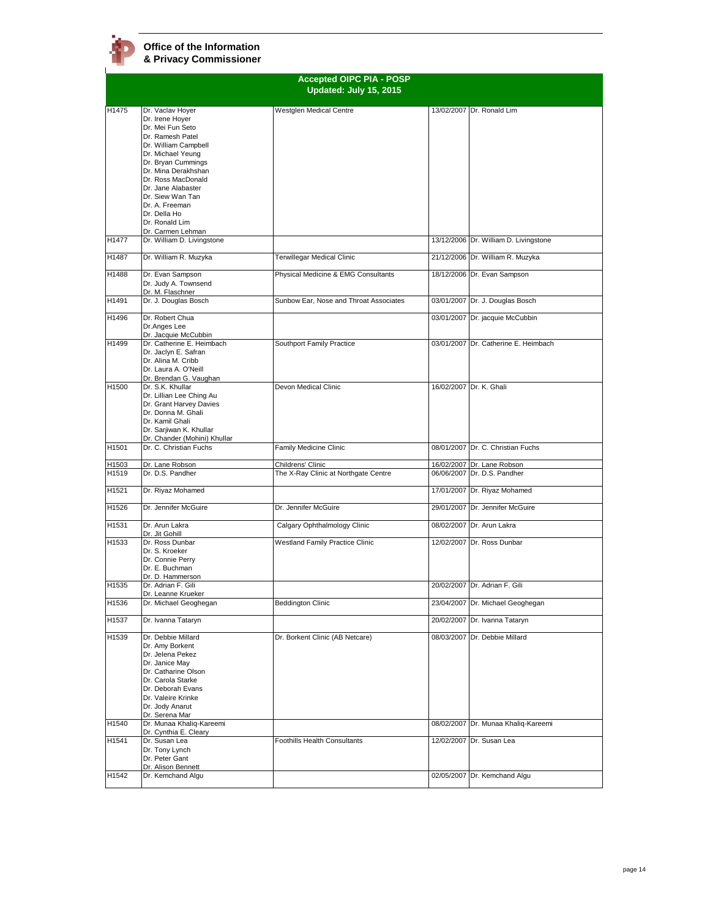|                |                                                                                                                                                                                                                                                                                                                | <b>Accepted OIPC PIA - POSP</b><br>Updated: July 15, 2015 |            |                                                           |
|----------------|----------------------------------------------------------------------------------------------------------------------------------------------------------------------------------------------------------------------------------------------------------------------------------------------------------------|-----------------------------------------------------------|------------|-----------------------------------------------------------|
| H1475          | Dr. Vaclav Hoyer<br>Dr. Irene Hoyer<br>Dr. Mei Fun Seto<br>Dr. Ramesh Patel<br>Dr. William Campbell<br>Dr. Michael Yeung<br>Dr. Bryan Cummings<br>Dr. Mina Derakhshan<br>Dr. Ross MacDonald<br>Dr. Jane Alabaster<br>Dr. Siew Wan Tan<br>Dr. A. Freeman<br>Dr. Della Ho<br>Dr. Ronald Lim<br>Dr. Carmen Lehman | Westglen Medical Centre                                   |            | 13/02/2007 Dr. Ronald Lim                                 |
| H1477          | Dr. William D. Livingstone                                                                                                                                                                                                                                                                                     |                                                           |            | 13/12/2006 Dr. William D. Livingstone                     |
| H1487          | Dr. William R. Muzyka                                                                                                                                                                                                                                                                                          | Terwillegar Medical Clinic                                |            | 21/12/2006 Dr. William R. Muzyka                          |
| H1488          | Dr. Evan Sampson<br>Dr. Judy A. Townsend<br>Dr. M. Flaschner                                                                                                                                                                                                                                                   | Physical Medicine & EMG Consultants                       |            | 18/12/2006 Dr. Evan Sampson                               |
| H1491          | Dr. J. Douglas Bosch                                                                                                                                                                                                                                                                                           | Sunbow Ear, Nose and Throat Associates                    |            | 03/01/2007 Dr. J. Douglas Bosch                           |
| H1496          | Dr. Robert Chua<br>Dr.Anges Lee<br>Dr. Jacquie McCubbin                                                                                                                                                                                                                                                        |                                                           |            | 03/01/2007 Dr. jacquie McCubbin                           |
| H1499          | Dr. Catherine E. Heimbach<br>Dr. Jaclyn E. Safran<br>Dr. Alina M. Cribb<br>Dr. Laura A. O'Neill<br>Dr. Brendan G. Vaughan                                                                                                                                                                                      | Southport Family Practice                                 |            | 03/01/2007 Dr. Catherine E. Heimbach                      |
| H1500          | Dr. S.K. Khullar<br>Dr. Lillian Lee Ching Au<br>Dr. Grant Harvey Davies<br>Dr. Donna M. Ghali<br>Dr. Kamil Ghali<br>Dr. Sarjiwan K. Khullar<br>Dr. Chander (Mohini) Khullar                                                                                                                                    | Devon Medical Clinic                                      |            | 16/02/2007 Dr. K. Ghali                                   |
| H1501          | Dr. C. Christian Fuchs                                                                                                                                                                                                                                                                                         | Family Medicine Clinic                                    |            | 08/01/2007 Dr. C. Christian Fuchs                         |
| H1503<br>H1519 | Dr. Lane Robson<br>Dr. D.S. Pandher                                                                                                                                                                                                                                                                            | Childrens' Clinic<br>The X-Ray Clinic at Northgate Centre |            | 16/02/2007 Dr. Lane Robson<br>06/06/2007 Dr. D.S. Pandher |
| H1521          | Dr. Riyaz Mohamed                                                                                                                                                                                                                                                                                              |                                                           |            | 17/01/2007 Dr. Riyaz Mohamed                              |
| H1526          | Dr. Jennifer McGuire                                                                                                                                                                                                                                                                                           | Dr. Jennifer McGuire                                      |            | 29/01/2007 Dr. Jennifer McGuire                           |
| H1531          | Dr. Arun Lakra<br>Dr. Jit Gohill                                                                                                                                                                                                                                                                               | Calgary Ophthalmology Clinic                              |            | 08/02/2007 Dr. Arun Lakra                                 |
| H1533          | Dr. Ross Dunbar<br>Dr. S. Kroeker<br>Dr. Connie Perry<br>Dr. E. Buchman<br>Dr. D. Hammerson                                                                                                                                                                                                                    | Westland Family Practice Clinic                           |            | 12/02/2007 Dr. Ross Dunbar                                |
| H1535          | Dr. Adrian F. Gili<br>Dr. Leanne Krueker                                                                                                                                                                                                                                                                       |                                                           |            | 20/02/2007 Dr. Adrian F. Gili                             |
| H1536          | Dr. Michael Geoghegan                                                                                                                                                                                                                                                                                          | <b>Beddington Clinic</b>                                  |            | 23/04/2007 Dr. Michael Geoghegan                          |
| H1537          | Dr. Ivanna Tataryn                                                                                                                                                                                                                                                                                             |                                                           |            | 20/02/2007 Dr. Ivanna Tataryn                             |
| H1539          | Dr. Debbie Millard<br>Dr. Amy Borkent<br>Dr. Jelena Pekez<br>Dr. Janice May<br>Dr. Catharine Olson<br>Dr. Carola Starke<br>Dr. Deborah Evans<br>Dr. Valeire Krinke<br>Dr. Jody Anarut<br>Dr. Serena Mar                                                                                                        | Dr. Borkent Clinic (AB Netcare)                           | 08/03/2007 | Dr. Debbie Millard                                        |
| H1540          | Dr. Munaa Khaliq-Kareemi<br>Dr. Cynthia E. Cleary                                                                                                                                                                                                                                                              |                                                           |            | 08/02/2007 Dr. Munaa Khaliq-Kareemi                       |
| H1541          | Dr. Susan Lea<br>Dr. Tony Lynch<br>Dr. Peter Gant<br>Dr. Alison Bennett                                                                                                                                                                                                                                        | <b>Foothills Health Consultants</b>                       |            | 12/02/2007 Dr. Susan Lea                                  |
| H1542          | Dr. Kemchand Algu                                                                                                                                                                                                                                                                                              |                                                           |            | 02/05/2007 Dr. Kemchand Algu                              |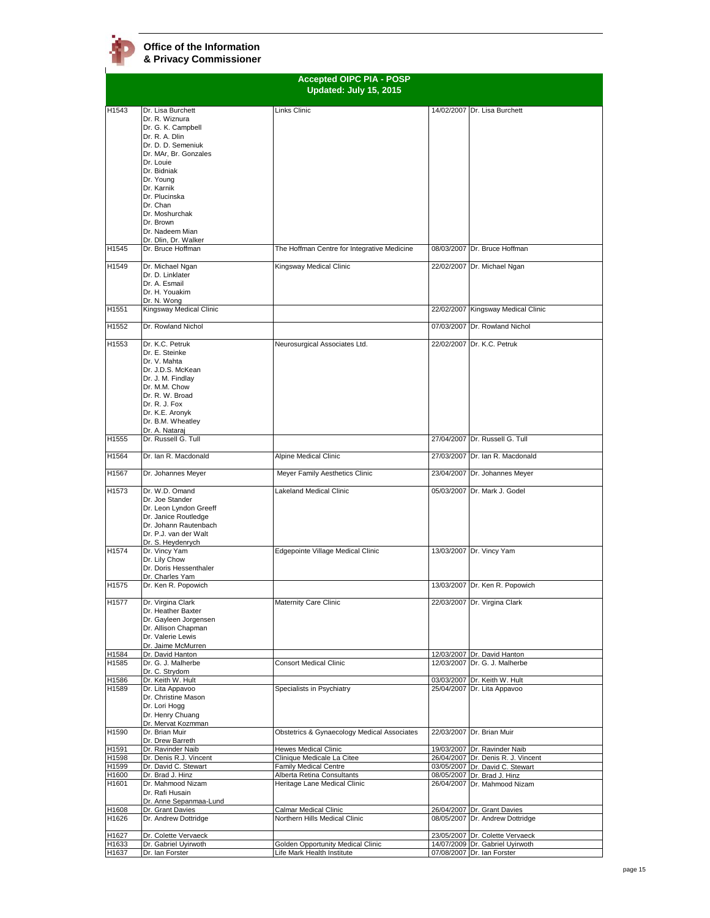|                   | <b>Accepted OIPC PIA - POSP</b><br>Updated: July 15, 2015                                                                                                                                                                        |                                                            |            |                                                                       |
|-------------------|----------------------------------------------------------------------------------------------------------------------------------------------------------------------------------------------------------------------------------|------------------------------------------------------------|------------|-----------------------------------------------------------------------|
|                   |                                                                                                                                                                                                                                  |                                                            |            |                                                                       |
| H1543             | Dr. Lisa Burchett<br>Dr. R. Wiznura<br>Dr. G. K. Campbell<br>Dr. R. A. Dlin<br>Dr. D. D. Semeniuk<br>Dr. MAr, Br. Gonzales<br>Dr. Louie<br>Dr. Bidniak<br>Dr. Young<br>Dr. Karnik<br>Dr. Plucinska<br>Dr. Chan<br>Dr. Moshurchak | Links Clinic                                               |            | 14/02/2007 Dr. Lisa Burchett                                          |
|                   | Dr. Brown<br>Dr. Nadeem Mian<br>Dr. Dlin, Dr. Walker                                                                                                                                                                             |                                                            |            |                                                                       |
| H1545             | Dr. Bruce Hoffman                                                                                                                                                                                                                | The Hoffman Centre for Integrative Medicine                |            | 08/03/2007 Dr. Bruce Hoffman                                          |
| H1549             | Dr. Michael Ngan<br>Dr. D. Linklater<br>Dr. A. Esmail<br>Dr. H. Youakim<br>Dr. N. Wong                                                                                                                                           | Kingsway Medical Clinic                                    |            | 22/02/2007 Dr. Michael Ngan                                           |
| H1551             | Kingsway Medical Clinic                                                                                                                                                                                                          |                                                            |            | 22/02/2007 Kingsway Medical Clinic                                    |
| H1552             | Dr. Rowland Nichol                                                                                                                                                                                                               |                                                            |            | 07/03/2007 Dr. Rowland Nichol                                         |
| H1553             | Dr. K.C. Petruk<br>Dr. E. Steinke<br>Dr. V. Mahta<br>Dr. J.D.S. McKean<br>Dr. J. M. Findlay<br>Dr. M.M. Chow<br>Dr. R. W. Broad<br>Dr. R. J. Fox<br>Dr. K.E. Aronyk<br>Dr. B.M. Wheatley<br>Dr. A. Nataraj                       | Neurosurgical Associates Ltd.                              |            | 22/02/2007 Dr. K.C. Petruk                                            |
| H1555             | Dr. Russell G. Tull                                                                                                                                                                                                              |                                                            |            | 27/04/2007 Dr. Russell G. Tull                                        |
| H1564             | Dr. Ian R. Macdonald                                                                                                                                                                                                             | Alpine Medical Clinic                                      |            | 27/03/2007 Dr. Ian R. Macdonald                                       |
| H1567             | Dr. Johannes Meyer                                                                                                                                                                                                               | Meyer Family Aesthetics Clinic                             |            | 23/04/2007 Dr. Johannes Meyer                                         |
| H1573             | Dr. W.D. Omand<br>Dr. Joe Stander<br>Dr. Leon Lyndon Greeff<br>Dr. Janice Routledge<br>Dr. Johann Rautenbach<br>Dr. P.J. van der Walt<br>Dr. S. Heydenrych                                                                       | Lakeland Medical Clinic                                    | 05/03/2007 | Dr. Mark J. Godel                                                     |
| H1574             | Dr. Vincy Yam<br>Dr. Lily Chow<br>Dr. Doris Hessenthaler                                                                                                                                                                         | Edgepointe Village Medical Clinic                          |            | 13/03/2007 Dr. Vincy Yam                                              |
| H1575             | Dr. Charles Yam<br>Dr. Ken R. Popowich                                                                                                                                                                                           |                                                            |            | 13/03/2007 Dr. Ken R. Popowich                                        |
| H1577             | Dr. Virgina Clark<br>Dr. Heather Baxter<br>Dr. Gayleen Jorgensen<br>Dr. Allison Chapman<br>Dr. Valerie Lewis<br>Dr. Jaime McMurren                                                                                               | Maternity Care Clinic                                      |            | 22/03/2007 Dr. Virgina Clark                                          |
| H1584<br>H1585    | Dr. David Hanton<br>Dr. G. J. Malherbe                                                                                                                                                                                           | <b>Consort Medical Clinic</b>                              |            | 12/03/2007 Dr. David Hanton<br>12/03/2007 Dr. G. J. Malherbe          |
| H1586             | Dr. C. Strydom<br>Dr. Keith W. Hult                                                                                                                                                                                              |                                                            |            | 03/03/2007 Dr. Keith W. Hult                                          |
| H1589             | Dr. Lita Appavoo<br>Dr. Christine Mason<br>Dr. Lori Hogg<br>Dr. Henry Chuang<br>Dr. Mervat Kozmman                                                                                                                               | Specialists in Psychiatry                                  |            | 25/04/2007 Dr. Lita Appavoo                                           |
| H <sub>1590</sub> | Dr. Brian Muir<br>Dr. Drew Barreth                                                                                                                                                                                               | Obstetrics & Gynaecology Medical Associates                |            | 22/03/2007 Dr. Brian Muir                                             |
| H1591             | Dr. Ravinder Naib                                                                                                                                                                                                                | Hewes Medical Clinic                                       |            | 19/03/2007 Dr. Ravinder Naib                                          |
| H1598<br>H1599    | Dr. Denis R.J. Vincent<br>Dr. David C. Stewart                                                                                                                                                                                   | Clinique Medicale La Citee<br>Family Medical Centre        |            | 26/04/2007 Dr. Denis R. J. Vincent<br>03/05/2007 Dr. David C. Stewart |
| H1600<br>H1601    | Dr. Brad J. Hinz<br>Dr. Mahmood Nizam<br>Dr. Rafi Husain                                                                                                                                                                         | Alberta Retina Consultants<br>Heritage Lane Medical Clinic |            | 08/05/2007 Dr. Brad J. Hinz<br>26/04/2007 Dr. Mahmood Nizam           |
|                   | Dr. Anne Sepanmaa-Lund<br>Dr. Grant Davies                                                                                                                                                                                       | Calmar Medical Clinic                                      |            | 26/04/2007 Dr. Grant Davies                                           |
| H1608<br>H1626    | Dr. Andrew Dottridge                                                                                                                                                                                                             | Northern Hills Medical Clinic                              |            | 08/05/2007 Dr. Andrew Dottridge                                       |
| H1627<br>H1633    | Dr. Colette Vervaeck<br>Dr. Gabriel Uyirwoth                                                                                                                                                                                     | Golden Opportunity Medical Clinic                          |            | 23/05/2007 Dr. Colette Vervaeck<br>14/07/2009 Dr. Gabriel Uyirwoth    |
| H1637             | Dr. Ian Forster                                                                                                                                                                                                                  | Life Mark Health Institute                                 |            | 07/08/2007 Dr. Ian Forster                                            |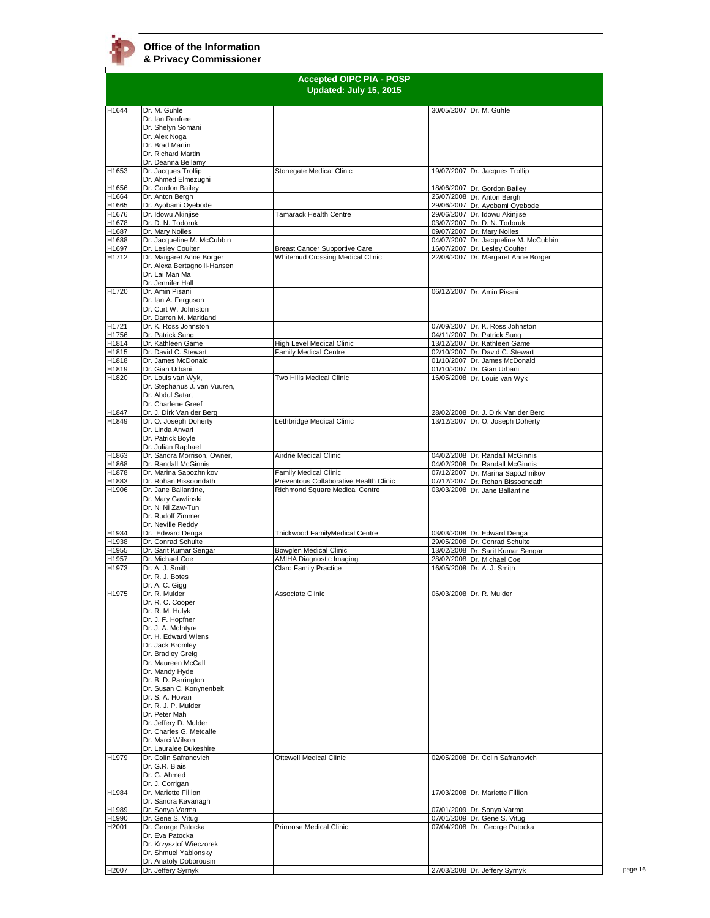$\mathbf{r}$ 

| Updated: July 15, 2015<br>H1644<br>Dr. M. Guhle<br>30/05/2007 Dr. M. Guhle<br>Dr. Ian Renfree<br>Dr. Shelyn Somani<br>Dr. Alex Noga<br>Dr. Brad Martin<br>Dr. Richard Martin<br>Dr. Deanna Bellamy<br>Dr. Jacques Trollip<br>H1653<br>Stonegate Medical Clinic<br>19/07/2007 Dr. Jacques Trollip<br>Dr. Ahmed Elmezughi<br>Dr. Gordon Bailey<br>H1656<br>18/06/2007 Dr. Gordon Bailey<br>H1664<br>Dr. Anton Bergh<br>25/07/2008 Dr. Anton Bergh<br>H1665<br>Dr. Ayobami Oyebode<br>29/06/2007 Dr. Ayobami Oyebode<br>Dr. Idowu Akinjise<br>29/06/2007 Dr. Idowu Akiniise<br>H1676<br><b>Tamarack Health Centre</b><br>03/07/2007 Dr. D. N. Todoruk<br>H1678<br>Dr. D. N. Todoruk<br>H1687<br>Dr. Mary Noiles<br>09/07/2007 Dr. Mary Noiles<br>H1688<br>Dr. Jacqueline M. McCubbin<br>04/07/2007 Dr. Jacqueline M. McCubbin<br>H1697<br>Dr. Lesley Coulter<br>16/07/2007 Dr. Lesley Coulter<br><b>Breast Cancer Supportive Care</b><br>Dr. Margaret Anne Borger<br>22/08/2007 Dr. Margaret Anne Borger<br>H1712<br>Whitemud Crossing Medical Clinic<br>Dr. Alexa Bertagnolli-Hansen<br>Dr. Lai Man Ma<br>Dr. Jennifer Hall<br>Dr. Amin Pisani<br>H1720<br>06/12/2007 Dr. Amin Pisani<br>Dr. Ian A. Ferguson<br>Dr. Curt W. Johnston<br>Dr. Darren M. Markland<br>H1721<br>Dr. K. Ross Johnston<br>07/09/2007 Dr. K. Ross Johnston<br>Dr. Patrick Sung<br>04/11/2007 Dr. Patrick Sung<br>H1756<br>Dr. Kathleen Game<br><b>High Level Medical Clinic</b><br>13/12/2007 Dr. Kathleen Game<br>H1814<br>H1815<br>Dr. David C. Stewart<br><b>Family Medical Centre</b><br>02/10/2007 Dr. David C. Stewart<br>Dr. James McDonald<br>H1818<br>01/10/2007 Dr. James McDonald<br>H1819<br>Dr. Gian Urbani<br>01/10/2007 Dr. Gian Urbani<br>Dr. Louis van Wyk,<br>Two Hills Medical Clinic<br>16/05/2008 Dr. Louis van Wyk<br>H1820<br>Dr. Stephanus J. van Vuuren,<br>Dr. Abdul Satar,<br>Dr. Charlene Greef<br>H1847<br>Dr. J. Dirk Van der Berg<br>28/02/2008 Dr. J. Dirk Van der Berg<br>H1849<br>Dr. O. Joseph Doherty<br>Lethbridge Medical Clinic<br>13/12/2007 Dr. O. Joseph Doherty<br>Dr. Linda Anvari<br>Dr. Patrick Boyle<br>Dr. Julian Raphael<br>Dr. Sandra Morrison, Owner,<br>04/02/2008 Dr. Randall McGinnis<br>H1863<br>Airdrie Medical Clinic<br>Dr. Randall McGinnis<br>04/02/2008 Dr. Randall McGinnis<br>H1868<br>H1878<br>Dr. Marina Sapozhnikov<br>Family Medical Clinic<br>07/12/2007 Dr. Marina Sapozhnikov<br>H1883<br>Dr. Rohan Bissoondath<br>Preventous Collaborative Health Clinic<br>07/12/2007 Dr. Rohan Bissoondath<br>Dr. Jane Ballantine,<br>H1906<br>Richmond Square Medical Centre<br>03/03/2008 Dr. Jane Ballantine<br>Dr. Mary Gawlinski<br>Dr. Ni Ni Zaw-Tun<br>Dr. Rudolf Zimmer<br>Dr. Neville Reddy<br>Dr. Edward Denga<br>H1934<br>Thickwood FamilyMedical Centre<br>03/03/2008 Dr. Edward Denga<br>H1938<br>Dr. Conrad Schulte<br>29/05/2008 Dr. Conrad Schulte<br>Dr. Sarit Kumar Sengar<br>H1955<br>Bowglen Medical Clinic<br>13/02/2008 Dr. Sarit Kumar Sengar<br>H1957<br>Dr. Michael Coe<br><b>AMIHA Diagnostic Imaging</b><br>28/02/2008 Dr. Michael Coe<br>Dr. A. J. Smith<br>H1973<br>Claro Family Practice<br>16/05/2008 Dr. A. J. Smith<br>Dr. R. J. Botes<br>Dr. A. C. Gigg<br>H1975<br>Dr. R. Mulder<br>Associate Clinic<br>06/03/2008 Dr. R. Mulder<br>Dr. R. C. Cooper<br>Dr. R. M. Hulyk<br>Dr. J. F. Hopfner<br>Dr. J. A. McIntyre<br>Dr. H. Edward Wiens<br>Dr. Jack Bromley<br>Dr. Bradley Greig<br>Dr. Maureen McCall<br>Dr. Mandy Hyde<br>Dr. B. D. Parrington<br>Dr. Susan C. Konynenbelt<br>Dr. S. A. Hovan<br>Dr. R. J. P. Mulder<br>Dr. Peter Mah<br>Dr. Jeffery D. Mulder<br>Dr. Charles G. Metcalfe<br>Dr. Marci Wilson<br>Dr. Lauralee Dukeshire<br>H1979<br>Dr. Colin Safranovich<br><b>Ottewell Medical Clinic</b><br>02/05/2008 Dr. Colin Safranovich<br>Dr. G.R. Blais<br>Dr. G. Ahmed<br>Dr. J. Corrigan<br>H1984<br>17/03/2008 Dr. Mariette Fillion<br>Dr. Mariette Fillion<br>Dr. Sandra Kavanagh<br>Dr. Sonya Varma<br>H1989<br>07/01/2009 Dr. Sonya Varma<br>Dr. Gene S. Vitug<br>07/01/2009 Dr. Gene S. Vitug<br>H1990<br>Dr. George Patocka<br>H2001<br>Primrose Medical Clinic<br>07/04/2008 Dr. George Patocka<br>Dr. Eva Patocka<br>Dr. Krzysztof Wieczorek<br>Dr. Shmuel Yablonsky<br>Dr. Anatoly Doborousin |                    | <b>Accepted OIPC PIA - POSP</b> |  |
|------------------------------------------------------------------------------------------------------------------------------------------------------------------------------------------------------------------------------------------------------------------------------------------------------------------------------------------------------------------------------------------------------------------------------------------------------------------------------------------------------------------------------------------------------------------------------------------------------------------------------------------------------------------------------------------------------------------------------------------------------------------------------------------------------------------------------------------------------------------------------------------------------------------------------------------------------------------------------------------------------------------------------------------------------------------------------------------------------------------------------------------------------------------------------------------------------------------------------------------------------------------------------------------------------------------------------------------------------------------------------------------------------------------------------------------------------------------------------------------------------------------------------------------------------------------------------------------------------------------------------------------------------------------------------------------------------------------------------------------------------------------------------------------------------------------------------------------------------------------------------------------------------------------------------------------------------------------------------------------------------------------------------------------------------------------------------------------------------------------------------------------------------------------------------------------------------------------------------------------------------------------------------------------------------------------------------------------------------------------------------------------------------------------------------------------------------------------------------------------------------------------------------------------------------------------------------------------------------------------------------------------------------------------------------------------------------------------------------------------------------------------------------------------------------------------------------------------------------------------------------------------------------------------------------------------------------------------------------------------------------------------------------------------------------------------------------------------------------------------------------------------------------------------------------------------------------------------------------------------------------------------------------------------------------------------------------------------------------------------------------------------------------------------------------------------------------------------------------------------------------------------------------------------------------------------------------------------------------------------------------------------------------------------------------------------------------------------------------------------------------------------------------------------------------------------------------------------------------------------------------------------------------------------------------------------------------------------------------------------------------------------------------------------------------------------------------------------------------------------------------------------------------------------------------------------------------------------------------------------------------------------------------------------|--------------------|---------------------------------|--|
|                                                                                                                                                                                                                                                                                                                                                                                                                                                                                                                                                                                                                                                                                                                                                                                                                                                                                                                                                                                                                                                                                                                                                                                                                                                                                                                                                                                                                                                                                                                                                                                                                                                                                                                                                                                                                                                                                                                                                                                                                                                                                                                                                                                                                                                                                                                                                                                                                                                                                                                                                                                                                                                                                                                                                                                                                                                                                                                                                                                                                                                                                                                                                                                                                                                                                                                                                                                                                                                                                                                                                                                                                                                                                                                                                                                                                                                                                                                                                                                                                                                                                                                                                                                                                                                                                          |                    |                                 |  |
|                                                                                                                                                                                                                                                                                                                                                                                                                                                                                                                                                                                                                                                                                                                                                                                                                                                                                                                                                                                                                                                                                                                                                                                                                                                                                                                                                                                                                                                                                                                                                                                                                                                                                                                                                                                                                                                                                                                                                                                                                                                                                                                                                                                                                                                                                                                                                                                                                                                                                                                                                                                                                                                                                                                                                                                                                                                                                                                                                                                                                                                                                                                                                                                                                                                                                                                                                                                                                                                                                                                                                                                                                                                                                                                                                                                                                                                                                                                                                                                                                                                                                                                                                                                                                                                                                          |                    |                                 |  |
|                                                                                                                                                                                                                                                                                                                                                                                                                                                                                                                                                                                                                                                                                                                                                                                                                                                                                                                                                                                                                                                                                                                                                                                                                                                                                                                                                                                                                                                                                                                                                                                                                                                                                                                                                                                                                                                                                                                                                                                                                                                                                                                                                                                                                                                                                                                                                                                                                                                                                                                                                                                                                                                                                                                                                                                                                                                                                                                                                                                                                                                                                                                                                                                                                                                                                                                                                                                                                                                                                                                                                                                                                                                                                                                                                                                                                                                                                                                                                                                                                                                                                                                                                                                                                                                                                          |                    |                                 |  |
|                                                                                                                                                                                                                                                                                                                                                                                                                                                                                                                                                                                                                                                                                                                                                                                                                                                                                                                                                                                                                                                                                                                                                                                                                                                                                                                                                                                                                                                                                                                                                                                                                                                                                                                                                                                                                                                                                                                                                                                                                                                                                                                                                                                                                                                                                                                                                                                                                                                                                                                                                                                                                                                                                                                                                                                                                                                                                                                                                                                                                                                                                                                                                                                                                                                                                                                                                                                                                                                                                                                                                                                                                                                                                                                                                                                                                                                                                                                                                                                                                                                                                                                                                                                                                                                                                          |                    |                                 |  |
|                                                                                                                                                                                                                                                                                                                                                                                                                                                                                                                                                                                                                                                                                                                                                                                                                                                                                                                                                                                                                                                                                                                                                                                                                                                                                                                                                                                                                                                                                                                                                                                                                                                                                                                                                                                                                                                                                                                                                                                                                                                                                                                                                                                                                                                                                                                                                                                                                                                                                                                                                                                                                                                                                                                                                                                                                                                                                                                                                                                                                                                                                                                                                                                                                                                                                                                                                                                                                                                                                                                                                                                                                                                                                                                                                                                                                                                                                                                                                                                                                                                                                                                                                                                                                                                                                          |                    |                                 |  |
|                                                                                                                                                                                                                                                                                                                                                                                                                                                                                                                                                                                                                                                                                                                                                                                                                                                                                                                                                                                                                                                                                                                                                                                                                                                                                                                                                                                                                                                                                                                                                                                                                                                                                                                                                                                                                                                                                                                                                                                                                                                                                                                                                                                                                                                                                                                                                                                                                                                                                                                                                                                                                                                                                                                                                                                                                                                                                                                                                                                                                                                                                                                                                                                                                                                                                                                                                                                                                                                                                                                                                                                                                                                                                                                                                                                                                                                                                                                                                                                                                                                                                                                                                                                                                                                                                          |                    |                                 |  |
|                                                                                                                                                                                                                                                                                                                                                                                                                                                                                                                                                                                                                                                                                                                                                                                                                                                                                                                                                                                                                                                                                                                                                                                                                                                                                                                                                                                                                                                                                                                                                                                                                                                                                                                                                                                                                                                                                                                                                                                                                                                                                                                                                                                                                                                                                                                                                                                                                                                                                                                                                                                                                                                                                                                                                                                                                                                                                                                                                                                                                                                                                                                                                                                                                                                                                                                                                                                                                                                                                                                                                                                                                                                                                                                                                                                                                                                                                                                                                                                                                                                                                                                                                                                                                                                                                          |                    |                                 |  |
|                                                                                                                                                                                                                                                                                                                                                                                                                                                                                                                                                                                                                                                                                                                                                                                                                                                                                                                                                                                                                                                                                                                                                                                                                                                                                                                                                                                                                                                                                                                                                                                                                                                                                                                                                                                                                                                                                                                                                                                                                                                                                                                                                                                                                                                                                                                                                                                                                                                                                                                                                                                                                                                                                                                                                                                                                                                                                                                                                                                                                                                                                                                                                                                                                                                                                                                                                                                                                                                                                                                                                                                                                                                                                                                                                                                                                                                                                                                                                                                                                                                                                                                                                                                                                                                                                          |                    |                                 |  |
|                                                                                                                                                                                                                                                                                                                                                                                                                                                                                                                                                                                                                                                                                                                                                                                                                                                                                                                                                                                                                                                                                                                                                                                                                                                                                                                                                                                                                                                                                                                                                                                                                                                                                                                                                                                                                                                                                                                                                                                                                                                                                                                                                                                                                                                                                                                                                                                                                                                                                                                                                                                                                                                                                                                                                                                                                                                                                                                                                                                                                                                                                                                                                                                                                                                                                                                                                                                                                                                                                                                                                                                                                                                                                                                                                                                                                                                                                                                                                                                                                                                                                                                                                                                                                                                                                          |                    |                                 |  |
|                                                                                                                                                                                                                                                                                                                                                                                                                                                                                                                                                                                                                                                                                                                                                                                                                                                                                                                                                                                                                                                                                                                                                                                                                                                                                                                                                                                                                                                                                                                                                                                                                                                                                                                                                                                                                                                                                                                                                                                                                                                                                                                                                                                                                                                                                                                                                                                                                                                                                                                                                                                                                                                                                                                                                                                                                                                                                                                                                                                                                                                                                                                                                                                                                                                                                                                                                                                                                                                                                                                                                                                                                                                                                                                                                                                                                                                                                                                                                                                                                                                                                                                                                                                                                                                                                          |                    |                                 |  |
|                                                                                                                                                                                                                                                                                                                                                                                                                                                                                                                                                                                                                                                                                                                                                                                                                                                                                                                                                                                                                                                                                                                                                                                                                                                                                                                                                                                                                                                                                                                                                                                                                                                                                                                                                                                                                                                                                                                                                                                                                                                                                                                                                                                                                                                                                                                                                                                                                                                                                                                                                                                                                                                                                                                                                                                                                                                                                                                                                                                                                                                                                                                                                                                                                                                                                                                                                                                                                                                                                                                                                                                                                                                                                                                                                                                                                                                                                                                                                                                                                                                                                                                                                                                                                                                                                          |                    |                                 |  |
|                                                                                                                                                                                                                                                                                                                                                                                                                                                                                                                                                                                                                                                                                                                                                                                                                                                                                                                                                                                                                                                                                                                                                                                                                                                                                                                                                                                                                                                                                                                                                                                                                                                                                                                                                                                                                                                                                                                                                                                                                                                                                                                                                                                                                                                                                                                                                                                                                                                                                                                                                                                                                                                                                                                                                                                                                                                                                                                                                                                                                                                                                                                                                                                                                                                                                                                                                                                                                                                                                                                                                                                                                                                                                                                                                                                                                                                                                                                                                                                                                                                                                                                                                                                                                                                                                          |                    |                                 |  |
|                                                                                                                                                                                                                                                                                                                                                                                                                                                                                                                                                                                                                                                                                                                                                                                                                                                                                                                                                                                                                                                                                                                                                                                                                                                                                                                                                                                                                                                                                                                                                                                                                                                                                                                                                                                                                                                                                                                                                                                                                                                                                                                                                                                                                                                                                                                                                                                                                                                                                                                                                                                                                                                                                                                                                                                                                                                                                                                                                                                                                                                                                                                                                                                                                                                                                                                                                                                                                                                                                                                                                                                                                                                                                                                                                                                                                                                                                                                                                                                                                                                                                                                                                                                                                                                                                          |                    |                                 |  |
|                                                                                                                                                                                                                                                                                                                                                                                                                                                                                                                                                                                                                                                                                                                                                                                                                                                                                                                                                                                                                                                                                                                                                                                                                                                                                                                                                                                                                                                                                                                                                                                                                                                                                                                                                                                                                                                                                                                                                                                                                                                                                                                                                                                                                                                                                                                                                                                                                                                                                                                                                                                                                                                                                                                                                                                                                                                                                                                                                                                                                                                                                                                                                                                                                                                                                                                                                                                                                                                                                                                                                                                                                                                                                                                                                                                                                                                                                                                                                                                                                                                                                                                                                                                                                                                                                          |                    |                                 |  |
|                                                                                                                                                                                                                                                                                                                                                                                                                                                                                                                                                                                                                                                                                                                                                                                                                                                                                                                                                                                                                                                                                                                                                                                                                                                                                                                                                                                                                                                                                                                                                                                                                                                                                                                                                                                                                                                                                                                                                                                                                                                                                                                                                                                                                                                                                                                                                                                                                                                                                                                                                                                                                                                                                                                                                                                                                                                                                                                                                                                                                                                                                                                                                                                                                                                                                                                                                                                                                                                                                                                                                                                                                                                                                                                                                                                                                                                                                                                                                                                                                                                                                                                                                                                                                                                                                          |                    |                                 |  |
|                                                                                                                                                                                                                                                                                                                                                                                                                                                                                                                                                                                                                                                                                                                                                                                                                                                                                                                                                                                                                                                                                                                                                                                                                                                                                                                                                                                                                                                                                                                                                                                                                                                                                                                                                                                                                                                                                                                                                                                                                                                                                                                                                                                                                                                                                                                                                                                                                                                                                                                                                                                                                                                                                                                                                                                                                                                                                                                                                                                                                                                                                                                                                                                                                                                                                                                                                                                                                                                                                                                                                                                                                                                                                                                                                                                                                                                                                                                                                                                                                                                                                                                                                                                                                                                                                          |                    |                                 |  |
|                                                                                                                                                                                                                                                                                                                                                                                                                                                                                                                                                                                                                                                                                                                                                                                                                                                                                                                                                                                                                                                                                                                                                                                                                                                                                                                                                                                                                                                                                                                                                                                                                                                                                                                                                                                                                                                                                                                                                                                                                                                                                                                                                                                                                                                                                                                                                                                                                                                                                                                                                                                                                                                                                                                                                                                                                                                                                                                                                                                                                                                                                                                                                                                                                                                                                                                                                                                                                                                                                                                                                                                                                                                                                                                                                                                                                                                                                                                                                                                                                                                                                                                                                                                                                                                                                          |                    |                                 |  |
|                                                                                                                                                                                                                                                                                                                                                                                                                                                                                                                                                                                                                                                                                                                                                                                                                                                                                                                                                                                                                                                                                                                                                                                                                                                                                                                                                                                                                                                                                                                                                                                                                                                                                                                                                                                                                                                                                                                                                                                                                                                                                                                                                                                                                                                                                                                                                                                                                                                                                                                                                                                                                                                                                                                                                                                                                                                                                                                                                                                                                                                                                                                                                                                                                                                                                                                                                                                                                                                                                                                                                                                                                                                                                                                                                                                                                                                                                                                                                                                                                                                                                                                                                                                                                                                                                          |                    |                                 |  |
|                                                                                                                                                                                                                                                                                                                                                                                                                                                                                                                                                                                                                                                                                                                                                                                                                                                                                                                                                                                                                                                                                                                                                                                                                                                                                                                                                                                                                                                                                                                                                                                                                                                                                                                                                                                                                                                                                                                                                                                                                                                                                                                                                                                                                                                                                                                                                                                                                                                                                                                                                                                                                                                                                                                                                                                                                                                                                                                                                                                                                                                                                                                                                                                                                                                                                                                                                                                                                                                                                                                                                                                                                                                                                                                                                                                                                                                                                                                                                                                                                                                                                                                                                                                                                                                                                          |                    |                                 |  |
|                                                                                                                                                                                                                                                                                                                                                                                                                                                                                                                                                                                                                                                                                                                                                                                                                                                                                                                                                                                                                                                                                                                                                                                                                                                                                                                                                                                                                                                                                                                                                                                                                                                                                                                                                                                                                                                                                                                                                                                                                                                                                                                                                                                                                                                                                                                                                                                                                                                                                                                                                                                                                                                                                                                                                                                                                                                                                                                                                                                                                                                                                                                                                                                                                                                                                                                                                                                                                                                                                                                                                                                                                                                                                                                                                                                                                                                                                                                                                                                                                                                                                                                                                                                                                                                                                          |                    |                                 |  |
|                                                                                                                                                                                                                                                                                                                                                                                                                                                                                                                                                                                                                                                                                                                                                                                                                                                                                                                                                                                                                                                                                                                                                                                                                                                                                                                                                                                                                                                                                                                                                                                                                                                                                                                                                                                                                                                                                                                                                                                                                                                                                                                                                                                                                                                                                                                                                                                                                                                                                                                                                                                                                                                                                                                                                                                                                                                                                                                                                                                                                                                                                                                                                                                                                                                                                                                                                                                                                                                                                                                                                                                                                                                                                                                                                                                                                                                                                                                                                                                                                                                                                                                                                                                                                                                                                          |                    |                                 |  |
|                                                                                                                                                                                                                                                                                                                                                                                                                                                                                                                                                                                                                                                                                                                                                                                                                                                                                                                                                                                                                                                                                                                                                                                                                                                                                                                                                                                                                                                                                                                                                                                                                                                                                                                                                                                                                                                                                                                                                                                                                                                                                                                                                                                                                                                                                                                                                                                                                                                                                                                                                                                                                                                                                                                                                                                                                                                                                                                                                                                                                                                                                                                                                                                                                                                                                                                                                                                                                                                                                                                                                                                                                                                                                                                                                                                                                                                                                                                                                                                                                                                                                                                                                                                                                                                                                          |                    |                                 |  |
|                                                                                                                                                                                                                                                                                                                                                                                                                                                                                                                                                                                                                                                                                                                                                                                                                                                                                                                                                                                                                                                                                                                                                                                                                                                                                                                                                                                                                                                                                                                                                                                                                                                                                                                                                                                                                                                                                                                                                                                                                                                                                                                                                                                                                                                                                                                                                                                                                                                                                                                                                                                                                                                                                                                                                                                                                                                                                                                                                                                                                                                                                                                                                                                                                                                                                                                                                                                                                                                                                                                                                                                                                                                                                                                                                                                                                                                                                                                                                                                                                                                                                                                                                                                                                                                                                          |                    |                                 |  |
|                                                                                                                                                                                                                                                                                                                                                                                                                                                                                                                                                                                                                                                                                                                                                                                                                                                                                                                                                                                                                                                                                                                                                                                                                                                                                                                                                                                                                                                                                                                                                                                                                                                                                                                                                                                                                                                                                                                                                                                                                                                                                                                                                                                                                                                                                                                                                                                                                                                                                                                                                                                                                                                                                                                                                                                                                                                                                                                                                                                                                                                                                                                                                                                                                                                                                                                                                                                                                                                                                                                                                                                                                                                                                                                                                                                                                                                                                                                                                                                                                                                                                                                                                                                                                                                                                          |                    |                                 |  |
|                                                                                                                                                                                                                                                                                                                                                                                                                                                                                                                                                                                                                                                                                                                                                                                                                                                                                                                                                                                                                                                                                                                                                                                                                                                                                                                                                                                                                                                                                                                                                                                                                                                                                                                                                                                                                                                                                                                                                                                                                                                                                                                                                                                                                                                                                                                                                                                                                                                                                                                                                                                                                                                                                                                                                                                                                                                                                                                                                                                                                                                                                                                                                                                                                                                                                                                                                                                                                                                                                                                                                                                                                                                                                                                                                                                                                                                                                                                                                                                                                                                                                                                                                                                                                                                                                          |                    |                                 |  |
|                                                                                                                                                                                                                                                                                                                                                                                                                                                                                                                                                                                                                                                                                                                                                                                                                                                                                                                                                                                                                                                                                                                                                                                                                                                                                                                                                                                                                                                                                                                                                                                                                                                                                                                                                                                                                                                                                                                                                                                                                                                                                                                                                                                                                                                                                                                                                                                                                                                                                                                                                                                                                                                                                                                                                                                                                                                                                                                                                                                                                                                                                                                                                                                                                                                                                                                                                                                                                                                                                                                                                                                                                                                                                                                                                                                                                                                                                                                                                                                                                                                                                                                                                                                                                                                                                          |                    |                                 |  |
|                                                                                                                                                                                                                                                                                                                                                                                                                                                                                                                                                                                                                                                                                                                                                                                                                                                                                                                                                                                                                                                                                                                                                                                                                                                                                                                                                                                                                                                                                                                                                                                                                                                                                                                                                                                                                                                                                                                                                                                                                                                                                                                                                                                                                                                                                                                                                                                                                                                                                                                                                                                                                                                                                                                                                                                                                                                                                                                                                                                                                                                                                                                                                                                                                                                                                                                                                                                                                                                                                                                                                                                                                                                                                                                                                                                                                                                                                                                                                                                                                                                                                                                                                                                                                                                                                          |                    |                                 |  |
|                                                                                                                                                                                                                                                                                                                                                                                                                                                                                                                                                                                                                                                                                                                                                                                                                                                                                                                                                                                                                                                                                                                                                                                                                                                                                                                                                                                                                                                                                                                                                                                                                                                                                                                                                                                                                                                                                                                                                                                                                                                                                                                                                                                                                                                                                                                                                                                                                                                                                                                                                                                                                                                                                                                                                                                                                                                                                                                                                                                                                                                                                                                                                                                                                                                                                                                                                                                                                                                                                                                                                                                                                                                                                                                                                                                                                                                                                                                                                                                                                                                                                                                                                                                                                                                                                          |                    |                                 |  |
|                                                                                                                                                                                                                                                                                                                                                                                                                                                                                                                                                                                                                                                                                                                                                                                                                                                                                                                                                                                                                                                                                                                                                                                                                                                                                                                                                                                                                                                                                                                                                                                                                                                                                                                                                                                                                                                                                                                                                                                                                                                                                                                                                                                                                                                                                                                                                                                                                                                                                                                                                                                                                                                                                                                                                                                                                                                                                                                                                                                                                                                                                                                                                                                                                                                                                                                                                                                                                                                                                                                                                                                                                                                                                                                                                                                                                                                                                                                                                                                                                                                                                                                                                                                                                                                                                          |                    |                                 |  |
|                                                                                                                                                                                                                                                                                                                                                                                                                                                                                                                                                                                                                                                                                                                                                                                                                                                                                                                                                                                                                                                                                                                                                                                                                                                                                                                                                                                                                                                                                                                                                                                                                                                                                                                                                                                                                                                                                                                                                                                                                                                                                                                                                                                                                                                                                                                                                                                                                                                                                                                                                                                                                                                                                                                                                                                                                                                                                                                                                                                                                                                                                                                                                                                                                                                                                                                                                                                                                                                                                                                                                                                                                                                                                                                                                                                                                                                                                                                                                                                                                                                                                                                                                                                                                                                                                          |                    |                                 |  |
|                                                                                                                                                                                                                                                                                                                                                                                                                                                                                                                                                                                                                                                                                                                                                                                                                                                                                                                                                                                                                                                                                                                                                                                                                                                                                                                                                                                                                                                                                                                                                                                                                                                                                                                                                                                                                                                                                                                                                                                                                                                                                                                                                                                                                                                                                                                                                                                                                                                                                                                                                                                                                                                                                                                                                                                                                                                                                                                                                                                                                                                                                                                                                                                                                                                                                                                                                                                                                                                                                                                                                                                                                                                                                                                                                                                                                                                                                                                                                                                                                                                                                                                                                                                                                                                                                          |                    |                                 |  |
|                                                                                                                                                                                                                                                                                                                                                                                                                                                                                                                                                                                                                                                                                                                                                                                                                                                                                                                                                                                                                                                                                                                                                                                                                                                                                                                                                                                                                                                                                                                                                                                                                                                                                                                                                                                                                                                                                                                                                                                                                                                                                                                                                                                                                                                                                                                                                                                                                                                                                                                                                                                                                                                                                                                                                                                                                                                                                                                                                                                                                                                                                                                                                                                                                                                                                                                                                                                                                                                                                                                                                                                                                                                                                                                                                                                                                                                                                                                                                                                                                                                                                                                                                                                                                                                                                          |                    |                                 |  |
|                                                                                                                                                                                                                                                                                                                                                                                                                                                                                                                                                                                                                                                                                                                                                                                                                                                                                                                                                                                                                                                                                                                                                                                                                                                                                                                                                                                                                                                                                                                                                                                                                                                                                                                                                                                                                                                                                                                                                                                                                                                                                                                                                                                                                                                                                                                                                                                                                                                                                                                                                                                                                                                                                                                                                                                                                                                                                                                                                                                                                                                                                                                                                                                                                                                                                                                                                                                                                                                                                                                                                                                                                                                                                                                                                                                                                                                                                                                                                                                                                                                                                                                                                                                                                                                                                          |                    |                                 |  |
|                                                                                                                                                                                                                                                                                                                                                                                                                                                                                                                                                                                                                                                                                                                                                                                                                                                                                                                                                                                                                                                                                                                                                                                                                                                                                                                                                                                                                                                                                                                                                                                                                                                                                                                                                                                                                                                                                                                                                                                                                                                                                                                                                                                                                                                                                                                                                                                                                                                                                                                                                                                                                                                                                                                                                                                                                                                                                                                                                                                                                                                                                                                                                                                                                                                                                                                                                                                                                                                                                                                                                                                                                                                                                                                                                                                                                                                                                                                                                                                                                                                                                                                                                                                                                                                                                          |                    |                                 |  |
|                                                                                                                                                                                                                                                                                                                                                                                                                                                                                                                                                                                                                                                                                                                                                                                                                                                                                                                                                                                                                                                                                                                                                                                                                                                                                                                                                                                                                                                                                                                                                                                                                                                                                                                                                                                                                                                                                                                                                                                                                                                                                                                                                                                                                                                                                                                                                                                                                                                                                                                                                                                                                                                                                                                                                                                                                                                                                                                                                                                                                                                                                                                                                                                                                                                                                                                                                                                                                                                                                                                                                                                                                                                                                                                                                                                                                                                                                                                                                                                                                                                                                                                                                                                                                                                                                          |                    |                                 |  |
|                                                                                                                                                                                                                                                                                                                                                                                                                                                                                                                                                                                                                                                                                                                                                                                                                                                                                                                                                                                                                                                                                                                                                                                                                                                                                                                                                                                                                                                                                                                                                                                                                                                                                                                                                                                                                                                                                                                                                                                                                                                                                                                                                                                                                                                                                                                                                                                                                                                                                                                                                                                                                                                                                                                                                                                                                                                                                                                                                                                                                                                                                                                                                                                                                                                                                                                                                                                                                                                                                                                                                                                                                                                                                                                                                                                                                                                                                                                                                                                                                                                                                                                                                                                                                                                                                          |                    |                                 |  |
|                                                                                                                                                                                                                                                                                                                                                                                                                                                                                                                                                                                                                                                                                                                                                                                                                                                                                                                                                                                                                                                                                                                                                                                                                                                                                                                                                                                                                                                                                                                                                                                                                                                                                                                                                                                                                                                                                                                                                                                                                                                                                                                                                                                                                                                                                                                                                                                                                                                                                                                                                                                                                                                                                                                                                                                                                                                                                                                                                                                                                                                                                                                                                                                                                                                                                                                                                                                                                                                                                                                                                                                                                                                                                                                                                                                                                                                                                                                                                                                                                                                                                                                                                                                                                                                                                          |                    |                                 |  |
|                                                                                                                                                                                                                                                                                                                                                                                                                                                                                                                                                                                                                                                                                                                                                                                                                                                                                                                                                                                                                                                                                                                                                                                                                                                                                                                                                                                                                                                                                                                                                                                                                                                                                                                                                                                                                                                                                                                                                                                                                                                                                                                                                                                                                                                                                                                                                                                                                                                                                                                                                                                                                                                                                                                                                                                                                                                                                                                                                                                                                                                                                                                                                                                                                                                                                                                                                                                                                                                                                                                                                                                                                                                                                                                                                                                                                                                                                                                                                                                                                                                                                                                                                                                                                                                                                          |                    |                                 |  |
|                                                                                                                                                                                                                                                                                                                                                                                                                                                                                                                                                                                                                                                                                                                                                                                                                                                                                                                                                                                                                                                                                                                                                                                                                                                                                                                                                                                                                                                                                                                                                                                                                                                                                                                                                                                                                                                                                                                                                                                                                                                                                                                                                                                                                                                                                                                                                                                                                                                                                                                                                                                                                                                                                                                                                                                                                                                                                                                                                                                                                                                                                                                                                                                                                                                                                                                                                                                                                                                                                                                                                                                                                                                                                                                                                                                                                                                                                                                                                                                                                                                                                                                                                                                                                                                                                          |                    |                                 |  |
|                                                                                                                                                                                                                                                                                                                                                                                                                                                                                                                                                                                                                                                                                                                                                                                                                                                                                                                                                                                                                                                                                                                                                                                                                                                                                                                                                                                                                                                                                                                                                                                                                                                                                                                                                                                                                                                                                                                                                                                                                                                                                                                                                                                                                                                                                                                                                                                                                                                                                                                                                                                                                                                                                                                                                                                                                                                                                                                                                                                                                                                                                                                                                                                                                                                                                                                                                                                                                                                                                                                                                                                                                                                                                                                                                                                                                                                                                                                                                                                                                                                                                                                                                                                                                                                                                          |                    |                                 |  |
|                                                                                                                                                                                                                                                                                                                                                                                                                                                                                                                                                                                                                                                                                                                                                                                                                                                                                                                                                                                                                                                                                                                                                                                                                                                                                                                                                                                                                                                                                                                                                                                                                                                                                                                                                                                                                                                                                                                                                                                                                                                                                                                                                                                                                                                                                                                                                                                                                                                                                                                                                                                                                                                                                                                                                                                                                                                                                                                                                                                                                                                                                                                                                                                                                                                                                                                                                                                                                                                                                                                                                                                                                                                                                                                                                                                                                                                                                                                                                                                                                                                                                                                                                                                                                                                                                          |                    |                                 |  |
|                                                                                                                                                                                                                                                                                                                                                                                                                                                                                                                                                                                                                                                                                                                                                                                                                                                                                                                                                                                                                                                                                                                                                                                                                                                                                                                                                                                                                                                                                                                                                                                                                                                                                                                                                                                                                                                                                                                                                                                                                                                                                                                                                                                                                                                                                                                                                                                                                                                                                                                                                                                                                                                                                                                                                                                                                                                                                                                                                                                                                                                                                                                                                                                                                                                                                                                                                                                                                                                                                                                                                                                                                                                                                                                                                                                                                                                                                                                                                                                                                                                                                                                                                                                                                                                                                          |                    |                                 |  |
|                                                                                                                                                                                                                                                                                                                                                                                                                                                                                                                                                                                                                                                                                                                                                                                                                                                                                                                                                                                                                                                                                                                                                                                                                                                                                                                                                                                                                                                                                                                                                                                                                                                                                                                                                                                                                                                                                                                                                                                                                                                                                                                                                                                                                                                                                                                                                                                                                                                                                                                                                                                                                                                                                                                                                                                                                                                                                                                                                                                                                                                                                                                                                                                                                                                                                                                                                                                                                                                                                                                                                                                                                                                                                                                                                                                                                                                                                                                                                                                                                                                                                                                                                                                                                                                                                          |                    |                                 |  |
|                                                                                                                                                                                                                                                                                                                                                                                                                                                                                                                                                                                                                                                                                                                                                                                                                                                                                                                                                                                                                                                                                                                                                                                                                                                                                                                                                                                                                                                                                                                                                                                                                                                                                                                                                                                                                                                                                                                                                                                                                                                                                                                                                                                                                                                                                                                                                                                                                                                                                                                                                                                                                                                                                                                                                                                                                                                                                                                                                                                                                                                                                                                                                                                                                                                                                                                                                                                                                                                                                                                                                                                                                                                                                                                                                                                                                                                                                                                                                                                                                                                                                                                                                                                                                                                                                          |                    |                                 |  |
|                                                                                                                                                                                                                                                                                                                                                                                                                                                                                                                                                                                                                                                                                                                                                                                                                                                                                                                                                                                                                                                                                                                                                                                                                                                                                                                                                                                                                                                                                                                                                                                                                                                                                                                                                                                                                                                                                                                                                                                                                                                                                                                                                                                                                                                                                                                                                                                                                                                                                                                                                                                                                                                                                                                                                                                                                                                                                                                                                                                                                                                                                                                                                                                                                                                                                                                                                                                                                                                                                                                                                                                                                                                                                                                                                                                                                                                                                                                                                                                                                                                                                                                                                                                                                                                                                          |                    |                                 |  |
|                                                                                                                                                                                                                                                                                                                                                                                                                                                                                                                                                                                                                                                                                                                                                                                                                                                                                                                                                                                                                                                                                                                                                                                                                                                                                                                                                                                                                                                                                                                                                                                                                                                                                                                                                                                                                                                                                                                                                                                                                                                                                                                                                                                                                                                                                                                                                                                                                                                                                                                                                                                                                                                                                                                                                                                                                                                                                                                                                                                                                                                                                                                                                                                                                                                                                                                                                                                                                                                                                                                                                                                                                                                                                                                                                                                                                                                                                                                                                                                                                                                                                                                                                                                                                                                                                          |                    |                                 |  |
|                                                                                                                                                                                                                                                                                                                                                                                                                                                                                                                                                                                                                                                                                                                                                                                                                                                                                                                                                                                                                                                                                                                                                                                                                                                                                                                                                                                                                                                                                                                                                                                                                                                                                                                                                                                                                                                                                                                                                                                                                                                                                                                                                                                                                                                                                                                                                                                                                                                                                                                                                                                                                                                                                                                                                                                                                                                                                                                                                                                                                                                                                                                                                                                                                                                                                                                                                                                                                                                                                                                                                                                                                                                                                                                                                                                                                                                                                                                                                                                                                                                                                                                                                                                                                                                                                          |                    |                                 |  |
|                                                                                                                                                                                                                                                                                                                                                                                                                                                                                                                                                                                                                                                                                                                                                                                                                                                                                                                                                                                                                                                                                                                                                                                                                                                                                                                                                                                                                                                                                                                                                                                                                                                                                                                                                                                                                                                                                                                                                                                                                                                                                                                                                                                                                                                                                                                                                                                                                                                                                                                                                                                                                                                                                                                                                                                                                                                                                                                                                                                                                                                                                                                                                                                                                                                                                                                                                                                                                                                                                                                                                                                                                                                                                                                                                                                                                                                                                                                                                                                                                                                                                                                                                                                                                                                                                          |                    |                                 |  |
|                                                                                                                                                                                                                                                                                                                                                                                                                                                                                                                                                                                                                                                                                                                                                                                                                                                                                                                                                                                                                                                                                                                                                                                                                                                                                                                                                                                                                                                                                                                                                                                                                                                                                                                                                                                                                                                                                                                                                                                                                                                                                                                                                                                                                                                                                                                                                                                                                                                                                                                                                                                                                                                                                                                                                                                                                                                                                                                                                                                                                                                                                                                                                                                                                                                                                                                                                                                                                                                                                                                                                                                                                                                                                                                                                                                                                                                                                                                                                                                                                                                                                                                                                                                                                                                                                          |                    |                                 |  |
|                                                                                                                                                                                                                                                                                                                                                                                                                                                                                                                                                                                                                                                                                                                                                                                                                                                                                                                                                                                                                                                                                                                                                                                                                                                                                                                                                                                                                                                                                                                                                                                                                                                                                                                                                                                                                                                                                                                                                                                                                                                                                                                                                                                                                                                                                                                                                                                                                                                                                                                                                                                                                                                                                                                                                                                                                                                                                                                                                                                                                                                                                                                                                                                                                                                                                                                                                                                                                                                                                                                                                                                                                                                                                                                                                                                                                                                                                                                                                                                                                                                                                                                                                                                                                                                                                          |                    |                                 |  |
|                                                                                                                                                                                                                                                                                                                                                                                                                                                                                                                                                                                                                                                                                                                                                                                                                                                                                                                                                                                                                                                                                                                                                                                                                                                                                                                                                                                                                                                                                                                                                                                                                                                                                                                                                                                                                                                                                                                                                                                                                                                                                                                                                                                                                                                                                                                                                                                                                                                                                                                                                                                                                                                                                                                                                                                                                                                                                                                                                                                                                                                                                                                                                                                                                                                                                                                                                                                                                                                                                                                                                                                                                                                                                                                                                                                                                                                                                                                                                                                                                                                                                                                                                                                                                                                                                          |                    |                                 |  |
|                                                                                                                                                                                                                                                                                                                                                                                                                                                                                                                                                                                                                                                                                                                                                                                                                                                                                                                                                                                                                                                                                                                                                                                                                                                                                                                                                                                                                                                                                                                                                                                                                                                                                                                                                                                                                                                                                                                                                                                                                                                                                                                                                                                                                                                                                                                                                                                                                                                                                                                                                                                                                                                                                                                                                                                                                                                                                                                                                                                                                                                                                                                                                                                                                                                                                                                                                                                                                                                                                                                                                                                                                                                                                                                                                                                                                                                                                                                                                                                                                                                                                                                                                                                                                                                                                          |                    |                                 |  |
|                                                                                                                                                                                                                                                                                                                                                                                                                                                                                                                                                                                                                                                                                                                                                                                                                                                                                                                                                                                                                                                                                                                                                                                                                                                                                                                                                                                                                                                                                                                                                                                                                                                                                                                                                                                                                                                                                                                                                                                                                                                                                                                                                                                                                                                                                                                                                                                                                                                                                                                                                                                                                                                                                                                                                                                                                                                                                                                                                                                                                                                                                                                                                                                                                                                                                                                                                                                                                                                                                                                                                                                                                                                                                                                                                                                                                                                                                                                                                                                                                                                                                                                                                                                                                                                                                          |                    |                                 |  |
|                                                                                                                                                                                                                                                                                                                                                                                                                                                                                                                                                                                                                                                                                                                                                                                                                                                                                                                                                                                                                                                                                                                                                                                                                                                                                                                                                                                                                                                                                                                                                                                                                                                                                                                                                                                                                                                                                                                                                                                                                                                                                                                                                                                                                                                                                                                                                                                                                                                                                                                                                                                                                                                                                                                                                                                                                                                                                                                                                                                                                                                                                                                                                                                                                                                                                                                                                                                                                                                                                                                                                                                                                                                                                                                                                                                                                                                                                                                                                                                                                                                                                                                                                                                                                                                                                          |                    |                                 |  |
|                                                                                                                                                                                                                                                                                                                                                                                                                                                                                                                                                                                                                                                                                                                                                                                                                                                                                                                                                                                                                                                                                                                                                                                                                                                                                                                                                                                                                                                                                                                                                                                                                                                                                                                                                                                                                                                                                                                                                                                                                                                                                                                                                                                                                                                                                                                                                                                                                                                                                                                                                                                                                                                                                                                                                                                                                                                                                                                                                                                                                                                                                                                                                                                                                                                                                                                                                                                                                                                                                                                                                                                                                                                                                                                                                                                                                                                                                                                                                                                                                                                                                                                                                                                                                                                                                          |                    |                                 |  |
|                                                                                                                                                                                                                                                                                                                                                                                                                                                                                                                                                                                                                                                                                                                                                                                                                                                                                                                                                                                                                                                                                                                                                                                                                                                                                                                                                                                                                                                                                                                                                                                                                                                                                                                                                                                                                                                                                                                                                                                                                                                                                                                                                                                                                                                                                                                                                                                                                                                                                                                                                                                                                                                                                                                                                                                                                                                                                                                                                                                                                                                                                                                                                                                                                                                                                                                                                                                                                                                                                                                                                                                                                                                                                                                                                                                                                                                                                                                                                                                                                                                                                                                                                                                                                                                                                          |                    |                                 |  |
|                                                                                                                                                                                                                                                                                                                                                                                                                                                                                                                                                                                                                                                                                                                                                                                                                                                                                                                                                                                                                                                                                                                                                                                                                                                                                                                                                                                                                                                                                                                                                                                                                                                                                                                                                                                                                                                                                                                                                                                                                                                                                                                                                                                                                                                                                                                                                                                                                                                                                                                                                                                                                                                                                                                                                                                                                                                                                                                                                                                                                                                                                                                                                                                                                                                                                                                                                                                                                                                                                                                                                                                                                                                                                                                                                                                                                                                                                                                                                                                                                                                                                                                                                                                                                                                                                          |                    |                                 |  |
|                                                                                                                                                                                                                                                                                                                                                                                                                                                                                                                                                                                                                                                                                                                                                                                                                                                                                                                                                                                                                                                                                                                                                                                                                                                                                                                                                                                                                                                                                                                                                                                                                                                                                                                                                                                                                                                                                                                                                                                                                                                                                                                                                                                                                                                                                                                                                                                                                                                                                                                                                                                                                                                                                                                                                                                                                                                                                                                                                                                                                                                                                                                                                                                                                                                                                                                                                                                                                                                                                                                                                                                                                                                                                                                                                                                                                                                                                                                                                                                                                                                                                                                                                                                                                                                                                          |                    |                                 |  |
|                                                                                                                                                                                                                                                                                                                                                                                                                                                                                                                                                                                                                                                                                                                                                                                                                                                                                                                                                                                                                                                                                                                                                                                                                                                                                                                                                                                                                                                                                                                                                                                                                                                                                                                                                                                                                                                                                                                                                                                                                                                                                                                                                                                                                                                                                                                                                                                                                                                                                                                                                                                                                                                                                                                                                                                                                                                                                                                                                                                                                                                                                                                                                                                                                                                                                                                                                                                                                                                                                                                                                                                                                                                                                                                                                                                                                                                                                                                                                                                                                                                                                                                                                                                                                                                                                          |                    |                                 |  |
|                                                                                                                                                                                                                                                                                                                                                                                                                                                                                                                                                                                                                                                                                                                                                                                                                                                                                                                                                                                                                                                                                                                                                                                                                                                                                                                                                                                                                                                                                                                                                                                                                                                                                                                                                                                                                                                                                                                                                                                                                                                                                                                                                                                                                                                                                                                                                                                                                                                                                                                                                                                                                                                                                                                                                                                                                                                                                                                                                                                                                                                                                                                                                                                                                                                                                                                                                                                                                                                                                                                                                                                                                                                                                                                                                                                                                                                                                                                                                                                                                                                                                                                                                                                                                                                                                          |                    |                                 |  |
|                                                                                                                                                                                                                                                                                                                                                                                                                                                                                                                                                                                                                                                                                                                                                                                                                                                                                                                                                                                                                                                                                                                                                                                                                                                                                                                                                                                                                                                                                                                                                                                                                                                                                                                                                                                                                                                                                                                                                                                                                                                                                                                                                                                                                                                                                                                                                                                                                                                                                                                                                                                                                                                                                                                                                                                                                                                                                                                                                                                                                                                                                                                                                                                                                                                                                                                                                                                                                                                                                                                                                                                                                                                                                                                                                                                                                                                                                                                                                                                                                                                                                                                                                                                                                                                                                          |                    |                                 |  |
|                                                                                                                                                                                                                                                                                                                                                                                                                                                                                                                                                                                                                                                                                                                                                                                                                                                                                                                                                                                                                                                                                                                                                                                                                                                                                                                                                                                                                                                                                                                                                                                                                                                                                                                                                                                                                                                                                                                                                                                                                                                                                                                                                                                                                                                                                                                                                                                                                                                                                                                                                                                                                                                                                                                                                                                                                                                                                                                                                                                                                                                                                                                                                                                                                                                                                                                                                                                                                                                                                                                                                                                                                                                                                                                                                                                                                                                                                                                                                                                                                                                                                                                                                                                                                                                                                          |                    |                                 |  |
|                                                                                                                                                                                                                                                                                                                                                                                                                                                                                                                                                                                                                                                                                                                                                                                                                                                                                                                                                                                                                                                                                                                                                                                                                                                                                                                                                                                                                                                                                                                                                                                                                                                                                                                                                                                                                                                                                                                                                                                                                                                                                                                                                                                                                                                                                                                                                                                                                                                                                                                                                                                                                                                                                                                                                                                                                                                                                                                                                                                                                                                                                                                                                                                                                                                                                                                                                                                                                                                                                                                                                                                                                                                                                                                                                                                                                                                                                                                                                                                                                                                                                                                                                                                                                                                                                          |                    |                                 |  |
|                                                                                                                                                                                                                                                                                                                                                                                                                                                                                                                                                                                                                                                                                                                                                                                                                                                                                                                                                                                                                                                                                                                                                                                                                                                                                                                                                                                                                                                                                                                                                                                                                                                                                                                                                                                                                                                                                                                                                                                                                                                                                                                                                                                                                                                                                                                                                                                                                                                                                                                                                                                                                                                                                                                                                                                                                                                                                                                                                                                                                                                                                                                                                                                                                                                                                                                                                                                                                                                                                                                                                                                                                                                                                                                                                                                                                                                                                                                                                                                                                                                                                                                                                                                                                                                                                          |                    |                                 |  |
|                                                                                                                                                                                                                                                                                                                                                                                                                                                                                                                                                                                                                                                                                                                                                                                                                                                                                                                                                                                                                                                                                                                                                                                                                                                                                                                                                                                                                                                                                                                                                                                                                                                                                                                                                                                                                                                                                                                                                                                                                                                                                                                                                                                                                                                                                                                                                                                                                                                                                                                                                                                                                                                                                                                                                                                                                                                                                                                                                                                                                                                                                                                                                                                                                                                                                                                                                                                                                                                                                                                                                                                                                                                                                                                                                                                                                                                                                                                                                                                                                                                                                                                                                                                                                                                                                          |                    |                                 |  |
|                                                                                                                                                                                                                                                                                                                                                                                                                                                                                                                                                                                                                                                                                                                                                                                                                                                                                                                                                                                                                                                                                                                                                                                                                                                                                                                                                                                                                                                                                                                                                                                                                                                                                                                                                                                                                                                                                                                                                                                                                                                                                                                                                                                                                                                                                                                                                                                                                                                                                                                                                                                                                                                                                                                                                                                                                                                                                                                                                                                                                                                                                                                                                                                                                                                                                                                                                                                                                                                                                                                                                                                                                                                                                                                                                                                                                                                                                                                                                                                                                                                                                                                                                                                                                                                                                          |                    |                                 |  |
|                                                                                                                                                                                                                                                                                                                                                                                                                                                                                                                                                                                                                                                                                                                                                                                                                                                                                                                                                                                                                                                                                                                                                                                                                                                                                                                                                                                                                                                                                                                                                                                                                                                                                                                                                                                                                                                                                                                                                                                                                                                                                                                                                                                                                                                                                                                                                                                                                                                                                                                                                                                                                                                                                                                                                                                                                                                                                                                                                                                                                                                                                                                                                                                                                                                                                                                                                                                                                                                                                                                                                                                                                                                                                                                                                                                                                                                                                                                                                                                                                                                                                                                                                                                                                                                                                          |                    |                                 |  |
|                                                                                                                                                                                                                                                                                                                                                                                                                                                                                                                                                                                                                                                                                                                                                                                                                                                                                                                                                                                                                                                                                                                                                                                                                                                                                                                                                                                                                                                                                                                                                                                                                                                                                                                                                                                                                                                                                                                                                                                                                                                                                                                                                                                                                                                                                                                                                                                                                                                                                                                                                                                                                                                                                                                                                                                                                                                                                                                                                                                                                                                                                                                                                                                                                                                                                                                                                                                                                                                                                                                                                                                                                                                                                                                                                                                                                                                                                                                                                                                                                                                                                                                                                                                                                                                                                          |                    |                                 |  |
|                                                                                                                                                                                                                                                                                                                                                                                                                                                                                                                                                                                                                                                                                                                                                                                                                                                                                                                                                                                                                                                                                                                                                                                                                                                                                                                                                                                                                                                                                                                                                                                                                                                                                                                                                                                                                                                                                                                                                                                                                                                                                                                                                                                                                                                                                                                                                                                                                                                                                                                                                                                                                                                                                                                                                                                                                                                                                                                                                                                                                                                                                                                                                                                                                                                                                                                                                                                                                                                                                                                                                                                                                                                                                                                                                                                                                                                                                                                                                                                                                                                                                                                                                                                                                                                                                          |                    |                                 |  |
|                                                                                                                                                                                                                                                                                                                                                                                                                                                                                                                                                                                                                                                                                                                                                                                                                                                                                                                                                                                                                                                                                                                                                                                                                                                                                                                                                                                                                                                                                                                                                                                                                                                                                                                                                                                                                                                                                                                                                                                                                                                                                                                                                                                                                                                                                                                                                                                                                                                                                                                                                                                                                                                                                                                                                                                                                                                                                                                                                                                                                                                                                                                                                                                                                                                                                                                                                                                                                                                                                                                                                                                                                                                                                                                                                                                                                                                                                                                                                                                                                                                                                                                                                                                                                                                                                          |                    |                                 |  |
|                                                                                                                                                                                                                                                                                                                                                                                                                                                                                                                                                                                                                                                                                                                                                                                                                                                                                                                                                                                                                                                                                                                                                                                                                                                                                                                                                                                                                                                                                                                                                                                                                                                                                                                                                                                                                                                                                                                                                                                                                                                                                                                                                                                                                                                                                                                                                                                                                                                                                                                                                                                                                                                                                                                                                                                                                                                                                                                                                                                                                                                                                                                                                                                                                                                                                                                                                                                                                                                                                                                                                                                                                                                                                                                                                                                                                                                                                                                                                                                                                                                                                                                                                                                                                                                                                          |                    |                                 |  |
|                                                                                                                                                                                                                                                                                                                                                                                                                                                                                                                                                                                                                                                                                                                                                                                                                                                                                                                                                                                                                                                                                                                                                                                                                                                                                                                                                                                                                                                                                                                                                                                                                                                                                                                                                                                                                                                                                                                                                                                                                                                                                                                                                                                                                                                                                                                                                                                                                                                                                                                                                                                                                                                                                                                                                                                                                                                                                                                                                                                                                                                                                                                                                                                                                                                                                                                                                                                                                                                                                                                                                                                                                                                                                                                                                                                                                                                                                                                                                                                                                                                                                                                                                                                                                                                                                          |                    |                                 |  |
|                                                                                                                                                                                                                                                                                                                                                                                                                                                                                                                                                                                                                                                                                                                                                                                                                                                                                                                                                                                                                                                                                                                                                                                                                                                                                                                                                                                                                                                                                                                                                                                                                                                                                                                                                                                                                                                                                                                                                                                                                                                                                                                                                                                                                                                                                                                                                                                                                                                                                                                                                                                                                                                                                                                                                                                                                                                                                                                                                                                                                                                                                                                                                                                                                                                                                                                                                                                                                                                                                                                                                                                                                                                                                                                                                                                                                                                                                                                                                                                                                                                                                                                                                                                                                                                                                          |                    |                                 |  |
|                                                                                                                                                                                                                                                                                                                                                                                                                                                                                                                                                                                                                                                                                                                                                                                                                                                                                                                                                                                                                                                                                                                                                                                                                                                                                                                                                                                                                                                                                                                                                                                                                                                                                                                                                                                                                                                                                                                                                                                                                                                                                                                                                                                                                                                                                                                                                                                                                                                                                                                                                                                                                                                                                                                                                                                                                                                                                                                                                                                                                                                                                                                                                                                                                                                                                                                                                                                                                                                                                                                                                                                                                                                                                                                                                                                                                                                                                                                                                                                                                                                                                                                                                                                                                                                                                          |                    |                                 |  |
|                                                                                                                                                                                                                                                                                                                                                                                                                                                                                                                                                                                                                                                                                                                                                                                                                                                                                                                                                                                                                                                                                                                                                                                                                                                                                                                                                                                                                                                                                                                                                                                                                                                                                                                                                                                                                                                                                                                                                                                                                                                                                                                                                                                                                                                                                                                                                                                                                                                                                                                                                                                                                                                                                                                                                                                                                                                                                                                                                                                                                                                                                                                                                                                                                                                                                                                                                                                                                                                                                                                                                                                                                                                                                                                                                                                                                                                                                                                                                                                                                                                                                                                                                                                                                                                                                          |                    |                                 |  |
|                                                                                                                                                                                                                                                                                                                                                                                                                                                                                                                                                                                                                                                                                                                                                                                                                                                                                                                                                                                                                                                                                                                                                                                                                                                                                                                                                                                                                                                                                                                                                                                                                                                                                                                                                                                                                                                                                                                                                                                                                                                                                                                                                                                                                                                                                                                                                                                                                                                                                                                                                                                                                                                                                                                                                                                                                                                                                                                                                                                                                                                                                                                                                                                                                                                                                                                                                                                                                                                                                                                                                                                                                                                                                                                                                                                                                                                                                                                                                                                                                                                                                                                                                                                                                                                                                          |                    |                                 |  |
| 27/03/2008 Dr. Jeffery Syrnyk<br>H2007                                                                                                                                                                                                                                                                                                                                                                                                                                                                                                                                                                                                                                                                                                                                                                                                                                                                                                                                                                                                                                                                                                                                                                                                                                                                                                                                                                                                                                                                                                                                                                                                                                                                                                                                                                                                                                                                                                                                                                                                                                                                                                                                                                                                                                                                                                                                                                                                                                                                                                                                                                                                                                                                                                                                                                                                                                                                                                                                                                                                                                                                                                                                                                                                                                                                                                                                                                                                                                                                                                                                                                                                                                                                                                                                                                                                                                                                                                                                                                                                                                                                                                                                                                                                                                                   | Dr. Jeffery Syrnyk |                                 |  |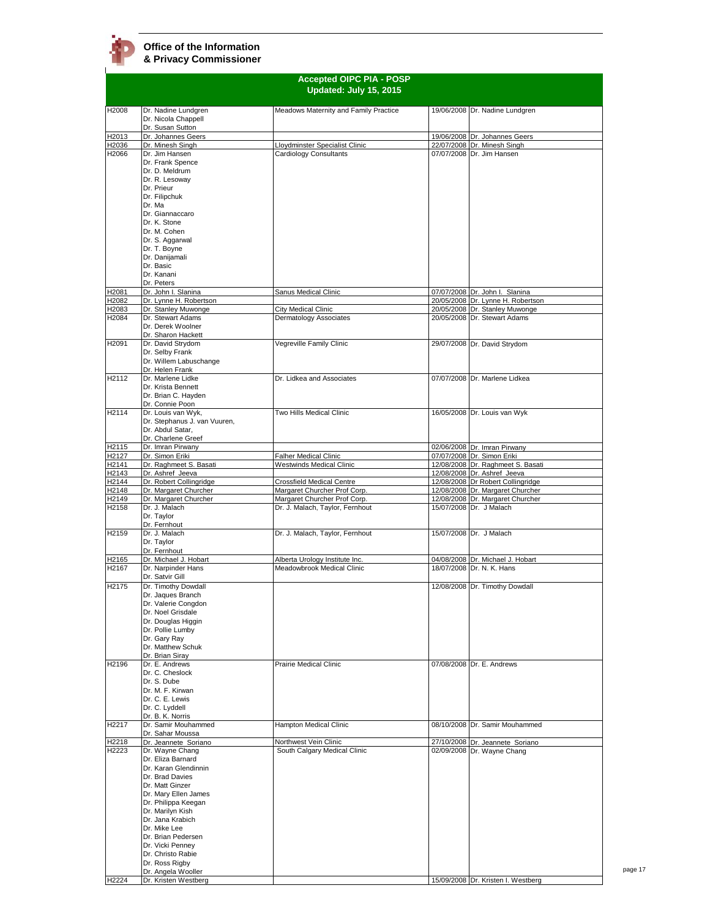ń

| <b>Accepted OIPC PIA - POSP</b><br>Updated: July 15, 2015 |                                            |                                                              |  |                                                                  |
|-----------------------------------------------------------|--------------------------------------------|--------------------------------------------------------------|--|------------------------------------------------------------------|
| H2008                                                     | Dr. Nadine Lundgren                        | Meadows Maternity and Family Practice                        |  | 19/06/2008 Dr. Nadine Lundgren                                   |
|                                                           | Dr. Nicola Chappell<br>Dr. Susan Sutton    |                                                              |  |                                                                  |
| H2013                                                     | Dr. Johannes Geers                         |                                                              |  | 19/06/2008 Dr. Johannes Geers                                    |
| H2036                                                     | Dr. Minesh Singh<br>Dr. Jim Hansen         | Lloydminster Specialist Clinic                               |  | 22/07/2008 Dr. Minesh Singh                                      |
| H2066                                                     | Dr. Frank Spence                           | Cardiology Consultants                                       |  | 07/07/2008 Dr. Jim Hansen                                        |
|                                                           | Dr. D. Meldrum                             |                                                              |  |                                                                  |
|                                                           | Dr. R. Lesoway                             |                                                              |  |                                                                  |
|                                                           | Dr. Prieur                                 |                                                              |  |                                                                  |
|                                                           | Dr. Filipchuk<br>Dr. Ma                    |                                                              |  |                                                                  |
|                                                           | Dr. Giannaccaro                            |                                                              |  |                                                                  |
|                                                           | Dr. K. Stone                               |                                                              |  |                                                                  |
|                                                           | Dr. M. Cohen                               |                                                              |  |                                                                  |
|                                                           | Dr. S. Aggarwal                            |                                                              |  |                                                                  |
|                                                           | Dr. T. Boyne                               |                                                              |  |                                                                  |
|                                                           | Dr. Danijamali<br>Dr. Basic                |                                                              |  |                                                                  |
|                                                           | Dr. Kanani                                 |                                                              |  |                                                                  |
|                                                           | Dr. Peters                                 |                                                              |  |                                                                  |
| H2081                                                     | Dr. John I. Slanina                        | Sanus Medical Clinic                                         |  | 07/07/2008 Dr. John I. Slanina                                   |
| H2082                                                     | Dr. Lynne H. Robertson                     |                                                              |  | 20/05/2008 Dr. Lynne H. Robertson                                |
| H2083<br>H2084                                            | Dr. Stanley Muwonge<br>Dr. Stewart Adams   | City Medical Clinic<br>Dermatology Associates                |  | 20/05/2008 Dr. Stanley Muwonge<br>20/05/2008 Dr. Stewart Adams   |
|                                                           | Dr. Derek Woolner                          |                                                              |  |                                                                  |
|                                                           | Dr. Sharon Hackett                         |                                                              |  |                                                                  |
| H <sub>2091</sub>                                         | Dr. David Strydom                          | Vegreville Family Clinic                                     |  | 29/07/2008 Dr. David Strydom                                     |
|                                                           | Dr. Selby Frank                            |                                                              |  |                                                                  |
|                                                           | Dr. Willem Labuschange<br>Dr. Helen Frank  |                                                              |  |                                                                  |
| H2112                                                     | Dr. Marlene Lidke                          | Dr. Lidkea and Associates                                    |  | 07/07/2008 Dr. Marlene Lidkea                                    |
|                                                           | Dr. Krista Bennett                         |                                                              |  |                                                                  |
|                                                           | Dr. Brian C. Hayden                        |                                                              |  |                                                                  |
| H2114                                                     | Dr. Connie Poon<br>Dr. Louis van Wyk,      | Two Hills Medical Clinic                                     |  | 16/05/2008 Dr. Louis van Wyk                                     |
|                                                           | Dr. Stephanus J. van Vuuren,               |                                                              |  |                                                                  |
|                                                           | Dr. Abdul Satar,                           |                                                              |  |                                                                  |
|                                                           | Dr. Charlene Greef                         |                                                              |  |                                                                  |
| H2115                                                     | Dr. Imran Pirwany                          |                                                              |  | 02/06/2008 Dr. Imran Pirwany                                     |
| H2127                                                     | Dr. Simon Eriki                            | <b>Falher Medical Clinic</b>                                 |  | 07/07/2008 Dr. Simon Eriki                                       |
| H2141<br>H2143                                            | Dr. Raghmeet S. Basati<br>Dr. Ashref Jeeva | Westwinds Medical Clinic                                     |  | 12/08/2008 Dr. Raghmeet S. Basati<br>12/08/2008 Dr. Ashref Jeeva |
| H2144                                                     | Dr. Robert Collingridge                    | <b>Crossfield Medical Centre</b>                             |  | 12/08/2008 Dr Robert Collingridge                                |
| H2148                                                     | Dr. Margaret Churcher                      | Margaret Churcher Prof Corp.                                 |  | 12/08/2008 Dr. Margaret Churcher                                 |
| H2149                                                     | Dr. Margaret Churcher                      | Margaret Churcher Prof Corp.                                 |  | 12/08/2008 Dr. Margaret Churcher                                 |
| H2158                                                     | Dr. J. Malach                              | Dr. J. Malach, Taylor, Fernhout                              |  | 15/07/2008 Dr. J Malach                                          |
|                                                           | Dr. Taylor<br>Dr. Fernhout                 |                                                              |  |                                                                  |
| H2159                                                     | Dr. J. Malach                              | Dr. J. Malach, Taylor, Fernhout                              |  | 15/07/2008 Dr. J Malach                                          |
|                                                           | Dr. Taylor                                 |                                                              |  |                                                                  |
|                                                           | Dr. Fernhout                               |                                                              |  |                                                                  |
| H <sub>2165</sub><br>H2167                                | Dr. Michael J. Hobart                      | Alberta Urology Institute Inc.<br>Meadowbrook Medical Clinic |  | 04/08/2008 Dr. Michael J. Hobart<br>18/07/2008 Dr. N. K. Hans    |
|                                                           | Dr. Narpinder Hans<br>Dr. Satvir Gill      |                                                              |  |                                                                  |
| H <sub>2175</sub>                                         | Dr. Timothy Dowdall                        |                                                              |  | 12/08/2008 Dr. Timothy Dowdall                                   |
|                                                           | Dr. Jaques Branch                          |                                                              |  |                                                                  |
|                                                           | Dr. Valerie Congdon                        |                                                              |  |                                                                  |
|                                                           | Dr. Noel Grisdale                          |                                                              |  |                                                                  |
|                                                           | Dr. Douglas Higgin                         |                                                              |  |                                                                  |
|                                                           | Dr. Pollie Lumby<br>Dr. Gary Ray           |                                                              |  |                                                                  |
|                                                           | Dr. Matthew Schuk                          |                                                              |  |                                                                  |
|                                                           | Dr. Brian Siray                            |                                                              |  |                                                                  |
| H2196                                                     | Dr. E. Andrews                             | <b>Prairie Medical Clinic</b>                                |  | 07/08/2008 Dr. E. Andrews                                        |
|                                                           | Dr. C. Cheslock<br>Dr. S. Dube             |                                                              |  |                                                                  |
|                                                           | Dr. M. F. Kirwan                           |                                                              |  |                                                                  |
|                                                           | Dr. C. E. Lewis                            |                                                              |  |                                                                  |
|                                                           | Dr. C. Lyddell                             |                                                              |  |                                                                  |
|                                                           | Dr. B. K. Norris                           |                                                              |  |                                                                  |
| H2217                                                     | Dr. Samir Mouhammed<br>Dr. Sahar Moussa    | Hampton Medical Clinic                                       |  | 08/10/2008 Dr. Samir Mouhammed                                   |
| H2218                                                     | Dr. Jeannete Soriano                       | Northwest Vein Clinic                                        |  | 27/10/2008 Dr. Jeannete Soriano                                  |
| H2223                                                     | Dr. Wayne Chang                            | South Calgary Medical Clinic                                 |  | 02/09/2008 Dr. Wayne Chang                                       |
|                                                           | Dr. Eliza Barnard                          |                                                              |  |                                                                  |
|                                                           | Dr. Karan Glendinnin<br>Dr. Brad Davies    |                                                              |  |                                                                  |
|                                                           | Dr. Matt Ginzer                            |                                                              |  |                                                                  |
|                                                           | Dr. Mary Ellen James                       |                                                              |  |                                                                  |
|                                                           | Dr. Philippa Keegan                        |                                                              |  |                                                                  |
|                                                           | Dr. Marilyn Kish                           |                                                              |  |                                                                  |
|                                                           | Dr. Jana Krabich                           |                                                              |  |                                                                  |
|                                                           | Dr. Mike Lee<br>Dr. Brian Pedersen         |                                                              |  |                                                                  |
|                                                           | Dr. Vicki Penney                           |                                                              |  |                                                                  |
|                                                           | Dr. Christo Rabie                          |                                                              |  |                                                                  |
|                                                           | Dr. Ross Rigby                             |                                                              |  |                                                                  |
|                                                           | Dr. Angela Wooller                         |                                                              |  |                                                                  |
| H2224                                                     | Dr. Kristen Westberg                       |                                                              |  | 15/09/2008 Dr. Kristen I. Westberg                               |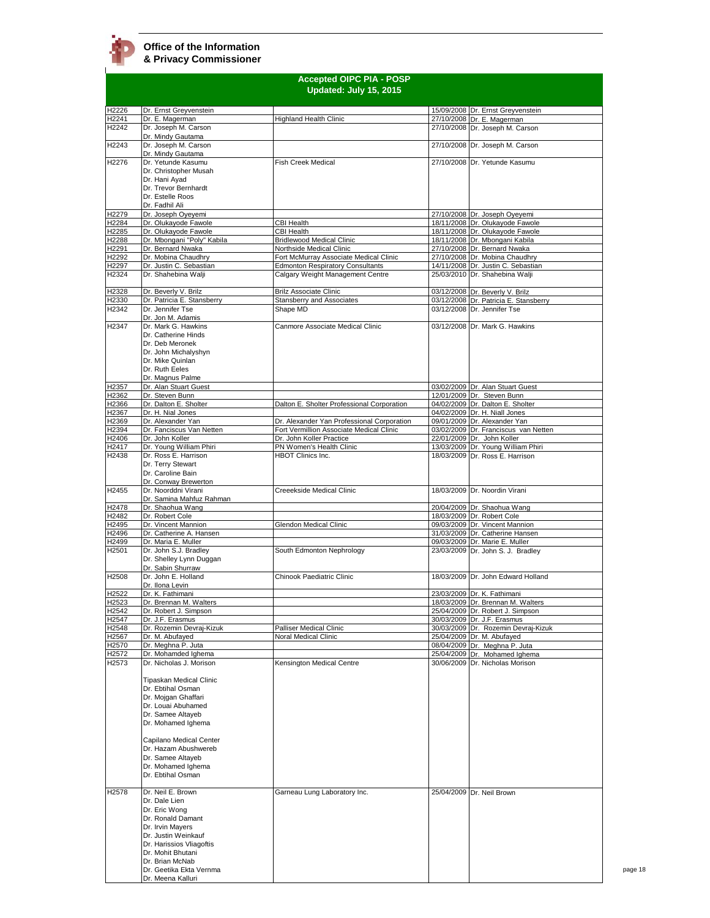| <b>Accepted OIPC PIA - POSP</b><br>Updated: July 15, 2015 |                                                                                                                                                                                                                    |                                                       |  |                                                                  |
|-----------------------------------------------------------|--------------------------------------------------------------------------------------------------------------------------------------------------------------------------------------------------------------------|-------------------------------------------------------|--|------------------------------------------------------------------|
| H2226                                                     | Dr. Ernst Greyvenstein                                                                                                                                                                                             |                                                       |  | 15/09/2008 Dr. Ernst Greyvenstein                                |
| H2241                                                     | Dr. E. Magerman                                                                                                                                                                                                    | <b>Highland Health Clinic</b>                         |  | 27/10/2008 Dr. E. Magerman                                       |
| H2242                                                     | Dr. Joseph M. Carson<br>Dr. Mindy Gautama                                                                                                                                                                          |                                                       |  | 27/10/2008 Dr. Joseph M. Carson                                  |
| H2243                                                     | Dr. Joseph M. Carson<br>Dr. Mindy Gautama                                                                                                                                                                          |                                                       |  | 27/10/2008 Dr. Joseph M. Carson                                  |
| H2276                                                     | Dr. Yetunde Kasumu<br>Dr. Christopher Musah<br>Dr. Hani Ayad<br>Dr. Trevor Bernhardt<br>Dr. Estelle Roos                                                                                                           | <b>Fish Creek Medical</b>                             |  | 27/10/2008 Dr. Yetunde Kasumu                                    |
|                                                           | Dr. Fadhil Ali                                                                                                                                                                                                     |                                                       |  |                                                                  |
| H2279                                                     | Dr. Joseph Oyeyemi                                                                                                                                                                                                 |                                                       |  | 27/10/2008 Dr. Joseph Oyeyemi                                    |
| H2284                                                     | Dr. Olukayode Fawole                                                                                                                                                                                               | CBI Health                                            |  | 18/11/2008 Dr. Olukayode Fawole                                  |
| H2285                                                     | Dr. Olukayode Fawole                                                                                                                                                                                               | <b>CBI Health</b><br><b>Bridlewood Medical Clinic</b> |  | 18/11/2008 Dr. Olukayode Fawole                                  |
| H <sub>2288</sub><br>H2291                                | Dr. Mbongani "Poly" Kabila<br>Dr. Bernard Nwaka                                                                                                                                                                    | Northside Medical Clinic                              |  | 18/11/2008 Dr. Mbongani Kabila<br>27/10/2008 Dr. Bernard Nwaka   |
| H2292                                                     | Dr. Mobina Chaudhry                                                                                                                                                                                                | Fort McMurray Associate Medical Clinic                |  | 27/10/2008 Dr. Mobina Chaudhry                                   |
| H2297                                                     | Dr. Justin C. Sebastian                                                                                                                                                                                            | <b>Edmonton Respiratory Consultants</b>               |  | 14/11/2008 Dr. Justin C. Sebastian                               |
| H2324                                                     | Dr. Shahebina Walji                                                                                                                                                                                                | Calgary Weight Management Centre                      |  | 25/03/2010 Dr. Shahebina Walji                                   |
| H2328                                                     | Dr. Beverly V. Brilz                                                                                                                                                                                               | <b>Brilz Associate Clinic</b>                         |  | 03/12/2008 Dr. Beverly V. Brilz                                  |
| H2330                                                     | Dr. Patricia E. Stansberry                                                                                                                                                                                         | <b>Stansberry and Associates</b>                      |  | 03/12/2008 Dr. Patricia E. Stansberry                            |
| H2342                                                     | Dr. Jennifer Tse                                                                                                                                                                                                   | Shape MD                                              |  | 03/12/2008 Dr. Jennifer Tse                                      |
|                                                           | Dr. Jon M. Adamis                                                                                                                                                                                                  |                                                       |  |                                                                  |
| H2347                                                     | Dr. Mark G. Hawkins<br>Dr. Catherine Hinds<br>Dr. Deb Meronek<br>Dr. John Michalyshyn<br>Dr. Mike Quinlan<br>Dr. Ruth Eeles<br>Dr. Magnus Palme                                                                    | Canmore Associate Medical Clinic                      |  | 03/12/2008 Dr. Mark G. Hawkins                                   |
| H2357                                                     | Dr. Alan Stuart Guest                                                                                                                                                                                              |                                                       |  | 03/02/2009 Dr. Alan Stuart Guest                                 |
| H2362                                                     | Dr. Steven Bunn                                                                                                                                                                                                    |                                                       |  | 12/01/2009 Dr. Steven Bunn                                       |
| H2366                                                     | Dr. Dalton E. Sholter                                                                                                                                                                                              | Dalton E. Sholter Professional Corporation            |  | 04/02/2009 Dr. Dalton E. Sholter                                 |
| H2367                                                     | Dr. H. Nial Jones                                                                                                                                                                                                  |                                                       |  | 04/02/2009 Dr. H. Niall Jones                                    |
| H2369                                                     | Dr. Alexander Yan                                                                                                                                                                                                  | Dr. Alexander Yan Professional Corporation            |  | 09/01/2009 Dr. Alexander Yan                                     |
| H2394                                                     | Dr. Fanciscus Van Netten                                                                                                                                                                                           | Fort Vermillion Associate Medical Clinic              |  | 03/02/2009 Dr. Franciscus van Netten                             |
| H2406                                                     | Dr. John Koller                                                                                                                                                                                                    | Dr. John Koller Practice                              |  | 22/01/2009 Dr. John Koller                                       |
| H2417                                                     | Dr. Young William Phiri                                                                                                                                                                                            | PN Women's Health Clinic                              |  | 13/03/2009 Dr. Young William Phiri                               |
| H2438<br>H2455                                            | Dr. Ross E. Harrison<br>Dr. Terry Stewart<br>Dr. Caroline Bain<br>Dr. Conway Brewerton<br>Dr. Noorddni Virani                                                                                                      | <b>HBOT Clinics Inc.</b><br>Creeekside Medical Clinic |  | 18/03/2009 Dr. Ross E. Harrison<br>18/03/2009 Dr. Noordin Virani |
| H2478                                                     | Dr. Samina Mahfuz Rahman<br>Dr. Shaohua Wang                                                                                                                                                                       |                                                       |  | 20/04/2009 Dr. Shaohua Wang                                      |
| H2482                                                     | Dr. Robert Cole                                                                                                                                                                                                    |                                                       |  | 18/03/2009 Dr. Robert Cole                                       |
| H2495                                                     | Dr. Vincent Mannion                                                                                                                                                                                                | Glendon Medical Clinic                                |  | 09/03/2009 Dr. Vincent Mannion                                   |
| H2496                                                     | Dr. Catherine A. Hansen                                                                                                                                                                                            |                                                       |  | 31/03/2009 Dr. Catherine Hansen                                  |
| H2499                                                     | Dr. Maria E. Muller                                                                                                                                                                                                |                                                       |  | 09/03/2009 Dr. Marie E. Muller                                   |
| H2501                                                     | Dr. John S.J. Bradley<br>Dr. Shelley Lynn Duggan<br>Dr. Sabin Shurraw                                                                                                                                              | South Edmonton Nephrology                             |  | 23/03/2009 Dr. John S. J. Bradley                                |
| H2508                                                     | Dr. John E. Holland<br>Dr. Ilona Levin                                                                                                                                                                             | Chinook Paediatric Clinic                             |  | 18/03/2009 Dr. John Edward Holland                               |
| H2522                                                     | Dr. K. Fathimani                                                                                                                                                                                                   |                                                       |  | 23/03/2009 Dr. K. Fathimani                                      |
| H2523                                                     | Dr. Brennan M. Walters                                                                                                                                                                                             |                                                       |  | 18/03/2009 Dr. Brennan M. Walters                                |
| H2542                                                     | Dr. Robert J. Simpson                                                                                                                                                                                              |                                                       |  | 25/04/2009 Dr. Robert J. Simpson                                 |
| H2547                                                     | Dr. J.F. Erasmus                                                                                                                                                                                                   |                                                       |  | 30/03/2009 Dr. J.F. Erasmus                                      |
| H2548                                                     | Dr. Rozemin Devraj-Kizuk                                                                                                                                                                                           | Palliser Medical Clinic                               |  | 30/03/2009 Dr. Rozemin Devraj-Kizuk                              |
| H2567                                                     | Dr. M. Abufayed                                                                                                                                                                                                    | <b>Noral Medical Clinic</b>                           |  | 25/04/2009 Dr. M. Abufayed                                       |
| H2570                                                     | Dr. Meghna P. Juta                                                                                                                                                                                                 |                                                       |  | 08/04/2009 Dr. Meghna P. Juta                                    |
| H2572<br>H2573                                            | Dr. Mohamded Ighema<br>Dr. Nicholas J. Morison                                                                                                                                                                     | Kensington Medical Centre                             |  | 25/04/2009 Dr. Mohamed Ighema<br>30/06/2009 Dr. Nicholas Morison |
|                                                           | Tipaskan Medical Clinic<br>Dr. Ebtihal Osman<br>Dr. Mojgan Ghaffari<br>Dr. Louai Abuhamed<br>Dr. Samee Altayeb<br>Dr. Mohamed Ighema<br>Capilano Medical Center<br>Dr. Hazam Abushwereb                            |                                                       |  |                                                                  |
| H <sub>2578</sub>                                         | Dr. Samee Altayeb<br>Dr. Mohamed Ighema<br>Dr. Ebtihal Osman<br>Dr. Neil E. Brown                                                                                                                                  | Garneau Lung Laboratory Inc.                          |  | 25/04/2009 Dr. Neil Brown                                        |
|                                                           | Dr. Dale Lien<br>Dr. Eric Wong<br>Dr. Ronald Damant<br>Dr. Irvin Mayers<br>Dr. Justin Weinkauf<br>Dr. Harissios Vliagoftis<br>Dr. Mohit Bhutani<br>Dr. Brian McNab<br>Dr. Geetika Ekta Vernma<br>Dr. Meena Kalluri |                                                       |  |                                                                  |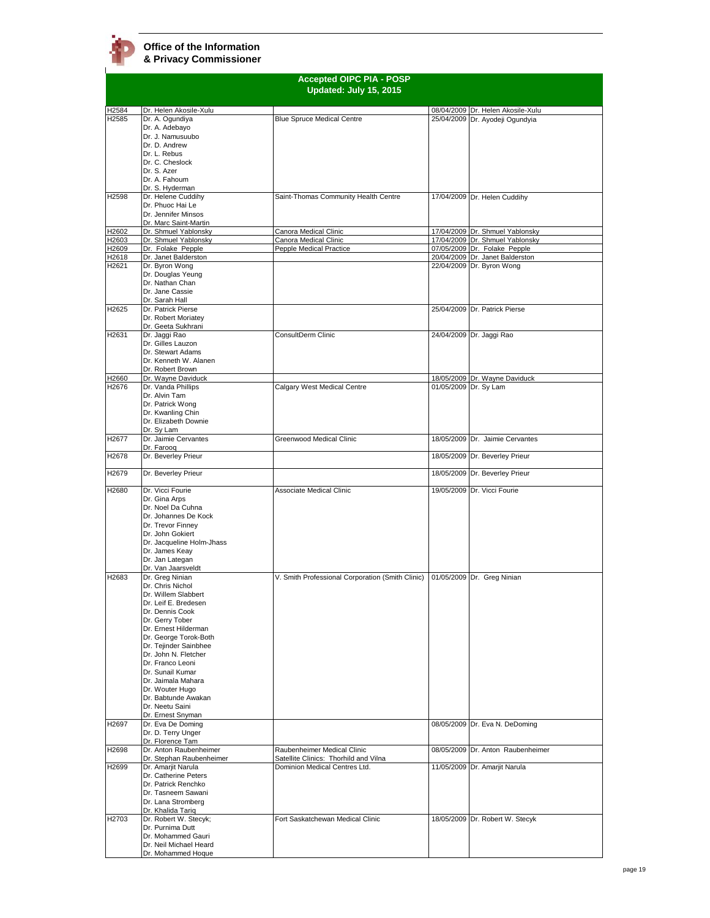|                   | <b>Accepted OIPC PIA - POSP</b>               |                                                  |  |                                                                 |
|-------------------|-----------------------------------------------|--------------------------------------------------|--|-----------------------------------------------------------------|
|                   |                                               | Updated: July 15, 2015                           |  |                                                                 |
|                   |                                               |                                                  |  |                                                                 |
| H2584             | Dr. Helen Akosile-Xulu                        |                                                  |  | 08/04/2009 Dr. Helen Akosile-Xulu                               |
| H <sub>2585</sub> | Dr. A. Ogundiya<br>Dr. A. Adebayo             | <b>Blue Spruce Medical Centre</b>                |  | 25/04/2009 Dr. Ayodeji Ogundyia                                 |
|                   | Dr. J. Namusuubo                              |                                                  |  |                                                                 |
|                   | Dr. D. Andrew                                 |                                                  |  |                                                                 |
|                   | Dr. L. Rebus<br>Dr. C. Cheslock               |                                                  |  |                                                                 |
|                   | Dr. S. Azer                                   |                                                  |  |                                                                 |
|                   | Dr. A. Fahoum                                 |                                                  |  |                                                                 |
|                   | Dr. S. Hyderman                               |                                                  |  |                                                                 |
| H2598             | Dr. Helene Cuddihy<br>Dr. Phuoc Hai Le        | Saint-Thomas Community Health Centre             |  | 17/04/2009 Dr. Helen Cuddihy                                    |
|                   | Dr. Jennifer Minsos                           |                                                  |  |                                                                 |
|                   | Dr. Marc Saint-Martin                         |                                                  |  |                                                                 |
| H2602             | Dr. Shmuel Yablonsky                          | Canora Medical Clinic                            |  | 17/04/2009 Dr. Shmuel Yablonsky                                 |
| H2603<br>H2609    | Dr. Shmuel Yablonsky<br>Dr. Folake Pepple     | Canora Medical Clinic<br>Pepple Medical Practice |  | 17/04/2009 Dr. Shmuel Yablonsky<br>07/05/2009 Dr. Folake Pepple |
| H2618             | Dr. Janet Balderston                          |                                                  |  | 20/04/2009 Dr. Janet Balderston                                 |
| H2621             | Dr. Byron Wong                                |                                                  |  | 22/04/2009 Dr. Byron Wong                                       |
|                   | Dr. Douglas Yeung<br>Dr. Nathan Chan          |                                                  |  |                                                                 |
|                   | Dr. Jane Cassie                               |                                                  |  |                                                                 |
|                   | Dr. Sarah Hall                                |                                                  |  |                                                                 |
| H2625             | Dr. Patrick Pierse                            |                                                  |  | 25/04/2009 Dr. Patrick Pierse                                   |
|                   | Dr. Robert Moriatey<br>Dr. Geeta Sukhrani     |                                                  |  |                                                                 |
| H2631             | Dr. Jaggi Rao                                 | ConsultDerm Clinic                               |  | 24/04/2009 Dr. Jaggi Rao                                        |
|                   | Dr. Gilles Lauzon                             |                                                  |  |                                                                 |
|                   | Dr. Stewart Adams                             |                                                  |  |                                                                 |
|                   | Dr. Kenneth W. Alanen<br>Dr. Robert Brown     |                                                  |  |                                                                 |
| H2660             | Dr. Wayne Daviduck                            |                                                  |  | 18/05/2009 Dr. Wayne Daviduck                                   |
| H <sub>2676</sub> | Dr. Vanda Phillips                            | Calgary West Medical Centre                      |  | 01/05/2009 Dr. Sy Lam                                           |
|                   | Dr. Alvin Tam                                 |                                                  |  |                                                                 |
|                   | Dr. Patrick Wong<br>Dr. Kwanling Chin         |                                                  |  |                                                                 |
|                   | Dr. Elizabeth Downie                          |                                                  |  |                                                                 |
|                   | Dr. Sy Lam                                    |                                                  |  |                                                                 |
| H2677             | Dr. Jaimie Cervantes<br>Dr. Faroog            | Greenwood Medical Clinic                         |  | 18/05/2009 Dr. Jaimie Cervantes                                 |
| H2678             | Dr. Beverley Prieur                           |                                                  |  | 18/05/2009 Dr. Beverley Prieur                                  |
| H2679             | Dr. Beverley Prieur                           |                                                  |  | 18/05/2009 Dr. Beverley Prieur                                  |
| H2680             | Dr. Vicci Fourie                              | Associate Medical Clinic                         |  | 19/05/2009 Dr. Vicci Fourie                                     |
|                   | Dr. Gina Arps                                 |                                                  |  |                                                                 |
|                   | Dr. Noel Da Cuhna                             |                                                  |  |                                                                 |
|                   | Dr. Johannes De Kock<br>Dr. Trevor Finnev     |                                                  |  |                                                                 |
|                   | Dr. John Gokiert                              |                                                  |  |                                                                 |
|                   | Dr. Jacqueline Holm-Jhass                     |                                                  |  |                                                                 |
|                   | Dr. James Keay                                |                                                  |  |                                                                 |
|                   | Dr. Jan Lategan<br>Dr. Van Jaarsveldt         |                                                  |  |                                                                 |
| H2683             | Dr. Greg Ninian                               | V. Smith Professional Corporation (Smith Clinic) |  | 01/05/2009 Dr. Greg Ninian                                      |
|                   | Dr. Chris Nichol                              |                                                  |  |                                                                 |
|                   | Dr. Willem Slabbert                           |                                                  |  |                                                                 |
|                   | Dr. Leif E. Bredesen<br>Dr. Dennis Cook       |                                                  |  |                                                                 |
|                   | Dr. Gerry Tober                               |                                                  |  |                                                                 |
|                   | Dr. Ernest Hilderman                          |                                                  |  |                                                                 |
|                   | Dr. George Torok-Both                         |                                                  |  |                                                                 |
|                   | Dr. Tejinder Sainbhee<br>Dr. John N. Fletcher |                                                  |  |                                                                 |
|                   | Dr. Franco Leoni                              |                                                  |  |                                                                 |
|                   | Dr. Sunail Kumar                              |                                                  |  |                                                                 |
|                   | Dr. Jaimala Mahara                            |                                                  |  |                                                                 |
|                   | Dr. Wouter Hugo<br>Dr. Babtunde Awakan        |                                                  |  |                                                                 |
|                   | Dr. Neetu Saini                               |                                                  |  |                                                                 |
|                   | Dr. Ernest Snyman                             |                                                  |  |                                                                 |
| H <sub>2697</sub> | Dr. Eva De Doming                             |                                                  |  | 08/05/2009 Dr. Eva N. DeDoming                                  |
|                   | Dr. D. Terry Unger<br>Dr. Florence Tam        |                                                  |  |                                                                 |
| H2698             | Dr. Anton Raubenheimer                        | Raubenheimer Medical Clinic                      |  | 08/05/2009 Dr. Anton Raubenheimer                               |
|                   | Dr. Stephan Raubenheimer                      | Satellite Clinics: Thorhild and Vilna            |  |                                                                 |
| H2699             | Dr. Amarjit Narula<br>Dr. Catherine Peters    | Dominion Medical Centres Ltd.                    |  | 11/05/2009 Dr. Amarjit Narula                                   |
|                   | Dr. Patrick Renchko                           |                                                  |  |                                                                 |
|                   | Dr. Tasneem Sawani                            |                                                  |  |                                                                 |
|                   | Dr. Lana Stromberg                            |                                                  |  |                                                                 |
| H2703             | Dr. Khalida Tariq<br>Dr. Robert W. Stecyk;    | Fort Saskatchewan Medical Clinic                 |  | 18/05/2009 Dr. Robert W. Stecyk                                 |
|                   | Dr. Purnima Dutt                              |                                                  |  |                                                                 |
|                   | Dr. Mohammed Gauri                            |                                                  |  |                                                                 |
|                   | Dr. Neil Michael Heard<br>Dr. Mohammed Hoque  |                                                  |  |                                                                 |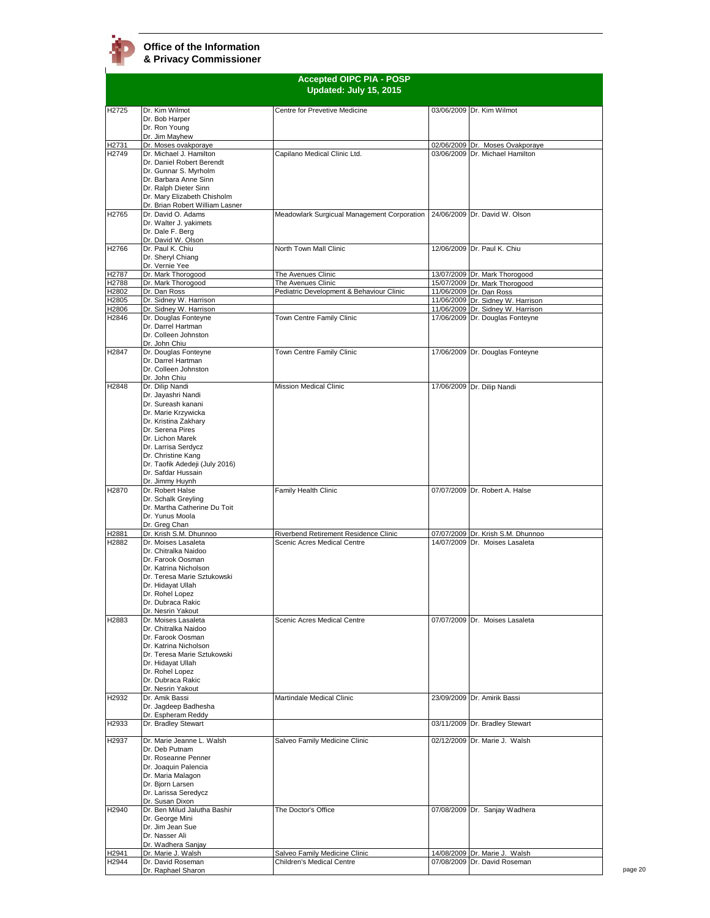|                                              |                                                                                                                                                                                                                                                                            | <b>Accepted OIPC PIA - POSP</b>                                                      |                                                                                                                                |
|----------------------------------------------|----------------------------------------------------------------------------------------------------------------------------------------------------------------------------------------------------------------------------------------------------------------------------|--------------------------------------------------------------------------------------|--------------------------------------------------------------------------------------------------------------------------------|
|                                              |                                                                                                                                                                                                                                                                            | Updated: July 15, 2015                                                               |                                                                                                                                |
| H2725                                        | Dr. Kim Wilmot<br>Dr. Bob Harper<br>Dr. Ron Young<br>Dr. Jim Mayhew                                                                                                                                                                                                        | Centre for Prevetive Medicine                                                        | 03/06/2009 Dr. Kim Wilmot                                                                                                      |
| H2731<br>H2749                               | Dr. Moses ovakporaye<br>Dr. Michael J. Hamilton<br>Dr. Daniel Robert Berendt<br>Dr. Gunnar S. Myrholm<br>Dr. Barbara Anne Sinn<br>Dr. Ralph Dieter Sinn<br>Dr. Mary Elizabeth Chisholm                                                                                     | Capilano Medical Clinic Ltd.                                                         | 02/06/2009 Dr. Moses Ovakporaye<br>03/06/2009 Dr. Michael Hamilton                                                             |
| H2765                                        | Dr. Brian Robert William Lasner<br>Dr. David O. Adams<br>Dr. Walter J. yakimets<br>Dr. Dale F. Berg                                                                                                                                                                        | Meadowlark Surgicual Management Corporation                                          | 24/06/2009 Dr. David W. Olson                                                                                                  |
| H2766                                        | Dr. David W. Olson<br>Dr. Paul K. Chiu<br>Dr. Sheryl Chiang<br>Dr. Vernie Yee                                                                                                                                                                                              | North Town Mall Clinic                                                               | 12/06/2009 Dr. Paul K. Chiu                                                                                                    |
| H <sub>2787</sub><br>H2788<br>H2802<br>H2805 | Dr. Mark Thorogood<br>Dr. Mark Thorogood<br>Dr. Dan Ross<br>Dr. Sidney W. Harrison                                                                                                                                                                                         | The Avenues Clinic<br>The Avenues Clinic<br>Pediatric Development & Behaviour Clinic | 13/07/2009 Dr. Mark Thorogood<br>15/07/2009 Dr. Mark Thorogood<br>11/06/2009 Dr. Dan Ross<br>11/06/2009 Dr. Sidney W. Harrison |
| H2806<br>H2846                               | Dr. Sidney W. Harrison<br>Dr. Douglas Fonteyne<br>Dr. Darrel Hartman<br>Dr. Colleen Johnston<br>Dr. John Chiu                                                                                                                                                              | Town Centre Family Clinic                                                            | 11/06/2009 Dr. Sidney W. Harrison<br>17/06/2009 Dr. Douglas Fonteyne                                                           |
| H2847                                        | Dr. Douglas Fonteyne<br>Dr. Darrel Hartman<br>Dr. Colleen Johnston<br>Dr. John Chiu                                                                                                                                                                                        | Town Centre Family Clinic                                                            | 17/06/2009 Dr. Douglas Fonteyne                                                                                                |
| H2848                                        | Dr. Dilip Nandi<br>Dr. Jayashri Nandi<br>Dr. Sureash kanani<br>Dr. Marie Krzywicka<br>Dr. Kristina Zakhary<br>Dr. Serena Pires<br>Dr. Lichon Marek<br>Dr. Larrisa Serdycz<br>Dr. Christine Kang<br>Dr. Taofik Adedeji (July 2016)<br>Dr. Safdar Hussain<br>Dr. Jimmy Huynh | <b>Mission Medical Clinic</b>                                                        | 17/06/2009 Dr. Dilip Nandi                                                                                                     |
| H2870                                        | Dr. Robert Halse<br>Dr. Schalk Greyling<br>Dr. Martha Catherine Du Toit<br>Dr. Yunus Moola<br>Dr. Greg Chan                                                                                                                                                                | Family Health Clinic                                                                 | 07/07/2009 Dr. Robert A. Halse                                                                                                 |
| H2881<br>H2882                               | Dr. Krish S.M. Dhunnoo<br>Dr. Moises Lasaleta<br>Dr. Chitralka Naidoo<br>Dr. Farook Oosman<br>Dr. Katrina Nicholson<br>Dr. Teresa Marie Sztukowski<br>Dr. Hidayat Ullah<br>Dr. Rohel Lopez<br>Dr. Dubraca Rakic<br>Dr. Nesrin Yakout                                       | Riverbend Retirement Residence Clinic<br>Scenic Acres Medical Centre                 | 07/07/2009 Dr. Krish S.M. Dhunnoo<br>14/07/2009 Dr. Moises Lasaleta                                                            |
| H2883                                        | Dr. Moises Lasaleta<br>Dr. Chitralka Naidoo<br>Dr. Farook Oosman<br>Dr. Katrina Nicholson<br>Dr. Teresa Marie Sztukowski<br>Dr. Hidayat Ullah<br>Dr. Rohel Lopez<br>Dr. Dubraca Rakic<br>Dr. Nesrin Yakout                                                                 | Scenic Acres Medical Centre                                                          | 07/07/2009 Dr. Moises Lasaleta                                                                                                 |
| H2932                                        | Dr. Amik Bassi<br>Dr. Jagdeep Badhesha<br>Dr. Espheram Reddy                                                                                                                                                                                                               | Martindale Medical Clinic                                                            | 23/09/2009 Dr. Amirik Bassi                                                                                                    |
| H2933                                        | Dr. Bradley Stewart                                                                                                                                                                                                                                                        |                                                                                      | 03/11/2009 Dr. Bradley Stewart                                                                                                 |
| H2937                                        | Dr. Marie Jeanne L. Walsh<br>Dr. Deb Putnam<br>Dr. Roseanne Penner<br>Dr. Joaquin Palencia<br>Dr. Maria Malagon<br>Dr. Bjorn Larsen<br>Dr. Larissa Seredycz<br>Dr. Susan Dixon                                                                                             | Salveo Family Medicine Clinic                                                        | 02/12/2009 Dr. Marie J. Walsh                                                                                                  |
| H2940                                        | Dr. Ben Milud Jalutha Bashir<br>Dr. George Mini<br>Dr. Jim Jean Sue<br>Dr. Nasser Ali<br>Dr. Wadhera Sanjay                                                                                                                                                                | The Doctor's Office                                                                  | 07/08/2009 Dr. Sanjay Wadhera                                                                                                  |
| H2941<br>H2944                               | Dr. Marie J. Walsh<br>Dr. David Roseman<br>Dr. Raphael Sharon                                                                                                                                                                                                              | Salveo Family Medicine Clinic<br>Children's Medical Centre                           | 14/08/2009 Dr. Marie J. Walsh<br>07/08/2009 Dr. David Roseman                                                                  |

page 20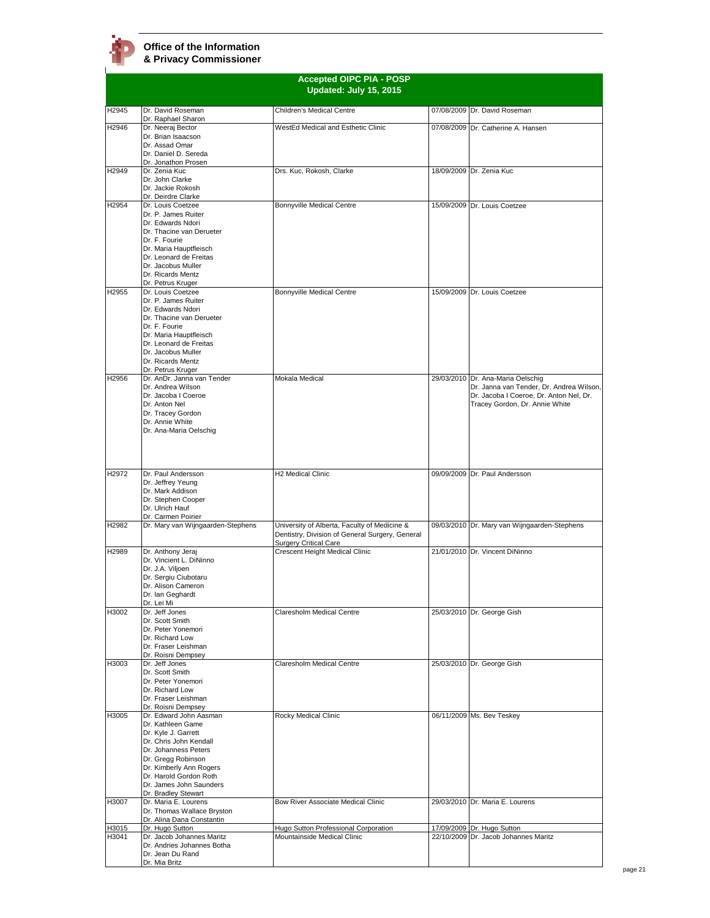

|                   | <b>Accepted OIPC PIA - POSP</b><br>Updated: July 15, 2015                                                                                                                                                                                            |                                                                                                                                 |            |                                                                                                                                                 |
|-------------------|------------------------------------------------------------------------------------------------------------------------------------------------------------------------------------------------------------------------------------------------------|---------------------------------------------------------------------------------------------------------------------------------|------------|-------------------------------------------------------------------------------------------------------------------------------------------------|
| H2945             | Dr. David Roseman                                                                                                                                                                                                                                    | Children's Medical Centre                                                                                                       |            | 07/08/2009 Dr. David Roseman                                                                                                                    |
| H2946             | Dr. Raphael Sharon<br>Dr. Neeraj Bector<br>Dr. Brian Isaacson<br>Dr. Assad Omar<br>Dr. Daniel D. Sereda                                                                                                                                              | WestEd Medical and Esthetic Clinic                                                                                              |            | 07/08/2009 Dr. Catherine A. Hansen                                                                                                              |
| H2949             | Dr. Jonathon Prosen<br>Dr. Zenia Kuc<br>Dr. John Clarke<br>Dr. Jackie Rokosh                                                                                                                                                                         | Drs. Kuc, Rokosh, Clarke                                                                                                        |            | 18/09/2009 Dr. Zenia Kuc                                                                                                                        |
| H2954             | Dr. Deirdre Clarke<br>Dr. Louis Coetzee<br>Dr. P. James Ruiter<br>Dr. Edwards Ndori<br>Dr. Thacine van Derueter<br>Dr. F. Fourie<br>Dr. Maria Hauptfleisch<br>Dr. Leonard de Freitas<br>Dr. Jacobus Muller<br>Dr. Ricards Mentz<br>Dr. Petrus Kruger | <b>Bonnyville Medical Centre</b>                                                                                                |            | 15/09/2009 Dr. Louis Coetzee                                                                                                                    |
| H2955             | Dr. Louis Coetzee<br>Dr. P. James Ruiter<br>Dr. Edwards Ndori<br>Dr. Thacine van Derueter<br>Dr. F. Fourie<br>Dr. Maria Hauptfleisch<br>Dr. Leonard de Freitas<br>Dr. Jacobus Muller<br>Dr. Ricards Mentz<br>Dr. Petrus Kruger                       | Bonnyville Medical Centre                                                                                                       |            | 15/09/2009 Dr. Louis Coetzee                                                                                                                    |
| H2956             | Dr. AnDr. Janna van Tender<br>Dr. Andrea Wilson<br>Dr. Jacoba I Coeroe<br>Dr. Anton Nel<br>Dr. Tracey Gordon<br>Dr. Annie White<br>Dr. Ana-Maria Oelschig                                                                                            | Mokala Medical                                                                                                                  | 29/03/2010 | Dr. Ana-Maria Oelschig<br>Dr. Janna van Tender, Dr. Andrea Wilson,<br>Dr. Jacoba I Coeroe, Dr. Anton Nel, Dr.<br>Tracey Gordon, Dr. Annie White |
| H <sub>2972</sub> | Dr. Paul Andersson<br>Dr. Jeffrey Yeung<br>Dr. Mark Addison<br>Dr. Stephen Cooper<br>Dr. Ulrich Hauf<br>Dr. Carmen Poirier                                                                                                                           | H2 Medical Clinic                                                                                                               |            | 09/09/2009 Dr. Paul Andersson                                                                                                                   |
| H2982             | Dr. Mary van Wijngaarden-Stephens                                                                                                                                                                                                                    | University of Alberta, Faculty of Medicine &<br>Dentistry, Division of General Surgery, General<br><b>Surgery Critical Care</b> |            | 09/03/2010 Dr. Mary van Wijngaarden-Stephens                                                                                                    |
| H2989             | Dr. Anthony Jeraj<br>Dr. Vincient L. DiNinno<br>Dr. J.A. Viljoen<br>Dr. Sergiu Ciubotaru<br>Dr. Alison Cameron<br>Dr. Ian Geghardt<br>Dr. Lei Mi                                                                                                     | Crescent Height Medical Clinic                                                                                                  |            | 21/01/2010 Dr. Vincent DiNinno                                                                                                                  |
| H3002             | Dr. Jeff Jones<br>Dr. Scott Smith<br>Dr. Peter Yonemori<br>Dr. Richard Low<br>Dr. Fraser Leishman<br>Dr. Roisni Dempsey                                                                                                                              | Claresholm Medical Centre                                                                                                       |            | 25/03/2010 Dr. George Gish                                                                                                                      |
| H3003             | Dr. Jeff Jones<br>Dr. Scott Smith<br>Dr. Peter Yonemori<br>Dr. Richard Low<br>Dr. Fraser Leishman<br>Dr. Roisni Dempsey                                                                                                                              | Claresholm Medical Centre                                                                                                       |            | 25/03/2010 Dr. George Gish                                                                                                                      |
| H3005             | Dr. Edward John Aasman<br>Dr. Kathleen Game<br>Dr. Kyle J. Garrett<br>Dr. Chris John Kendall<br>Dr. Johanness Peters<br>Dr. Gregg Robinson<br>Dr. Kimberly Ann Rogers<br>Dr. Harold Gordon Roth<br>Dr. James John Saunders<br>Dr. Bradley Stewart    | Rocky Medical Clinic                                                                                                            |            | 06/11/2009 Ms. Bev Teskey                                                                                                                       |
| H3007             | Dr. Maria E. Lourens<br>Dr. Thomas Wallace Bryston<br>Dr. Alina Dana Constantin                                                                                                                                                                      | Bow River Associate Medical Clinic                                                                                              |            | 29/03/2010 Dr. Maria E. Lourens                                                                                                                 |
| H3015<br>H3041    | Dr. Hugo Sutton<br>Dr. Jacob Johannes Maritz                                                                                                                                                                                                         | Hugo Sutton Professional Corporation<br>Mountainside Medical Clinic                                                             | 22/10/2009 | 17/09/2009 Dr. Hugo Sutton<br>Dr. Jacob Johannes Maritz                                                                                         |
|                   | Dr. Andries Johannes Botha<br>Dr. Jean Du Rand<br>Dr. Mia Britz                                                                                                                                                                                      |                                                                                                                                 |            |                                                                                                                                                 |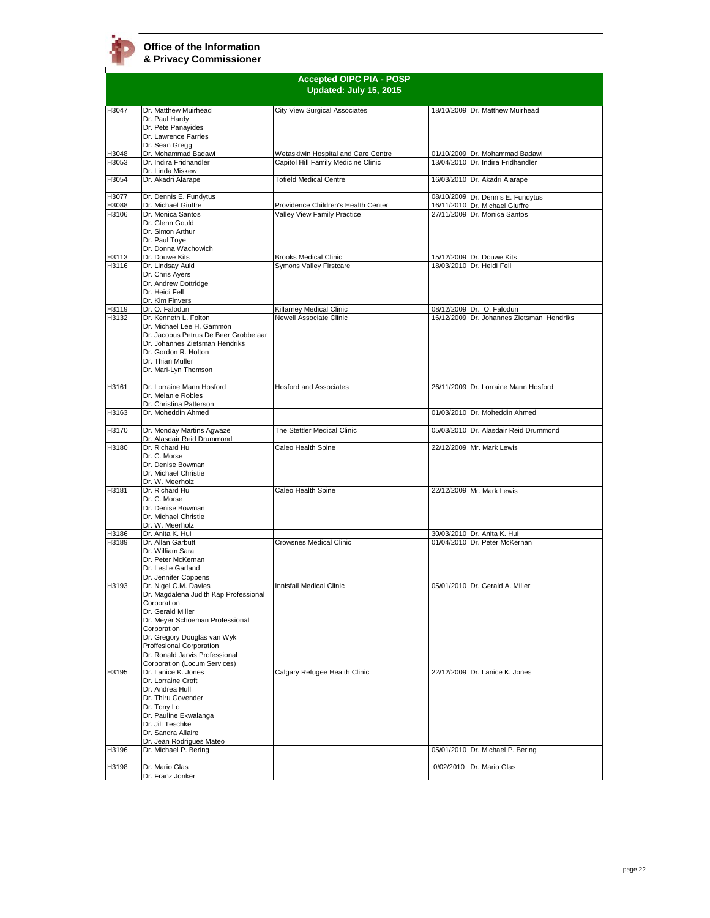

| <b>Accepted OIPC PIA - POSP</b> |                                                                                                                                                                                                                                                                                   |                                     |  |                                                                     |
|---------------------------------|-----------------------------------------------------------------------------------------------------------------------------------------------------------------------------------------------------------------------------------------------------------------------------------|-------------------------------------|--|---------------------------------------------------------------------|
|                                 |                                                                                                                                                                                                                                                                                   | Updated: July 15, 2015              |  |                                                                     |
| H3047                           | Dr. Matthew Muirhead<br>Dr. Paul Hardy<br>Dr. Pete Panayides<br>Dr. Lawrence Farries<br>Dr. Sean Gregg                                                                                                                                                                            | City View Surgical Associates       |  | 18/10/2009 Dr. Matthew Muirhead                                     |
| H3048                           | Dr. Mohammad Badawi                                                                                                                                                                                                                                                               | Wetaskiwin Hospital and Care Centre |  | 01/10/2009 Dr. Mohammad Badawi                                      |
| H3053                           | Dr. Indira Fridhandler<br>Dr. Linda Miskew                                                                                                                                                                                                                                        | Capitol Hill Family Medicine Clinic |  | 13/04/2010 Dr. Indira Fridhandler                                   |
| H3054                           | Dr. Akadri Alarape                                                                                                                                                                                                                                                                | <b>Tofield Medical Centre</b>       |  | 16/03/2010 Dr. Akadri Alarape                                       |
| H3077<br>H3088                  | Dr. Dennis E. Fundytus<br>Dr. Michael Giuffre                                                                                                                                                                                                                                     | Providence Children's Health Center |  | 08/10/2009 Dr. Dennis E. Fundytus<br>16/11/2010 Dr. Michael Giuffre |
| H3106                           | Dr. Monica Santos<br>Dr. Glenn Gould<br>Dr. Simon Arthur<br>Dr. Paul Toye<br>Dr. Donna Wachowich                                                                                                                                                                                  | Valley View Family Practice         |  | 27/11/2009 Dr. Monica Santos                                        |
| H3113                           | Dr. Douwe Kits                                                                                                                                                                                                                                                                    | <b>Brooks Medical Clinic</b>        |  | 15/12/2009 Dr. Douwe Kits                                           |
| H3116                           | Dr. Lindsay Auld<br>Dr. Chris Ayers<br>Dr. Andrew Dottridge<br>Dr. Heidi Fell<br>Dr. Kim Finvers                                                                                                                                                                                  | Symons Valley Firstcare             |  | 18/03/2010 Dr. Heidi Fell                                           |
| H3119                           | Dr. O. Falodun                                                                                                                                                                                                                                                                    | Killarney Medical Clinic            |  | 08/12/2009 Dr. O. Falodun                                           |
| H3132                           | Dr. Kenneth L. Folton<br>Dr. Michael Lee H. Gammon<br>Dr. Jacobus Petrus De Beer Grobbelaar<br>Dr. Johannes Zietsman Hendriks<br>Dr. Gordon R. Holton<br>Dr. Thian Muller<br>Dr. Mari-Lyn Thomson                                                                                 | Newell Associate Clinic             |  | 16/12/2009 Dr. Johannes Zietsman Hendriks                           |
| H3161                           | Dr. Lorraine Mann Hosford<br>Dr. Melanie Robles<br>Dr. Christina Patterson                                                                                                                                                                                                        | <b>Hosford and Associates</b>       |  | 26/11/2009 Dr. Lorraine Mann Hosford                                |
| H3163                           | Dr. Moheddin Ahmed                                                                                                                                                                                                                                                                |                                     |  | 01/03/2010 Dr. Moheddin Ahmed                                       |
| H3170                           | Dr. Monday Martins Agwaze<br>Dr. Alasdair Reid Drummond                                                                                                                                                                                                                           | The Stettler Medical Clinic         |  | 05/03/2010 Dr. Alasdair Reid Drummond                               |
| H3180                           | Dr. Richard Hu<br>Dr. C. Morse<br>Dr. Denise Bowman<br>Dr. Michael Christie<br>Dr. W. Meerholz                                                                                                                                                                                    | Caleo Health Spine                  |  | 22/12/2009 Mr. Mark Lewis                                           |
| H3181                           | Dr. Richard Hu<br>Dr. C. Morse<br>Dr. Denise Bowman<br>Dr. Michael Christie<br>Dr. W. Meerholz                                                                                                                                                                                    | Caleo Health Spine                  |  | 22/12/2009 Mr. Mark Lewis                                           |
| H3186                           | Dr. Anita K. Hui                                                                                                                                                                                                                                                                  |                                     |  | 30/03/2010 Dr. Anita K. Hui                                         |
| H3189                           | Dr. Allan Garbutt<br>Dr. William Sara<br>Dr. Peter McKernan<br>Dr. Leslie Garland<br>Dr. Jennifer Coppens                                                                                                                                                                         | Crowsnes Medical Clinic             |  | 01/04/2010 Dr. Peter McKernan                                       |
| H3193                           | Dr. Nigel C.M. Davies<br>Dr. Magdalena Judith Kap Professional<br>Corporation<br>Dr. Gerald Miller<br>Dr. Meyer Schoeman Professional<br>Corporation<br>Dr. Gregory Douglas van Wyk<br>Proffesional Corporation<br>Dr. Ronald Jarvis Professional<br>Corporation (Locum Services) | Innisfail Medical Clinic            |  | 05/01/2010 Dr. Gerald A. Miller                                     |
| H3195<br>H3196                  | Dr. Lanice K. Jones<br>Dr. Lorraine Croft<br>Dr. Andrea Hull<br>Dr. Thiru Govender<br>Dr. Tony Lo<br>Dr. Pauline Ekwalanga<br>Dr. Jill Teschke<br>Dr. Sandra Allaire<br>Dr. Jean Rodrigues Mateo<br>Dr. Michael P. Bering                                                         | Calgary Refugee Health Clinic       |  | 22/12/2009 Dr. Lanice K. Jones<br>05/01/2010 Dr. Michael P. Bering  |
|                                 |                                                                                                                                                                                                                                                                                   |                                     |  |                                                                     |
| H3198                           | Dr. Mario Glas<br>Dr. Franz Jonker                                                                                                                                                                                                                                                |                                     |  | 0/02/2010 Dr. Mario Glas                                            |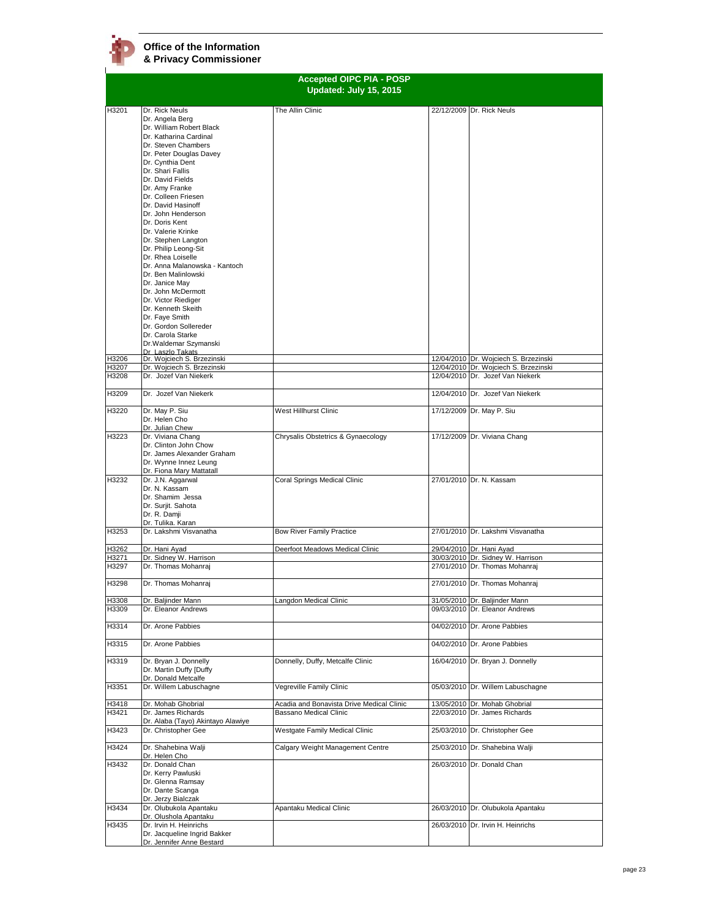| <b>Accepted OIPC PIA - POSP</b><br>Updated: July 15, 2015 |                                                          |                                           |  |                                                                                |
|-----------------------------------------------------------|----------------------------------------------------------|-------------------------------------------|--|--------------------------------------------------------------------------------|
| H3201                                                     |                                                          |                                           |  |                                                                                |
|                                                           | Dr. Rick Neuls<br>Dr. Angela Berg                        | The Allin Clinic                          |  | 22/12/2009 Dr. Rick Neuls                                                      |
|                                                           | Dr. William Robert Black                                 |                                           |  |                                                                                |
|                                                           | Dr. Katharina Cardinal                                   |                                           |  |                                                                                |
|                                                           | Dr. Steven Chambers                                      |                                           |  |                                                                                |
|                                                           | Dr. Peter Douglas Davey<br>Dr. Cynthia Dent              |                                           |  |                                                                                |
|                                                           | Dr. Shari Fallis                                         |                                           |  |                                                                                |
|                                                           | Dr. David Fields                                         |                                           |  |                                                                                |
|                                                           | Dr. Amy Franke                                           |                                           |  |                                                                                |
|                                                           | Dr. Colleen Friesen                                      |                                           |  |                                                                                |
|                                                           | Dr. David Hasinoff<br>Dr. John Henderson                 |                                           |  |                                                                                |
|                                                           | Dr. Doris Kent                                           |                                           |  |                                                                                |
|                                                           | Dr. Valerie Krinke                                       |                                           |  |                                                                                |
|                                                           | Dr. Stephen Langton                                      |                                           |  |                                                                                |
|                                                           | Dr. Philip Leong-Sit                                     |                                           |  |                                                                                |
|                                                           | Dr. Rhea Loiselle                                        |                                           |  |                                                                                |
|                                                           | Dr. Anna Malanowska - Kantoch<br>Dr. Ben Malinlowski     |                                           |  |                                                                                |
|                                                           | Dr. Janice May                                           |                                           |  |                                                                                |
|                                                           | Dr. John McDermott                                       |                                           |  |                                                                                |
|                                                           | Dr. Victor Riediger                                      |                                           |  |                                                                                |
|                                                           | Dr. Kenneth Skeith                                       |                                           |  |                                                                                |
|                                                           | Dr. Faye Smith<br>Dr. Gordon Sollereder                  |                                           |  |                                                                                |
|                                                           | Dr. Carola Starke                                        |                                           |  |                                                                                |
|                                                           | Dr. Waldemar Szymanski                                   |                                           |  |                                                                                |
|                                                           | Dr Laszlo Takats                                         |                                           |  |                                                                                |
| H3206<br>H3207                                            | Dr. Wojciech S. Brzezinski<br>Dr. Wojciech S. Brzezinski |                                           |  | 12/04/2010 Dr. Wojciech S. Brzezinski<br>12/04/2010 Dr. Woiciech S. Brzezinski |
| H3208                                                     | Dr. Jozef Van Niekerk                                    |                                           |  | 12/04/2010 Dr. Jozef Van Niekerk                                               |
|                                                           |                                                          |                                           |  |                                                                                |
| H3209                                                     | Dr. Jozef Van Niekerk                                    |                                           |  | 12/04/2010 Dr. Jozef Van Niekerk                                               |
| H3220                                                     | Dr. May P. Siu                                           | West Hillhurst Clinic                     |  | 17/12/2009 Dr. May P. Siu                                                      |
|                                                           | Dr. Helen Cho                                            |                                           |  |                                                                                |
| H3223                                                     | Dr. Julian Chew<br>Dr. Viviana Chang                     | Chrysalis Obstetrics & Gynaecology        |  | 17/12/2009 Dr. Viviana Chang                                                   |
|                                                           | Dr. Clinton John Chow                                    |                                           |  |                                                                                |
|                                                           | Dr. James Alexander Graham                               |                                           |  |                                                                                |
|                                                           | Dr. Wynne Innez Leung                                    |                                           |  |                                                                                |
|                                                           | Dr. Fiona Mary Mattatall                                 |                                           |  |                                                                                |
| H3232                                                     | Dr. J.N. Aggarwal<br>Dr. N. Kassam                       | Coral Springs Medical Clinic              |  | 27/01/2010 Dr. N. Kassam                                                       |
|                                                           | Dr. Shamim Jessa                                         |                                           |  |                                                                                |
|                                                           | Dr. Surjit. Sahota                                       |                                           |  |                                                                                |
|                                                           | Dr. R. Damji                                             |                                           |  |                                                                                |
|                                                           | Dr. Tulika. Karan                                        |                                           |  |                                                                                |
| H3253                                                     | Dr. Lakshmi Visvanatha                                   | <b>Bow River Family Practice</b>          |  | 27/01/2010 Dr. Lakshmi Visvanatha                                              |
| H3262                                                     | Dr. Hani Ayad                                            | Deerfoot Meadows Medical Clinic           |  | 29/04/2010 Dr. Hani Avad                                                       |
| H3271                                                     | Dr. Sidney W. Harrison                                   |                                           |  | 30/03/2010 Dr. Sidney W. Harrison                                              |
| H3297                                                     | Dr. Thomas Mohanraj                                      |                                           |  | 27/01/2010 Dr. Thomas Mohanraj                                                 |
| H3298                                                     | Dr. Thomas Mohanraj                                      |                                           |  | 27/01/2010 Dr. Thomas Mohanraj                                                 |
| H3308                                                     | Dr. Baljinder Mann                                       | angdon Medical Clinic                     |  | 31/05/2010 Dr. Baljinder Mann                                                  |
| H3309                                                     | Dr. Eleanor Andrews                                      |                                           |  | 09/03/2010 Dr. Eleanor Andrews                                                 |
|                                                           |                                                          |                                           |  |                                                                                |
| H3314                                                     | Dr. Arone Pabbies                                        |                                           |  | 04/02/2010 Dr. Arone Pabbies                                                   |
| H3315                                                     | Dr. Arone Pabbies                                        |                                           |  | 04/02/2010 Dr. Arone Pabbies                                                   |
| H3319                                                     | Dr. Bryan J. Donnelly                                    | Donnelly, Duffy, Metcalfe Clinic          |  | 16/04/2010 Dr. Bryan J. Donnelly                                               |
|                                                           | Dr. Martin Duffy [Duffy                                  |                                           |  |                                                                                |
| H3351                                                     | Dr. Donald Metcalfe<br>Dr. Willem Labuschagne            | Vegreville Family Clinic                  |  | 05/03/2010 Dr. Willem Labuschagne                                              |
|                                                           |                                                          |                                           |  |                                                                                |
| H3418                                                     | Dr. Mohab Ghobrial                                       | Acadia and Bonavista Drive Medical Clinic |  | 13/05/2010 Dr. Mohab Ghobrial                                                  |
| H3421                                                     | Dr. James Richards                                       | Bassano Medical Clinic                    |  | 22/03/2010 Dr. James Richards                                                  |
| H3423                                                     | Dr. Alaba (Tayo) Akintayo Alawiye<br>Dr. Christopher Gee | Westgate Family Medical Clinic            |  | 25/03/2010 Dr. Christopher Gee                                                 |
|                                                           |                                                          |                                           |  |                                                                                |
| H3424                                                     | Dr. Shahebina Walji<br>Dr. Helen Cho                     | Calgary Weight Management Centre          |  | 25/03/2010 Dr. Shahebina Walji                                                 |
| H3432                                                     | Dr. Donald Chan                                          |                                           |  | 26/03/2010 Dr. Donald Chan                                                     |
|                                                           | Dr. Kerry Pawluski                                       |                                           |  |                                                                                |
|                                                           | Dr. Glenna Ramsay                                        |                                           |  |                                                                                |
|                                                           | Dr. Dante Scanga<br>Dr. Jerzy Bialczak                   |                                           |  |                                                                                |
| H3434                                                     | Dr. Olubukola Apantaku                                   | Apantaku Medical Clinic                   |  | 26/03/2010 Dr. Olubukola Apantaku                                              |
|                                                           | Dr. Olushola Apantaku                                    |                                           |  |                                                                                |
| H3435                                                     | Dr. Irvin H. Heinrichs                                   |                                           |  | 26/03/2010 Dr. Irvin H. Heinrichs                                              |
|                                                           | Dr. Jacqueline Ingrid Bakker                             |                                           |  |                                                                                |
|                                                           | Dr. Jennifer Anne Bestard                                |                                           |  |                                                                                |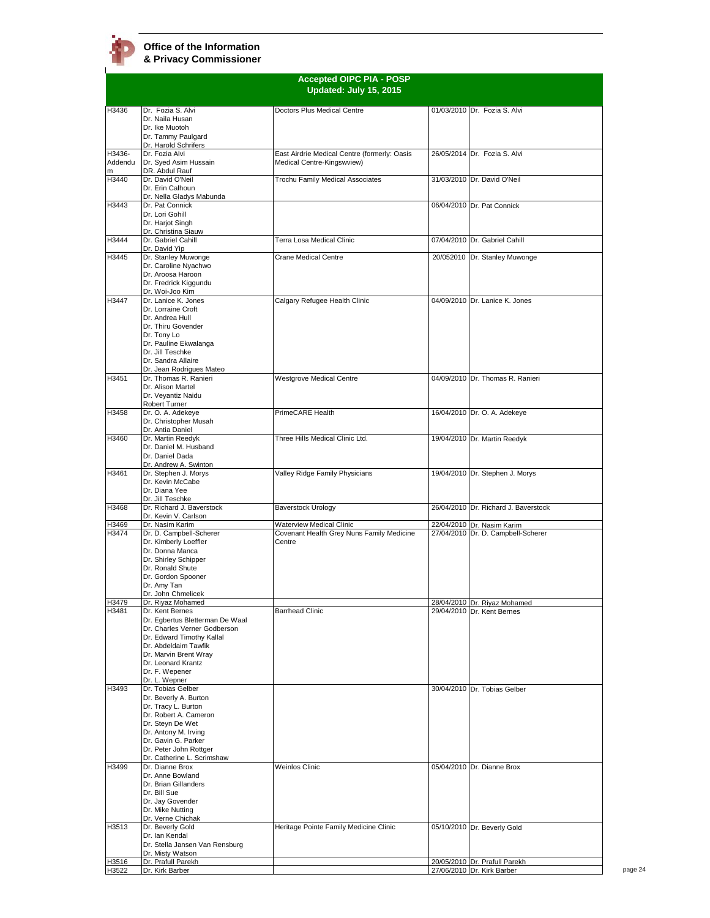

|                        | <b>Accepted OIPC PIA - POSP</b><br>Updated: July 15, 2015                                                                                                                                                                 |                                                                            |  |                                      |
|------------------------|---------------------------------------------------------------------------------------------------------------------------------------------------------------------------------------------------------------------------|----------------------------------------------------------------------------|--|--------------------------------------|
|                        |                                                                                                                                                                                                                           |                                                                            |  |                                      |
| H3436                  | Dr. Fozia S. Alvi<br>Dr. Naila Husan<br>Dr. Ike Muotoh<br>Dr. Tammy Paulgard                                                                                                                                              | Doctors Plus Medical Centre                                                |  | 01/03/2010 Dr. Fozia S. Alvi         |
| H3436-<br>Addendu<br>m | Dr. Harold Schrifers<br>Dr. Fozia Alvi<br>Dr. Syed Asim Hussain<br>DR. Abdul Rauf                                                                                                                                         | East Airdrie Medical Centre (formerly: Oasis<br>Medical Centre-Kingswview) |  | 26/05/2014 Dr. Fozia S. Alvi         |
| H3440                  | Dr. David O'Neil<br>Dr. Erin Calhoun<br>Dr. Nella Gladys Mabunda                                                                                                                                                          | Trochu Family Medical Associates                                           |  | 31/03/2010 Dr. David O'Neil          |
| H3443                  | Dr. Pat Connick<br>Dr. Lori Gohill<br>Dr. Harjot Singh<br>Dr. Christina Siauw                                                                                                                                             |                                                                            |  | 06/04/2010 Dr. Pat Connick           |
| H3444                  | Dr. Gabriel Cahill<br>Dr. David Yip                                                                                                                                                                                       | Terra Losa Medical Clinic                                                  |  | 07/04/2010 Dr. Gabriel Cahill        |
| H3445                  | Dr. Stanley Muwonge<br>Dr. Caroline Nyachwo<br>Dr. Aroosa Haroon<br>Dr. Fredrick Kiggundu<br>Dr. Woi-Joo Kim                                                                                                              | <b>Crane Medical Centre</b>                                                |  | 20/052010 Dr. Stanley Muwonge        |
| H3447                  | Dr. Lanice K. Jones<br>Dr. Lorraine Croft<br>Dr. Andrea Hull<br>Dr. Thiru Govender<br>Dr. Tony Lo<br>Dr. Pauline Ekwalanga<br>Dr. Jill Teschke<br>Dr. Sandra Allaire<br>Dr. Jean Rodrigues Mateo                          | Calgary Refugee Health Clinic                                              |  | 04/09/2010 Dr. Lanice K. Jones       |
| H3451                  | Dr. Thomas R. Ranieri<br>Dr. Alison Martel<br>Dr. Veyantiz Naidu<br>Robert Turner                                                                                                                                         | <b>Westgrove Medical Centre</b>                                            |  | 04/09/2010 Dr. Thomas R. Ranieri     |
| H3458                  | Dr. O. A. Adekeye<br>Dr. Christopher Musah<br>Dr. Antia Daniel                                                                                                                                                            | PrimeCARE Health                                                           |  | 16/04/2010 Dr. O. A. Adekeye         |
| H3460                  | Dr. Martin Reedyk<br>Dr. Daniel M. Husband<br>Dr. Daniel Dada<br>Dr. Andrew A. Swinton                                                                                                                                    | Three Hills Medical Clinic Ltd.                                            |  | 19/04/2010 Dr. Martin Reedyk         |
| H3461                  | Dr. Stephen J. Morys<br>Dr. Kevin McCabe<br>Dr. Diana Yee<br>Dr. Jill Teschke                                                                                                                                             | Valley Ridge Family Physicians                                             |  | 19/04/2010 Dr. Stephen J. Morys      |
| H3468                  | Dr. Richard J. Baverstock<br>Dr. Kevin V. Carlson                                                                                                                                                                         | Baverstock Urology                                                         |  | 26/04/2010 Dr. Richard J. Baverstock |
| H3469                  | Dr. Nasim Karim                                                                                                                                                                                                           | Waterview Medical Clinic                                                   |  | 22/04/2010 Dr. Nasim Karim           |
| H3474                  | Dr. D. Campbell-Scherer<br>Dr. Kimberly Loeffler<br>Dr. Donna Manca<br>Dr. Shirley Schipper<br>Dr. Ronald Shute<br>Dr. Gordon Spooner<br>Dr. Amy Tan<br>Dr. John Chmelicek                                                | Covenant Health Grey Nuns Family Medicine<br>Centre                        |  | 27/04/2010 Dr. D. Campbell-Scherer   |
| H3479                  | Dr. Riyaz Mohamed                                                                                                                                                                                                         |                                                                            |  | 28/04/2010 Dr. Riyaz Mohamed         |
| H3481                  | Dr. Kent Bernes<br>Dr. Egbertus Bletterman De Waal<br>Dr. Charles Verner Godberson<br>Dr. Edward Timothy Kallal<br>Dr. Abdeldaim Tawfik<br>Dr. Marvin Brent Wray<br>Dr. Leonard Krantz<br>Dr. F. Wepener<br>Dr. L. Wepner | <b>Barrhead Clinic</b>                                                     |  | 29/04/2010 Dr. Kent Bernes           |
| H3493                  | Dr. Tobias Gelber<br>Dr. Beverly A. Burton<br>Dr. Tracy L. Burton<br>Dr. Robert A. Cameron<br>Dr. Steyn De Wet<br>Dr. Antony M. Irving<br>Dr. Gavin G. Parker<br>Dr. Peter John Rottger<br>Dr. Catherine L. Scrimshaw     |                                                                            |  | 30/04/2010 Dr. Tobias Gelber         |
| H3499                  | Dr. Dianne Brox<br>Dr. Anne Bowland<br>Dr. Brian Gillanders<br>Dr. Bill Sue<br>Dr. Jay Govender<br>Dr. Mike Nutting<br>Dr. Verne Chichak                                                                                  | <b>Weinlos Clinic</b>                                                      |  | 05/04/2010 Dr. Dianne Brox           |
| H3513                  | Dr. Beverly Gold<br>Dr. Ian Kendal<br>Dr. Stella Jansen Van Rensburg<br>Dr. Misty Watson                                                                                                                                  | Heritage Pointe Family Medicine Clinic                                     |  | 05/10/2010 Dr. Beverly Gold          |
| H3516                  | Dr. Prafull Parekh                                                                                                                                                                                                        |                                                                            |  | 20/05/2010 Dr. Prafull Parekh        |
| H3522                  | Dr. Kirk Barber                                                                                                                                                                                                           |                                                                            |  | 27/06/2010 Dr. Kirk Barber           |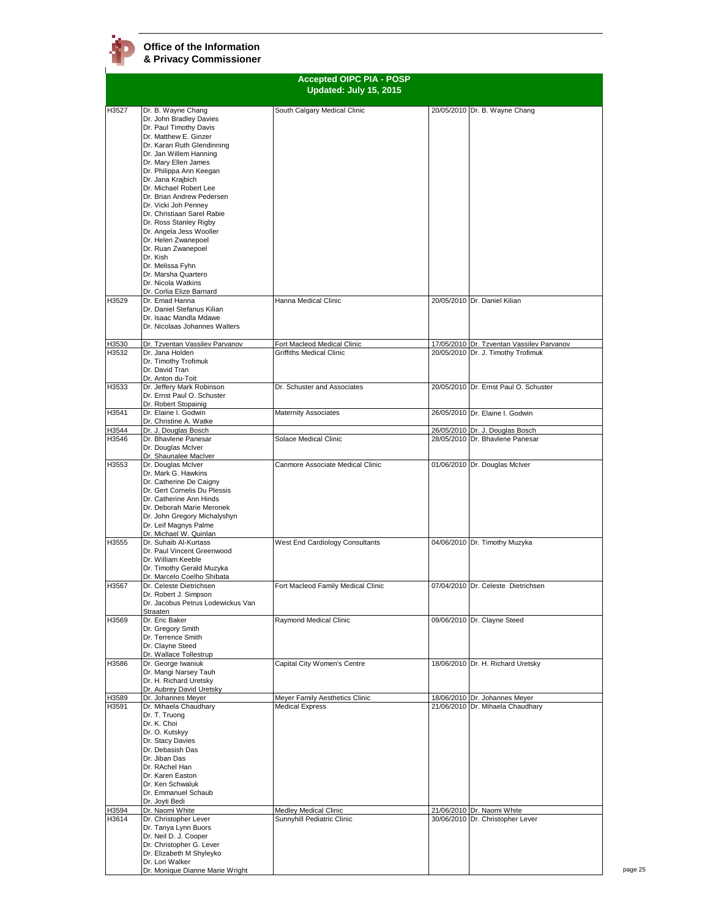|       |                                                                                                                                                                                                                                                                                                                                                                                                                                                                                                                                                          | <b>Accepted OIPC PIA - POSP</b><br>Updated: July 15, 2015 |                                           |
|-------|----------------------------------------------------------------------------------------------------------------------------------------------------------------------------------------------------------------------------------------------------------------------------------------------------------------------------------------------------------------------------------------------------------------------------------------------------------------------------------------------------------------------------------------------------------|-----------------------------------------------------------|-------------------------------------------|
|       |                                                                                                                                                                                                                                                                                                                                                                                                                                                                                                                                                          |                                                           |                                           |
| H3527 | Dr. B. Wayne Chang<br>Dr. John Bradley Davies<br>Dr. Paul Timothy Davis<br>Dr. Matthew E. Ginzer<br>Dr. Karan Ruth Glendinning<br>Dr. Jan Willem Hanning<br>Dr. Mary Ellen James<br>Dr. Philippa Ann Keegan<br>Dr. Jana Krajbich<br>Dr. Michael Robert Lee<br>Dr. Brian Andrew Pedersen<br>Dr. Vicki Joh Pennev<br>Dr. Christiaan Sarel Rabie<br>Dr. Ross Stanley Rigby<br>Dr. Angela Jess Wooller<br>Dr. Helen Zwanepoel<br>Dr. Ruan Zwanepoel<br>Dr. Kish<br>Dr. Melissa Fyhn<br>Dr. Marsha Quartero<br>Dr. Nicola Watkins<br>Dr. Corlia Elize Barnard | South Calgary Medical Clinic                              | 20/05/2010 Dr. B. Wayne Chang             |
| H3529 | Dr. Emad Hanna<br>Dr. Daniel Stefanus Kilian<br>Dr. Isaac Mandla Mdawe<br>Dr. Nicolaas Johannes Walters                                                                                                                                                                                                                                                                                                                                                                                                                                                  | Hanna Medical Clinic                                      | 20/05/2010 Dr. Daniel Kilian              |
| H3530 | Dr. Tzventan Vassilev Parvanov                                                                                                                                                                                                                                                                                                                                                                                                                                                                                                                           | Fort Macleod Medical Clinic                               | 17/05/2010 Dr. Tzventan Vassilev Parvanov |
| H3532 | Dr. Jana Holden<br>Dr. Timothy Trofimuk<br>Dr. David Tran<br>Dr. Anton du-Toit                                                                                                                                                                                                                                                                                                                                                                                                                                                                           | <b>Griffiths Medical Clinic</b>                           | 20/05/2010 Dr. J. Timothy Trofimuk        |
| H3533 | Dr. Jeffery Mark Robinson<br>Dr. Ernst Paul O. Schuster<br>Dr. Robert Stopainig                                                                                                                                                                                                                                                                                                                                                                                                                                                                          | Dr. Schuster and Associates                               | 20/05/2010 Dr. Ernst Paul O. Schuster     |
| H3541 | Dr. Elaine I. Godwin<br>Dr. Christine A. Watke                                                                                                                                                                                                                                                                                                                                                                                                                                                                                                           | <b>Maternity Associates</b>                               | 26/05/2010 Dr. Elaine I. Godwin           |
| H3544 | Dr. J. Douglas Bosch                                                                                                                                                                                                                                                                                                                                                                                                                                                                                                                                     |                                                           | 26/05/2010 Dr. J. Douglas Bosch           |
| H3546 | Dr. Bhavlene Panesar<br>Dr. Douglas McIver<br>Dr. Shaunalee MacIver                                                                                                                                                                                                                                                                                                                                                                                                                                                                                      | Solace Medical Clinic                                     | 28/05/2010 Dr. Bhavlene Panesar           |
| H3553 | Dr. Douglas McIver<br>Dr. Mark G. Hawkins<br>Dr. Catherine De Caigny<br>Dr. Gert Cornelis Du Plessis<br>Dr. Catherine Ann Hinds<br>Dr. Deborah Marie Meronek<br>Dr. John Gregory Michalyshyn<br>Dr. Leif Magnys Palme<br>Dr. Michael W. Quinlan                                                                                                                                                                                                                                                                                                          | Canmore Associate Medical Clinic                          | 01/06/2010 Dr. Douglas McIver             |
| H3555 | Dr. Suhaib Al-Kurtass<br>Dr. Paul Vincent Greenwood<br>Dr. William Keeble<br>Dr. Timothy Gerald Muzyka<br>Dr. Marcelo Coelho Shibata                                                                                                                                                                                                                                                                                                                                                                                                                     | West End Cardiology Consultants                           | 04/06/2010 Dr. Timothy Muzyka             |
| H3567 | Dr. Celeste Dietrichsen<br>Dr. Robert J. Simpson<br>Dr. Jacobus Petrus Lodewickus Van<br>Straaten                                                                                                                                                                                                                                                                                                                                                                                                                                                        | Fort Macleod Family Medical Clinic                        | 07/04/2010 Dr. Celeste Dietrichsen        |
| H3569 | Dr. Eric Baker<br>Dr. Gregory Smith<br>Dr. Terrence Smith<br>Dr. Clayne Steed<br>Dr. Wallace Tollestrup                                                                                                                                                                                                                                                                                                                                                                                                                                                  | Raymond Medical Clinic                                    | 09/06/2010 Dr. Clayne Steed               |
| H3586 | Dr. George Iwaniuk<br>Dr. Mangi Narsey Tauh<br>Dr. H. Richard Uretsky<br>Dr. Aubrey David Uretsky                                                                                                                                                                                                                                                                                                                                                                                                                                                        | Capital City Women's Centre                               | 18/06/2010 Dr. H. Richard Uretsky         |
| H3589 | Dr. Johannes Meyer                                                                                                                                                                                                                                                                                                                                                                                                                                                                                                                                       | Meyer Family Aesthetics Clinic                            | 18/06/2010 Dr. Johannes Meyer             |
| H3591 | Dr. Mihaela Chaudhary<br>Dr. T. Truong<br>Dr. K. Choi<br>Dr. O. Kutskyy<br>Dr. Stacy Davies<br>Dr. Debasish Das<br>Dr. Jiban Das<br>Dr. RAchel Han<br>Dr. Karen Easton<br>Dr. Ken Schwaluk<br>Dr. Emmanuel Schaub<br>Dr. Joyti Bedi                                                                                                                                                                                                                                                                                                                      | <b>Medical Express</b>                                    | 21/06/2010 Dr. Mihaela Chaudhary          |
| H3594 | Dr. Naomi White                                                                                                                                                                                                                                                                                                                                                                                                                                                                                                                                          | Medley Medical Clinic                                     | 21/06/2010 Dr. Naomi White                |
| H3614 | Dr. Christopher Lever<br>Dr. Tanya Lynn Buors<br>Dr. Neil D. J. Cooper<br>Dr. Christopher G. Lever<br>Dr. Elizabeth M Shyleyko<br>Dr. Lori Walker<br>Dr. Monique Dianne Marie Wright                                                                                                                                                                                                                                                                                                                                                                     | Sunnyhill Pediatric Clinic                                | 30/06/2010 Dr. Christopher Lever          |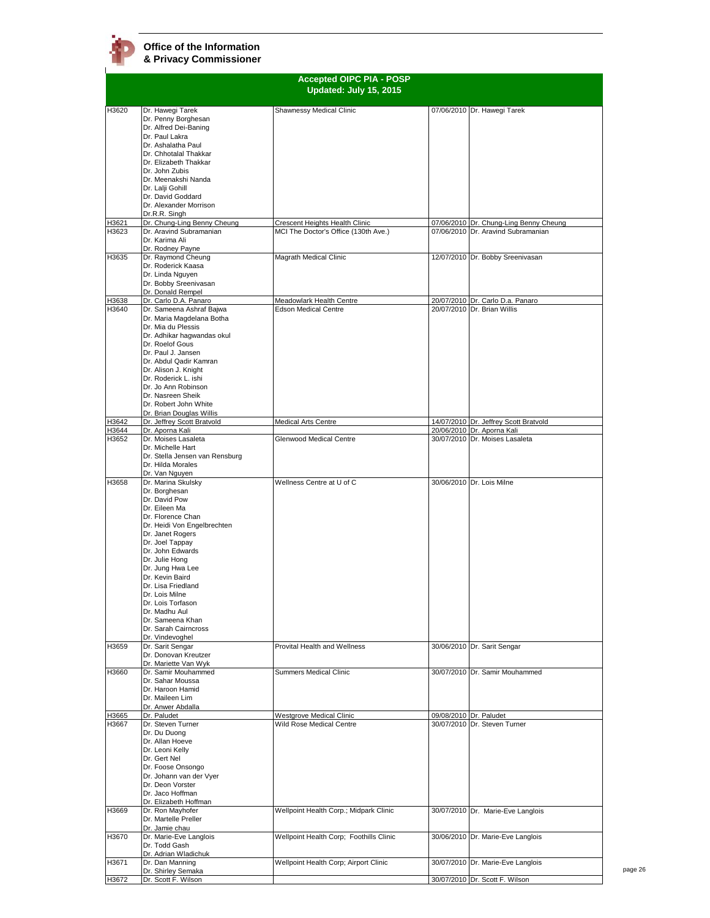|                | <b>Accepted OIPC PIA - POSP</b><br>Updated: July 15, 2015 |                                                      |                                                                 |  |
|----------------|-----------------------------------------------------------|------------------------------------------------------|-----------------------------------------------------------------|--|
|                |                                                           |                                                      |                                                                 |  |
| H3620          | Dr. Hawegi Tarek<br>Dr. Penny Borghesan                   | Shawnessy Medical Clinic                             | 07/06/2010 Dr. Hawegi Tarek                                     |  |
|                | Dr. Alfred Dei-Baning<br>Dr. Paul Lakra                   |                                                      |                                                                 |  |
|                | Dr. Ashalatha Paul                                        |                                                      |                                                                 |  |
|                | Dr. Chhotalal Thakkar<br>Dr. Elizabeth Thakkar            |                                                      |                                                                 |  |
|                | Dr. John Zubis                                            |                                                      |                                                                 |  |
|                | Dr. Meenakshi Nanda                                       |                                                      |                                                                 |  |
|                | Dr. Lalji Gohill<br>Dr. David Goddard                     |                                                      |                                                                 |  |
|                | Dr. Alexander Morrison                                    |                                                      |                                                                 |  |
| H3621          | Dr.R.R. Singh<br>Dr. Chung-Ling Benny Cheung              | Crescent Heights Health Clinic                       | 07/06/2010 Dr. Chung-Ling Benny Cheung                          |  |
| H3623          | Dr. Aravind Subramanian                                   | MCI The Doctor's Office (130th Ave.)                 | 07/06/2010 Dr. Aravind Subramanian                              |  |
|                | Dr. Karima Ali<br>Dr. Rodney Payne                        |                                                      |                                                                 |  |
| H3635          | Dr. Raymond Cheung                                        | Magrath Medical Clinic                               | 12/07/2010 Dr. Bobby Sreenivasan                                |  |
|                | Dr. Roderick Kaasa<br>Dr. Linda Nguyen                    |                                                      |                                                                 |  |
|                | Dr. Bobby Sreenivasan                                     |                                                      |                                                                 |  |
|                | Dr. Donald Rempel                                         | Meadowlark Health Centre                             |                                                                 |  |
| H3638<br>H3640 | Dr. Carlo D.A. Panaro<br>Dr. Sameena Ashraf Bajwa         | <b>Edson Medical Centre</b>                          | 20/07/2010 Dr. Carlo D.a. Panaro<br>20/07/2010 Dr. Brian Willis |  |
|                | Dr. Maria Magdelana Botha                                 |                                                      |                                                                 |  |
|                | Dr. Mia du Plessis<br>Dr. Adhikar haqwandas okul          |                                                      |                                                                 |  |
|                | Dr. Roelof Gous                                           |                                                      |                                                                 |  |
|                | Dr. Paul J. Jansen<br>Dr. Abdul Qadir Kamran              |                                                      |                                                                 |  |
|                | Dr. Alison J. Knight                                      |                                                      |                                                                 |  |
|                | Dr. Roderick L. ishi                                      |                                                      |                                                                 |  |
|                | Dr. Jo Ann Robinson<br>Dr. Nasreen Sheik                  |                                                      |                                                                 |  |
|                | Dr. Robert John White                                     |                                                      |                                                                 |  |
| H3642          | Dr. Brian Douglas Willis<br>Dr. Jeffrey Scott Bratvold    | <b>Medical Arts Centre</b>                           | 14/07/2010 Dr. Jeffrey Scott Bratvold                           |  |
| H3644          | Dr. Aporna Kali                                           |                                                      | 20/06/2010 Dr. Aporna Kali                                      |  |
| H3652          | Dr. Moises Lasaleta<br>Dr. Michelle Hart                  | <b>Glenwood Medical Centre</b>                       | 30/07/2010 Dr. Moises Lasaleta                                  |  |
|                | Dr. Stella Jensen van Rensburg                            |                                                      |                                                                 |  |
|                | Dr. Hilda Morales<br>Dr. Van Nguyen                       |                                                      |                                                                 |  |
| H3658          | Dr. Marina Skulsky                                        | Wellness Centre at U of C                            | 30/06/2010 Dr. Lois Milne                                       |  |
|                | Dr. Borghesan<br>Dr. David Pow                            |                                                      |                                                                 |  |
|                | Dr. Eileen Ma                                             |                                                      |                                                                 |  |
|                | Dr. Florence Chan                                         |                                                      |                                                                 |  |
|                | Dr. Heidi Von Engelbrechten<br>Dr. Janet Rogers           |                                                      |                                                                 |  |
|                | Dr. Joel Tappay                                           |                                                      |                                                                 |  |
|                | Dr. John Edwards<br>Dr. Julie Hong                        |                                                      |                                                                 |  |
|                | Dr. Jung Hwa Lee                                          |                                                      |                                                                 |  |
|                | Dr. Kevin Baird<br>Dr. Lisa Friedland                     |                                                      |                                                                 |  |
|                | Dr. Lois Milne                                            |                                                      |                                                                 |  |
|                | Dr. Lois Torfason<br>Dr. Madhu Aul                        |                                                      |                                                                 |  |
|                | Dr. Sameena Khan                                          |                                                      |                                                                 |  |
|                | Dr. Sarah Cairncross<br>Dr. Vindevoghel                   |                                                      |                                                                 |  |
| H3659          | Dr. Sarit Sengar                                          | Provital Health and Wellness                         | 30/06/2010 Dr. Sarit Sengar                                     |  |
|                | Dr. Donovan Kreutzer<br>Dr. Mariette Van Wyk              |                                                      |                                                                 |  |
| H3660          | Dr. Samir Mouhammed                                       | <b>Summers Medical Clinic</b>                        | 30/07/2010 Dr. Samir Mouhammed                                  |  |
|                | Dr. Sahar Moussa                                          |                                                      |                                                                 |  |
|                | Dr. Haroon Hamid<br>Dr. Maileen Lim                       |                                                      |                                                                 |  |
|                | Dr. Anwer Abdalla                                         |                                                      |                                                                 |  |
| H3665<br>H3667 | Dr. Paludet<br>Dr. Steven Turner                          | Westgrove Medical Clinic<br>Wild Rose Medical Centre | 09/08/2010 Dr. Paludet<br>30/07/2010 Dr. Steven Turner          |  |
|                | Dr. Du Duong                                              |                                                      |                                                                 |  |
|                | Dr. Allan Hoeve<br>Dr. Leoni Kelly                        |                                                      |                                                                 |  |
|                | Dr. Gert Nel                                              |                                                      |                                                                 |  |
|                | Dr. Foose Onsongo<br>Dr. Johann van der Vyer              |                                                      |                                                                 |  |
|                | Dr. Deon Vorster                                          |                                                      |                                                                 |  |
|                | Dr. Jaco Hoffman                                          |                                                      |                                                                 |  |
| H3669          | Dr. Elizabeth Hoffman<br>Dr. Ron Mayhofer                 | Wellpoint Health Corp.; Midpark Clinic               | 30/07/2010 Dr. Marie-Eve Langlois                               |  |
|                | Dr. Martelle Preller                                      |                                                      |                                                                 |  |
| H3670          | Dr. Jamie chau<br>Dr. Marie-Eve Langlois                  | Wellpoint Health Corp; Foothills Clinic              | 30/06/2010 Dr. Marie-Eve Langlois                               |  |
|                | Dr. Todd Gash                                             |                                                      |                                                                 |  |
| H3671          | Dr. Adrian Wladichuk<br>Dr. Dan Manning                   | Wellpoint Health Corp; Airport Clinic                | 30/07/2010 Dr. Marie-Eve Langlois                               |  |
|                | Dr. Shirley Semaka                                        |                                                      |                                                                 |  |
| H3672          | Dr. Scott F. Wilson                                       |                                                      | 30/07/2010 Dr. Scott F. Wilson                                  |  |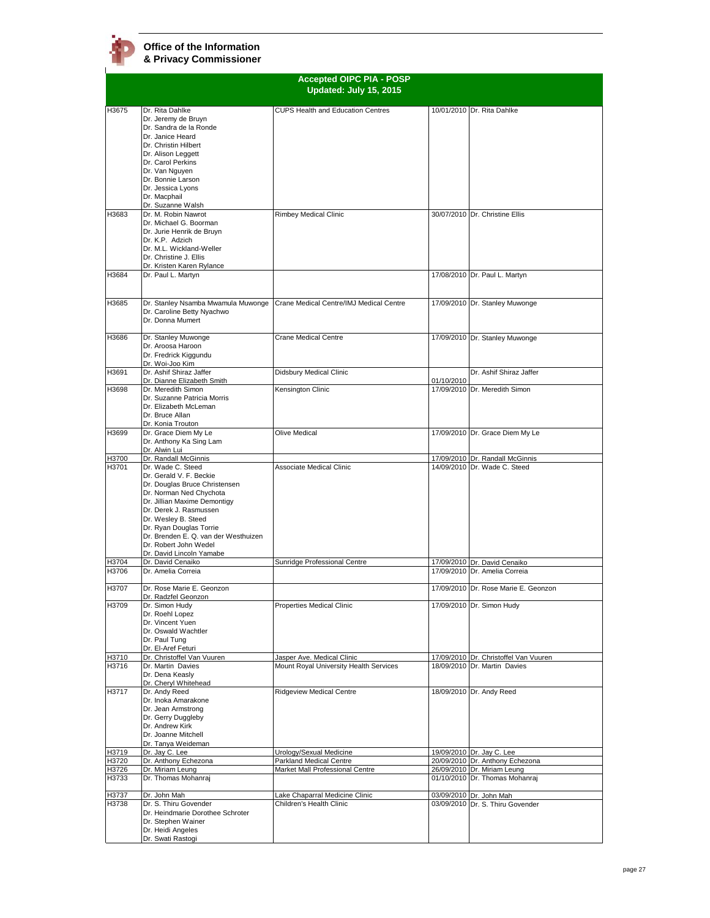| <b>Accepted OIPC PIA - POSP</b> |                                                                 |                                          |            |                                                                 |
|---------------------------------|-----------------------------------------------------------------|------------------------------------------|------------|-----------------------------------------------------------------|
|                                 |                                                                 | Updated: July 15, 2015                   |            |                                                                 |
|                                 |                                                                 |                                          |            |                                                                 |
| H3675                           | Dr. Rita Dahlke                                                 | <b>CUPS Health and Education Centres</b> |            | 10/01/2010 Dr. Rita Dahlke                                      |
|                                 | Dr. Jeremy de Bruyn                                             |                                          |            |                                                                 |
|                                 | Dr. Sandra de la Ronde                                          |                                          |            |                                                                 |
|                                 | Dr. Janice Heard<br>Dr. Christin Hilbert                        |                                          |            |                                                                 |
|                                 | Dr. Alison Leggett                                              |                                          |            |                                                                 |
|                                 | Dr. Carol Perkins                                               |                                          |            |                                                                 |
|                                 | Dr. Van Nguyen                                                  |                                          |            |                                                                 |
|                                 | Dr. Bonnie Larson                                               |                                          |            |                                                                 |
|                                 | Dr. Jessica Lyons                                               |                                          |            |                                                                 |
|                                 | Dr. Macphail<br>Dr. Suzanne Walsh                               |                                          |            |                                                                 |
| H3683                           | Dr. M. Robin Nawrot                                             | Rimbey Medical Clinic                    |            | 30/07/2010 Dr. Christine Ellis                                  |
|                                 | Dr. Michael G. Boorman                                          |                                          |            |                                                                 |
|                                 | Dr. Jurie Henrik de Bruyn                                       |                                          |            |                                                                 |
|                                 | Dr. K.P. Adzich                                                 |                                          |            |                                                                 |
|                                 | Dr. M.L. Wickland-Weller                                        |                                          |            |                                                                 |
|                                 | Dr. Christine J. Ellis<br>Dr. Kristen Karen Rylance             |                                          |            |                                                                 |
| H3684                           | Dr. Paul L. Martyn                                              |                                          |            | 17/08/2010 Dr. Paul L. Martyn                                   |
|                                 |                                                                 |                                          |            |                                                                 |
|                                 |                                                                 |                                          |            |                                                                 |
| H3685                           | Dr. Stanley Nsamba Mwamula Muwonge                              | Crane Medical Centre/IMJ Medical Centre  |            | 17/09/2010 Dr. Stanley Muwonge                                  |
|                                 | Dr. Caroline Betty Nyachwo                                      |                                          |            |                                                                 |
|                                 | Dr. Donna Mumert                                                |                                          |            |                                                                 |
|                                 |                                                                 |                                          |            |                                                                 |
| H3686                           | Dr. Stanley Muwonge<br>Dr. Aroosa Haroon                        | <b>Crane Medical Centre</b>              |            | 17/09/2010 Dr. Stanley Muwonge                                  |
|                                 | Dr. Fredrick Kiggundu                                           |                                          |            |                                                                 |
|                                 | Dr. Woi-Joo Kim                                                 |                                          |            |                                                                 |
| H3691                           | Dr. Ashif Shiraz Jaffer                                         | Didsbury Medical Clinic                  |            | Dr. Ashif Shiraz Jaffer                                         |
|                                 | Dr. Dianne Elizabeth Smith                                      |                                          | 01/10/2010 |                                                                 |
| H3698                           | Dr. Meredith Simon                                              | Kensington Clinic                        |            | 17/09/2010 Dr. Meredith Simon                                   |
|                                 | Dr. Suzanne Patricia Morris<br>Dr. Elizabeth McLeman            |                                          |            |                                                                 |
|                                 | Dr. Bruce Allan                                                 |                                          |            |                                                                 |
|                                 | Dr. Konia Trouton                                               |                                          |            |                                                                 |
| H3699                           | Dr. Grace Diem My Le                                            | Olive Medical                            |            | 17/09/2010 Dr. Grace Diem My Le                                 |
|                                 | Dr. Anthony Ka Sing Lam                                         |                                          |            |                                                                 |
|                                 | Dr. Alwin Lui                                                   |                                          |            |                                                                 |
| H3700<br>H3701                  | Dr. Randall McGinnis<br>Dr. Wade C. Steed                       | <b>Associate Medical Clinic</b>          |            | 17/09/2010 Dr. Randall McGinnis<br>14/09/2010 Dr. Wade C. Steed |
|                                 | Dr. Gerald V. F. Beckie                                         |                                          |            |                                                                 |
|                                 | Dr. Douglas Bruce Christensen                                   |                                          |            |                                                                 |
|                                 | Dr. Norman Ned Chychota                                         |                                          |            |                                                                 |
|                                 | Dr. Jillian Maxime Demontigy                                    |                                          |            |                                                                 |
|                                 | Dr. Derek J. Rasmussen                                          |                                          |            |                                                                 |
|                                 | Dr. Wesley B. Steed                                             |                                          |            |                                                                 |
|                                 | Dr. Ryan Douglas Torrie<br>Dr. Brenden E. Q. van der Westhuizen |                                          |            |                                                                 |
|                                 | Dr. Robert John Wedel                                           |                                          |            |                                                                 |
|                                 | Dr. David Lincoln Yamabe                                        |                                          |            |                                                                 |
| H3704                           | Dr. David Cenaiko                                               | Sunridge Professional Centre             |            | 17/09/2010 Dr. David Cenaiko                                    |
| H3706                           | Dr. Amelia Correia                                              |                                          |            | 17/09/2010 Dr. Amelia Correia                                   |
|                                 |                                                                 |                                          |            |                                                                 |
| H3707                           | Dr. Rose Marie E. Geonzon<br>Dr. Radzfel Geonzon                |                                          |            | 17/09/2010 Dr. Rose Marie E. Geonzon                            |
| H3709                           | Dr. Simon Hudy                                                  | Properties Medical Clinic                |            | 17/09/2010 Dr. Simon Hudy                                       |
|                                 | Dr. Roehl Lopez                                                 |                                          |            |                                                                 |
|                                 | Dr. Vincent Yuen                                                |                                          |            |                                                                 |
|                                 | Dr. Oswald Wachtler                                             |                                          |            |                                                                 |
|                                 | Dr. Paul Tung                                                   |                                          |            |                                                                 |
|                                 | Dr. El-Aref Feturi<br>Dr. Christoffel Van Vuuren                | Jasper Ave. Medical Clinic               |            | 17/09/2010 Dr. Christoffel Van Vuuren                           |
| H3710<br>H3716                  | Dr. Martin Davies                                               | Mount Royal University Health Services   |            | 18/09/2010 Dr. Martin Davies                                    |
|                                 | Dr. Dena Keasly                                                 |                                          |            |                                                                 |
|                                 | Dr. Cheryl Whitehead                                            |                                          |            |                                                                 |
| H3717                           | Dr. Andy Reed                                                   | <b>Ridgeview Medical Centre</b>          |            | 18/09/2010 Dr. Andy Reed                                        |
|                                 | Dr. Inoka Amarakone                                             |                                          |            |                                                                 |
|                                 | Dr. Jean Armstrong                                              |                                          |            |                                                                 |
|                                 | Dr. Gerry Duggleby<br>Dr. Andrew Kirk                           |                                          |            |                                                                 |
|                                 | Dr. Joanne Mitchell                                             |                                          |            |                                                                 |
|                                 | Dr. Tanya Weideman                                              |                                          |            |                                                                 |
| H3719                           | Dr. Jay C. Lee                                                  | Urology/Sexual Medicine                  |            | 19/09/2010 Dr. Jay C. Lee                                       |
| H3720                           | Dr. Anthony Echezona                                            | Parkland Medical Centre                  |            | 20/09/2010 Dr. Anthony Echezona                                 |
| H3726                           | Dr. Miriam Leung                                                | Market Mall Professional Centre          |            | 26/09/2010 Dr. Miriam Leung                                     |
| H3733                           | Dr. Thomas Mohanraj                                             |                                          |            | 01/10/2010 Dr. Thomas Mohanraj                                  |
| H3737                           | Dr. John Mah                                                    | Lake Chaparral Medicine Clinic           |            | 03/09/2010 Dr. John Mah                                         |
| H3738                           | Dr. S. Thiru Govender                                           | Children's Health Clinic                 |            | 03/09/2010 Dr. S. Thiru Govender                                |
|                                 | Dr. Heindmarie Dorothee Schroter                                |                                          |            |                                                                 |
|                                 | Dr. Stephen Wainer                                              |                                          |            |                                                                 |
|                                 | Dr. Heidi Angeles                                               |                                          |            |                                                                 |
|                                 | Dr. Swati Rastogi                                               |                                          |            |                                                                 |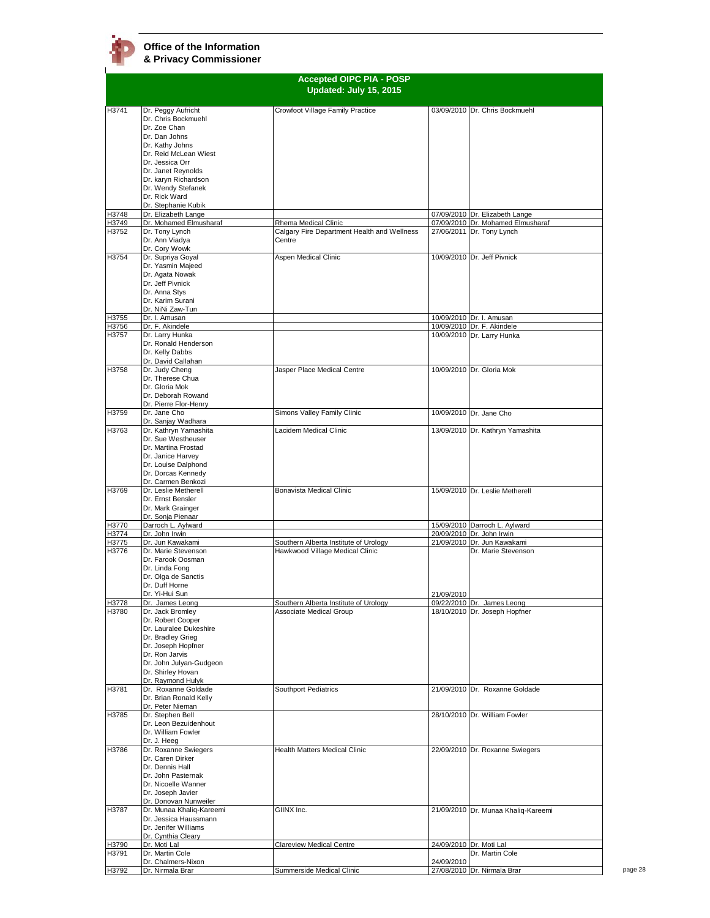|                | <b>Accepted OIPC PIA - POSP</b>               |                                                                  |            |                                                             |  |
|----------------|-----------------------------------------------|------------------------------------------------------------------|------------|-------------------------------------------------------------|--|
|                |                                               | Updated: July 15, 2015                                           |            |                                                             |  |
| H3741          | Dr. Peggy Aufricht                            | Crowfoot Village Family Practice                                 |            | 03/09/2010 Dr. Chris Bockmuehl                              |  |
|                | Dr. Chris Bockmuehl                           |                                                                  |            |                                                             |  |
|                | Dr. Zoe Chan                                  |                                                                  |            |                                                             |  |
|                | Dr. Dan Johns<br>Dr. Kathy Johns              |                                                                  |            |                                                             |  |
|                | Dr. Reid McLean Wiest                         |                                                                  |            |                                                             |  |
|                | Dr. Jessica Orr                               |                                                                  |            |                                                             |  |
|                | Dr. Janet Reynolds<br>Dr. karyn Richardson    |                                                                  |            |                                                             |  |
|                | Dr. Wendy Stefanek                            |                                                                  |            |                                                             |  |
|                | Dr. Rick Ward                                 |                                                                  |            |                                                             |  |
| H3748          | Dr. Stephanie Kubik<br>Dr. Elizabeth Lange    |                                                                  |            | 07/09/2010 Dr. Elizabeth Lange                              |  |
| H3749          | Dr. Mohamed Elmusharaf                        | Rhema Medical Clinic                                             |            | 07/09/2010 Dr. Mohamed Elmusharaf                           |  |
| H3752          | Dr. Tony Lynch                                | Calgary Fire Department Health and Wellness                      |            | 27/06/2011 Dr. Tony Lynch                                   |  |
|                | Dr. Ann Viadva<br>Dr. Cory Wowk               | Centre                                                           |            |                                                             |  |
| H3754          | Dr. Supriya Goyal                             | Aspen Medical Clinic                                             |            | 10/09/2010 Dr. Jeff Pivnick                                 |  |
|                | Dr. Yasmin Majeed                             |                                                                  |            |                                                             |  |
|                | Dr. Agata Nowak<br>Dr. Jeff Pivnick           |                                                                  |            |                                                             |  |
|                | Dr. Anna Stys                                 |                                                                  |            |                                                             |  |
|                | Dr. Karim Surani                              |                                                                  |            |                                                             |  |
|                | Dr. NiNi Zaw-Tun                              |                                                                  |            |                                                             |  |
| H3755<br>H3756 | Dr. I. Amusan<br>Dr. F. Akindele              |                                                                  |            | 10/09/2010 Dr. I. Amusan<br>10/09/2010 Dr. F. Akindele      |  |
| H3757          | Dr. Larry Hunka                               |                                                                  |            | 10/09/2010 Dr. Larry Hunka                                  |  |
|                | Dr. Ronald Henderson                          |                                                                  |            |                                                             |  |
|                | Dr. Kelly Dabbs<br>Dr. David Callahan         |                                                                  |            |                                                             |  |
| H3758          | Dr. Judy Cheng                                | Jasper Place Medical Centre                                      |            | 10/09/2010 Dr. Gloria Mok                                   |  |
|                | Dr. Therese Chua                              |                                                                  |            |                                                             |  |
|                | Dr. Gloria Mok<br>Dr. Deborah Rowand          |                                                                  |            |                                                             |  |
|                | Dr. Pierre Flor-Henry                         |                                                                  |            |                                                             |  |
| H3759          | Dr. Jane Cho                                  | Simons Valley Family Clinic                                      |            | 10/09/2010 Dr. Jane Cho                                     |  |
|                | Dr. Sanjay Wadhara                            | Lacidem Medical Clinic                                           |            |                                                             |  |
| H3763          | Dr. Kathryn Yamashita<br>Dr. Sue Westheuser   |                                                                  |            | 13/09/2010 Dr. Kathryn Yamashita                            |  |
|                | Dr. Martina Frostad                           |                                                                  |            |                                                             |  |
|                | Dr. Janice Harvey                             |                                                                  |            |                                                             |  |
|                | Dr. Louise Dalphond<br>Dr. Dorcas Kennedy     |                                                                  |            |                                                             |  |
|                | Dr. Carmen Benkozi                            |                                                                  |            |                                                             |  |
| H3769          | Dr. Leslie Metherell                          | Bonavista Medical Clinic                                         |            | 15/09/2010 Dr. Leslie Metherell                             |  |
|                | Dr. Ernst Bensler<br>Dr. Mark Grainger        |                                                                  |            |                                                             |  |
|                | Dr. Sonja Pienaar                             |                                                                  |            |                                                             |  |
| H3770          | Darroch L. Aylward                            |                                                                  |            | 15/09/2010 Darroch L. Aylward                               |  |
| H3774<br>H3775 | Dr. John Irwin<br>Dr. Jun Kawakami            | Southern Alberta Institute of Urology                            |            | 20/09/2010 Dr. John Irwin<br>21/09/2010 Dr. Jun Kawakami    |  |
| H3776          | Dr. Marie Stevenson                           | Hawkwood Village Medical Clinic                                  |            | Dr. Marie Stevenson                                         |  |
|                | Dr. Farook Oosman                             |                                                                  |            |                                                             |  |
|                | Dr. Linda Fong<br>Dr. Olga de Sanctis         |                                                                  |            |                                                             |  |
|                | Dr. Duff Horne                                |                                                                  |            |                                                             |  |
|                | Dr. Yi-Hui Sun                                |                                                                  | 21/09/2010 |                                                             |  |
| H3778<br>H3780 | Dr. James Leong<br>Dr. Jack Bromley           | Southern Alberta Institute of Urology<br>Associate Medical Group |            | 09/22/2010 Dr. James Leong<br>18/10/2010 Dr. Joseph Hopfner |  |
|                | Dr. Robert Cooper                             |                                                                  |            |                                                             |  |
|                | Dr. Lauralee Dukeshire                        |                                                                  |            |                                                             |  |
|                | Dr. Bradley Grieg<br>Dr. Joseph Hopfner       |                                                                  |            |                                                             |  |
|                | Dr. Ron Jarvis                                |                                                                  |            |                                                             |  |
|                | Dr. John Julyan-Gudgeon                       |                                                                  |            |                                                             |  |
|                | Dr. Shirley Hovan<br>Dr. Raymond Hulyk        |                                                                  |            |                                                             |  |
| H3781          | Dr. Roxanne Goldade                           | Southport Pediatrics                                             |            | 21/09/2010 Dr. Roxanne Goldade                              |  |
|                | Dr. Brian Ronald Kelly                        |                                                                  |            |                                                             |  |
|                | Dr. Peter Nieman                              |                                                                  |            | 28/10/2010 Dr. William Fowler                               |  |
| H3785          | Dr. Stephen Bell<br>Dr. Leon Bezuidenhout     |                                                                  |            |                                                             |  |
|                | Dr. William Fowler                            |                                                                  |            |                                                             |  |
|                | Dr. J. Heeg                                   |                                                                  |            |                                                             |  |
| H3786          | Dr. Roxanne Swiegers<br>Dr. Caren Dirker      | Health Matters Medical Clinic                                    |            | 22/09/2010 Dr. Roxanne Swiegers                             |  |
|                | Dr. Dennis Hall                               |                                                                  |            |                                                             |  |
|                | Dr. John Pasternak                            |                                                                  |            |                                                             |  |
|                | Dr. Nicoelle Wanner<br>Dr. Joseph Javier      |                                                                  |            |                                                             |  |
|                | Dr. Donovan Nunweiler                         |                                                                  |            |                                                             |  |
| H3787          | Dr. Munaa Khaliq-Kareemi                      | GIINX Inc.                                                       |            | 21/09/2010 Dr. Munaa Khaliq-Kareemi                         |  |
|                | Dr. Jessica Haussmann<br>Dr. Jenifer Williams |                                                                  |            |                                                             |  |
|                | Dr. Cynthia Cleary                            |                                                                  |            |                                                             |  |
| H3790          | Dr. Moti Lal                                  | <b>Clareview Medical Centre</b>                                  |            | 24/09/2010 Dr. Moti Lal                                     |  |
| H3791          | Dr. Martin Cole                               |                                                                  | 24/09/2010 | Dr. Martin Cole                                             |  |
| H3792          | Dr. Chalmers-Nixon<br>Dr. Nirmala Brar        | Summerside Medical Clinic                                        |            | 27/08/2010 Dr. Nirmala Brar                                 |  |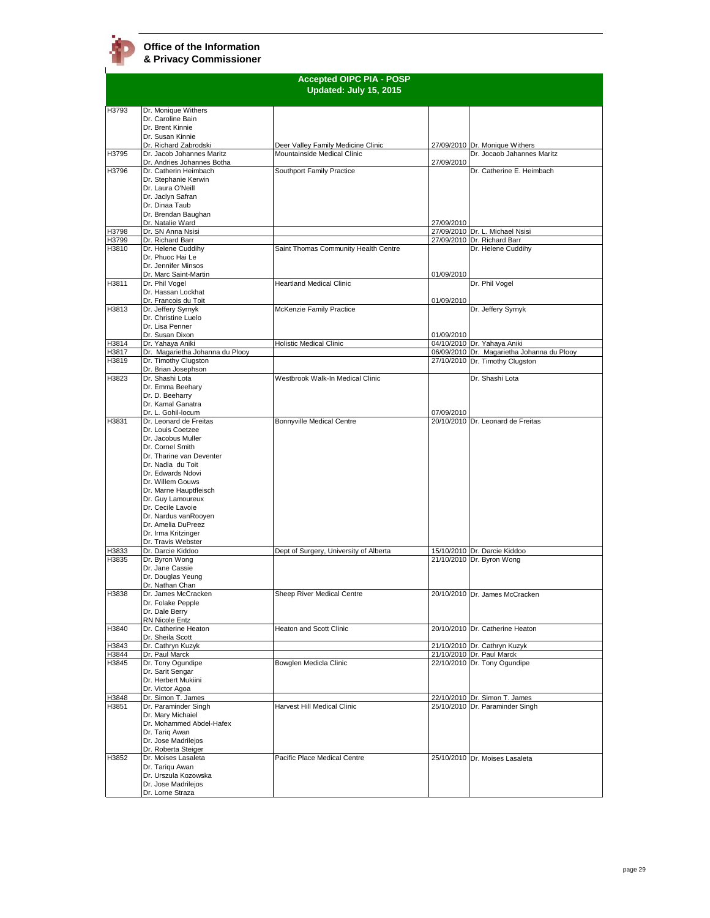|                | <b>Accepted OIPC PIA - POSP</b>                         |                                        |            |                                                                |  |
|----------------|---------------------------------------------------------|----------------------------------------|------------|----------------------------------------------------------------|--|
|                |                                                         | Updated: July 15, 2015                 |            |                                                                |  |
|                |                                                         |                                        |            |                                                                |  |
| H3793          | Dr. Monique Withers<br>Dr. Caroline Bain                |                                        |            |                                                                |  |
|                | Dr. Brent Kinnie                                        |                                        |            |                                                                |  |
|                | Dr. Susan Kinnie                                        |                                        |            |                                                                |  |
|                | Dr. Richard Zabrodski                                   | Deer Valley Family Medicine Clinic     |            | 27/09/2010 Dr. Monique Withers                                 |  |
| H3795          | Dr. Jacob Johannes Maritz<br>Dr. Andries Johannes Botha | Mountainside Medical Clinic            | 27/09/2010 | Dr. Jocaob Jahannes Maritz                                     |  |
| H3796          | Dr. Catherin Heimbach                                   | Southport Family Practice              |            | Dr. Catherine E. Heimbach                                      |  |
|                | Dr. Stephanie Kerwin                                    |                                        |            |                                                                |  |
|                | Dr. Laura O'Neill<br>Dr. Jaclyn Safran                  |                                        |            |                                                                |  |
|                | Dr. Dinaa Taub                                          |                                        |            |                                                                |  |
|                | Dr. Brendan Baughan                                     |                                        |            |                                                                |  |
|                | Dr. Natalie Ward                                        |                                        | 27/09/2010 |                                                                |  |
| H3798          | Dr. SN Anna Nsisi<br>Dr. Richard Barr                   |                                        |            | 27/09/2010 Dr. L. Michael Nsisi<br>27/09/2010 Dr. Richard Barr |  |
| H3799<br>H3810 | Dr. Helene Cuddihy                                      | Saint Thomas Community Health Centre   |            | Dr. Helene Cuddihy                                             |  |
|                | Dr. Phuoc Hai Le                                        |                                        |            |                                                                |  |
|                | Dr. Jennifer Minsos                                     |                                        |            |                                                                |  |
| H3811          | Dr. Marc Saint-Martin<br>Dr. Phil Vogel                 | <b>Heartland Medical Clinic</b>        | 01/09/2010 | Dr. Phil Vogel                                                 |  |
|                | Dr. Hassan Lockhat                                      |                                        |            |                                                                |  |
|                | Dr. Francois du Toit                                    |                                        | 01/09/2010 |                                                                |  |
| H3813          | Dr. Jeffery Syrnyk                                      | McKenzie Family Practice               |            | Dr. Jeffery Syrnyk                                             |  |
|                | Dr. Christine Luelo                                     |                                        |            |                                                                |  |
|                | Dr. Lisa Penner<br>Dr. Susan Dixon                      |                                        | 01/09/2010 |                                                                |  |
| H3814          | Dr. Yahaya Aniki                                        | Holistic Medical Clinic                |            | 04/10/2010 Dr. Yahaya Aniki                                    |  |
| H3817          | Dr. Magarietha Johanna du Plooy                         |                                        |            | 06/09/2010 Dr. Magarietha Johanna du Plooy                     |  |
| H3819          | Dr. Timothy Clugston<br>Dr. Brian Josephson             |                                        |            | 27/10/2010 Dr. Timothy Clugston                                |  |
| H3823          | Dr. Shashi Lota                                         | Westbrook Walk-In Medical Clinic       |            | Dr. Shashi Lota                                                |  |
|                | Dr. Emma Beehary                                        |                                        |            |                                                                |  |
|                | Dr. D. Beeharry                                         |                                        |            |                                                                |  |
|                | Dr. Kamal Ganatra                                       |                                        |            |                                                                |  |
| H3831          | Dr. L. Gohil-locum<br>Dr. Leonard de Freitas            | Bonnyville Medical Centre              | 07/09/2010 | 20/10/2010 Dr. Leonard de Freitas                              |  |
|                | Dr. Louis Coetzee                                       |                                        |            |                                                                |  |
|                | Dr. Jacobus Muller                                      |                                        |            |                                                                |  |
|                | Dr. Cornel Smith                                        |                                        |            |                                                                |  |
|                | Dr. Tharine van Deventer<br>Dr. Nadia du Toit           |                                        |            |                                                                |  |
|                | Dr. Edwards Ndovi                                       |                                        |            |                                                                |  |
|                | Dr. Willem Gouws                                        |                                        |            |                                                                |  |
|                | Dr. Marne Hauptfleisch                                  |                                        |            |                                                                |  |
|                | Dr. Guy Lamoureux<br>Dr. Cecile Lavoie                  |                                        |            |                                                                |  |
|                | Dr. Nardus vanRooyen                                    |                                        |            |                                                                |  |
|                | Dr. Amelia DuPreez                                      |                                        |            |                                                                |  |
|                | Dr. Irma Kritzinger                                     |                                        |            |                                                                |  |
| H3833          | Dr. Travis Webster<br>Dr. Darcie Kiddoo                 | Dept of Surgery, University of Alberta |            | 15/10/2010 Dr. Darcie Kiddoo                                   |  |
| H3835          | Dr. Byron Wong                                          |                                        |            | 21/10/2010 Dr. Byron Wong                                      |  |
|                | Dr. Jane Cassie                                         |                                        |            |                                                                |  |
|                | Dr. Douglas Yeung                                       |                                        |            |                                                                |  |
| H3838          | Dr. Nathan Chan<br>Dr. James McCracken                  | Sheep River Medical Centre             |            | 20/10/2010 Dr. James McCracken                                 |  |
|                | Dr. Folake Pepple                                       |                                        |            |                                                                |  |
|                | Dr. Dale Berry                                          |                                        |            |                                                                |  |
|                | RN Nicole Entz                                          |                                        |            |                                                                |  |
| H3840          | Dr. Catherine Heaton<br>Dr. Sheila Scott                | Heaton and Scott Clinic                |            | 20/10/2010 Dr. Catherine Heaton                                |  |
| H3843          | Dr. Cathryn Kuzyk                                       |                                        |            | 21/10/2010 Dr. Cathryn Kuzyk                                   |  |
| H3844          | Dr. Paul Marck                                          |                                        |            | 21/10/2010 Dr. Paul Marck                                      |  |
| H3845          | Dr. Tony Ogundipe                                       | Bowglen Medicla Clinic                 |            | 22/10/2010 Dr. Tony Ogundipe                                   |  |
|                | Dr. Sarit Sengar<br>Dr. Herbert Mukiini                 |                                        |            |                                                                |  |
|                | Dr. Victor Agoa                                         |                                        |            |                                                                |  |
| H3848          | Dr. Simon T. James                                      |                                        |            | 22/10/2010 Dr. Simon T. James                                  |  |
| H3851          | Dr. Paraminder Singh                                    | Harvest Hill Medical Clinic            |            | 25/10/2010 Dr. Paraminder Singh                                |  |
|                | Dr. Mary Michaiel<br>Dr. Mohammed Abdel-Hafex           |                                        |            |                                                                |  |
|                | Dr. Tariq Awan                                          |                                        |            |                                                                |  |
|                | Dr. Jose Madrilejos                                     |                                        |            |                                                                |  |
|                | Dr. Roberta Steiger                                     |                                        |            |                                                                |  |
| H3852          | Dr. Moises Lasaleta                                     | Pacific Place Medical Centre           |            | 25/10/2010 Dr. Moises Lasaleta                                 |  |
|                | Dr. Tarigu Awan<br>Dr. Urszula Kozowska                 |                                        |            |                                                                |  |
|                | Dr. Jose Madrilejos                                     |                                        |            |                                                                |  |
|                | Dr. Lorne Straza                                        |                                        |            |                                                                |  |
|                |                                                         |                                        |            |                                                                |  |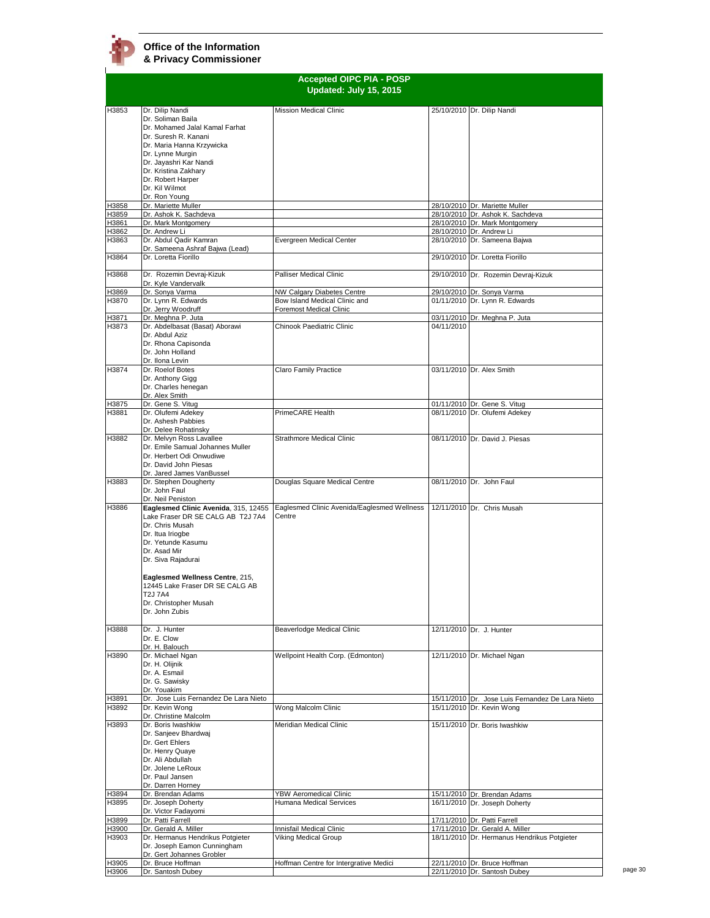|                | <b>Accepted OIPC PIA - POSP</b><br>Updated: July 15, 2015 |                                             |            |                                                                 |  |
|----------------|-----------------------------------------------------------|---------------------------------------------|------------|-----------------------------------------------------------------|--|
| H3853          | Dr. Dilip Nandi                                           | <b>Mission Medical Clinic</b>               |            | 25/10/2010 Dr. Dilip Nandi                                      |  |
|                | Dr. Soliman Baila                                         |                                             |            |                                                                 |  |
|                | Dr. Mohamed Jalal Kamal Farhat                            |                                             |            |                                                                 |  |
|                | Dr. Suresh R. Kanani                                      |                                             |            |                                                                 |  |
|                | Dr. Maria Hanna Krzywicka<br>Dr. Lynne Murgin             |                                             |            |                                                                 |  |
|                | Dr. Jayashri Kar Nandi                                    |                                             |            |                                                                 |  |
|                | Dr. Kristina Zakhary                                      |                                             |            |                                                                 |  |
|                | Dr. Robert Harper                                         |                                             |            |                                                                 |  |
|                | Dr. Kil Wilmot                                            |                                             |            |                                                                 |  |
| H3858          | Dr. Ron Young<br>Dr. Mariette Muller                      |                                             |            | 28/10/2010 Dr. Mariette Muller                                  |  |
| H3859          | Dr. Ashok K. Sachdeva                                     |                                             |            | 28/10/2010 Dr. Ashok K. Sachdeva                                |  |
| H3861          | Dr. Mark Montgomery                                       |                                             |            | 28/10/2010 Dr. Mark Montgomery                                  |  |
| H3862          | Dr. Andrew Li                                             |                                             |            | 28/10/2010 Dr. Andrew Li                                        |  |
| H3863          | Dr. Abdul Qadir Kamran                                    | Evergreen Medical Center                    |            | 28/10/2010 Dr. Sameena Bajwa                                    |  |
| H3864          | Dr. Sameena Ashraf Bajwa (Lead)<br>Dr. Loretta Fiorillo   |                                             |            | 29/10/2010 Dr. Loretta Fiorillo                                 |  |
| H3868          | Dr. Rozemin Devraj-Kizuk                                  | <b>Palliser Medical Clinic</b>              |            | 29/10/2010 Dr. Rozemin Devraj-Kizuk                             |  |
|                | Dr. Kyle Vandervalk                                       |                                             |            |                                                                 |  |
| H3869          | Dr. Sonya Varma                                           | NW Calgary Diabetes Centre                  |            | 29/10/2010 Dr. Sonya Varma                                      |  |
| H3870          | Dr. Lynn R. Edwards                                       | Bow Island Medical Clinic and               |            | 01/11/2010 Dr. Lynn R. Edwards                                  |  |
| H3871          | Dr. Jerry Woodruff<br>Dr. Meghna P. Juta                  | <b>Foremost Medical Clinic</b>              |            | 03/11/2010 Dr. Meghna P. Juta                                   |  |
| H3873          | Dr. Abdelbasat (Basat) Aborawi                            | Chinook Paediatric Clinic                   | 04/11/2010 |                                                                 |  |
|                | Dr. Abdul Aziz                                            |                                             |            |                                                                 |  |
|                | Dr. Rhona Capisonda                                       |                                             |            |                                                                 |  |
|                | Dr. John Holland                                          |                                             |            |                                                                 |  |
|                | Dr. Ilona Levin                                           |                                             |            |                                                                 |  |
| H3874          | Dr. Roelof Botes<br>Dr. Anthony Gigg                      | Claro Family Practice                       |            | 03/11/2010 Dr. Alex Smith                                       |  |
|                | Dr. Charles henegan                                       |                                             |            |                                                                 |  |
|                | Dr. Alex Smith                                            |                                             |            |                                                                 |  |
| H3875          | Dr. Gene S. Vitug                                         |                                             |            | 01/11/2010 Dr. Gene S. Vitug                                    |  |
| H3881          | Dr. Olufemi Adekey                                        | PrimeCARE Health                            |            | 08/11/2010 Dr. Olufemi Adekey                                   |  |
|                | Dr. Ashesh Pabbies<br>Dr. Delee Rohatinsky                |                                             |            |                                                                 |  |
| H3882          | Dr. Melvyn Ross Lavallee                                  | Strathmore Medical Clinic                   |            | 08/11/2010 Dr. David J. Piesas                                  |  |
|                | Dr. Emile Samual Johannes Muller                          |                                             |            |                                                                 |  |
|                | Dr. Herbert Odi Onwudiwe                                  |                                             |            |                                                                 |  |
|                | Dr. David John Piesas                                     |                                             |            |                                                                 |  |
|                | Dr. Jared James VanBussel                                 |                                             |            |                                                                 |  |
| H3883          | Dr. Stephen Dougherty<br>Dr. John Faul                    | Douglas Square Medical Centre               |            | 08/11/2010 Dr. John Faul                                        |  |
|                | Dr. Neil Peniston                                         |                                             |            |                                                                 |  |
| H3886          | Eaglesmed Clinic Avenida, 315, 12455                      | Eaglesmed Clinic Avenida/Eaglesmed Wellness |            | 12/11/2010 Dr. Chris Musah                                      |  |
|                | Lake Fraser DR SE CALG AB T2J 7A4                         | Centre                                      |            |                                                                 |  |
|                | Dr. Chris Musah<br>Dr. Itua Iriogbe                       |                                             |            |                                                                 |  |
|                | Dr. Yetunde Kasumu                                        |                                             |            |                                                                 |  |
|                | Dr. Asad Mir                                              |                                             |            |                                                                 |  |
|                | Dr. Siva Rajadurai                                        |                                             |            |                                                                 |  |
|                |                                                           |                                             |            |                                                                 |  |
|                | Eaglesmed Wellness Centre, 215,                           |                                             |            |                                                                 |  |
|                | 12445 Lake Fraser DR SE CALG AB<br>T2J 7A4                |                                             |            |                                                                 |  |
|                | Dr. Christopher Musah                                     |                                             |            |                                                                 |  |
|                | Dr. John Zubis                                            |                                             |            |                                                                 |  |
|                |                                                           |                                             |            |                                                                 |  |
| H3888          | Dr. J. Hunter                                             | Beaverlodge Medical Clinic                  |            | 12/11/2010 Dr. J. Hunter                                        |  |
|                | Dr. E. Clow                                               |                                             |            |                                                                 |  |
| H3890          | Dr. H. Balouch<br>Dr. Michael Ngan                        | Wellpoint Health Corp. (Edmonton)           |            |                                                                 |  |
|                | Dr. H. Olijnik                                            |                                             |            | 12/11/2010 Dr. Michael Ngan                                     |  |
|                | Dr. A. Esmail                                             |                                             |            |                                                                 |  |
|                | Dr. G. Sawisky                                            |                                             |            |                                                                 |  |
|                | Dr. Youakim                                               |                                             |            |                                                                 |  |
| H3891          | Dr. Jose Luis Fernandez De Lara Nieto                     |                                             |            | 15/11/2010 Dr. Jose Luis Fernandez De Lara Nieto                |  |
| H3892          | Dr. Kevin Wong<br>Dr. Christine Malcolm                   | Wong Malcolm Clinic                         |            | 15/11/2010 Dr. Kevin Wong                                       |  |
| H3893          | Dr. Boris Iwashkiw                                        | Meridian Medical Clinic                     |            | 15/11/2010 Dr. Boris Iwashkiw                                   |  |
|                | Dr. Sanjeev Bhardwaj                                      |                                             |            |                                                                 |  |
|                | Dr. Gert Ehlers                                           |                                             |            |                                                                 |  |
|                | Dr. Henry Quaye                                           |                                             |            |                                                                 |  |
|                | Dr. Ali Abdullah<br>Dr. Jolene LeRoux                     |                                             |            |                                                                 |  |
|                | Dr. Paul Jansen                                           |                                             |            |                                                                 |  |
|                | Dr. Darren Horney                                         |                                             |            |                                                                 |  |
| H3894          | Dr. Brendan Adams                                         | <b>YBW Aeromedical Clinic</b>               |            | 15/11/2010 Dr. Brendan Adams                                    |  |
| H3895          | Dr. Joseph Doherty                                        | Humana Medical Services                     |            | 16/11/2010 Dr. Joseph Doherty                                   |  |
|                | Dr. Victor Fadayomi                                       |                                             |            |                                                                 |  |
| H3899<br>H3900 | Dr. Patti Farrell<br>Dr. Gerald A. Miller                 | Innisfail Medical Clinic                    |            | 17/11/2010 Dr. Patti Farrell<br>17/11/2010 Dr. Gerald A. Miller |  |
| H3903          | Dr. Hermanus Hendrikus Potgieter                          | Viking Medical Group                        |            | 18/11/2010 Dr. Hermanus Hendrikus Potgieter                     |  |
|                | Dr. Joseph Eamon Cunningham                               |                                             |            |                                                                 |  |
|                | Dr. Gert Johannes Grobler                                 |                                             |            |                                                                 |  |
| H3905          | Dr. Bruce Hoffman                                         | Hoffman Centre for Intergrative Medici      |            | 22/11/2010 Dr. Bruce Hoffman                                    |  |
| H3906          | Dr. Santosh Dubey                                         |                                             |            | 22/11/2010 Dr. Santosh Dubey                                    |  |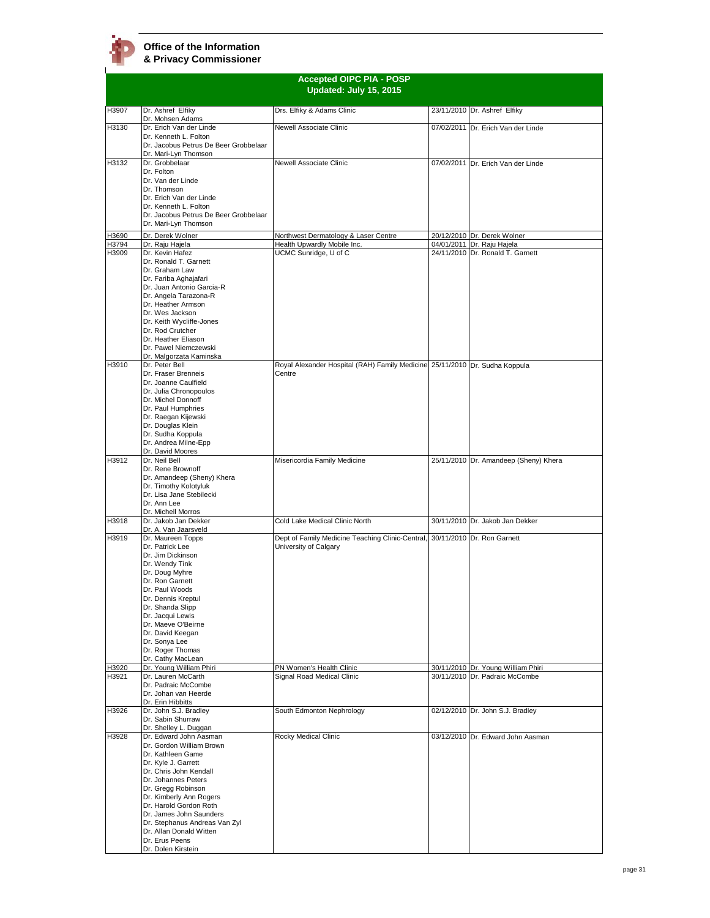## **Office of the Information**

**& Privacy Commissioner**

|                | <b>Accepted OIPC PIA - POSP</b><br>Updated: July 15, 2015     |                                                                             |  |                                                                      |  |  |
|----------------|---------------------------------------------------------------|-----------------------------------------------------------------------------|--|----------------------------------------------------------------------|--|--|
| H3907          | Dr. Ashref Elfiky                                             | Drs. Elfiky & Adams Clinic                                                  |  | 23/11/2010 Dr. Ashref Elfiky                                         |  |  |
| H3130          | Dr. Mohsen Adams<br>Dr. Erich Van der Linde                   | Newell Associate Clinic                                                     |  | 07/02/2011 Dr. Erich Van der Linde                                   |  |  |
|                | Dr. Kenneth L. Folton                                         |                                                                             |  |                                                                      |  |  |
|                | Dr. Jacobus Petrus De Beer Grobbelaar<br>Dr. Mari-Lyn Thomson |                                                                             |  |                                                                      |  |  |
| H3132          | Dr. Grobbelaar                                                | Newell Associate Clinic                                                     |  | 07/02/2011 Dr. Erich Van der Linde                                   |  |  |
|                | Dr. Folton<br>Dr. Van der Linde                               |                                                                             |  |                                                                      |  |  |
|                | Dr. Thomson                                                   |                                                                             |  |                                                                      |  |  |
|                | Dr. Erich Van der Linde<br>Dr. Kenneth L. Folton              |                                                                             |  |                                                                      |  |  |
|                | Dr. Jacobus Petrus De Beer Grobbelaar                         |                                                                             |  |                                                                      |  |  |
|                | Dr. Mari-Lyn Thomson                                          |                                                                             |  |                                                                      |  |  |
| H3690<br>H3794 | Dr. Derek Wolner<br>Dr. Raju Hajela                           | Northwest Dermatology & Laser Centre<br>Health Upwardly Mobile Inc.         |  | 20/12/2010 Dr. Derek Wolner<br>04/01/2011 Dr. Raju Hajela            |  |  |
| H3909          | Dr. Kevin Hafez                                               | UCMC Sunridge, U of C                                                       |  | 24/11/2010 Dr. Ronald T. Garnett                                     |  |  |
|                | Dr. Ronald T. Garnett<br>Dr. Graham Law                       |                                                                             |  |                                                                      |  |  |
|                | Dr. Fariba Aghajafari                                         |                                                                             |  |                                                                      |  |  |
|                | Dr. Juan Antonio Garcia-R<br>Dr. Angela Tarazona-R            |                                                                             |  |                                                                      |  |  |
|                | Dr. Heather Armson                                            |                                                                             |  |                                                                      |  |  |
|                | Dr. Wes Jackson<br>Dr. Keith Wycliffe-Jones                   |                                                                             |  |                                                                      |  |  |
|                | Dr. Rod Crutcher                                              |                                                                             |  |                                                                      |  |  |
|                | Dr. Heather Eliason<br>Dr. Pawel Niemczewski                  |                                                                             |  |                                                                      |  |  |
|                | Dr. Malgorzata Kaminska                                       |                                                                             |  |                                                                      |  |  |
| H3910          | Dr. Peter Bell                                                | Royal Alexander Hospital (RAH) Family Medicine 25/11/2010 Dr. Sudha Koppula |  |                                                                      |  |  |
|                | Dr. Fraser Brenneis<br>Dr. Joanne Caulfield                   | Centre                                                                      |  |                                                                      |  |  |
|                | Dr. Julia Chronopoulos                                        |                                                                             |  |                                                                      |  |  |
|                | Dr. Michel Donnoff<br>Dr. Paul Humphries                      |                                                                             |  |                                                                      |  |  |
|                | Dr. Raegan Kijewski                                           |                                                                             |  |                                                                      |  |  |
|                | Dr. Douglas Klein<br>Dr. Sudha Koppula                        |                                                                             |  |                                                                      |  |  |
|                | Dr. Andrea Milne-Epp                                          |                                                                             |  |                                                                      |  |  |
| H3912          | Dr. David Moores<br>Dr. Neil Bell                             |                                                                             |  |                                                                      |  |  |
|                | Dr. Rene Brownoff                                             | Misericordia Family Medicine                                                |  | 25/11/2010 Dr. Amandeep (Sheny) Khera                                |  |  |
|                | Dr. Amandeep (Sheny) Khera                                    |                                                                             |  |                                                                      |  |  |
|                | Dr. Timothy Kolotyluk<br>Dr. Lisa Jane Stebilecki             |                                                                             |  |                                                                      |  |  |
|                | Dr. Ann Lee                                                   |                                                                             |  |                                                                      |  |  |
| H3918          | Dr. Michell Morros<br>Dr. Jakob Jan Dekker                    | Cold Lake Medical Clinic North                                              |  | 30/11/2010 Dr. Jakob Jan Dekker                                      |  |  |
| H3919          | Dr. A. Van Jaarsveld                                          |                                                                             |  |                                                                      |  |  |
|                | Dr. Maureen Topps<br>Dr. Patrick Lee                          | Dept of Family Medicine Teaching Clinic-Central,<br>University of Calgary   |  | 30/11/2010 Dr. Ron Garnett                                           |  |  |
|                | Dr. Jim Dickinson                                             |                                                                             |  |                                                                      |  |  |
|                | Dr. Wendy Tink<br>Dr. Doug Myhre                              |                                                                             |  |                                                                      |  |  |
|                | Dr. Ron Garnett                                               |                                                                             |  |                                                                      |  |  |
|                | Dr. Paul Woods<br>Dr. Dennis Kreptul                          |                                                                             |  |                                                                      |  |  |
|                | Dr. Shanda Slipp                                              |                                                                             |  |                                                                      |  |  |
|                | Dr. Jacqui Lewis<br>Dr. Maeve O'Beirne                        |                                                                             |  |                                                                      |  |  |
|                | Dr. David Keegan                                              |                                                                             |  |                                                                      |  |  |
|                | Dr. Sonya Lee<br>Dr. Roger Thomas                             |                                                                             |  |                                                                      |  |  |
|                | Dr. Cathy MacLean                                             |                                                                             |  |                                                                      |  |  |
| H3920<br>H3921 | Dr. Young William Phiri<br>Dr. Lauren McCarth                 | PN Women's Health Clinic<br>Signal Road Medical Clinic                      |  | 30/11/2010 Dr. Young William Phiri<br>30/11/2010 Dr. Padraic McCombe |  |  |
|                | Dr. Padraic McCombe                                           |                                                                             |  |                                                                      |  |  |
|                | Dr. Johan van Heerde<br>Dr. Erin Hibbitts                     |                                                                             |  |                                                                      |  |  |
| H3926          | Dr. John S.J. Bradley                                         | South Edmonton Nephrology                                                   |  | 02/12/2010 Dr. John S.J. Bradley                                     |  |  |
|                | Dr. Sabin Shurraw<br>Dr. Shelley L. Duggan                    |                                                                             |  |                                                                      |  |  |
| H3928          | Dr. Edward John Aasman                                        | Rocky Medical Clinic                                                        |  | 03/12/2010 Dr. Edward John Aasman                                    |  |  |
|                | Dr. Gordon William Brown<br>Dr. Kathleen Game                 |                                                                             |  |                                                                      |  |  |
|                | Dr. Kyle J. Garrett                                           |                                                                             |  |                                                                      |  |  |
|                | Dr. Chris John Kendall<br>Dr. Johannes Peters                 |                                                                             |  |                                                                      |  |  |
|                | Dr. Gregg Robinson                                            |                                                                             |  |                                                                      |  |  |
|                | Dr. Kimberly Ann Rogers                                       |                                                                             |  |                                                                      |  |  |
|                | Dr. Harold Gordon Roth<br>Dr. James John Saunders             |                                                                             |  |                                                                      |  |  |
|                | Dr. Stephanus Andreas Van Zyl                                 |                                                                             |  |                                                                      |  |  |
|                | Dr. Allan Donald Witten<br>Dr. Erus Peens                     |                                                                             |  |                                                                      |  |  |
|                | Dr. Dolen Kirstein                                            |                                                                             |  |                                                                      |  |  |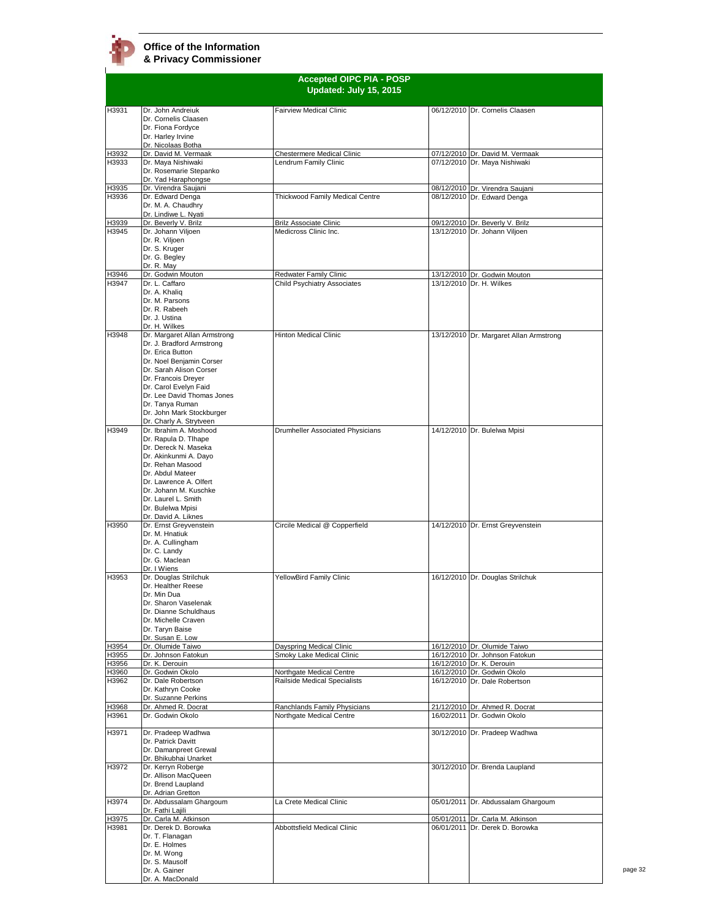

|                | <b>Accepted OIPC PIA - POSP</b><br>Updated: July 15, 2015 |                                                       |  |                                                          |
|----------------|-----------------------------------------------------------|-------------------------------------------------------|--|----------------------------------------------------------|
| H3931          | Dr. John Andreiuk                                         | <b>Fairview Medical Clinic</b>                        |  | 06/12/2010 Dr. Cornelis Claasen                          |
|                | Dr. Cornelis Claasen<br>Dr. Fiona Fordyce                 |                                                       |  |                                                          |
|                | Dr. Harley Irvine                                         |                                                       |  |                                                          |
|                | Dr. Nicolaas Botha                                        |                                                       |  |                                                          |
| H3932          | Dr. David M. Vermaak                                      | <b>Chestermere Medical Clinic</b>                     |  | 07/12/2010 Dr. David M. Vermaak                          |
| H3933          | Dr. Maya Nishiwaki<br>Dr. Rosemarie Stepanko              | Lendrum Family Clinic                                 |  | 07/12/2010 Dr. Maya Nishiwaki                            |
|                | Dr. Yad Haraphongse                                       |                                                       |  |                                                          |
| H3935          | Dr. Virendra Saujani                                      |                                                       |  | 08/12/2010 Dr. Virendra Saujani                          |
| H3936          | Dr. Edward Denga<br>Dr. M. A. Chaudhry                    | Thickwood Family Medical Centre                       |  | 08/12/2010 Dr. Edward Denga                              |
|                | Dr. Lindiwe L. Nyati                                      |                                                       |  |                                                          |
| H3939          | Dr. Beverly V. Brilz                                      | <b>Brilz Associate Clinic</b>                         |  | 09/12/2010 Dr. Beverly V. Brilz                          |
| H3945          | Dr. Johann Viljoen<br>Dr. R. Viljoen                      | Medicross Clinic Inc.                                 |  | 13/12/2010 Dr. Johann Viljoen                            |
|                | Dr. S. Kruger                                             |                                                       |  |                                                          |
|                | Dr. G. Begley                                             |                                                       |  |                                                          |
|                | Dr. R. May                                                |                                                       |  |                                                          |
| H3946<br>H3947 | Dr. Godwin Mouton<br>Dr. L. Caffaro                       | Redwater Family Clinic<br>Child Psychiatry Associates |  | 13/12/2010 Dr. Godwin Mouton<br>13/12/2010 Dr. H. Wilkes |
|                | Dr. A. Khaliq                                             |                                                       |  |                                                          |
|                | Dr. M. Parsons                                            |                                                       |  |                                                          |
|                | Dr. R. Rabeeh<br>Dr. J. Ustina                            |                                                       |  |                                                          |
|                | Dr. H. Wilkes                                             |                                                       |  |                                                          |
| H3948          | Dr. Margaret Allan Armstrong                              | <b>Hinton Medical Clinic</b>                          |  | 13/12/2010 Dr. Margaret Allan Armstrong                  |
|                | Dr. J. Bradford Armstrong                                 |                                                       |  |                                                          |
|                | Dr. Erica Button<br>Dr. Noel Benjamin Corser              |                                                       |  |                                                          |
|                | Dr. Sarah Alison Corser                                   |                                                       |  |                                                          |
|                | Dr. Francois Drever                                       |                                                       |  |                                                          |
|                | Dr. Carol Evelyn Faid                                     |                                                       |  |                                                          |
|                | Dr. Lee David Thomas Jones<br>Dr. Tanya Ruman             |                                                       |  |                                                          |
|                | Dr. John Mark Stockburger                                 |                                                       |  |                                                          |
|                | Dr. Charly A. Strytveen                                   |                                                       |  |                                                          |
| H3949          | Dr. Ibrahim A. Moshood                                    | Drumheller Associated Physicians                      |  | 14/12/2010 Dr. Bulelwa Mpisi                             |
|                | Dr. Rapula D. Tlhape<br>Dr. Dereck N. Maseka              |                                                       |  |                                                          |
|                | Dr. Akinkunmi A. Dayo                                     |                                                       |  |                                                          |
|                | Dr. Rehan Masood                                          |                                                       |  |                                                          |
|                | Dr. Abdul Mateer<br>Dr. Lawrence A. Olfert                |                                                       |  |                                                          |
|                | Dr. Johann M. Kuschke                                     |                                                       |  |                                                          |
|                | Dr. Laurel L. Smith                                       |                                                       |  |                                                          |
|                | Dr. Bulelwa Mpisi                                         |                                                       |  |                                                          |
| H3950          | Dr. David A. Liknes<br>Dr. Ernst Greyvenstein             | Circile Medical @ Copperfield                         |  | 14/12/2010 Dr. Ernst Greyvenstein                        |
|                | Dr. M. Hnatiuk                                            |                                                       |  |                                                          |
|                | Dr. A. Cullingham                                         |                                                       |  |                                                          |
|                | Dr. C. Landy                                              |                                                       |  |                                                          |
|                | Dr. G. Maclean<br>Dr. I Wiens                             |                                                       |  |                                                          |
| H3953          | Dr. Douglas Strilchuk                                     | YellowBird Family Clinic                              |  | 16/12/2010 Dr. Douglas Strilchuk                         |
|                | Dr. Healther Reese                                        |                                                       |  |                                                          |
|                | Dr. Min Dua<br>Dr. Sharon Vaselenak                       |                                                       |  |                                                          |
|                | Dr. Dianne Schuldhaus                                     |                                                       |  |                                                          |
|                | Dr. Michelle Craven                                       |                                                       |  |                                                          |
|                | Dr. Taryn Baise                                           |                                                       |  |                                                          |
| H3954          | Dr. Susan E. Low<br>Dr. Olumide Taiwo                     | Dayspring Medical Clinic                              |  | 16/12/2010 Dr. Olumide Taiwo                             |
| H3955          | Dr. Johnson Fatokun                                       | Smoky Lake Medical Clinic                             |  | 16/12/2010 Dr. Johnson Fatokun                           |
| H3956          | Dr. K. Derouin                                            |                                                       |  | 16/12/2010 Dr. K. Derouin                                |
| H3960<br>H3962 | Dr. Godwin Okolo<br>Dr. Dale Robertson                    | Northgate Medical Centre                              |  | 16/12/2010 Dr. Godwin Okolo                              |
|                | Dr. Kathrvn Cooke                                         | Railside Medical Specialists                          |  | 16/12/2010 Dr. Dale Robertson                            |
|                | Dr. Suzanne Perkins                                       |                                                       |  |                                                          |
| H3968          | Dr. Ahmed R. Docrat                                       | Ranchlands Family Physicians                          |  | 21/12/2010 Dr. Ahmed R. Docrat                           |
| H3961          | Dr. Godwin Okolo                                          | Northgate Medical Centre                              |  | 16/02/2011 Dr. Godwin Okolo                              |
| H3971          | Dr. Pradeep Wadhwa                                        |                                                       |  | 30/12/2010 Dr. Pradeep Wadhwa                            |
|                | Dr. Patrick Davitt                                        |                                                       |  |                                                          |
|                | Dr. Damanpreet Grewal                                     |                                                       |  |                                                          |
| H3972          | Dr. Bhikubhai Unarket<br>Dr. Kerryn Roberge               |                                                       |  | 30/12/2010 Dr. Brenda Laupland                           |
|                | Dr. Allison MacQueen                                      |                                                       |  |                                                          |
|                | Dr. Brend Laupland                                        |                                                       |  |                                                          |
|                | Dr. Adrian Gretton                                        |                                                       |  |                                                          |
| H3974          | Dr. Abdussalam Ghargoum<br>Dr. Fathi Lajili               | La Crete Medical Clinic                               |  | 05/01/2011 Dr. Abdussalam Ghargoum                       |
| H3975          | Dr. Carla M. Atkinson                                     |                                                       |  | 05/01/2011 Dr. Carla M. Atkinson                         |
| H3981          | Dr. Derek D. Borowka                                      | Abbottsfield Medical Clinic                           |  | 06/01/2011 Dr. Derek D. Borowka                          |
|                | Dr. T. Flanagan<br>Dr. E. Holmes                          |                                                       |  |                                                          |
|                | Dr. M. Wong                                               |                                                       |  |                                                          |
|                | Dr. S. Mausolf                                            |                                                       |  |                                                          |
|                | Dr. A. Gainer                                             |                                                       |  |                                                          |
|                | Dr. A. MacDonald                                          |                                                       |  |                                                          |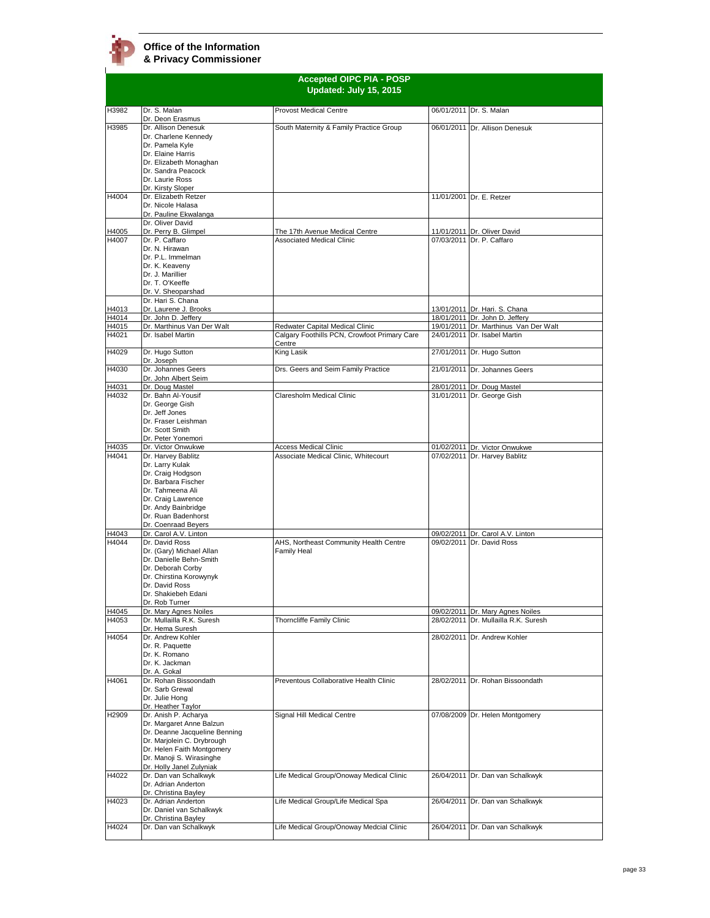**Accepted OIPC PIA - POSP Updated: July 15, 2015** H3982 Dr. S. Malan Dr. Deon Erasmus Provost Medical Centre 06/01/2011 Dr. S. Malan H3985 Dr. Allison Denesuk Dr. Charlene Kennedy Dr. Pamela Kyle Dr. Elaine Harris Dr. Elizabeth Monaghan Dr. Sandra Peacock Dr. Laurie Ross Dr. Kirsty Sloper South Maternity & Family Practice Group 06/01/2011 Dr. Allison Denesuk H4004 Dr. Elizabeth Retzer Dr. Nicole Halasa Dr. Pauline Ekwala 11/01/2001 Dr. E. Retzer H4005<br>H4007 Dr. Oliver David<br>Dr. Perry B. Glimp The 17th Avenue Medical Centre 11/01/2011 Dr. Oliver David<br>Associated Medical Clinic 107/03/2011 Dr. P. Caffaro Dr. P. Caffaro Dr. N. Hirawan Dr. P.L. Immelman Dr. K. Keaveny Dr. J. Marillier Dr. T. O'Keeffe Dr. V. Sheoparshad  $07/03/2011$  Dr. P. Caffaro H4013<br>H4014 Dr. Hari S. Chana<br>Dr. Laurene J. Brooks Dr. Laurene J. Brooks 13/01/2011 Dr. Hari. S. Chana H4014 Dr. John D. Jeffery **18/01/2011** Dr. John D. Jeffery 18/01/2011 Dr. John D. Jeffery<br>19/01/2011 Dr. Marthinus Van Der Walt Redwater Capital Medical Clinic 19/01/2011 Dr. Marthinus Van H4015 Dr. Marthinus Van Der Walt Redwater Capital Medical Clinic 19/01/2011 Dr. Marthinus Van Der Walt<br>H4021 Dr. Isabel Martin Calgary Foothills PCN. Crowfoot Primary Care 24/01/2011 Dr. Isabel Martin Calgary Foothills PCN, Crowfoot Primary Care <u>Centre</u><br>King Lasik 24/01/2011 Dr. Isabel Martin H4029 Dr. Hugo Sutton Dr. Joseph 27/01/2011 Dr. Hugo Sutton H4030 Dr. Johannes Geers Dr. John Albert Seim Drs. Geers and Seim Family Practice 21/01/2011 Dr. Johannes Geers H4031 Dr. Doug Mastel **Finance Community Community Community** 28/01/2011 Dr. Doug Mastel 28/01/2011 Dr. Doug Mastel<br>
28/01/2011 Dr. George Gish Dr. Bahn Al-Yousi Dr. George Gish Dr. Jeff Jones Dr. Fraser Leishman Dr. Scott Smith Dr. Peter Yonemori<br>Dr. Victor Onwukwe Claresholm Medical Clinic H4035 Dr. Victor Onwukwe <br>
H4041 Dr. Harvey Bablitz Associate Medical Clinic, Whitecourt 07/02/2011 Dr. Harvey Bablitz Dr. Harvey Bablitz Dr. Larry Kulak Dr. Craig Hodgson Dr. Barbara Fischer Dr. Tahmeena Ali Dr. Craig Lawrence Dr. Andy Bainbridge Dr. Ruan Badenhorst Dr. Coenraad Beyers<br>Dr. Carol A.V. Linton Associate Medical Clinic, Whitecourt H4043 Dr. Carol A.V. Linton 09/02/2011 Dr. Carol A.V. Linton 09/02/2011 Dr. David Ross H4044 Dr. David Ross Dr. (Gary) Michael Allan Dr. Danielle Behn-Smith Dr. Deborah Corby Dr. Chirstina Korowynyk Dr. David Ross Dr. Shakiebeh Edani Dr. Rob Turner<br>Dr. Mary Agnes Noiles AHS, Northeast Community Health Centre Family Heal H4045 Dr. Mary Agnes Noiles (1999) 2011 Dr. Mary Agnes Noiles (1999) 2011 Dr. Mary Agnes Noiles (1999) 28/02/2011 Dr. Mullailla R.K. Dr. Mullailla R.K. Suresh Dr. Hema Suresh 28/02/2011 Dr. Mullailla R.K. Suresh H4054 Dr. Andrew Kohler Dr. R. Paquette Dr. K. Romano Dr. K. Jackman Dr. A. Gokal 28/02/2011 Dr. Andrew Kohler H4061 Dr. Rohan Bissoondath Dr. Sarb Grewal Dr. Julie Hong Dr. Heather Taylor Preventous Collaborative Health Clinic 28/02/2011 Dr. Rohan Bissoondath H2909 Dr. Anish P. Acharya Dr. Margaret Anne Balzun Dr. Deanne Jacqueline Benning Dr. Marjolein C. Drybrough Dr. Helen Faith Montgomery Dr. Manoji S. Wirasinghe Dr. Holly Janel Zulyniak Signal Hill Medical Centre **1988** 07/08/2009 Dr. Helen Montgomery H4022 Dr. Dan van Schalkwyk Dr. Adrian Anderton Dr. Christina Bayley Life Medical Group/Onoway Medical Clinic 26/04/2011 Dr. Dan van Schalkwyk H4023 Dr. Adrian Anderton Dr. Daniel van Schalkwyk Dr. Christina Bayley<br>Dr. Dan van Schalkwyk Life Medical Group/Life Medical Spa 26/04/2011 Dr. Dan van Schalkwyk H4024 Dr. Dan van Schalkwyk Life Medical Group/Onoway Medcial Clinic 26/04/2011 Dr. Dan van Schalkwyk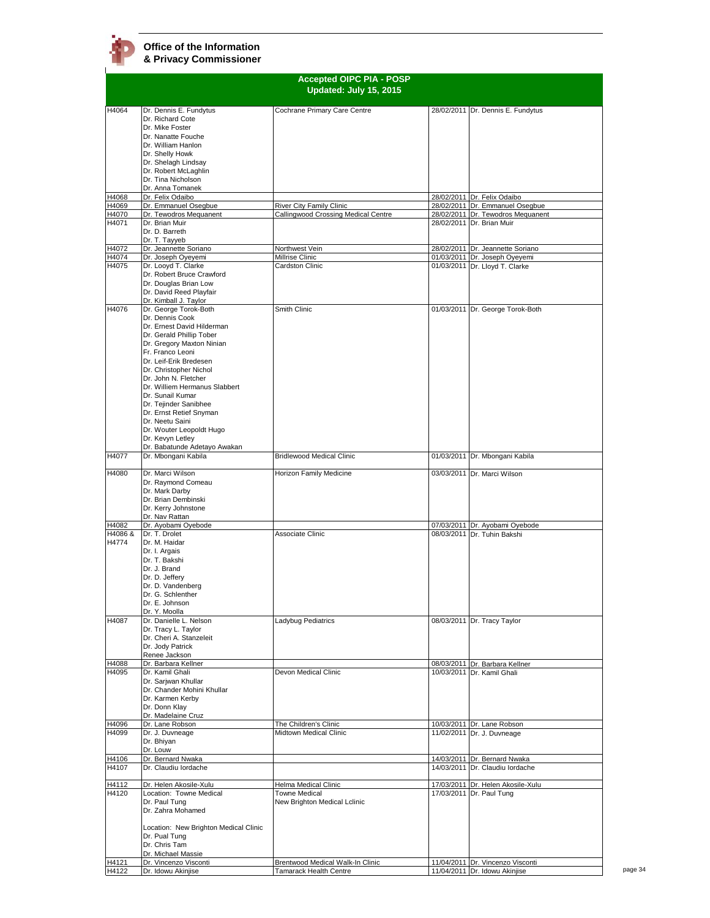|                  | <b>Accepted OIPC PIA - POSP</b><br>Updated: July 15, 2015                                                                                                                                                                                                                                                                                                                                                                                   |                                                                 |  |                                                                      |
|------------------|---------------------------------------------------------------------------------------------------------------------------------------------------------------------------------------------------------------------------------------------------------------------------------------------------------------------------------------------------------------------------------------------------------------------------------------------|-----------------------------------------------------------------|--|----------------------------------------------------------------------|
| H4064            | Dr. Dennis E. Fundytus<br>Dr. Richard Cote<br>Dr. Mike Foster<br>Dr. Nanatte Fouche<br>Dr. William Hanlon<br>Dr. Shelly Howk<br>Dr. Shelagh Lindsay<br>Dr. Robert McLaghlin                                                                                                                                                                                                                                                                 | Cochrane Primary Care Centre                                    |  | 28/02/2011 Dr. Dennis E. Fundytus                                    |
|                  | Dr. Tina Nicholson<br>Dr. Anna Tomanek                                                                                                                                                                                                                                                                                                                                                                                                      |                                                                 |  |                                                                      |
| H4068            | Dr. Felix Odaibo                                                                                                                                                                                                                                                                                                                                                                                                                            |                                                                 |  | 28/02/2011 Dr. Felix Odaibo                                          |
| H4069<br>H4070   | Dr. Emmanuel Osegbue<br>Dr. Tewodros Mequanent                                                                                                                                                                                                                                                                                                                                                                                              | River City Family Clinic<br>Callingwood Crossing Medical Centre |  | 28/02/2011 Dr. Emmanuel Osegbue<br>28/02/2011 Dr. Tewodros Mequanent |
| H4071            | Dr. Brian Muir<br>Dr. D. Barreth<br>Dr. T. Tavveb                                                                                                                                                                                                                                                                                                                                                                                           |                                                                 |  | 28/02/2011 Dr. Brian Muir                                            |
| H4072            | Dr. Jeannette Soriano                                                                                                                                                                                                                                                                                                                                                                                                                       | Northwest Vein                                                  |  | 28/02/2011 Dr. Jeannette Soriano                                     |
| H4074<br>H4075   | Dr. Joseph Oyeyemi<br>Dr. Looyd T. Clarke<br>Dr. Robert Bruce Crawford<br>Dr. Douglas Brian Low<br>Dr. David Reed Playfair<br>Dr. Kimball J. Taylor                                                                                                                                                                                                                                                                                         | Millrise Clinic<br>Cardston Clinic                              |  | 01/03/2011 Dr. Joseph Oyeyemi<br>01/03/2011 Dr. Lloyd T. Clarke      |
| H4076            | Dr. George Torok-Both<br>Dr. Dennis Cook<br>Dr. Ernest David Hilderman<br>Dr. Gerald Phillip Tober<br>Dr. Gregory Maxton Ninian<br>Fr. Franco Leoni<br>Dr. Leif-Erik Bredesen<br>Dr. Christopher Nichol<br>Dr. John N. Fletcher<br>Dr. Williem Hermanus Slabbert<br>Dr. Sunail Kumar<br>Dr. Tejinder Sanibhee<br>Dr. Ernst Retief Snyman<br>Dr. Neetu Saini<br>Dr. Wouter Leopoldt Hugo<br>Dr. Kevyn Letley<br>Dr. Babatunde Adetayo Awakan | Smith Clinic                                                    |  | 01/03/2011 Dr. George Torok-Both                                     |
| H4077            | Dr. Mbongani Kabila                                                                                                                                                                                                                                                                                                                                                                                                                         | <b>Bridlewood Medical Clinic</b>                                |  | 01/03/2011 Dr. Mbongani Kabila                                       |
| H4080            | Dr. Marci Wilson<br>Dr. Raymond Comeau<br>Dr. Mark Darby<br>Dr. Brian Dembinski<br>Dr. Kerry Johnstone<br>Dr. Nav Rattan                                                                                                                                                                                                                                                                                                                    | Horizon Family Medicine                                         |  | 03/03/2011 Dr. Marci Wilson                                          |
| H4082            | Dr. Ayobami Oyebode                                                                                                                                                                                                                                                                                                                                                                                                                         |                                                                 |  | 07/03/2011 Dr. Ayobami Oyebode                                       |
| H4086 &<br>H4774 | Dr. T. Drolet<br>Dr. M. Haidar<br>Dr. I. Argais<br>Dr. T. Bakshi<br>Dr. J. Brand<br>Dr. D. Jeffery<br>Dr. D. Vandenberg<br>Dr. G. Schlenther<br>Dr. E. Johnson<br>Dr. Y. Moolla                                                                                                                                                                                                                                                             | Associate Clinic                                                |  | 08/03/2011 Dr. Tuhin Bakshi                                          |
| H4087            | Dr. Danielle L. Nelson<br>Dr. Tracy L. Taylor<br>Dr. Cheri A. Stanzeleit<br>Dr. Jody Patrick<br>Renee Jackson                                                                                                                                                                                                                                                                                                                               | Ladybug Pediatrics                                              |  | 08/03/2011 Dr. Tracy Taylor                                          |
| H4088            | Dr. Barbara Kellner                                                                                                                                                                                                                                                                                                                                                                                                                         |                                                                 |  | 08/03/2011 Dr. Barbara Kellner                                       |
| H4095            | Dr. Kamil Ghali<br>Dr. Sarjwan Khullar<br>Dr. Chander Mohini Khullar<br>Dr. Karmen Kerby<br>Dr. Donn Klay<br>Dr. Madelaine Cruz                                                                                                                                                                                                                                                                                                             | Devon Medical Clinic                                            |  | 10/03/2011 Dr. Kamil Ghali                                           |
| H4096            | Dr. Lane Robson                                                                                                                                                                                                                                                                                                                                                                                                                             | The Children's Clinic                                           |  | 10/03/2011 Dr. Lane Robson                                           |
| H4099            | Dr. J. Duvneage<br>Dr. Bhiyan<br>Dr. Louw                                                                                                                                                                                                                                                                                                                                                                                                   | Midtown Medical Clinic                                          |  | 11/02/2011 Dr. J. Duvneage                                           |
| H4106<br>H4107   | Dr. Bernard Nwaka<br>Dr. Claudiu lordache                                                                                                                                                                                                                                                                                                                                                                                                   |                                                                 |  | 14/03/2011 Dr. Bernard Nwaka<br>14/03/2011 Dr. Claudiu lordache      |
| H4112            | Dr. Helen Akosile-Xulu                                                                                                                                                                                                                                                                                                                                                                                                                      | Helma Medical Clinic                                            |  | 17/03/2011 Dr. Helen Akosile-Xulu                                    |
| H4120            | Location: Towne Medical<br>Dr. Paul Tung<br>Dr. Zahra Mohamed<br>Location: New Brighton Medical Clinic<br>Dr. Pual Tung<br>Dr. Chris Tam                                                                                                                                                                                                                                                                                                    | <b>Towne Medical</b><br>New Brighton Medical Lclinic            |  | 17/03/2011 Dr. Paul Tung                                             |
|                  | Dr. Michael Massie<br>Dr. Vincenzo Visconti                                                                                                                                                                                                                                                                                                                                                                                                 | Brentwood Medical Walk-In Clinic                                |  | 11/04/2011 Dr. Vincenzo Visconti                                     |
| H4121<br>H4122   | Dr. Idowu Akinjise                                                                                                                                                                                                                                                                                                                                                                                                                          | <b>Tamarack Health Centre</b>                                   |  | 11/04/2011 Dr. Idowu Akinjise                                        |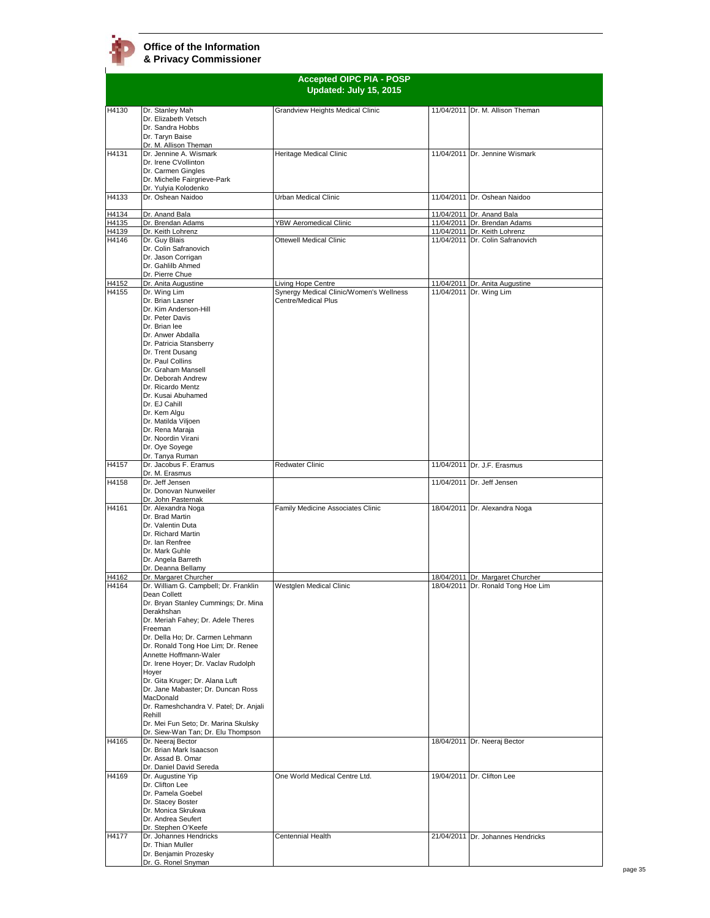

|                | <b>Accepted OIPC PIA - POSP</b>                                       |                                                                |  |                                                                  |
|----------------|-----------------------------------------------------------------------|----------------------------------------------------------------|--|------------------------------------------------------------------|
|                |                                                                       | Updated: July 15, 2015                                         |  |                                                                  |
| H4130          | Dr. Stanley Mah                                                       | Grandview Heights Medical Clinic                               |  | 11/04/2011 Dr. M. Allison Theman                                 |
|                | Dr. Elizabeth Vetsch                                                  |                                                                |  |                                                                  |
|                | Dr. Sandra Hobbs                                                      |                                                                |  |                                                                  |
|                | Dr. Taryn Baise<br>Dr. M. Allison Theman                              |                                                                |  |                                                                  |
| H4131          | Dr. Jennine A. Wismark                                                | Heritage Medical Clinic                                        |  | 11/04/2011 Dr. Jennine Wismark                                   |
|                | Dr. Irene CVollinton<br>Dr. Carmen Gingles                            |                                                                |  |                                                                  |
|                | Dr. Michelle Fairgrieve-Park                                          |                                                                |  |                                                                  |
|                | Dr. Yulyia Kolodenko                                                  |                                                                |  |                                                                  |
| H4133          | Dr. Oshean Naidoo                                                     | Urban Medical Clinic                                           |  | 11/04/2011 Dr. Oshean Naidoo                                     |
| H4134          | Dr. Anand Bala                                                        |                                                                |  | 11/04/2011 Dr. Anand Bala                                        |
| H4135<br>H4139 | Dr. Brendan Adams<br>Dr. Keith Lohrenz                                | YBW Aeromedical Clinic                                         |  | 11/04/2011 Dr. Brendan Adams                                     |
| H4146          | Dr. Guy Blais                                                         | Ottewell Medical Clinic                                        |  | 11/04/2011 Dr. Keith Lohrenz<br>11/04/2011 Dr. Colin Safranovich |
|                | Dr. Colin Safranovich                                                 |                                                                |  |                                                                  |
|                | Dr. Jason Corrigan<br>Dr. Gahlilb Ahmed                               |                                                                |  |                                                                  |
|                | Dr. Pierre Chue                                                       |                                                                |  |                                                                  |
| H4152          | Dr. Anita Augustine                                                   | Living Hope Centre                                             |  | 11/04/2011 Dr. Anita Augustine                                   |
| H4155          | Dr. Wing Lim<br>Dr. Brian Lasner                                      | Synergy Medical Clinic/Women's Wellness<br>Centre/Medical Plus |  | 11/04/2011 Dr. Wing Lim                                          |
|                | Dr. Kim Anderson-Hill                                                 |                                                                |  |                                                                  |
|                | Dr. Peter Davis                                                       |                                                                |  |                                                                  |
|                | Dr. Brian lee<br>Dr. Anwer Abdalla                                    |                                                                |  |                                                                  |
|                | Dr. Patricia Stansberry                                               |                                                                |  |                                                                  |
|                | Dr. Trent Dusang<br>Dr. Paul Collins                                  |                                                                |  |                                                                  |
|                | Dr. Graham Mansell                                                    |                                                                |  |                                                                  |
|                | Dr. Deborah Andrew                                                    |                                                                |  |                                                                  |
|                | Dr. Ricardo Mentz<br>Dr. Kusai Abuhamed                               |                                                                |  |                                                                  |
|                | Dr. EJ Cahill                                                         |                                                                |  |                                                                  |
|                | Dr. Kem Algu                                                          |                                                                |  |                                                                  |
|                | Dr. Matilda Viljoen<br>Dr. Rena Maraja                                |                                                                |  |                                                                  |
|                | Dr. Noordin Virani                                                    |                                                                |  |                                                                  |
|                | Dr. Oye Soyege                                                        |                                                                |  |                                                                  |
| H4157          | Dr. Tanya Ruman<br>Dr. Jacobus F. Eramus                              | <b>Redwater Clinic</b>                                         |  | 11/04/2011 Dr. J.F. Erasmus                                      |
|                | Dr. M. Erasmus                                                        |                                                                |  |                                                                  |
| H4158          | Dr. Jeff Jensen                                                       |                                                                |  | 11/04/2011 Dr. Jeff Jensen                                       |
|                | Dr. Donovan Nunweiler<br>Dr. John Pasternak                           |                                                                |  |                                                                  |
| H4161          | Dr. Alexandra Noga                                                    | Family Medicine Associates Clinic                              |  | 18/04/2011 Dr. Alexandra Noga                                    |
|                | Dr. Brad Martin<br>Dr. Valentin Duta                                  |                                                                |  |                                                                  |
|                | Dr. Richard Martin                                                    |                                                                |  |                                                                  |
|                | Dr. Ian Renfree                                                       |                                                                |  |                                                                  |
|                | Dr. Mark Guhle<br>Dr. Angela Barreth                                  |                                                                |  |                                                                  |
|                | Dr. Deanna Bellamy                                                    |                                                                |  |                                                                  |
| H4162<br>H4164 | Dr. Margaret Churcher<br>Dr. William G. Campbell; Dr. Franklin        | Westglen Medical Clinic                                        |  | 18/04/2011 Dr. Margaret Churcher                                 |
|                | Dean Collett                                                          |                                                                |  | 18/04/2011 Dr. Ronald Tong Hoe Lim                               |
|                | Dr. Bryan Stanley Cummings; Dr. Mina                                  |                                                                |  |                                                                  |
|                | Derakhshan<br>Dr. Meriah Fahey; Dr. Adele Theres                      |                                                                |  |                                                                  |
|                | Freeman                                                               |                                                                |  |                                                                  |
|                | Dr. Della Ho; Dr. Carmen Lehmann                                      |                                                                |  |                                                                  |
|                | Dr. Ronald Tong Hoe Lim; Dr. Renee<br>Annette Hoffmann-Waler          |                                                                |  |                                                                  |
|                | Dr. Irene Hoyer; Dr. Vaclav Rudolph                                   |                                                                |  |                                                                  |
|                | Hoyer                                                                 |                                                                |  |                                                                  |
|                | Dr. Gita Kruger; Dr. Alana Luft<br>Dr. Jane Mabaster; Dr. Duncan Ross |                                                                |  |                                                                  |
|                | MacDonald                                                             |                                                                |  |                                                                  |
|                | Dr. Rameshchandra V. Patel; Dr. Anjali                                |                                                                |  |                                                                  |
|                | Rehill<br>Dr. Mei Fun Seto; Dr. Marina Skulsky                        |                                                                |  |                                                                  |
|                | Dr. Siew-Wan Tan; Dr. Elu Thompson                                    |                                                                |  |                                                                  |
| H4165          | Dr. Neeraj Bector                                                     |                                                                |  | 18/04/2011 Dr. Neeraj Bector                                     |
|                | Dr. Brian Mark Isaacson<br>Dr. Assad B. Omar                          |                                                                |  |                                                                  |
|                | Dr. Daniel David Sereda                                               |                                                                |  |                                                                  |
| H4169          | Dr. Augustine Yip                                                     | One World Medical Centre Ltd.                                  |  | 19/04/2011 Dr. Clifton Lee                                       |
|                | Dr. Clifton Lee<br>Dr. Pamela Goebel                                  |                                                                |  |                                                                  |
|                | Dr. Stacey Boster                                                     |                                                                |  |                                                                  |
|                | Dr. Monica Skrukwa<br>Dr. Andrea Seufert                              |                                                                |  |                                                                  |
|                | Dr. Stephen O'Keefe                                                   |                                                                |  |                                                                  |
| H4177          | Dr. Johannes Hendricks                                                | Centennial Health                                              |  | 21/04/2011 Dr. Johannes Hendricks                                |
|                | Dr. Thian Muller<br>Dr. Benjamin Prozesky                             |                                                                |  |                                                                  |
|                | Dr. G. Ronel Snyman                                                   |                                                                |  |                                                                  |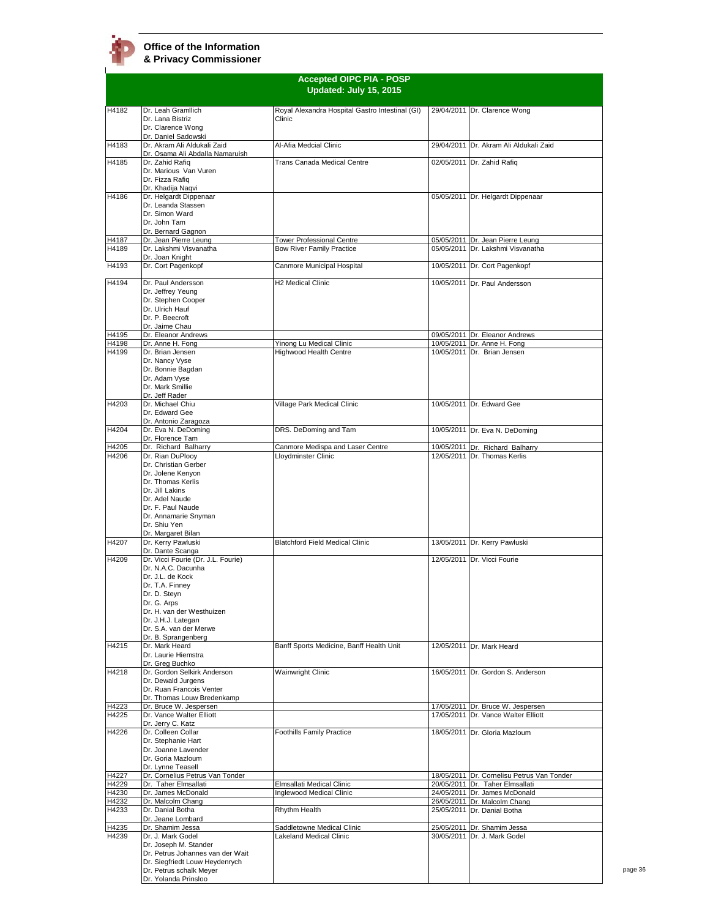| <b>Accepted OIPC PIA - POSP</b><br>Updated: July 15, 2015 |                                                                                                                                                                                                                                    |                                                       |                                                             |
|-----------------------------------------------------------|------------------------------------------------------------------------------------------------------------------------------------------------------------------------------------------------------------------------------------|-------------------------------------------------------|-------------------------------------------------------------|
| H4182                                                     | Dr. Leah Gramllich                                                                                                                                                                                                                 | Royal Alexandra Hospital Gastro Intestinal (GI)       | 29/04/2011 Dr. Clarence Wong                                |
|                                                           | Dr. Lana Bistriz<br>Dr. Clarence Wong<br>Dr. Daniel Sadowski                                                                                                                                                                       | Clinic                                                |                                                             |
| H4183                                                     | Dr. Akram Ali Aldukali Zaid<br>Dr. Osama Ali Abdalla Namaruish                                                                                                                                                                     | Al-Afia Medcial Clinic                                | 29/04/2011 Dr. Akram Ali Aldukali Zaid                      |
| H4185                                                     | Dr. Zahid Rafiq<br>Dr. Marious Van Vuren                                                                                                                                                                                           | Trans Canada Medical Centre                           | 02/05/2011 Dr. Zahid Rafiq                                  |
|                                                           | Dr. Fizza Rafiq                                                                                                                                                                                                                    |                                                       |                                                             |
| H4186                                                     | Dr. Khadija Nagvi<br>Dr. Helgardt Dippenaar                                                                                                                                                                                        |                                                       | 05/05/2011 Dr. Helgardt Dippenaar                           |
|                                                           | Dr. Leanda Stassen<br>Dr. Simon Ward<br>Dr. John Tam                                                                                                                                                                               |                                                       |                                                             |
|                                                           | Dr. Bernard Gagnon                                                                                                                                                                                                                 |                                                       |                                                             |
| H4187                                                     | Dr. Jean Pierre Leung                                                                                                                                                                                                              | <b>Tower Professional Centre</b>                      | 05/05/2011 Dr. Jean Pierre Leung                            |
| H4189                                                     | Dr. Lakshmi Visvanatha<br>Dr. Joan Knight                                                                                                                                                                                          | <b>Bow River Family Practice</b>                      | 05/05/2011 Dr. Lakshmi Visvanatha                           |
| H4193                                                     | Dr. Cort Pagenkopf                                                                                                                                                                                                                 | Canmore Municipal Hospital                            | 10/05/2011 Dr. Cort Pagenkopf                               |
| H4194                                                     | Dr. Paul Andersson<br>Dr. Jeffrey Yeung<br>Dr. Stephen Cooper<br>Dr. Ulrich Hauf<br>Dr. P. Beecroft<br>Dr. Jaime Chau                                                                                                              | <b>H2 Medical Clinic</b>                              | 10/05/2011 Dr. Paul Andersson                               |
| H4195                                                     | Dr. Eleanor Andrews                                                                                                                                                                                                                |                                                       | 09/05/2011 Dr. Eleanor Andrews                              |
| H4198                                                     | Dr. Anne H. Fong                                                                                                                                                                                                                   | Yinong Lu Medical Clinic                              | 10/05/2011 Dr. Anne H. Fong                                 |
| H4199                                                     | Dr. Brian Jensen<br>Dr. Nancy Vyse<br>Dr. Bonnie Bagdan<br>Dr. Adam Vyse<br>Dr. Mark Smillie<br>Dr. Jeff Rader                                                                                                                     | Highwood Health Centre                                | 10/05/2011 Dr. Brian Jensen                                 |
| H4203                                                     | Dr. Michael Chiu<br>Dr. Edward Gee<br>Dr. Antonio Zaragoza                                                                                                                                                                         | Village Park Medical Clinic                           | 10/05/2011 Dr. Edward Gee                                   |
| H4204                                                     | Dr. Eva N. DeDoming<br>Dr. Florence Tam                                                                                                                                                                                            | DRS. DeDoming and Tam                                 | 10/05/2011 Dr. Eva N. DeDoming                              |
| H4205                                                     | Dr. Richard Balharry                                                                                                                                                                                                               | Canmore Medispa and Laser Centre                      | 10/05/2011 Dr. Richard Balharry                             |
|                                                           | Dr. Christian Gerber<br>Dr. Jolene Kenyon<br>Dr. Thomas Kerlis<br>Dr. Jill Lakins<br>Dr. Adel Naude<br>Dr. F. Paul Naude<br>Dr. Annamarie Snyman<br>Dr. Shiu Yen<br>Dr. Margaret Bilan                                             |                                                       |                                                             |
| H4207                                                     | Dr. Kerry Pawluski<br>Dr. Dante Scanga                                                                                                                                                                                             | <b>Blatchford Field Medical Clinic</b>                | 13/05/2011 Dr. Kerry Pawluski                               |
| H4209                                                     | Dr. Vicci Fourie (Dr. J.L. Fourie)<br>Dr. N.A.C. Dacunha<br>Dr. J.L. de Kock<br>Dr. T.A. Finney<br>Dr. D. Steyn<br>Dr. G. Arps<br>Dr. H. van der Westhuizen<br>Dr. J.H.J. Lategan<br>Dr. S.A. van der Merwe<br>Dr. B. Sprangenberg |                                                       | 12/05/2011 Dr. Vicci Fourie                                 |
| H4215                                                     | Dr. Mark Heard<br>Dr. Laurie Hiemstra<br>Dr. Greg Buchko                                                                                                                                                                           | Banff Sports Medicine, Banff Health Unit              | 12/05/2011 Dr. Mark Heard                                   |
| H4218                                                     | Dr. Gordon Selkirk Anderson<br>Dr. Dewald Jurgens<br>Dr. Ruan Francois Venter<br>Dr. Thomas Louw Bredenkamp                                                                                                                        | Wainwright Clinic                                     | 16/05/2011 Dr. Gordon S. Anderson                           |
| H4223                                                     | Dr. Bruce W. Jespersen                                                                                                                                                                                                             |                                                       | 17/05/2011 Dr. Bruce W. Jespersen                           |
| H4225                                                     | Dr. Vance Walter Elliott<br>Dr. Jerry C. Katz                                                                                                                                                                                      |                                                       | 17/05/2011 Dr. Vance Walter Elliott                         |
| H4226                                                     | Dr. Colleen Collar<br>Dr. Stephanie Hart<br>Dr. Joanne Lavender                                                                                                                                                                    | Foothills Family Practice                             | 18/05/2011 Dr. Gloria Mazloum                               |
|                                                           | Dr. Goria Mazloum<br>Dr. Lynne Teasell                                                                                                                                                                                             |                                                       |                                                             |
| H4227                                                     | Dr. Cornelius Petrus Van Tonder                                                                                                                                                                                                    |                                                       | 18/05/2011 Dr. Cornelisu Petrus Van Tonder                  |
| H4229                                                     | Dr. Taher Elmsallati                                                                                                                                                                                                               | Elmsallati Medical Clinic                             | 20/05/2011 Dr. Taher Elmsallati                             |
| H4230                                                     | Dr. James McDonald                                                                                                                                                                                                                 | Inglewood Medical Clinic                              | 24/05/2011 Dr. James McDonald                               |
| H4232                                                     | Dr. Malcolm Chang<br>Dr. Danial Botha                                                                                                                                                                                              |                                                       | 26/05/2011 Dr. Malcolm Chang<br>25/05/2011 Dr. Danial Botha |
| H4233                                                     | Dr. Jeane Lombard                                                                                                                                                                                                                  | Rhythm Health                                         |                                                             |
| H4235<br>H4239                                            | Dr. Shamim Jessa<br>Dr. J. Mark Godel<br>Dr. Joseph M. Stander<br>Dr. Petrus Johannes van der Wait<br>Dr. Siegfriedt Louw Heydenrych<br>Dr. Petrus schalk Meyer<br>Dr. Yolanda Prinsloo                                            | Saddletowne Medical Clinic<br>Lakeland Medical Clinic | 25/05/2011 Dr. Shamim Jessa<br>30/05/2011 Dr. J. Mark Godel |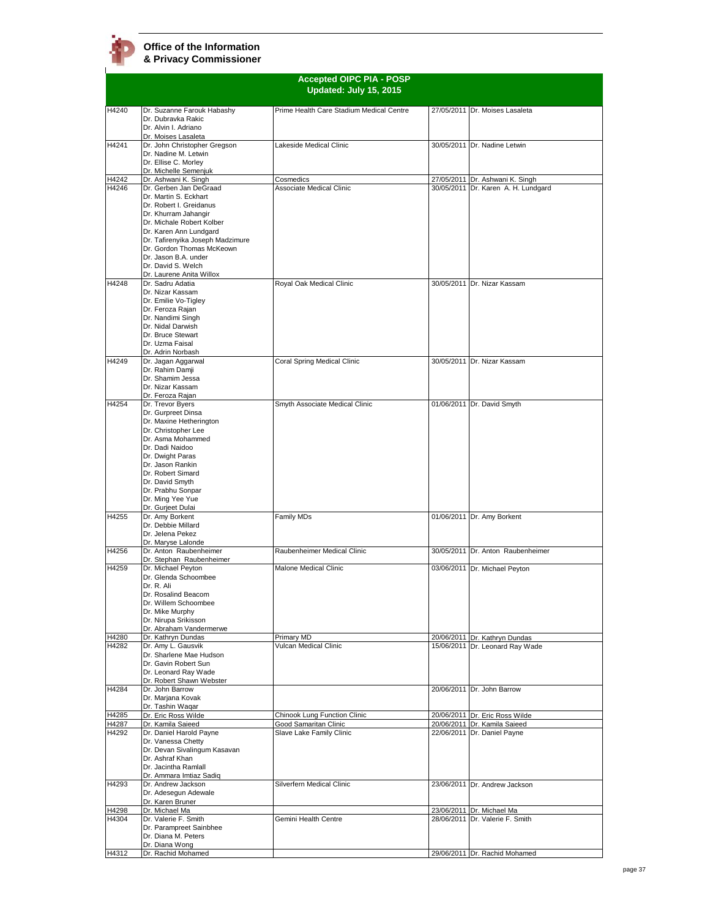**Accepted OIPC PIA - POSP Updated: July 15, 2015** H4240 Dr. Suzanne Farouk Habashy Dr. Dubravka Rakic Dr. Alvin I. Adriano Dr. Moises Lasaleta Prime Health Care Stadium Medical Centre 27/05/2011 Dr. Moises Lasaleta H4241 Dr. John Christopher Gregson Dr. Nadine M. Letwin Dr. Ellise C. Morley Dr. Michelle Semenjuk<br>Dr. Ashwani K. Singh Lakeside Medical Clinic 30/05/2011 Dr. Nadine Letwin H4242 Dr. Ashwani K. Singh Cosmedics 27/05/2011 Dr. Ashwani K. Singh Dr. Gerben Jan DeGraad Dr. Martin S. Eckhart Dr. Robert I. Greidanus Dr. Khurram Jahangir Dr. Michale Robert Kolber Dr. Karen Ann Lundgard Dr. Tafirenyika Joseph Madzimure Dr. Gordon Thomas McKeown Dr. Jason B.A. under Dr. David S. Welch Dr. Laurene Anita Willox 30/05/2011 Dr. Karen A. H. Lundgard H4248 Dr. Sadru Adatia Dr. Nizar Kassam Dr. Emilie Vo-Tigley Dr. Feroza Rajan Dr. Nandimi Singh Dr. Nidal Darwish Dr. Bruce Stewart Dr. Uzma Faisal Dr. Adrin Norbash Royal Oak Medical Clinic 30/05/2011 Dr. Nizar Kassam H4249 Dr. Jagan Aggarwal Dr. Rahim Damji Dr. Shamim Jacca Dr. Nizar Kassam Dr. Feroza Rajan Coral Spring Medical Clinic 30/05/2011 Dr. Nizar Kassam H4254 Dr. Trevor Byers Dr. Gurpreet Dinsa Dr. Maxine Hetherington Dr. Christopher Lee Dr. Asma Mohammed Dr. Dadi Naidoo Dr. Dwight Paras Dr. Jason Rankin Dr. Robert Simard Dr. David Smyth Dr. Prabhu Sonpar Dr. Ming Yee Yue Dr. Gurjeet Dulai Smyth Associate Medical Clinic 01/06/2011 Dr. David Smyth H4255 Dr. Amy Borkent Dr. Debbie Millard Dr. Jelena Pekez Dr. Maryse Lalonde Family MDs 01/06/2011 Dr. Amy Borkent H4256 Dr. Anton Raubenheimer Dr. Stephan Raubenheimer Raubenheimer Medical Clinic 30/05/2011 Dr. Anton Raubenheimer H4259 Dr. Michael Peyton Dr. Glenda Schoombee Dr. R. Ali Dr. Rosalind Beacom Dr. Willem Schoombee Dr. Mike Murphy Dr. Nirupa Srikisson Dr. Abraham Vandermerwe Malone Medical Clinic **03/06/2011** Dr. Michael Peyton H4280 Dr. Kathryn Dundas Primary MD 20/06/2011 Dr. Kathryn Dundas Vulcan Medical Clinic 15/06/2011 Dr. Leonard Ray Wade H4282 Dr. Amy L. Gausvik Dr. Sharlene Mae Hudson Dr. Gavin Robert Sun Dr. Leonard Ray Wade Dr. Robert Shawn Webste H4284 Dr. John Barrow Dr. Marjana Kovak Dr. Tashin Waqar<br>Dr. Eric Ross Wilde 20/06/2011 Dr. John Barrow H4285 Dr. Eric Ross Wilde Chinook Lung Function Clinic 20/06/2011 Dr. Eric Ross Wilde<br>H4287 Dr. Kamila Saieed Good Samaritan Clinic 20/06/2011 Dr. Kamila Saieed H4287 Dr. Kamila Saieed **Good Samaritan Clinic** Commence 20/06/2011 Dr. Kamila Saieed<br>H4292 Dr. Daniel Harold Payne Slave Lake Family Clinic 22/06/2011 Dr. Daniel Payne Dr. Daniel Harold Payne Dr. Vanessa Chetty Dr. Devan Sivalingum Kasavan Dr. Ashraf Khan Dr. Jacintha Ramlall Dr. Ammara Imtiaz Sadiq 22/06/2011 Dr. Daniel Payne H4293 Dr. Andrew Jackson Dr. Adesegun Adewale Dr. Karen Bruner<br>Dr. Michael Ma Silverfern Medical Clinic 23/06/2011 Dr. Andrew Jackson H4298 Dr. Michael Ma 23/06/2011 Dr. Michael Ma Dr. Valerie F. Smith Dr. Parampreet Sainbhee Dr. Diana M. Peters Dr. Diana Wong<br>Dr. Rachid Mohamed 28/06/2011 Dr. Valerie F. Smith H4312 Dr. Rachid Mohamed 29/06/2011 Dr. Rachid Mohamed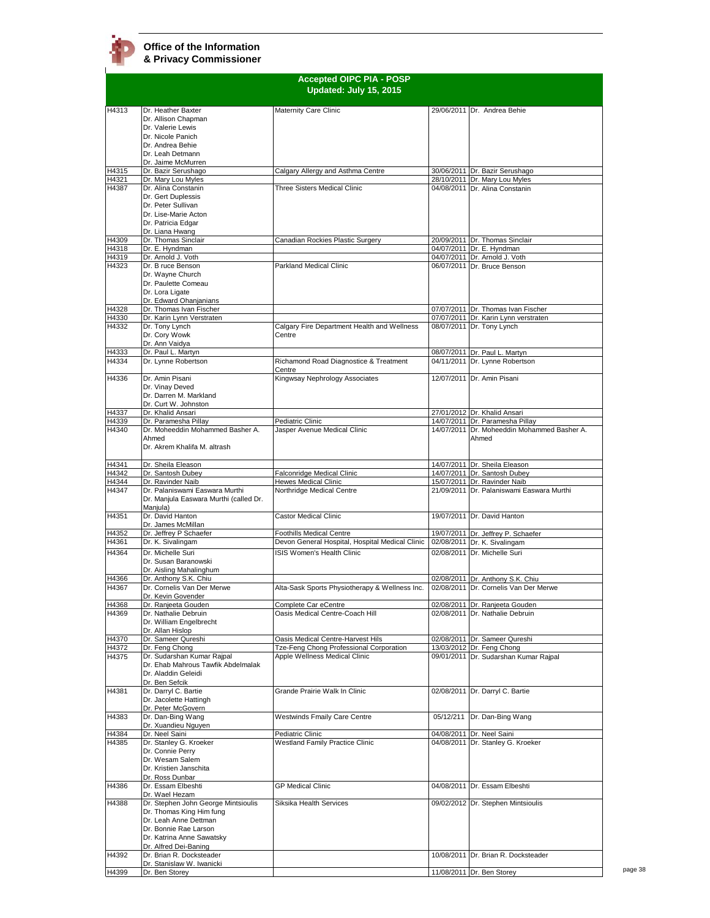|                | <b>Accepted OIPC PIA - POSP</b><br>Updated: July 15, 2015 |                                                          |  |                                                                           |
|----------------|-----------------------------------------------------------|----------------------------------------------------------|--|---------------------------------------------------------------------------|
| H4313          | Dr. Heather Baxter                                        | Maternity Care Clinic                                    |  | 29/06/2011 Dr. Andrea Behie                                               |
|                | Dr. Allison Chapman                                       |                                                          |  |                                                                           |
|                | Dr. Valerie Lewis                                         |                                                          |  |                                                                           |
|                | Dr. Nicole Panich                                         |                                                          |  |                                                                           |
|                | Dr. Andrea Behie                                          |                                                          |  |                                                                           |
|                | Dr. Leah Detmann                                          |                                                          |  |                                                                           |
| H4315          | Dr. Jaime McMurren<br>Dr. Bazir Serushago                 | Calgary Allergy and Asthma Centre                        |  | 30/06/2011 Dr. Bazir Serushago                                            |
| H4321          | Dr. Mary Lou Myles                                        |                                                          |  | 28/10/2011 Dr. Mary Lou Myles                                             |
| H4387          | Dr. Alina Constanin                                       | Three Sisters Medical Clinic                             |  | 04/08/2011 Dr. Alina Constanin                                            |
|                | Dr. Gert Duplessis                                        |                                                          |  |                                                                           |
|                | Dr. Peter Sullivan                                        |                                                          |  |                                                                           |
|                | Dr. Lise-Marie Acton<br>Dr. Patricia Edgar                |                                                          |  |                                                                           |
|                | Dr. Liana Hwang                                           |                                                          |  |                                                                           |
| H4309          | Dr. Thomas Sinclair                                       | Canadian Rockies Plastic Surgery                         |  | 20/09/2011 Dr. Thomas Sinclair                                            |
| H4318          | Dr. E. Hyndman                                            |                                                          |  | 04/07/2011 Dr. E. Hyndman                                                 |
| H4319          | Dr. Arnold J. Voth                                        |                                                          |  | 04/07/2011 Dr. Arnold J. Voth                                             |
| H4323          | Dr. B ruce Benson                                         | Parkland Medical Clinic                                  |  | 06/07/2011 Dr. Bruce Benson                                               |
|                | Dr. Wayne Church                                          |                                                          |  |                                                                           |
|                | Dr. Paulette Comeau<br>Dr. Lora Ligate                    |                                                          |  |                                                                           |
|                | Dr. Edward Ohanjanians                                    |                                                          |  |                                                                           |
| H4328          | Dr. Thomas Ivan Fischer                                   |                                                          |  | 07/07/2011 Dr. Thomas Ivan Fischer                                        |
| H4330          | Dr. Karin Lynn Verstraten                                 |                                                          |  | 07/07/2011 Dr. Karin Lynn verstraten                                      |
| H4332          | Dr. Tony Lynch                                            | Calgary Fire Department Health and Wellness              |  | 08/07/2011 Dr. Tony Lynch                                                 |
|                | Dr. Cory Wowk                                             | Centre                                                   |  |                                                                           |
| H4333          | Dr. Ann Vaidya<br>Dr. Paul L. Martyn                      |                                                          |  | 08/07/2011 Dr. Paul L. Martyn                                             |
| H4334          | Dr. Lynne Robertson                                       | Richamond Road Diagnostice & Treatment                   |  | 04/11/2011 Dr. Lynne Robertson                                            |
|                |                                                           | Centre                                                   |  |                                                                           |
| H4336          | Dr. Amin Pisani                                           | Kingwsay Nephrology Associates                           |  | 12/07/2011 Dr. Amin Pisani                                                |
|                | Dr. Vinay Deved                                           |                                                          |  |                                                                           |
|                | Dr. Darren M. Markland                                    |                                                          |  |                                                                           |
|                | Dr. Curt W. Johnston                                      |                                                          |  |                                                                           |
| H4337<br>H4339 | Dr. Khalid Ansari<br>Dr. Paramesha Pillay                 | Pediatric Clinic                                         |  | 27/01/2012 Dr. Khalid Ansari<br>14/07/2011 Dr. Paramesha Pillay           |
| H4340          | Dr. Moheeddin Mohammed Basher A.                          | Jasper Avenue Medical Clinic                             |  | 14/07/2011 Dr. Moheeddin Mohammed Basher A.                               |
|                | Ahmed                                                     |                                                          |  | Ahmed                                                                     |
|                | Dr. Akrem Khalifa M. altrash                              |                                                          |  |                                                                           |
|                |                                                           |                                                          |  |                                                                           |
| H4341          | Dr. Sheila Eleason                                        |                                                          |  | 14/07/2011 Dr. Sheila Eleason                                             |
| H4342          | Dr. Santosh Dubey                                         | Falconridge Medical Clinic                               |  | 14/07/2011 Dr. Santosh Dubey                                              |
| H4344<br>H4347 | Dr. Ravinder Naib<br>Dr. Palaniswami Easwara Murthi       | <b>Hewes Medical Clinic</b><br>Northridge Medical Centre |  | 15/07/2011 Dr. Ravinder Naib<br>21/09/2011 Dr. Palaniswami Easwara Murthi |
|                | Dr. Manjula Easwara Murthi (called Dr.<br>Manjula)        |                                                          |  |                                                                           |
| H4351          | Dr. David Hanton                                          | <b>Castor Medical Clinic</b>                             |  | 19/07/2011 Dr. David Hanton                                               |
|                | Dr. James McMillan                                        |                                                          |  |                                                                           |
| H4352          | Dr. Jeffrey P Schaefer                                    | <b>Foothills Medical Centre</b>                          |  | 19/07/2011 Dr. Jeffrey P. Schaefer                                        |
| H4361          | Dr. K. Sivalingam                                         | Devon General Hospital, Hospital Medical Clinic          |  | 02/08/2011 Dr. K. Sivalingam                                              |
| H4364          | Dr. Michelle Suri                                         | <b>ISIS Women's Health Clinic</b>                        |  | 02/08/2011 Dr. Michelle Suri                                              |
|                | Dr. Susan Baranowski<br>Dr. Aisling Mahalinghum           |                                                          |  |                                                                           |
| H4366          | Dr. Anthony S.K. Chiu                                     |                                                          |  | 02/08/2011 Dr. Anthony S.K. Chiu                                          |
| H4367          | Dr. Cornelis Van Der Merwe                                | Alta-Sask Sports Physiotherapy & Wellness Inc.           |  | 02/08/2011 Dr. Cornelis Van Der Merwe                                     |
|                | Dr. Kevin Govender                                        |                                                          |  |                                                                           |
| H4368          | Dr. Ranjeeta Gouden                                       | Complete Car eCentre                                     |  | 02/08/2011 Dr. Ranjeeta Gouden                                            |
| H4369          | Dr. Nathalie Debruin                                      | Oasis Medical Centre-Coach Hill                          |  | 02/08/2011 Dr. Nathalie Debruin                                           |
|                | Dr. William Engelbrecht                                   |                                                          |  |                                                                           |
| H4370          | Dr. Allan Hislop<br>Dr. Sameer Qureshi                    | Oasis Medical Centre-Harvest Hils                        |  | 02/08/2011 Dr. Sameer Qureshi                                             |
| H4372          | Dr. Feng Chong                                            | Tze-Feng Chong Professional Corporation                  |  | 13/03/2012 Dr. Feng Chong                                                 |
| H4375          | Dr. Sudarshan Kumar Rajpal                                | Apple Wellness Medical Clinic                            |  | 09/01/2011 Dr. Sudarshan Kumar Rajpal                                     |
|                | Dr. Ehab Mahrous Tawfik Abdelmalak                        |                                                          |  |                                                                           |
|                | Dr. Aladdin Geleidi                                       |                                                          |  |                                                                           |
|                | Dr. Ben Sefcik                                            |                                                          |  |                                                                           |
| H4381          | Dr. Darryl C. Bartie                                      | Grande Prairie Walk In Clinic                            |  | 02/08/2011 Dr. Darryl C. Bartie                                           |
|                | Dr. Jacolette Hattingh<br>Dr. Peter McGovern              |                                                          |  |                                                                           |
| H4383          | Dr. Dan-Bing Wang                                         | <b>Westwinds Fmaily Care Centre</b>                      |  | 05/12/211 Dr. Dan-Bing Wang                                               |
|                | Dr. Xuandieu Nguyen                                       |                                                          |  |                                                                           |
| H4384          | Dr. Neel Saini                                            | Pediatric Clinic                                         |  | 04/08/2011 Dr. Neel Saini                                                 |
| H4385          | Dr. Stanley G. Kroeker                                    | <b>Westland Family Practice Clinic</b>                   |  | 04/08/2011 Dr. Stanley G. Kroeker                                         |
|                | Dr. Connie Perry                                          |                                                          |  |                                                                           |
|                | Dr. Wesam Salem                                           |                                                          |  |                                                                           |
|                | Dr. Kristien Janschita<br>Dr. Ross Dunbar                 |                                                          |  |                                                                           |
| H4386          | Dr. Essam Elbeshti                                        | <b>GP Medical Clinic</b>                                 |  | 04/08/2011 Dr. Essam Elbeshti                                             |
|                | Dr. Wael Hezam                                            |                                                          |  |                                                                           |
| H4388          | Dr. Stephen John George Mintsioulis                       | Siksika Health Services                                  |  | 09/02/2012 Dr. Stephen Mintsioulis                                        |
|                | Dr. Thomas King Him fung                                  |                                                          |  |                                                                           |
|                | Dr. Leah Anne Dettman                                     |                                                          |  |                                                                           |
|                | Dr. Bonnie Rae Larson                                     |                                                          |  |                                                                           |
|                | Dr. Katrina Anne Sawatsky<br>Dr. Alfred Dei-Baning        |                                                          |  |                                                                           |
| H4392          | Dr. Brian R. Docksteader                                  |                                                          |  | 10/08/2011 Dr. Brian R. Docksteader                                       |
|                | Dr. Stanislaw W. Iwanicki                                 |                                                          |  |                                                                           |
| H4399          | Dr. Ben Storey                                            |                                                          |  | 11/08/2011 Dr. Ben Storey                                                 |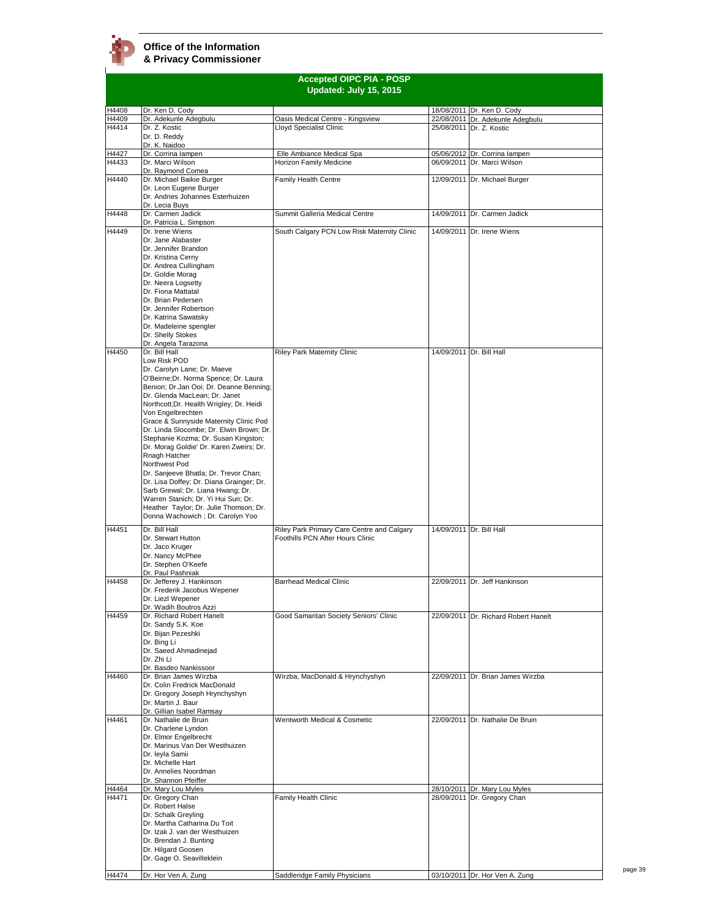

|                | <b>Accepted OIPC PIA - POSP</b><br>Updated: July 15, 2015                                                                                                                                                                                                                                                                                                                                                                                                                                                                                                                                                                                                                                                    |                                                                                |  |                                                              |
|----------------|--------------------------------------------------------------------------------------------------------------------------------------------------------------------------------------------------------------------------------------------------------------------------------------------------------------------------------------------------------------------------------------------------------------------------------------------------------------------------------------------------------------------------------------------------------------------------------------------------------------------------------------------------------------------------------------------------------------|--------------------------------------------------------------------------------|--|--------------------------------------------------------------|
| H4408          | Dr. Ken D. Cody                                                                                                                                                                                                                                                                                                                                                                                                                                                                                                                                                                                                                                                                                              |                                                                                |  | 18/08/2011 Dr. Ken D. Cody                                   |
| H4409          | Dr. Adekunle Adegbulu                                                                                                                                                                                                                                                                                                                                                                                                                                                                                                                                                                                                                                                                                        | Oasis Medical Centre - Kingsview                                               |  | 22/08/2011 Dr. Adekunle Adegbulu                             |
| H4414          | Dr. Z. Kostic<br>Dr. D. Reddy                                                                                                                                                                                                                                                                                                                                                                                                                                                                                                                                                                                                                                                                                | Lloyd Specialist Clinic                                                        |  | 25/08/2011 Dr. Z. Kostic                                     |
| H4427          | Dr. K. Naidoo<br>Dr. Corrina lampen                                                                                                                                                                                                                                                                                                                                                                                                                                                                                                                                                                                                                                                                          | Elle Ambiance Medical Spa                                                      |  | 05/06/2012 Dr. Corrina lampen                                |
| H4433          | Dr. Marci Wilson                                                                                                                                                                                                                                                                                                                                                                                                                                                                                                                                                                                                                                                                                             | Horizon Family Medicine                                                        |  | 06/09/2011 Dr. Marci Wilson                                  |
|                | Dr. Raymond Comea                                                                                                                                                                                                                                                                                                                                                                                                                                                                                                                                                                                                                                                                                            |                                                                                |  |                                                              |
| H4440          | Dr. Michael Baikie Burger                                                                                                                                                                                                                                                                                                                                                                                                                                                                                                                                                                                                                                                                                    | Family Health Centre                                                           |  | 12/09/2011 Dr. Michael Burger                                |
|                | Dr. Leon Eugene Burger<br>Dr. Andries Johannes Esterhuizen                                                                                                                                                                                                                                                                                                                                                                                                                                                                                                                                                                                                                                                   |                                                                                |  |                                                              |
|                | Dr. Lecia Buys                                                                                                                                                                                                                                                                                                                                                                                                                                                                                                                                                                                                                                                                                               |                                                                                |  |                                                              |
| H4448          | Dr. Carmen Jadick                                                                                                                                                                                                                                                                                                                                                                                                                                                                                                                                                                                                                                                                                            | Summit Galleria Medical Centre                                                 |  | 14/09/2011 Dr. Carmen Jadick                                 |
| H4449          | Dr. Patricia L. Simpson<br>Dr. Irene Wiens                                                                                                                                                                                                                                                                                                                                                                                                                                                                                                                                                                                                                                                                   | South Calgary PCN Low Risk Maternity Clinic                                    |  | 14/09/2011 Dr. Irene Wiens                                   |
|                | Dr. Jane Alabaster<br>Dr. Jennifer Brandon<br>Dr. Kristina Cerny<br>Dr. Andrea Cullingham<br>Dr. Goldie Morag<br>Dr. Neera Logsetty<br>Dr. Fiona Mattatal<br>Dr. Brian Pedersen<br>Dr. Jennifer Robertson<br>Dr. Katrina Sawatsky<br>Dr. Madeleine spengler<br>Dr. Shelly Stokes                                                                                                                                                                                                                                                                                                                                                                                                                             |                                                                                |  |                                                              |
|                | Dr. Angela Tarazona                                                                                                                                                                                                                                                                                                                                                                                                                                                                                                                                                                                                                                                                                          |                                                                                |  |                                                              |
| H4450          | Dr. Bill Hall<br>Low Risk POD<br>Dr. Carolyn Lane; Dr. Maeve<br>O'Beirne;Dr. Norma Spence; Dr. Laura<br>Benion; Dr.Jan Ooi; Dr. Deanne Benning;<br>Dr. Glenda MacLean; Dr. Janet<br>Northcott; Dr. Health Wrigley; Dr. Heidi<br>Von Engelbrechten<br>Grace & Sunnyside Maternity Clinic Pod<br>Dr. Linda Slocombe; Dr. Elwin Brown; Dr.<br>Stephanie Kozma; Dr. Susan Kingston;<br>Dr. Morag Goldie' Dr. Karen Zweirs; Dr.<br>Rnagh Hatcher<br>Northwest Pod<br>Dr. Sanjeeve Bhatla; Dr. Trevor Chan;<br>Dr. Lisa Doffey; Dr. Diana Grainger; Dr.<br>Sarb Grewal; Dr. Liana Hwang; Dr.<br>Warren Stanich; Dr. Yi Hui Sun; Dr.<br>Heather Taylor; Dr. Julie Thomson; Dr.<br>Donna Wachowich ; Dr. Carolyn Yoo | <b>Riley Park Maternity Clinic</b>                                             |  | 14/09/2011 Dr. Bill Hall<br>14/09/2011 Dr. Bill Hall         |
| H4451          | Dr. Bill Hall<br>Dr. Stewart Hutton<br>Dr. Jaco Kruger<br>Dr. Nancy McPhee<br>Dr. Stephen O'Keefe<br>Dr. Paul Pashniak                                                                                                                                                                                                                                                                                                                                                                                                                                                                                                                                                                                       | Riley Park Primary Care Centre and Calgary<br>Foothills PCN After Hours Clinic |  |                                                              |
| H4458          | Dr. Jefferey J. Hankinson                                                                                                                                                                                                                                                                                                                                                                                                                                                                                                                                                                                                                                                                                    | <b>Barrhead Medical Clinic</b>                                                 |  | 22/09/2011 Dr. Jeff Hankinson                                |
|                | Dr. Frederik Jacobus Wepener<br>Dr. Liezl Wepener<br>Dr. Wadih Boutros Azzi                                                                                                                                                                                                                                                                                                                                                                                                                                                                                                                                                                                                                                  |                                                                                |  |                                                              |
| H4459          | Dr. Richard Robert Hanelt                                                                                                                                                                                                                                                                                                                                                                                                                                                                                                                                                                                                                                                                                    | Good Samaritan Society Seniors' Clinic                                         |  | 22/09/2011 Dr. Richard Robert Hanelt                         |
|                | Dr. Sandy S.K. Koe<br>Dr. Bijan Pezeshki<br>Dr. Bing Li<br>Dr. Saeed Ahmadinejad<br>Dr. Zhi Li<br>Dr. Basdeo Nankissoor                                                                                                                                                                                                                                                                                                                                                                                                                                                                                                                                                                                      |                                                                                |  |                                                              |
| H4460          | Dr. Brian James Wirzba<br>Dr. Colin Fredrick MacDonald<br>Dr. Gregory Joseph Hrynchyshyn<br>Dr. Martin J. Baur                                                                                                                                                                                                                                                                                                                                                                                                                                                                                                                                                                                               | Wirzba, MacDonald & Hrynchyshyn                                                |  | 22/09/2011 Dr. Brian James Wirzba                            |
| H4461          | Dr. Gillian Isabel Ramsay<br>Dr. Nathalie de Bruin                                                                                                                                                                                                                                                                                                                                                                                                                                                                                                                                                                                                                                                           | Wentworth Medical & Cosmetic                                                   |  | 22/09/2011 Dr. Nathalie De Bruin                             |
|                | Dr. Charlene Lyndon<br>Dr. Elmor Engelbrecht<br>Dr. Marinus Van Der Westhuizen<br>Dr. leyla Samii<br>Dr. Michelle Hart<br>Dr. Annelies Noordman<br>Dr. Shannon Pfeiffer                                                                                                                                                                                                                                                                                                                                                                                                                                                                                                                                      |                                                                                |  |                                                              |
| H4464<br>H4471 | Dr. Mary Lou Myles<br>Dr. Gregory Chan                                                                                                                                                                                                                                                                                                                                                                                                                                                                                                                                                                                                                                                                       | Family Health Clinic                                                           |  | 28/10/2011 Dr. Mary Lou Myles<br>28/09/2011 Dr. Gregory Chan |
|                | Dr. Robert Halse<br>Dr. Schalk Greyling<br>Dr. Martha Catharina Du Toit<br>Dr. Izak J. van der Westhuizen<br>Dr. Brendan J. Bunting<br>Dr. Hilgard Goosen<br>Dr. Gage O. Seavilleklein                                                                                                                                                                                                                                                                                                                                                                                                                                                                                                                       |                                                                                |  |                                                              |
| H4474          | Dr. Hor Ven A. Zung                                                                                                                                                                                                                                                                                                                                                                                                                                                                                                                                                                                                                                                                                          | Saddleridge Family Physicians                                                  |  | 03/10/2011 Dr. Hor Ven A. Zung                               |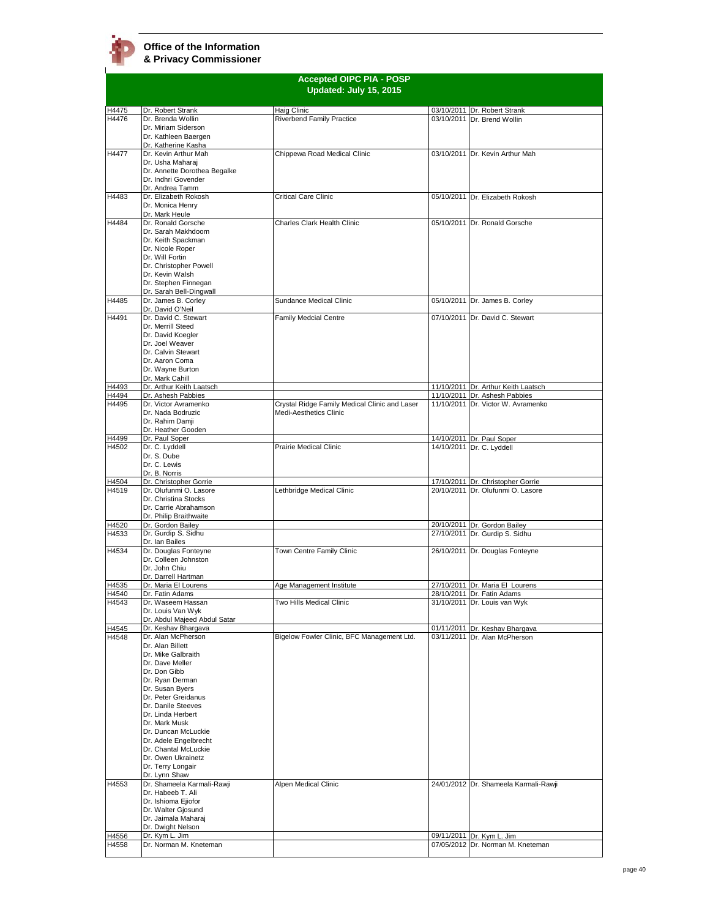

|                |                                                  | <b>Accepted OIPC PIA - POSP</b><br>Updated: July 15, 2015 |                                                                        |
|----------------|--------------------------------------------------|-----------------------------------------------------------|------------------------------------------------------------------------|
|                |                                                  |                                                           |                                                                        |
| H4475          | Dr. Robert Strank                                | Haig Clinic                                               | 03/10/2011 Dr. Robert Strank                                           |
| H4476          | Dr. Brenda Wollin<br>Dr. Miriam Siderson         | <b>Riverbend Family Practice</b>                          | 03/10/2011 Dr. Brend Wollin                                            |
|                | Dr. Kathleen Baergen                             |                                                           |                                                                        |
|                | Dr. Katherine Kasha                              |                                                           |                                                                        |
| H4477          | Dr. Kevin Arthur Mah<br>Dr. Usha Maharaj         | Chippewa Road Medical Clinic                              | 03/10/2011 Dr. Kevin Arthur Mah                                        |
|                | Dr. Annette Dorothea Begalke                     |                                                           |                                                                        |
|                | Dr. Indhri Govender                              |                                                           |                                                                        |
| H4483          | Dr. Andrea Tamm<br>Dr. Elizabeth Rokosh          | Critical Care Clinic                                      | 05/10/2011 Dr. Elizabeth Rokosh                                        |
|                | Dr. Monica Henry                                 |                                                           |                                                                        |
|                | Dr. Mark Heule                                   |                                                           |                                                                        |
| H4484          | Dr. Ronald Gorsche<br>Dr. Sarah Makhdoom         | Charles Clark Health Clinic                               | 05/10/2011 Dr. Ronald Gorsche                                          |
|                | Dr. Keith Spackman                               |                                                           |                                                                        |
|                | Dr. Nicole Roper                                 |                                                           |                                                                        |
|                | Dr. Will Fortin                                  |                                                           |                                                                        |
|                | Dr. Christopher Powell<br>Dr. Kevin Walsh        |                                                           |                                                                        |
|                | Dr. Stephen Finnegan                             |                                                           |                                                                        |
|                | Dr. Sarah Bell-Dingwall                          |                                                           |                                                                        |
| H4485          | Dr. James B. Corley<br>Dr. David O'Neil          | Sundance Medical Clinic                                   | 05/10/2011 Dr. James B. Corley                                         |
| H4491          | Dr. David C. Stewart                             | <b>Family Medcial Centre</b>                              | 07/10/2011 Dr. David C. Stewart                                        |
|                | Dr. Merrill Steed                                |                                                           |                                                                        |
|                | Dr. David Koegler<br>Dr. Joel Weaver             |                                                           |                                                                        |
|                | Dr. Calvin Stewart                               |                                                           |                                                                        |
|                | Dr. Aaron Coma                                   |                                                           |                                                                        |
|                | Dr. Wayne Burton<br>Dr. Mark Cahill              |                                                           |                                                                        |
| H4493          | Dr. Arthur Keith Laatsch                         |                                                           | 11/10/2011 Dr. Arthur Keith Laatsch                                    |
| H4494          | Dr. Ashesh Pabbies                               |                                                           | 11/10/2011 Dr. Ashesh Pabbies                                          |
| H4495          | Dr. Victor Avramenko                             | Crystal Ridge Family Medical Clinic and Laser             | 11/10/2011 Dr. Victor W. Avramenko                                     |
|                | Dr. Nada Bodruzic<br>Dr. Rahim Damji             | Medi-Aesthetics Clinic                                    |                                                                        |
|                | Dr. Heather Gooden                               |                                                           |                                                                        |
| H4499          | Dr. Paul Soper                                   |                                                           | 14/10/2011 Dr. Paul Soper                                              |
| H4502          | Dr. C. Lyddell<br>Dr. S. Dube                    | <b>Prairie Medical Clinic</b>                             | 14/10/2011 Dr. C. Lyddell                                              |
|                | Dr. C. Lewis                                     |                                                           |                                                                        |
|                | Dr. B. Norris                                    |                                                           |                                                                        |
| H4504<br>H4519 | Dr. Christopher Gorrie<br>Dr. Olufunmi O. Lasore | Lethbridge Medical Clinic                                 | 17/10/2011 Dr. Christopher Gorrie<br>20/10/2011 Dr. Olufunmi O. Lasore |
|                | Dr. Christina Stocks                             |                                                           |                                                                        |
|                | Dr. Carrie Abrahamson                            |                                                           |                                                                        |
| H4520          | Dr. Philip Braithwaite<br>Dr. Gordon Bailey      |                                                           | 20/10/2011 Dr. Gordon Bailey                                           |
| H4533          | Dr. Gurdip S. Sidhu                              |                                                           | 27/10/2011 Dr. Gurdip S. Sidhu                                         |
|                | Dr. Ian Bailes                                   |                                                           |                                                                        |
| H4534          | Dr. Douglas Fonteyne<br>Dr. Colleen Johnston     | Town Centre Family Clinic                                 | 26/10/2011 Dr. Douglas Fonteyne                                        |
|                | Dr. John Chiu                                    |                                                           |                                                                        |
|                | Dr. Darrell Hartman                              |                                                           |                                                                        |
| H4535          | Dr. Maria El Lourens<br>Dr. Fatin Adams          | Age Management Institute                                  | 27/10/2011 Dr. Maria El Lourens                                        |
| H4540<br>H4543 | Dr. Waseem Hassan                                | Two Hills Medical Clinic                                  | 28/10/2011 Dr. Fatin Adams<br>31/10/2011 Dr. Louis van Wyk             |
|                | Dr. Louis Van Wyk                                |                                                           |                                                                        |
|                | Dr. Abdul Majeed Abdul Satar                     |                                                           |                                                                        |
| H4545<br>H4548 | Dr. Keshav Bhargava<br>Dr. Alan McPherson        | Bigelow Fowler Clinic, BFC Management Ltd.                | 01/11/2011 Dr. Keshav Bhargava<br>03/11/2011 Dr. Alan McPherson        |
|                | Dr. Alan Billett                                 |                                                           |                                                                        |
|                | Dr. Mike Galbraith                               |                                                           |                                                                        |
|                | Dr. Dave Meller<br>Dr. Don Gibb                  |                                                           |                                                                        |
|                | Dr. Ryan Derman                                  |                                                           |                                                                        |
|                | Dr. Susan Byers                                  |                                                           |                                                                        |
|                | Dr. Peter Greidanus<br>Dr. Danile Steeves        |                                                           |                                                                        |
|                | Dr. Linda Herbert                                |                                                           |                                                                        |
|                | Dr. Mark Musk                                    |                                                           |                                                                        |
|                | Dr. Duncan McLuckie                              |                                                           |                                                                        |
|                | Dr. Adele Engelbrecht<br>Dr. Chantal McLuckie    |                                                           |                                                                        |
|                | Dr. Owen Ukrainetz                               |                                                           |                                                                        |
|                | Dr. Terry Longair                                |                                                           |                                                                        |
|                | Dr. Lynn Shaw<br>Dr. Shameela Karmali-Rawji      |                                                           |                                                                        |
| H4553          | Dr. Habeeb T. Ali                                | Alpen Medical Clinic                                      | 24/01/2012 Dr. Shameela Karmali-Rawji                                  |
|                | Dr. Ishioma Ejiofor                              |                                                           |                                                                        |
|                | Dr. Walter Gjosund                               |                                                           |                                                                        |
|                | Dr. Jaimala Maharaj<br>Dr. Dwight Nelson         |                                                           |                                                                        |
| H4556          | Dr. Kym L. Jim                                   |                                                           | 09/11/2011 Dr. Kym L. Jim                                              |
| H4558          | Dr. Norman M. Kneteman                           |                                                           | 07/05/2012 Dr. Norman M. Kneteman                                      |
|                |                                                  |                                                           |                                                                        |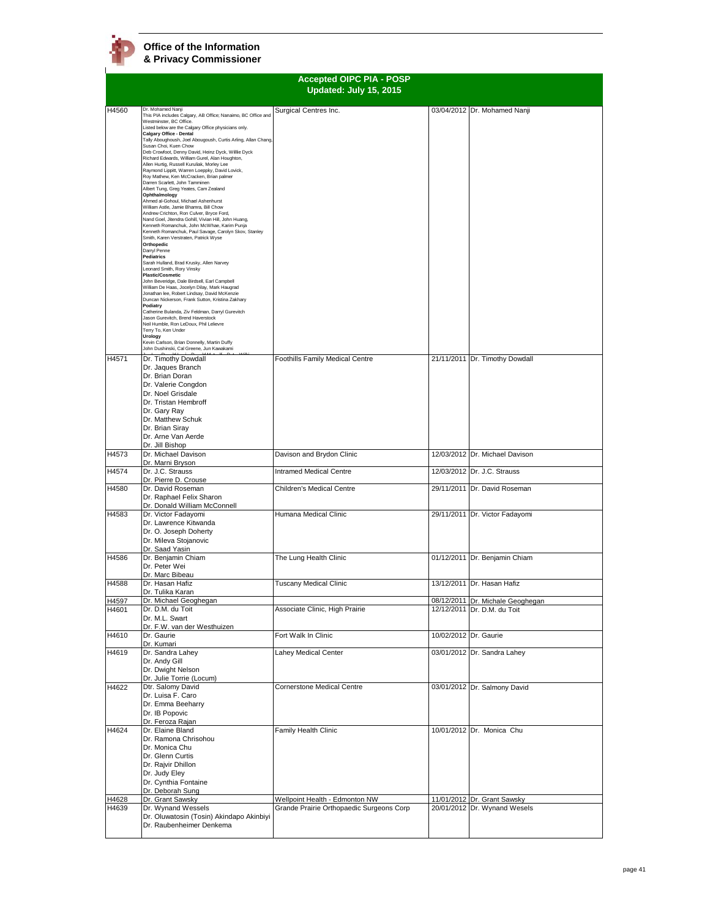|                |                                                                                                                                                                                                                                                                                                                                                                                                                                                                                                                                                                                                                                                                                                                                                                                                                                                                                                                                                                                                                                                                                                                                                                                                                                                                                                                                                                                                                                                                                                                                                                                                                         | <b>Accepted OIPC PIA - POSP</b><br>Updated: July 15, 2015                  |                                                             |
|----------------|-------------------------------------------------------------------------------------------------------------------------------------------------------------------------------------------------------------------------------------------------------------------------------------------------------------------------------------------------------------------------------------------------------------------------------------------------------------------------------------------------------------------------------------------------------------------------------------------------------------------------------------------------------------------------------------------------------------------------------------------------------------------------------------------------------------------------------------------------------------------------------------------------------------------------------------------------------------------------------------------------------------------------------------------------------------------------------------------------------------------------------------------------------------------------------------------------------------------------------------------------------------------------------------------------------------------------------------------------------------------------------------------------------------------------------------------------------------------------------------------------------------------------------------------------------------------------------------------------------------------------|----------------------------------------------------------------------------|-------------------------------------------------------------|
| H4560          | Dr. Mohamed Nanji<br>This PIA includes Calgary, AB Office; Nanaimo, BC Office and<br>Westminster, BC Office.<br>Listed below are the Calgary Office physicians only.<br>Calgary Office - Dental<br>Tally Aboughoush, Joel Abougoush, Curtis Arling, Allan Chang,<br>Susan Choi, Kuen Chow<br>Deb Crowfoot, Denny David, Heinz Dyck, Willlie Dyck<br>Richard Edwards, William Gurel, Alan Houghton,<br>Allen Hurtig, Russell Kuruliak, Morley Lee<br>Raymond Lippitt, Warren Loeppky, David Lovick,<br>Roy Mathew, Ken McCracken, Brian palmer<br>Darren Scarlett, John Tamminen<br>Albert Tung, Greg Yeates, Cam Zealand<br>Ophthalmology<br>Ahmed al-Gohoul, Michael Ashenhurst<br>William Astle, Jamie Bhamra, Bill Chow<br>Andrew Crichton, Ron Culver, Bryce Ford,<br>Nand Goel, Jitendra Gohill, Vivian Hill, John Huang,<br>Kenneth Romanchuk, John McWhae, Karim Punja<br>Kenneth Romanchuk, Paul Savage, Carolyn Skov, Stanley<br>Smith, Karen Verstraten, Patrick Wyse<br>Orthopedic<br>Darryl Penne<br>Pediatrics<br>Sarah Hulland, Brad Krusky, Allen Narvey<br>Leonard Smith, Rory Vinsky<br><b>Plastic/Cosmetic</b><br>John Beveridge, Dale Birdsell, Earl Campbell<br>William De Haas, Jocelyn Dilay, Mark Haugrad<br>Jonathan lee, Robert Lindsay, David McKenzie<br>Duncan Nickerson, Frank Sutton, Kristina Zakhary<br>Podiatry<br>Catherine Bulanda, Ziv Feldman, Darryl Gurevitch<br>Jason Gurevitch, Brend Haverstock<br>Neil Humble, Ron LeDoux, Phil Lelievre<br>Terry To, Ken Under<br><b>Urology</b><br>Kevin Carlson, Brian Donnelly, Martin Duffy<br>John Dushinski, Cal Greene, Jun Kawakami | Surgical Centres Inc.                                                      | 03/04/2012 Dr. Mohamed Nanji                                |
| H4571          | Dr. Timothy Dowdall<br>Dr. Jaques Branch<br>Dr. Brian Doran<br>Dr. Valerie Congdon<br>Dr. Noel Grisdale<br>Dr. Tristan Hembroff<br>Dr. Gary Ray<br>Dr. Matthew Schuk<br>Dr. Brian Siray<br>Dr. Arne Van Aerde<br>Dr. Jill Bishop                                                                                                                                                                                                                                                                                                                                                                                                                                                                                                                                                                                                                                                                                                                                                                                                                                                                                                                                                                                                                                                                                                                                                                                                                                                                                                                                                                                        | <b>Foothills Family Medical Centre</b>                                     | 21/11/2011 Dr. Timothy Dowdall                              |
| H4573          | Dr. Michael Davison                                                                                                                                                                                                                                                                                                                                                                                                                                                                                                                                                                                                                                                                                                                                                                                                                                                                                                                                                                                                                                                                                                                                                                                                                                                                                                                                                                                                                                                                                                                                                                                                     | Davison and Brydon Clinic                                                  | 12/03/2012 Dr. Michael Davison                              |
| H4574          | Dr. Marni Bryson<br>Dr. J.C. Strauss                                                                                                                                                                                                                                                                                                                                                                                                                                                                                                                                                                                                                                                                                                                                                                                                                                                                                                                                                                                                                                                                                                                                                                                                                                                                                                                                                                                                                                                                                                                                                                                    | <b>Intramed Medical Centre</b>                                             | 12/03/2012 Dr. J.C. Strauss                                 |
| H4580          | Dr. Pierre D. Crouse<br>Dr. David Roseman<br>Dr. Raphael Felix Sharon                                                                                                                                                                                                                                                                                                                                                                                                                                                                                                                                                                                                                                                                                                                                                                                                                                                                                                                                                                                                                                                                                                                                                                                                                                                                                                                                                                                                                                                                                                                                                   | Children's Medical Centre                                                  | 29/11/2011 Dr. David Roseman                                |
| H4583          | Dr. Donald William McConnell<br>Dr. Victor Fadayomi<br>Dr. Lawrence Kitwanda<br>Dr. O. Joseph Doherty<br>Dr. Mileva Stojanovic<br>Dr. Saad Yasin                                                                                                                                                                                                                                                                                                                                                                                                                                                                                                                                                                                                                                                                                                                                                                                                                                                                                                                                                                                                                                                                                                                                                                                                                                                                                                                                                                                                                                                                        | Humana Medical Clinic                                                      | 29/11/2011 Dr. Victor Fadayomi                              |
| H4586          | Dr. Benjamin Chiam<br>Dr. Peter Wei<br>Dr. Marc Bibeau                                                                                                                                                                                                                                                                                                                                                                                                                                                                                                                                                                                                                                                                                                                                                                                                                                                                                                                                                                                                                                                                                                                                                                                                                                                                                                                                                                                                                                                                                                                                                                  | The Lung Health Clinic                                                     | 01/12/2011 Dr. Benjamin Chiam                               |
| H4588          | Dr. Hasan Hafiz<br>Dr. Tulika Karan                                                                                                                                                                                                                                                                                                                                                                                                                                                                                                                                                                                                                                                                                                                                                                                                                                                                                                                                                                                                                                                                                                                                                                                                                                                                                                                                                                                                                                                                                                                                                                                     | <b>Tuscany Medical Clinic</b>                                              | 13/12/2011 Dr. Hasan Hafiz                                  |
| H4597          | Dr. Michael Geoghegan                                                                                                                                                                                                                                                                                                                                                                                                                                                                                                                                                                                                                                                                                                                                                                                                                                                                                                                                                                                                                                                                                                                                                                                                                                                                                                                                                                                                                                                                                                                                                                                                   |                                                                            | 08/12/2011 Dr. Michale Geoghegan                            |
| H4601          | Dr. D.M. du Toit<br>Dr. M.L. Swart<br>Dr. F.W. van der Westhuizen                                                                                                                                                                                                                                                                                                                                                                                                                                                                                                                                                                                                                                                                                                                                                                                                                                                                                                                                                                                                                                                                                                                                                                                                                                                                                                                                                                                                                                                                                                                                                       | Associate Clinic, High Prairie                                             | 12/12/2011 Dr. D.M. du Toit                                 |
| H4610          | Dr. Gaurie<br>Dr. Kumari                                                                                                                                                                                                                                                                                                                                                                                                                                                                                                                                                                                                                                                                                                                                                                                                                                                                                                                                                                                                                                                                                                                                                                                                                                                                                                                                                                                                                                                                                                                                                                                                | Fort Walk In Clinic                                                        | 10/02/2012 Dr. Gaurie                                       |
| H4619          | Dr. Sandra Lahey<br>Dr. Andy Gill<br>Dr. Dwight Nelson<br>Dr. Julie Torrie (Locum)                                                                                                                                                                                                                                                                                                                                                                                                                                                                                                                                                                                                                                                                                                                                                                                                                                                                                                                                                                                                                                                                                                                                                                                                                                                                                                                                                                                                                                                                                                                                      | Lahey Medical Center                                                       | 03/01/2012 Dr. Sandra Lahey                                 |
| H4622          | Dtr. Salomy David<br>Dr. Luisa F. Caro<br>Dr. Emma Beeharry<br>Dr. IB Popovic<br>Dr. Feroza Rajan                                                                                                                                                                                                                                                                                                                                                                                                                                                                                                                                                                                                                                                                                                                                                                                                                                                                                                                                                                                                                                                                                                                                                                                                                                                                                                                                                                                                                                                                                                                       | <b>Cornerstone Medical Centre</b>                                          | 03/01/2012 Dr. Salmony David                                |
| H4624          | Dr. Elaine Bland<br>Dr. Ramona Chrisohou<br>Dr. Monica Chu<br>Dr. Glenn Curtis<br>Dr. Rajvir Dhillon<br>Dr. Judy Eley<br>Dr. Cynthia Fontaine<br>Dr. Deborah Sung                                                                                                                                                                                                                                                                                                                                                                                                                                                                                                                                                                                                                                                                                                                                                                                                                                                                                                                                                                                                                                                                                                                                                                                                                                                                                                                                                                                                                                                       | Family Health Clinic                                                       | 10/01/2012 Dr. Monica Chu                                   |
| H4628<br>H4639 | Dr. Grant Sawsky<br>Dr. Wynand Wessels                                                                                                                                                                                                                                                                                                                                                                                                                                                                                                                                                                                                                                                                                                                                                                                                                                                                                                                                                                                                                                                                                                                                                                                                                                                                                                                                                                                                                                                                                                                                                                                  | Wellpoint Health - Edmonton NW<br>Grande Prairie Orthopaedic Surgeons Corp | 11/01/2012 Dr. Grant Sawsky<br>20/01/2012 Dr. Wynand Wesels |
|                | Dr. Oluwatosin (Tosin) Akindapo Akinbiyi<br>Dr. Raubenheimer Denkema                                                                                                                                                                                                                                                                                                                                                                                                                                                                                                                                                                                                                                                                                                                                                                                                                                                                                                                                                                                                                                                                                                                                                                                                                                                                                                                                                                                                                                                                                                                                                    |                                                                            |                                                             |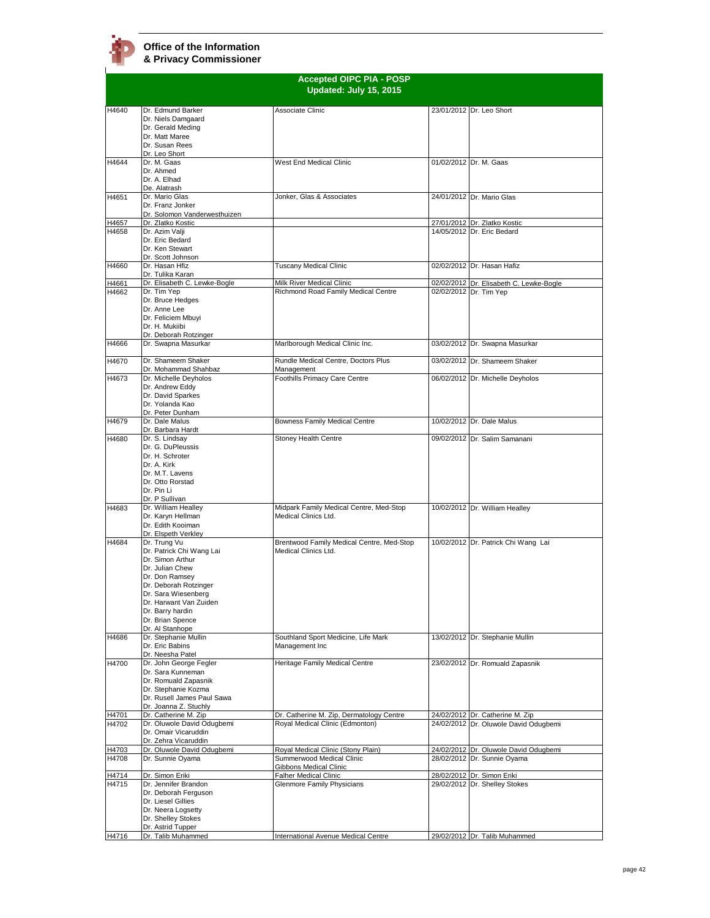

|                |                                                                                                                                                                                                                                        | <b>Accepted OIPC PIA - POSP</b><br>Updated: July 15, 2015                                 |                                                                          |
|----------------|----------------------------------------------------------------------------------------------------------------------------------------------------------------------------------------------------------------------------------------|-------------------------------------------------------------------------------------------|--------------------------------------------------------------------------|
| H4640          | Dr. Edmund Barker<br>Dr. Niels Damgaard<br>Dr. Gerald Meding<br>Dr. Matt Maree<br>Dr. Susan Rees<br>Dr. Leo Short                                                                                                                      | Associate Clinic                                                                          | 23/01/2012 Dr. Leo Short                                                 |
| H4644          | Dr. M. Gaas<br>Dr. Ahmed<br>Dr. A. Elhad                                                                                                                                                                                               | West End Medical Clinic                                                                   | 01/02/2012 Dr. M. Gaas                                                   |
| H4651          | De. Alatrash<br>Dr. Mario Glas<br>Dr. Franz Jonker<br>Dr. Solomon Vanderwesthuizen                                                                                                                                                     | Jonker, Glas & Associates                                                                 | 24/01/2012 Dr. Mario Glas                                                |
| H4657<br>H4658 | Dr. Zlatko Kostic<br>Dr. Azim Valji<br>Dr. Eric Bedard<br>Dr. Ken Stewart<br>Dr. Scott Johnson                                                                                                                                         |                                                                                           | 27/01/2012 Dr. Zlatko Kostic<br>14/05/2012 Dr. Eric Bedard               |
| H4660          | Dr. Hasan Hfiz<br>Dr. Tulika Karan                                                                                                                                                                                                     | <b>Tuscany Medical Clinic</b>                                                             | 02/02/2012 Dr. Hasan Hafiz                                               |
| H4661<br>H4662 | Dr. Elisabeth C. Lewke-Bogle<br>Dr. Tim Yep<br>Dr. Bruce Hedges<br>Dr. Anne Lee<br>Dr. Feliciem Mbuyi<br>Dr. H. Mukiibi<br>Dr. Deborah Rotzinger                                                                                       | Milk River Medical Clinic<br>Richmond Road Family Medical Centre                          | 02/02/2012 Dr. Elisabeth C. Lewke-Bogle<br>02/02/2012 Dr. Tim Yep        |
| H4666          | Dr. Swapna Masurkar                                                                                                                                                                                                                    | Marlborough Medical Clinic Inc.                                                           | 03/02/2012 Dr. Swapna Masurkar                                           |
| H4670          | Dr. Shameem Shaker<br>Dr. Mohammad Shahbaz                                                                                                                                                                                             | Rundle Medical Centre, Doctors Plus<br>Management                                         | 03/02/2012 Dr. Shameem Shaker                                            |
| H4673          | Dr. Michelle Deyholos<br>Dr. Andrew Eddy<br>Dr. David Sparkes<br>Dr. Yolanda Kao<br>Dr. Peter Dunham                                                                                                                                   | Foothills Primacy Care Centre                                                             | 06/02/2012 Dr. Michelle Deyholos                                         |
| H4679          | Dr. Dale Malus<br>Dr. Barbara Hardt                                                                                                                                                                                                    | Bowness Family Medical Centre                                                             | 10/02/2012 Dr. Dale Malus                                                |
| H4680          | Dr. S. Lindsay<br>Dr. G. DuPleussis<br>Dr. H. Schroter<br>Dr. A. Kirk<br>Dr. M.T. Lavens<br>Dr. Otto Rorstad<br>Dr. Pin Li<br>Dr. P Sullivan                                                                                           | Stoney Health Centre                                                                      | 09/02/2012 Dr. Salim Samanani                                            |
| H4683          | Dr. William Healley<br>Dr. Karvn Hellman<br>Dr. Edith Kooiman<br>Dr. Elspeth Verkley                                                                                                                                                   | Midpark Family Medical Centre, Med-Stop<br>Medical Clinics Ltd.                           | 10/02/2012 Dr. William Healley                                           |
| H4684          | Dr. Trung Vu<br>Dr. Patrick Chi Wang Lai<br>Dr. Simon Arthur<br>Dr. Julian Chew<br>Dr. Don Ramsey<br>Dr. Deborah Rotzinger<br>Dr. Sara Wiesenberg<br>Dr. Harwant Van Zuiden<br>Dr. Barry hardin<br>Dr. Brian Spence<br>Dr. Al Stanhope | Brentwood Family Medical Centre, Med-Stop<br>Medical Clinics Ltd.                         | 10/02/2012 Dr. Patrick Chi Wang Lai                                      |
| H4686          | Dr. Stephanie Mullin<br>Dr. Eric Babins<br>Dr. Neesha Patel                                                                                                                                                                            | Southland Sport Medicine, Life Mark<br>Management Inc                                     | 13/02/2012 Dr. Stephanie Mullin                                          |
| H4700          | Dr. John George Fegler<br>Dr. Sara Kunneman<br>Dr. Romuald Zapasnik<br>Dr. Stephanie Kozma<br>Dr. Rusell James Paul Sawa<br>Dr. Joanna Z. Stuchly                                                                                      | Heritage Family Medical Centre                                                            | 23/02/2012 Dr. Romuald Zapasnik                                          |
| H4701<br>H4702 | Dr. Catherine M. Zip<br>Dr. Oluwole David Odugbemi                                                                                                                                                                                     | Dr. Catherine M. Zip, Dermatology Centre<br>Royal Medical Clinic (Edmonton)               | 24/02/2012 Dr. Catherine M. Zip<br>24/02/2012 Dr. Oluwole David Odugbemi |
|                | Dr. Omair Vicaruddin<br>Dr. Zehra Vicaruddin                                                                                                                                                                                           |                                                                                           |                                                                          |
| H4703<br>H4708 | Dr. Oluwole David Odugbemi<br>Dr. Sunnie Oyama                                                                                                                                                                                         | Royal Medical Clinic (Stony Plain)<br>Summerwood Medical Clinic<br>Gibbons Medical Clinic | 24/02/2012 Dr. Oluwole David Odugbemi<br>28/02/2012 Dr. Sunnie Oyama     |
| H4714<br>H4715 | Dr. Simon Eriki<br>Dr. Jennifer Brandon<br>Dr. Deborah Ferguson<br>Dr. Liesel Gillies<br>Dr. Neera Logsetty<br>Dr. Shelley Stokes<br>Dr. Astrid Tupper                                                                                 | <b>Falher Medical Clinic</b><br>Glenmore Family Physicians                                | 28/02/2012 Dr. Simon Eriki<br>29/02/2012 Dr. Shelley Stokes              |
| H4716          | Dr. Talib Muhammed                                                                                                                                                                                                                     | International Avenue Medical Centre                                                       | 29/02/2012 Dr. Talib Muhammed                                            |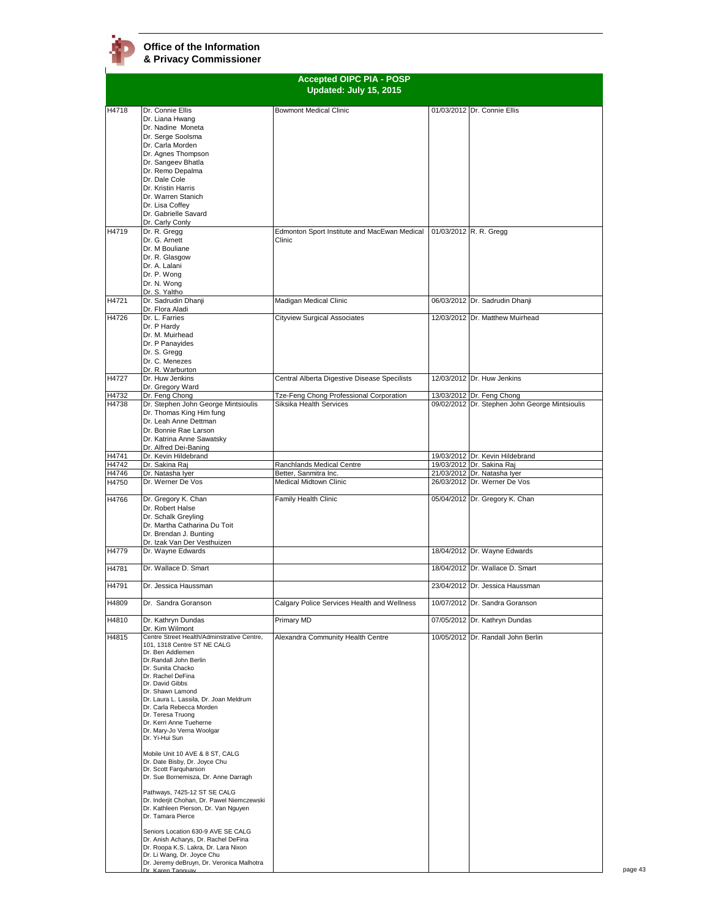|                |                                                                                                                                                                                                                                                                                                                                                                               | <b>Accepted OIPC PIA - POSP</b><br>Updated: July 15, 2015 |                                                             |
|----------------|-------------------------------------------------------------------------------------------------------------------------------------------------------------------------------------------------------------------------------------------------------------------------------------------------------------------------------------------------------------------------------|-----------------------------------------------------------|-------------------------------------------------------------|
|                |                                                                                                                                                                                                                                                                                                                                                                               |                                                           |                                                             |
| H4718          | Dr. Connie Ellis<br>Dr. Liana Hwang<br>Dr. Nadine Moneta<br>Dr. Serge Soolsma                                                                                                                                                                                                                                                                                                 | <b>Bowmont Medical Clinic</b>                             | 01/03/2012 Dr. Connie Ellis                                 |
|                | Dr. Carla Morden<br>Dr. Agnes Thompson<br>Dr. Sangeev Bhatla                                                                                                                                                                                                                                                                                                                  |                                                           |                                                             |
|                | Dr. Remo Depalma<br>Dr. Dale Cole<br>Dr. Kristin Harris                                                                                                                                                                                                                                                                                                                       |                                                           |                                                             |
|                | Dr. Warren Stanich<br>Dr. Lisa Coffey<br>Dr. Gabrielle Savard                                                                                                                                                                                                                                                                                                                 |                                                           |                                                             |
| H4719          | Dr. Carly Conly<br>Dr. R. Gregg                                                                                                                                                                                                                                                                                                                                               | Edmonton Sport Institute and MacEwan Medical              | 01/03/2012 R. R. Gregg                                      |
|                | Dr. G. Arnett<br>Dr. M Bouliane<br>Dr. R. Glasgow<br>Dr. A. Lalani                                                                                                                                                                                                                                                                                                            | Clinic                                                    |                                                             |
|                | Dr. P. Wong<br>Dr. N. Wong<br>Dr. S. Yaltho                                                                                                                                                                                                                                                                                                                                   |                                                           |                                                             |
| H4721          | Dr. Sadrudin Dhanji<br>Dr. Flora Aladi                                                                                                                                                                                                                                                                                                                                        | Madigan Medical Clinic                                    | 06/03/2012 Dr. Sadrudin Dhanji                              |
| H4726          | Dr. L. Farries<br>Dr. P Hardy<br>Dr. M. Muirhead<br>Dr. P Panayides                                                                                                                                                                                                                                                                                                           | Cityview Surgical Associates                              | 12/03/2012 Dr. Matthew Muirhead                             |
|                | Dr. S. Gregg<br>Dr. C. Menezes<br>Dr. R. Warburton                                                                                                                                                                                                                                                                                                                            |                                                           |                                                             |
| H4727          | Dr. Huw Jenkins<br>Dr. Gregory Ward                                                                                                                                                                                                                                                                                                                                           | Central Alberta Digestive Disease Specilists              | 12/03/2012 Dr. Huw Jenkins                                  |
| H4732          | Dr. Feng Chong                                                                                                                                                                                                                                                                                                                                                                | Tze-Feng Chong Professional Corporation                   | 13/03/2012 Dr. Feng Chong                                   |
| H4738          | Dr. Stephen John George Mintsioulis<br>Dr. Thomas King Him fung<br>Dr. Leah Anne Dettman<br>Dr. Bonnie Rae Larson<br>Dr. Katrina Anne Sawatsky<br>Dr. Alfred Dei-Baning                                                                                                                                                                                                       | Siksika Health Services                                   | 09/02/2012 Dr. Stephen John George Mintsioulis              |
| H4741          | Dr. Kevin Hildebrand                                                                                                                                                                                                                                                                                                                                                          |                                                           | 19/03/2012 Dr. Kevin Hildebrand                             |
| H4742          | Dr. Sakina Raj<br>Dr. Natasha Iyer                                                                                                                                                                                                                                                                                                                                            | Ranchlands Medical Centre<br>Better, Sanmitra Inc.        | 19/03/2012 Dr. Sakina Raj                                   |
| H4746<br>H4750 | Dr. Werner De Vos                                                                                                                                                                                                                                                                                                                                                             | Medical Midtown Clinic                                    | 21/03/2012 Dr. Natasha Iyer<br>26/03/2012 Dr. Werner De Vos |
| H4766          | Dr. Gregory K. Chan                                                                                                                                                                                                                                                                                                                                                           | Family Health Clinic                                      | 05/04/2012 Dr. Gregory K. Chan                              |
|                | Dr. Robert Halse<br>Dr. Schalk Greyling<br>Dr. Martha Catharina Du Toit<br>Dr. Brendan J. Bunting<br>Dr. Izak Van Der Vesthuizen                                                                                                                                                                                                                                              |                                                           |                                                             |
| H4779          | Dr. Wayne Edwards                                                                                                                                                                                                                                                                                                                                                             |                                                           | 18/04/2012 Dr. Wayne Edwards                                |
| H4781          | Dr. Wallace D. Smart                                                                                                                                                                                                                                                                                                                                                          |                                                           | 18/04/2012 Dr. Wallace D. Smart                             |
| H4791          | Dr. Jessica Haussman                                                                                                                                                                                                                                                                                                                                                          |                                                           | 23/04/2012 Dr. Jessica Haussman                             |
| H4809          | Dr. Sandra Goranson                                                                                                                                                                                                                                                                                                                                                           | Calgary Police Services Health and Wellness               | 10/07/2012 Dr. Sandra Goranson                              |
| H4810          | Dr. Kathryn Dundas<br>Dr. Kim Wilmont                                                                                                                                                                                                                                                                                                                                         | Primary MD                                                | 07/05/2012 Dr. Kathryn Dundas                               |
| H4815          | Centre Street Health/Adminstrative Centre,<br>101, 1318 Centre ST NE CALG<br>Dr. Ben Addlemen<br>Dr.Randall John Berlin<br>Dr. Sunita Chacko<br>Dr. Rachel DeFina<br>Dr. David Gibbs<br>Dr. Shawn Lamond<br>Dr. Laura L. Lassila, Dr. Joan Meldrum<br>Dr. Carla Rebecca Morden<br>Dr. Teresa Truong<br>Dr. Kerri Anne Tueherne<br>Dr. Mary-Jo Verna Woolgar<br>Dr. Yi-Hui Sun | Alexandra Community Health Centre                         | 10/05/2012 Dr. Randall John Berlin                          |
|                | Mobile Unit 10 AVE & 8 ST, CALG<br>Dr. Date Bisby, Dr. Joyce Chu<br>Dr. Scott Farquharson<br>Dr. Sue Bornemisza, Dr. Anne Darragh<br>Pathways, 7425-12 ST SE CALG<br>Dr. Inderjit Chohan, Dr. Pawel Niemczewski<br>Dr. Kathleen Pierson, Dr. Van Nguyen<br>Dr. Tamara Pierce                                                                                                  |                                                           |                                                             |
|                | Seniors Location 630-9 AVE SE CALG<br>Dr. Anish Acharys, Dr. Rachel DeFina<br>Dr. Roopa K.S. Lakra, Dr. Lara Nixon<br>Dr. Li Wang, Dr. Joyce Chu<br>Dr. Jeremy deBruyn, Dr. Veronica Malhotra<br>Dr Karen Tanguay                                                                                                                                                             |                                                           |                                                             |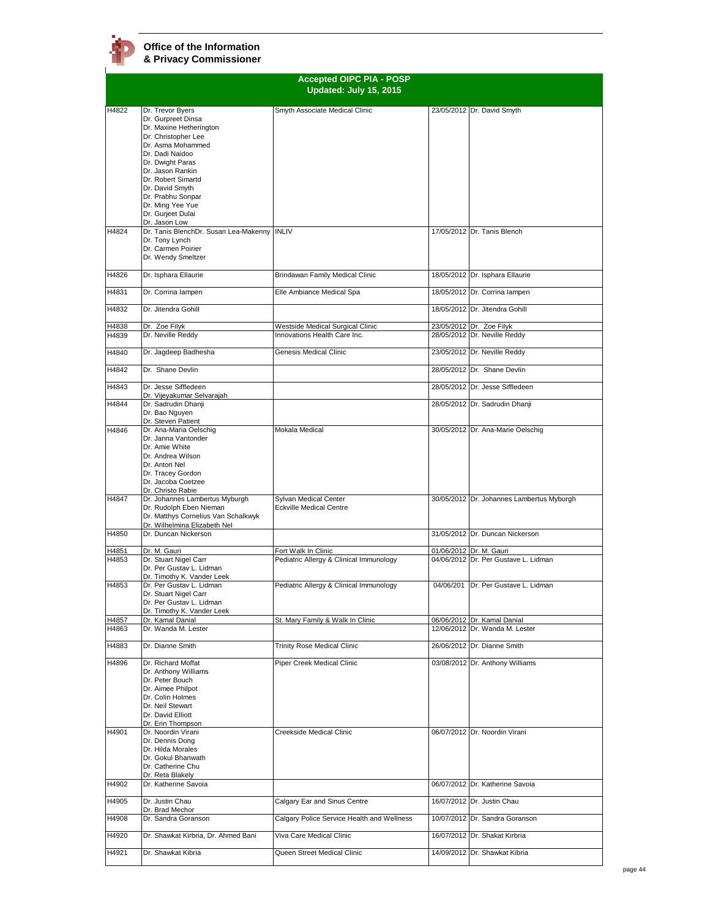|       | <b>Accepted OIPC PIA - POSP</b><br>Updated: July 15, 2015                                                                                                                                                                                                                                        |                                                         |  |                                           |
|-------|--------------------------------------------------------------------------------------------------------------------------------------------------------------------------------------------------------------------------------------------------------------------------------------------------|---------------------------------------------------------|--|-------------------------------------------|
|       |                                                                                                                                                                                                                                                                                                  |                                                         |  |                                           |
| H4822 | Dr. Trevor Byers<br>Dr. Gurpreet Dinsa<br>Dr. Maxine Hetherington<br>Dr. Christopher Lee<br>Dr. Asma Mohammed<br>Dr. Dadi Naidoo<br>Dr. Dwight Paras<br>Dr. Jason Rankin<br>Dr. Robert Simartd<br>Dr. David Smyth<br>Dr. Prabhu Sonpar<br>Dr. Ming Yee Yue<br>Dr. Gurjeet Dulai<br>Dr. Jason Low | Smyth Associate Medical Clinic                          |  | 23/05/2012 Dr. David Smyth                |
| H4824 | Dr. Tanis BlenchDr. Susan Lea-Makenny INLIV<br>Dr. Tony Lynch<br>Dr. Carmen Poirier<br>Dr. Wendy Smeltzer                                                                                                                                                                                        |                                                         |  | 17/05/2012 Dr. Tanis Blench               |
| H4826 | Dr. Isphara Ellaurie                                                                                                                                                                                                                                                                             | Brindawan Family Medical Clinic                         |  | 18/05/2012 Dr. Isphara Ellaurie           |
| H4831 | Dr. Corrina lampen                                                                                                                                                                                                                                                                               | Elle Ambiance Medical Spa                               |  | 18/05/2012 Dr. Corrina lampen             |
| H4832 | Dr. Jitendra Gohill                                                                                                                                                                                                                                                                              |                                                         |  | 18/05/2012 Dr. Jitendra Gohill            |
| H4838 | Dr. Zoe Filyk                                                                                                                                                                                                                                                                                    | Westside Medical Surgical Clinic                        |  | 23/05/2012 Dr. Zoe Filyk                  |
| H4839 | Dr. Neville Reddy                                                                                                                                                                                                                                                                                | Innovations Health Care Inc.                            |  | 28/05/2012 Dr. Neville Reddy              |
| H4840 | Dr. Jagdeep Badhesha                                                                                                                                                                                                                                                                             | Genesis Medical Clinic                                  |  | 23/05/2012 Dr. Neville Reddy              |
| H4842 | Dr. Shane Devlin                                                                                                                                                                                                                                                                                 |                                                         |  | 28/05/2012 Dr. Shane Devlin               |
| H4843 | Dr. Jesse Siffledeen<br>Dr. Vijeyakumar Selvarajah                                                                                                                                                                                                                                               |                                                         |  | 28/05/2012 Dr. Jesse Siffledeen           |
| H4844 | Dr. Sadrudin Dhanji<br>Dr. Bao Nguyen<br>Dr. Steven Patient                                                                                                                                                                                                                                      |                                                         |  | 28/05/2012 Dr. Sadrudin Dhanji            |
| H4846 | Dr. Ana-Maria Oelschig<br>Dr. Janna Vantonder<br>Dr. Amie White<br>Dr. Andrea Wilson<br>Dr. Anton Nel<br>Dr. Tracey Gordon<br>Dr. Jacoba Coetzee<br>Dr. Christo Rabie                                                                                                                            | Mokala Medical                                          |  | 30/05/2012 Dr. Ana-Marie Oelschig         |
| H4847 | Dr. Johannes Lambertus Myburgh<br>Dr. Rudolph Eben Nieman<br>Dr. Matthys Cornelius Van Schalkwyk<br>Dr. Wilhelmina Elizabeth Nel                                                                                                                                                                 | Sylvan Medical Center<br><b>Eckville Medical Centre</b> |  | 30/05/2012 Dr. Johannes Lambertus Myburgh |
| H4850 | Dr. Duncan Nickerson                                                                                                                                                                                                                                                                             |                                                         |  | 31/05/2012 Dr. Duncan Nickerson           |
| H4851 | Dr. M. Gauri                                                                                                                                                                                                                                                                                     | Fort Walk In Clinic                                     |  | 01/06/2012 Dr. M. Gauri                   |
| H4853 | Dr. Stuart Nigel Carr<br>Dr. Per Gustav L. Lidman<br>Dr. Timothy K. Vander Leek                                                                                                                                                                                                                  | Pediatric Allergy & Clinical Immunology                 |  | 04/06/2012 Dr. Per Gustave L. Lidman      |
| H4853 | Dr. Per Gustav L. Lidman<br>Dr. Stuart Nigel Carr<br>Dr. Per Gustav L. Lidman<br>Dr. Timothy K. Vander Leek                                                                                                                                                                                      | Pediatric Allergy & Clinical Immunology                 |  | 04/06/201 Dr. Per Gustave L. Lidman       |
| H4857 | Dr. Kamal Danial                                                                                                                                                                                                                                                                                 | St. Mary Family & Walk In Clinic                        |  | 06/06/2012 Dr. Kamal Danial               |
| H4863 | Dr. Wanda M. Lester                                                                                                                                                                                                                                                                              |                                                         |  | 12/06/2012 Dr. Wanda M. Lester            |
| H4883 | Dr. Dianne Smith                                                                                                                                                                                                                                                                                 | <b>Trinity Rose Medical Clinic</b>                      |  | 26/06/2012 Dr. Dianne Smith               |
| H4896 | Dr. Richard Moffat<br>Dr. Anthony Williams<br>Dr. Peter Bouch<br>Dr. Aimee Philpot<br>Dr. Colin Holmes<br>Dr. Neil Stewart<br>Dr. David Elliott<br>Dr. Erin Thompson                                                                                                                             | Piper Creek Medical Clinic                              |  | 03/08/2012 Dr. Anthony Williams           |
| H4901 | Dr. Noordin Virani<br>Dr. Dennis Dong<br>Dr. Hilda Morales<br>Dr. Gokul Bhanwath<br>Dr. Catherine Chu<br>Dr. Reta Blakely                                                                                                                                                                        | Creekside Medical Clinic                                |  | 06/07/2012 Dr. Noordin Virani             |
| H4902 | Dr. Katherine Savoia                                                                                                                                                                                                                                                                             |                                                         |  | 06/07/2012 Dr. Katherine Savoia           |
| H4905 | Dr. Justin Chau<br>Dr. Brad Mechor                                                                                                                                                                                                                                                               | Calgary Ear and Sinus Centre                            |  | 16/07/2012 Dr. Justin Chau                |
| H4908 | Dr. Sandra Goranson                                                                                                                                                                                                                                                                              | Calgary Police Service Health and Wellness              |  | 10/07/2012 Dr. Sandra Goranson            |
| H4920 | Dr. Shawkat Kirbria, Dr. Ahmed Bani                                                                                                                                                                                                                                                              | Viva Care Medical Clinic                                |  | 16/07/2012 Dr. Shakat Kirbria             |
| H4921 | Dr. Shawkat Kibria                                                                                                                                                                                                                                                                               | Queen Street Medical Clinic                             |  | 14/09/2012 Dr. Shawkat Kibria             |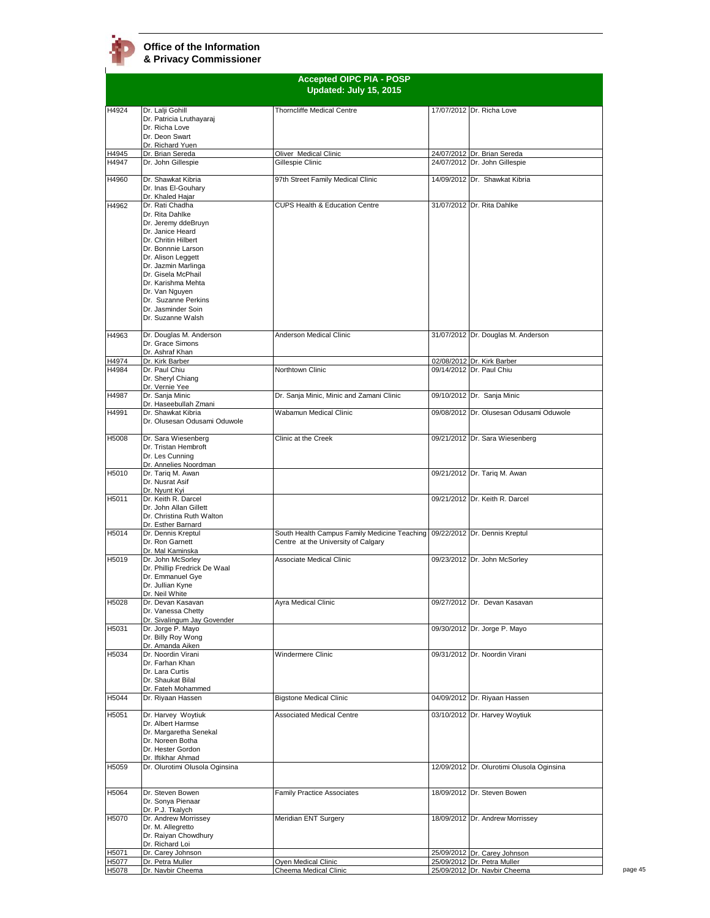

| H4924<br>H4945<br>H4947<br>H4960<br>H4962 | Dr. Lalji Gohill<br>Dr. Patricia Lruthayaraj<br>Dr. Richa Love<br>Dr. Deon Swart<br>Dr. Richard Yuen<br>Dr. Brian Sereda<br>Dr. John Gillespie<br>Dr. Shawkat Kibria<br>Dr. Inas El-Gouhary<br>Dr. Khaled Hajar<br>Dr. Rati Chadha<br>Dr. Rita Dahlke<br>Dr. Jeremy ddeBruyn<br>Dr. Janice Heard<br>Dr. Chritin Hilbert<br>Dr. Bonnnie Larson<br>Dr. Alison Leggett<br>Dr. Jazmin Marlinga<br>Dr. Gisela McPhail<br>Dr. Karishma Mehta | <b>Thorncliffe Medical Centre</b><br>Oliver Medical Clinic<br>Gillespie Clinic<br>97th Street Family Medical Clinic<br>CUPS Health & Education Centre | 17/07/2012 Dr. Richa Love<br>24/07/2012 Dr. Brian Sereda<br>24/07/2012 Dr. John Gillespie<br>14/09/2012 Dr. Shawkat Kibria<br>31/07/2012 Dr. Rita Dahlke |
|-------------------------------------------|----------------------------------------------------------------------------------------------------------------------------------------------------------------------------------------------------------------------------------------------------------------------------------------------------------------------------------------------------------------------------------------------------------------------------------------|-------------------------------------------------------------------------------------------------------------------------------------------------------|----------------------------------------------------------------------------------------------------------------------------------------------------------|
|                                           |                                                                                                                                                                                                                                                                                                                                                                                                                                        |                                                                                                                                                       |                                                                                                                                                          |
|                                           |                                                                                                                                                                                                                                                                                                                                                                                                                                        |                                                                                                                                                       |                                                                                                                                                          |
|                                           |                                                                                                                                                                                                                                                                                                                                                                                                                                        |                                                                                                                                                       |                                                                                                                                                          |
|                                           |                                                                                                                                                                                                                                                                                                                                                                                                                                        |                                                                                                                                                       |                                                                                                                                                          |
|                                           |                                                                                                                                                                                                                                                                                                                                                                                                                                        |                                                                                                                                                       |                                                                                                                                                          |
|                                           |                                                                                                                                                                                                                                                                                                                                                                                                                                        |                                                                                                                                                       |                                                                                                                                                          |
|                                           | Dr. Van Nguyen<br>Dr. Suzanne Perkins<br>Dr. Jasminder Soin<br>Dr. Suzanne Walsh                                                                                                                                                                                                                                                                                                                                                       |                                                                                                                                                       |                                                                                                                                                          |
| H4963                                     | Dr. Douglas M. Anderson<br>Dr. Grace Simons<br>Dr. Ashraf Khan                                                                                                                                                                                                                                                                                                                                                                         | Anderson Medical Clinic                                                                                                                               | 31/07/2012 Dr. Douglas M. Anderson                                                                                                                       |
| H4974                                     | Dr. Kirk Barber                                                                                                                                                                                                                                                                                                                                                                                                                        |                                                                                                                                                       | 02/08/2012 Dr. Kirk Barber                                                                                                                               |
| H4984                                     | Dr. Paul Chiu<br>Dr. Sheryl Chiang<br>Dr. Vernie Yee                                                                                                                                                                                                                                                                                                                                                                                   | Northtown Clinic                                                                                                                                      | 09/14/2012 Dr. Paul Chiu                                                                                                                                 |
| H4987                                     | Dr. Sanja Minic<br>Dr. Haseebullah Zmani                                                                                                                                                                                                                                                                                                                                                                                               | Dr. Sanja Minic, Minic and Zamani Clinic                                                                                                              | 09/10/2012 Dr. Sanja Minic                                                                                                                               |
| H4991                                     | Dr. Shawkat Kibria<br>Dr. Olusesan Odusami Oduwole                                                                                                                                                                                                                                                                                                                                                                                     | Wabamun Medical Clinic                                                                                                                                | 09/08/2012 Dr. Olusesan Odusami Oduwole                                                                                                                  |
| H5008                                     | Dr. Sara Wiesenberg<br>Dr. Tristan Hembroft<br>Dr. Les Cunning<br>Dr. Annelies Noordman                                                                                                                                                                                                                                                                                                                                                | Clinic at the Creek                                                                                                                                   | 09/21/2012 Dr. Sara Wiesenberg                                                                                                                           |
| H5010                                     | Dr. Tariq M. Awan<br>Dr. Nusrat Asif                                                                                                                                                                                                                                                                                                                                                                                                   |                                                                                                                                                       | 09/21/2012 Dr. Tariq M. Awan                                                                                                                             |
| H5011                                     | Dr. Nyunt Kyi<br>Dr. Keith R. Darcel<br>Dr. John Allan Gillett<br>Dr. Christina Ruth Walton<br>Dr. Esther Barnard                                                                                                                                                                                                                                                                                                                      |                                                                                                                                                       | 09/21/2012 Dr. Keith R. Darcel                                                                                                                           |
| H5014                                     | Dr. Dennis Kreptul<br>Dr. Ron Garnett<br>Dr. Mal Kaminska                                                                                                                                                                                                                                                                                                                                                                              | South Health Campus Family Medicine Teaching 09/22/2012 Dr. Dennis Kreptul<br>Centre at the University of Calgary                                     |                                                                                                                                                          |
| H5019                                     | Dr. John McSorley<br>Dr. Phillip Fredrick De Waal<br>Dr. Emmanuel Gye<br>Dr. Jullian Kyne<br>Dr. Neil White                                                                                                                                                                                                                                                                                                                            | Associate Medical Clinic                                                                                                                              | 09/23/2012 Dr. John McSorley                                                                                                                             |
| H5028                                     | Dr. Devan Kasavan<br>Dr. Vanessa Chetty<br>Dr. Sivalingum Jay Govender                                                                                                                                                                                                                                                                                                                                                                 | Ayra Medical Clinic                                                                                                                                   | 09/27/2012 Dr. Devan Kasavan                                                                                                                             |
| H5031                                     | Dr. Jorge P. Mayo<br>Dr. Billy Roy Wong<br>Dr. Amanda Aiken                                                                                                                                                                                                                                                                                                                                                                            |                                                                                                                                                       | 09/30/2012 Dr. Jorge P. Mayo                                                                                                                             |
| H5034                                     | Dr. Noordin Virani<br>Dr. Farhan Khan<br>Dr. Lara Curtis<br>Dr. Shaukat Bilal<br>Dr. Fateh Mohammed                                                                                                                                                                                                                                                                                                                                    | Windermere Clinic                                                                                                                                     | 09/31/2012 Dr. Noordin Virani                                                                                                                            |
| H5044                                     | Dr. Riyaan Hassen                                                                                                                                                                                                                                                                                                                                                                                                                      | <b>Bigstone Medical Clinic</b>                                                                                                                        | 04/09/2012 Dr. Riyaan Hassen                                                                                                                             |
| H5051                                     | Dr. Harvey Woytiuk<br>Dr. Albert Harmse<br>Dr. Margaretha Senekal<br>Dr. Noreen Botha<br>Dr. Hester Gordon<br>Dr. Iftikhar Ahmad                                                                                                                                                                                                                                                                                                       | <b>Associated Medical Centre</b>                                                                                                                      | 03/10/2012 Dr. Harvey Woytiuk                                                                                                                            |
| H5059                                     | Dr. Olurotimi Olusola Oginsina                                                                                                                                                                                                                                                                                                                                                                                                         |                                                                                                                                                       | 12/09/2012 Dr. Olurotimi Olusola Oginsina                                                                                                                |
| H5064                                     | Dr. Steven Bowen<br>Dr. Sonya Pienaar<br>Dr. P.J. Tkalych                                                                                                                                                                                                                                                                                                                                                                              | <b>Family Practice Associates</b>                                                                                                                     | 18/09/2012 Dr. Steven Bowen                                                                                                                              |
| H5070                                     | Dr. Andrew Morrissey<br>Dr. M. Allegretto<br>Dr. Raiyan Chowdhury<br>Dr. Richard Loi                                                                                                                                                                                                                                                                                                                                                   | Meridian ENT Surgery                                                                                                                                  | 18/09/2012 Dr. Andrew Morrissey                                                                                                                          |
| H5071<br>H5077                            | Dr. Carey Johnson<br>Dr. Petra Muller                                                                                                                                                                                                                                                                                                                                                                                                  |                                                                                                                                                       | 25/09/2012 Dr. Carey Johnson<br>25/09/2012 Dr. Petra Muller                                                                                              |
| Dr. Navbir Cheema<br>H5078                |                                                                                                                                                                                                                                                                                                                                                                                                                                        | Oyen Medical Clinic                                                                                                                                   | 25/09/2012 Dr. Navbir Cheema                                                                                                                             |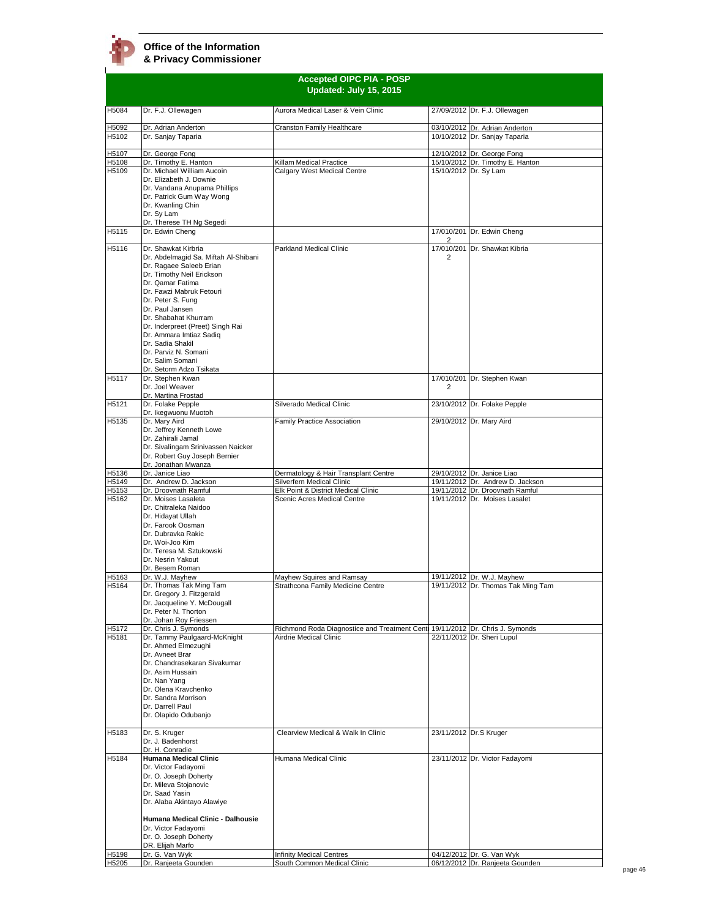**Accepted OIPC PIA - POSP Updated: July 15, 2015** H5084 Dr. F.J. Ollewagen **Aurora Medical Laser & Vein Clinic** 27/09/2012 Dr. F.J. Ollewagen H5092 Dr. Adrian Anderton Cranston Family Healthcare 03/10/2012 Dr. Adrian Anderton H5102 Dr. Adrian Anderton H5102 10/10/2012 Dr. Sanjay Taparia H5107 Dr. George Fong 12/10/2012 Dr. George Fong H5108 Dr. Timothy E. Hanton | Killam Medical Practice | 15/10/2012 Dr. Timothy E. Hanton | Killam Aucoin | Calgary West Medical Centre | 15/10/2012 Dr. Sy Lam Dr. Michael William Aucoin Dr. Elizabeth J. Downie Dr. Vandana Anupama Phillips Dr. Patrick Gum Way Wong Dr. Kwanling Chin Dr. Sy Lam Dr. Therese TH Ng Segedi<br>Dr. Edwin Cheng Calgary West Medical Centre H5115 Dr. Edwin Cheng 17/010/201  $\frac{2}{17/010/201}$ 17/010/201 Dr. Edwin Cheng H5116 Dr. Shawkat Kirbria Dr. Abdelmagid Sa. Miftah Al-Shibani Dr. Ragaee Saleeb Erian Dr. Timothy Neil Erickson Dr. Qamar Fatima Dr. Fawzi Mabruk Fetouri Dr. Peter S. Fung Dr. Paul Jansen Dr. Shabahat Khurram Dr. Inderpreet (Preet) Singh Rai Dr. Ammara Imtiaz Sadiq Dr. Sadia Shakil Dr. Parviz N. Somani Dr. Salim Somani Dr. Setorm Adzo Tsikata Parkland Medical Clinic 2 Dr. Shawkat Kibria H5117 Dr. Stephen Kwan Dr. Joel Weaver Dr. Martina Frostad 17/010/201 Dr. Stephen Kwan 2 H5121 Dr. Folake Pepple Dr. Ikegwuonu Muotoh Silverado Medical Clinic 23/10/2012 Dr. Folake Pepple H5135 Dr. Mary Aird Dr. Jeffrey Kenneth Lowe Dr. Zahirali Jamal Dr. Sivalingam Srinivassen Naicker Dr. Robert Guy Joseph Bernier Dr. Jonathan Mwanza<br>Dr. Janice Liao Family Practice Association 29/10/2012 Dr. Mary Aird H5136 Dr. Janice Liao **Dermatology & Hair Transplant Centre** 29/10/2012 Dr. Janice Liao **Night Centre 29/10/2012** Dr. Andrew D. H5149 Dr. Andrew D. H5149 Dr. Andrew D. Jackson Silverfern Medical Clinic 19/11/2012 Dr. Andrew D. Jackson<br>
H5153 Dr. Droovnath Ramful<br>
Elk Point & District Medical Clinic 19/11/2012 Dr. Droovnath Ramful H5153 Dr. Droovnath Ramful Elk Point & District Medical Clinic 19/11/2012 Dr. Droovnath Ramful<br>H5162 Dr. Moises Lasaleta Scenic Acres Medical Centre 19/11/2012 Dr. Moises Lasalet Dr. Moises Lasaleta Dr. Chitraleka Naidoo Dr. Hidayat Ullah Dr. Farook Oosman Dr. Dubravka Rakic Dr. Woi-Joo Kim Dr. Teresa M. Sztukowski Dr. Nesrin Yakout Dr. Besem Roman<br>Dr. W.J<u>. Mayhew</u> 19/11/2012 Dr. Moises Lasalet H5163 Dr. W.J. Mayhew Mayhew Squires and Ramsay 19/11/2012 Dr. W.J. Mayhew Squires and Ramsay 19/11/2012 Dr. W.J. Mayhew<br>H5164 Dr. Thomas Tak Ming Tam Strathcona Family Medicine Centre 19/11/2012 Dr. Thomas Tak Dr. Thomas Tak Ming Tam Dr. Gregory J. Fitzgerald Dr. Jacqueline Y. McDougall Dr. Peter N. Thorton Dr. Johan Roy Friesser<br>Dr. Chris J. Symonds 19/11/2012 Dr. Thomas Tak Ming Tam H5172 Dr. Chris J. Symonds<br>H5181 Dr. Tammy Paulgaard-McKnight Airdrie Medical Clinic<br>
22/11/2012 Dr. Tammy Paulgaard-McKnight Airdrie Medical Clinic<br>
22/11/2012 Dr. Sheri Lupul Dr. Tammy Paulgaard-McKnight Dr. Ahmed Elmezughi Dr. Avneet Brar Dr. Chandrasekaran Sivakumar Dr. Asim Hussain Dr. Nan Yang Dr. Olena Kravchenko Dr. Sandra Morrison Dr. Darrell Paul Dr. Olapido Odubanjo Airdrie Medical Clinic 22/11/2012 Dr. Sheri Lupul H5183 Dr. S. Kruger Dr. J. Badenhorst Dr. H. Conradie Clearview Medical & Walk In Clinic 23/11/2012 Dr.S Kruger H5184 **Humana Medical Clinic** Dr. Victor Fadayomi Dr. O. Joseph Doherty Dr. Mileva Stojanovic Dr. Saad Yasin Dr. Alaba Akintayo Alawiye **Humana Medical Clinic - Dalhousie**  Dr. Victor Fadayomi Dr. O. Joseph Doherty DR. Elijah Marfo Humana Medical Clinic 23/11/2012 Dr. Victor Fadayomi H5198 Dr. G. Van Wyk **Infinity Medical Centres** 194/12/2012 Dr. G. Van Wyk<br>
H5205 Dr. Ranjeeta Gounden South Common Medical Clinic 196/12/2012 Dr. Ranjeeta Go

H5205 Dr. Ranjeeta Gounden South Common Medical Clinic 606/12/2012 Dr. Ranjeeta Gounden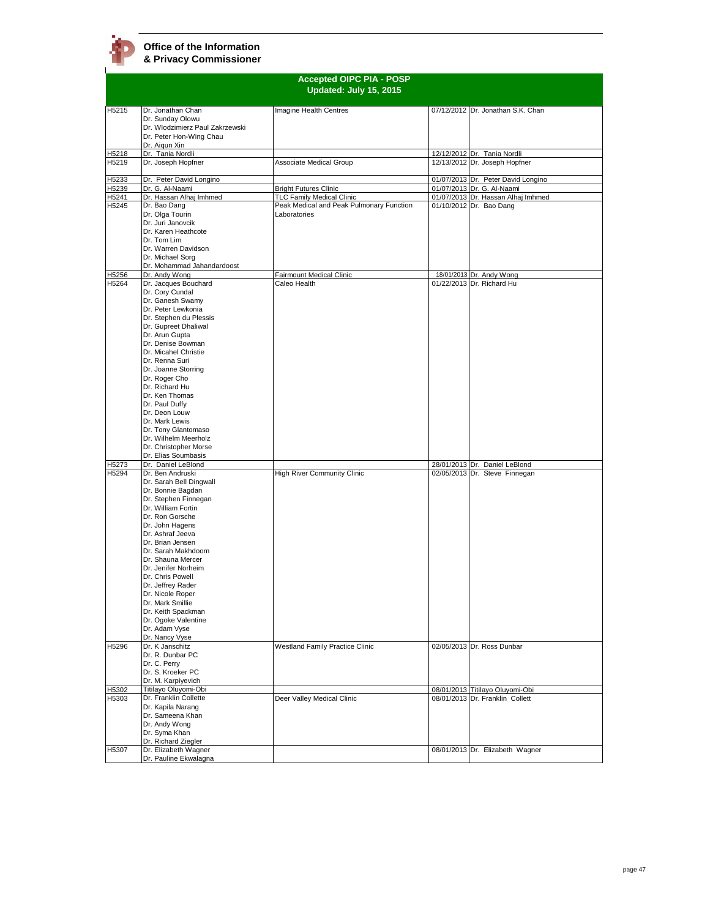$\mathbf{I}$ 

|                |                                                                                                                                                                                                                                                                                                                                                                                                                                                      | <b>Accepted OIPC PIA - POSP</b><br>Updated: July 15, 2015                             |                                                                    |
|----------------|------------------------------------------------------------------------------------------------------------------------------------------------------------------------------------------------------------------------------------------------------------------------------------------------------------------------------------------------------------------------------------------------------------------------------------------------------|---------------------------------------------------------------------------------------|--------------------------------------------------------------------|
| H5215          | Dr. Jonathan Chan<br>Dr. Sunday Olowu<br>Dr. Wlodzimierz Paul Zakrzewski<br>Dr. Peter Hon-Wing Chau<br>Dr. Aigun Xin                                                                                                                                                                                                                                                                                                                                 | Imagine Health Centres                                                                | 07/12/2012 Dr. Jonathan S.K. Chan                                  |
| H5218<br>H5219 | Dr. Tania Nordli<br>Dr. Joseph Hopfner                                                                                                                                                                                                                                                                                                                                                                                                               | <b>Associate Medical Group</b>                                                        | 12/12/2012 Dr. Tania Nordli<br>12/13/2012 Dr. Joseph Hopfner       |
| H5233          | Dr. Peter David Longino                                                                                                                                                                                                                                                                                                                                                                                                                              |                                                                                       | 01/07/2013 Dr. Peter David Longino                                 |
| H5239          | Dr. G. Al-Naami                                                                                                                                                                                                                                                                                                                                                                                                                                      | <b>Bright Futures Clinic</b>                                                          | 01/07/2013 Dr. G. Al-Naami                                         |
| H5241<br>H5245 | Dr. Hassan Alhaj Imhmed<br>Dr. Bao Dang<br>Dr. Olga Tourin<br>Dr. Juri Janovcik<br>Dr. Karen Heathcote<br>Dr. Tom Lim<br>Dr. Warren Davidson<br>Dr. Michael Sorg<br>Dr. Mohammad Jahandardoost                                                                                                                                                                                                                                                       | TLC Family Medical Clinic<br>Peak Medical and Peak Pulmonary Function<br>Laboratories | 01/07/2013 Dr. Hassan Alhaj Imhmed<br>01/10/2012 Dr. Bao Dang      |
| H5256          | Dr. Andy Wong                                                                                                                                                                                                                                                                                                                                                                                                                                        | Fairmount Medical Clinic                                                              | 18/01/2013 Dr. Andy Wong                                           |
| H5264          | Dr. Jacques Bouchard<br>Dr. Cory Cundal<br>Dr. Ganesh Swamy<br>Dr. Peter Lewkonia<br>Dr. Stephen du Plessis<br>Dr. Gupreet Dhaliwal<br>Dr. Arun Gupta<br>Dr. Denise Bowman<br>Dr. Micahel Christie<br>Dr. Renna Suri<br>Dr. Joanne Storring<br>Dr. Roger Cho<br>Dr. Richard Hu<br>Dr. Ken Thomas<br>Dr. Paul Duffy<br>Dr. Deon Louw<br>Dr. Mark Lewis<br>Dr. Tony Glantomaso<br>Dr. Wilhelm Meerholz<br>Dr. Christopher Morse<br>Dr. Elias Soumbasis | Caleo Health                                                                          | 01/22/2013 Dr. Richard Hu                                          |
| H5273          | Dr. Daniel LeBlond                                                                                                                                                                                                                                                                                                                                                                                                                                   |                                                                                       | 28/01/2013 Dr. Daniel LeBlond                                      |
| H5294          | Dr. Ben Andruski<br>Dr. Sarah Bell Dingwall<br>Dr. Bonnie Bagdan<br>Dr. Stephen Finnegan<br>Dr. William Fortin<br>Dr. Ron Gorsche<br>Dr. John Hagens<br>Dr. Ashraf Jeeva<br>Dr. Brian Jensen<br>Dr. Sarah Makhdoom<br>Dr. Shauna Mercer<br>Dr. Jenifer Norheim<br>Dr. Chris Powell<br>Dr. Jeffrey Rader<br>Dr. Nicole Roper<br>Dr. Mark Smillie<br>Dr. Keith Spackman<br>Dr. Ogoke Valentine<br>Dr. Adam Vyse<br>Dr. Nancy Vyse<br>Dr. K Janschitz   | High River Community Clinic<br><b>Westland Family Practice Clinic</b>                 | 02/05/2013 Dr. Steve Finnegan<br>02/05/2013 Dr. Ross Dunbar        |
| H5296          | Dr. R. Dunbar PC<br>Dr. C. Perry<br>Dr. S. Kroeker PC                                                                                                                                                                                                                                                                                                                                                                                                |                                                                                       |                                                                    |
| H5302          | Dr. M. Karpiyevich<br>Titilayo Oluyomi-Obi                                                                                                                                                                                                                                                                                                                                                                                                           |                                                                                       | 08/01/2013 Titilayo Oluyomi-Obi                                    |
| H5303<br>H5307 | Dr. Franklin Collette<br>Dr. Kapila Narang<br>Dr. Sameena Khan<br>Dr. Andy Wong<br>Dr. Syma Khan<br>Dr. Richard Ziegler<br>Dr. Elizabeth Wagner                                                                                                                                                                                                                                                                                                      | Deer Valley Medical Clinic                                                            | 08/01/2013 Dr. Franklin Collett<br>08/01/2013 Dr. Elizabeth Wagner |
|                | Dr. Pauline Ekwalagna                                                                                                                                                                                                                                                                                                                                                                                                                                |                                                                                       |                                                                    |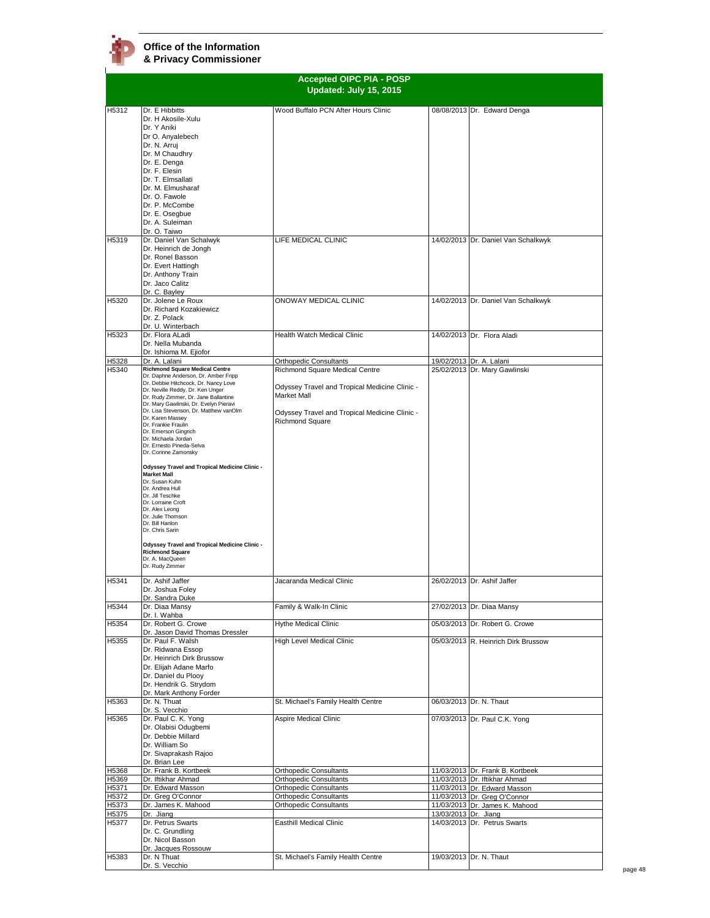|                | <b>Accepted OIPC PIA - POSP</b><br>Updated: July 15, 2015                                                                                                                                                                                                                                                                                                                                                                                                                                                                                                                                                                                                                                      |                                                                                                                                                                                                     |                      |                                                              |
|----------------|------------------------------------------------------------------------------------------------------------------------------------------------------------------------------------------------------------------------------------------------------------------------------------------------------------------------------------------------------------------------------------------------------------------------------------------------------------------------------------------------------------------------------------------------------------------------------------------------------------------------------------------------------------------------------------------------|-----------------------------------------------------------------------------------------------------------------------------------------------------------------------------------------------------|----------------------|--------------------------------------------------------------|
| H5312          | Dr. E Hibbitts<br>Dr. H Akosile-Xulu<br>Dr. Y Aniki<br>Dr O. Anyalebech<br>Dr. N. Arruj<br>Dr. M Chaudhry<br>Dr. E. Denga<br>Dr. F. Elesin<br>Dr. T. Elmsallati                                                                                                                                                                                                                                                                                                                                                                                                                                                                                                                                | Wood Buffalo PCN After Hours Clinic                                                                                                                                                                 |                      | 08/08/2013 Dr. Edward Denga                                  |
|                | Dr. M. Elmusharaf<br>Dr. O. Fawole<br>Dr. P. McCombe<br>Dr. E. Osegbue<br>Dr. A. Suleiman<br>Dr. O. Taiwo                                                                                                                                                                                                                                                                                                                                                                                                                                                                                                                                                                                      |                                                                                                                                                                                                     |                      |                                                              |
| H5319          | Dr. Daniel Van Schalwyk<br>Dr. Heinrich de Jongh<br>Dr. Ronel Basson<br>Dr. Evert Hattingh<br>Dr. Anthony Train<br>Dr. Jaco Calitz<br>Dr. C. Bayley                                                                                                                                                                                                                                                                                                                                                                                                                                                                                                                                            | LIFE MEDICAL CLINIC                                                                                                                                                                                 |                      | 14/02/2013 Dr. Daniel Van Schalkwyk                          |
| H5320          | Dr. Jolene Le Roux<br>Dr. Richard Kozakiewicz<br>Dr. Z. Polack<br>Dr. U. Winterbach                                                                                                                                                                                                                                                                                                                                                                                                                                                                                                                                                                                                            | ONOWAY MEDICAL CLINIC                                                                                                                                                                               |                      | 14/02/2013 Dr. Daniel Van Schalkwyk                          |
| H5323          | Dr. Flora ALadi<br>Dr. Nella Mubanda<br>Dr. Ishioma M. Ejiofor                                                                                                                                                                                                                                                                                                                                                                                                                                                                                                                                                                                                                                 | Health Watch Medical Clinic                                                                                                                                                                         |                      | 14/02/2013 Dr. Flora Aladi                                   |
| H5328<br>H5340 | Dr. A. Lalani<br><b>Richmond Square Medical Centre</b><br>Dr. Daphne Anderson, Dr. Amber Fripp<br>Dr. Debbie Hitchcock, Dr. Nancy Love<br>Dr. Neville Reddy, Dr. Ken Unger<br>Dr. Rudy Zimmer, Dr. Jane Ballantine<br>Dr. Mary Gawlinski, Dr. Evelyn Pieravi<br>Dr. Lisa Stevenson, Dr. Matthew vanOlm<br>Dr. Karen Massey<br>Dr. Frankie Fraulin<br>Dr. Emerson Gingrich<br>Dr. Michaela Jordan<br>Dr. Ernesto Pineda-Selva<br>Dr. Corinne Zamonsky<br><b>Odyssey Travel and Tropical Medicine Clinic -</b><br><b>Market Mall</b><br>Dr. Susan Kuhn<br>Dr. Andrea Hull<br>Dr. Jill Teschke<br>Dr. Lorraine Croft<br>Dr. Alex Leong<br>Dr. Julie Thomson<br>Dr. Bill Hanlon<br>Dr. Chris Sarin | Orthopedic Consultants<br>Richmond Square Medical Centre<br>Odyssey Travel and Tropical Medicine Clinic -<br>Market Mall<br>Odyssey Travel and Tropical Medicine Clinic -<br><b>Richmond Square</b> | 19/02/2013           | Dr. A. Lalani<br>25/02/2013 Dr. Mary Gawlinski               |
|                | <b>Odyssey Travel and Tropical Medicine Clinic -</b><br><b>Richmond Square</b><br>Dr. A. MacQueen<br>Dr. Rudy Zimmer                                                                                                                                                                                                                                                                                                                                                                                                                                                                                                                                                                           |                                                                                                                                                                                                     |                      |                                                              |
| H5341          | Dr. Ashif Jaffer<br>Dr. Joshua Foley<br>Dr. Sandra Duke                                                                                                                                                                                                                                                                                                                                                                                                                                                                                                                                                                                                                                        | Jacaranda Medical Clinic                                                                                                                                                                            |                      | 26/02/2013 Dr. Ashif Jaffer                                  |
| H5344<br>H5354 | Dr. Diaa Mansy<br>Dr. I. Wahba<br>Dr. Robert G. Crowe                                                                                                                                                                                                                                                                                                                                                                                                                                                                                                                                                                                                                                          | Family & Walk-In Clinic<br>Hythe Medical Clinic                                                                                                                                                     |                      | 27/02/2013 Dr. Diaa Mansy<br>05/03/2013 Dr. Robert G. Crowe  |
| H5355          | Dr. Jason David Thomas Dressler<br>Dr. Paul F. Walsh<br>Dr. Ridwana Essop<br>Dr. Heinrich Dirk Brussow<br>Dr. Elijah Adane Marfo<br>Dr. Daniel du Plooy<br>Dr. Hendrik G. Strydom<br>Dr. Mark Anthony Forder                                                                                                                                                                                                                                                                                                                                                                                                                                                                                   | <b>High Level Medical Clinic</b>                                                                                                                                                                    |                      | 05/03/2013 R. Heinrich Dirk Brussow                          |
| H5363          | Dr. N. Thuat<br>Dr. S. Vecchio                                                                                                                                                                                                                                                                                                                                                                                                                                                                                                                                                                                                                                                                 | St. Michael's Family Health Centre                                                                                                                                                                  |                      | 06/03/2013 Dr. N. Thaut                                      |
| H5365          | Dr. Paul C. K. Yong<br>Dr. Olabisi Odugbemi<br>Dr. Debbie Millard<br>Dr. William So<br>Dr. Sivaprakash Rajoo<br>Dr. Brian Lee                                                                                                                                                                                                                                                                                                                                                                                                                                                                                                                                                                  | Aspire Medical Clinic                                                                                                                                                                               |                      | 07/03/2013 Dr. Paul C.K. Yong                                |
| H5368          | Dr. Frank B. Kortbeek                                                                                                                                                                                                                                                                                                                                                                                                                                                                                                                                                                                                                                                                          | <b>Orthopedic Consultants</b>                                                                                                                                                                       |                      | 11/03/2013 Dr. Frank B. Kortbeek                             |
| H5369          | Dr. Iftikhar Ahmad                                                                                                                                                                                                                                                                                                                                                                                                                                                                                                                                                                                                                                                                             | Orthopedic Consultants                                                                                                                                                                              |                      | 11/03/2013 Dr. Iftikhar Ahmad                                |
| H5371<br>H5372 | Dr. Edward Masson<br>Dr. Greg O'Connor                                                                                                                                                                                                                                                                                                                                                                                                                                                                                                                                                                                                                                                         | Orthopedic Consultants<br>Orthopedic Consultants                                                                                                                                                    |                      | 11/03/2013 Dr. Edward Masson<br>11/03/2013 Dr. Greg O'Connor |
| H5373          | Dr. James K. Mahood                                                                                                                                                                                                                                                                                                                                                                                                                                                                                                                                                                                                                                                                            | Orthopedic Consultants                                                                                                                                                                              |                      | 11/03/2013 Dr. James K. Mahood                               |
| H5375<br>H5377 | Dr. Jiang<br>Dr. Petrus Swarts<br>Dr. C. Grundling<br>Dr. Nicol Basson                                                                                                                                                                                                                                                                                                                                                                                                                                                                                                                                                                                                                         | <b>Easthill Medical Clinic</b>                                                                                                                                                                      | 13/03/2013 Dr. Jiang | 14/03/2013 Dr. Petrus Swarts                                 |
| H5383          | Dr. Jacques Rossouw<br>Dr. N Thuat<br>Dr. S. Vecchio                                                                                                                                                                                                                                                                                                                                                                                                                                                                                                                                                                                                                                           | St. Michael's Family Health Centre                                                                                                                                                                  |                      | 19/03/2013 Dr. N. Thaut                                      |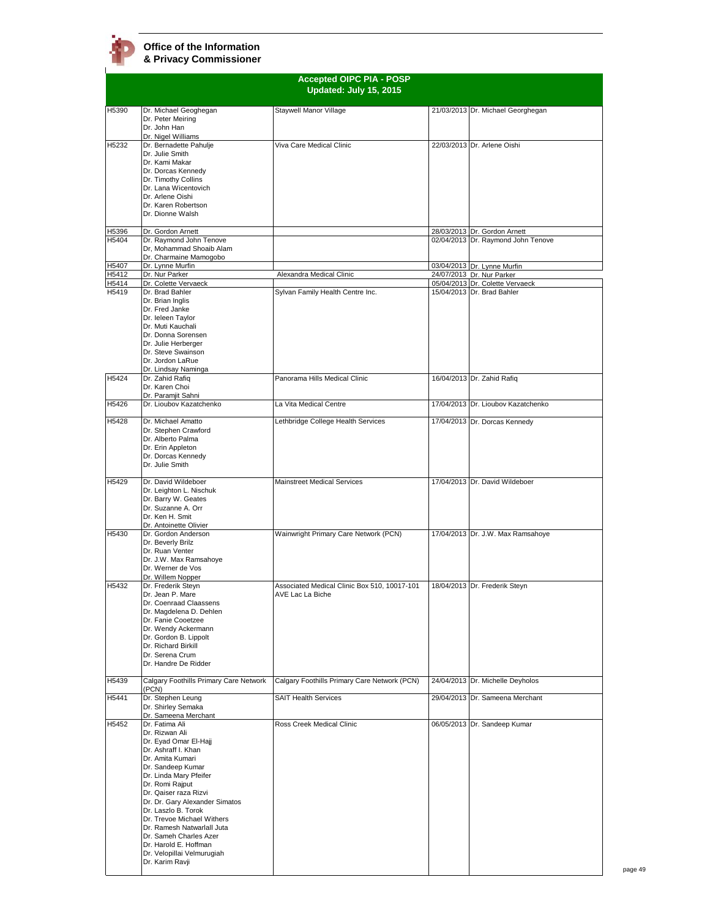# **Office of the Information**

**& Privacy Commissioner**

|                |                                                                        | <b>Accepted OIPC PIA - POSP</b><br>Updated: July 15, 2015 |                                    |
|----------------|------------------------------------------------------------------------|-----------------------------------------------------------|------------------------------------|
| H5390          | Dr. Michael Geoghegan                                                  | Staywell Manor Village                                    | 21/03/2013 Dr. Michael Georghegan  |
|                | Dr. Peter Meiring<br>Dr. John Han<br>Dr. Nigel Williams                |                                                           |                                    |
| H5232          | Dr. Bernadette Pahulje                                                 | Viva Care Medical Clinic                                  | 22/03/2013 Dr. Arlene Oishi        |
|                | Dr. Julie Smith                                                        |                                                           |                                    |
|                | Dr. Kami Makar<br>Dr. Dorcas Kennedy                                   |                                                           |                                    |
|                | Dr. Timothy Collins                                                    |                                                           |                                    |
|                | Dr. Lana Wicentovich                                                   |                                                           |                                    |
|                | Dr. Arlene Oishi<br>Dr. Karen Robertson                                |                                                           |                                    |
|                | Dr. Dionne Walsh                                                       |                                                           |                                    |
|                | Dr. Gordon Arnett                                                      |                                                           | 28/03/2013 Dr. Gordon Arnett       |
| H5396<br>H5404 | Dr. Raymond John Tenove                                                |                                                           | 02/04/2013 Dr. Raymond John Tenove |
|                | Dr, Mohammad Shoaib Alam                                               |                                                           |                                    |
| H5407          | Dr. Charmaine Mamogobo<br>Dr. Lynne Murfin                             |                                                           | 03/04/2013 Dr. Lynne Murfin        |
| H5412          | Dr. Nur Parker                                                         | Alexandra Medical Clinic                                  | 24/07/2013 Dr. Nur Parker          |
| H5414          | Dr. Colette Vervaeck                                                   |                                                           | 05/04/2013 Dr. Colette Vervaeck    |
| H5419          | Dr. Brad Bahler<br>Dr. Brian Inglis                                    | Sylvan Family Health Centre Inc.                          | 15/04/2013 Dr. Brad Bahler         |
|                | Dr. Fred Janke                                                         |                                                           |                                    |
|                | Dr. leleen Taylor                                                      |                                                           |                                    |
|                | Dr. Muti Kauchali<br>Dr. Donna Sorensen                                |                                                           |                                    |
|                | Dr. Julie Herberger                                                    |                                                           |                                    |
|                | Dr. Steve Swainson                                                     |                                                           |                                    |
|                | Dr. Jordon LaRue<br>Dr. Lindsay Naminga                                |                                                           |                                    |
| H5424          | Dr. Zahid Rafiq                                                        | Panorama Hills Medical Clinic                             | 16/04/2013 Dr. Zahid Rafiq         |
|                | Dr. Karen Choi<br>Dr. Paramiit Sahni                                   |                                                           |                                    |
| H5426          | Dr. Lioubov Kazatchenko                                                | La Vita Medical Centre                                    | 17/04/2013 Dr. Lioubov Kazatchenko |
| H5428          | Dr. Michael Amatto                                                     | Lethbridge College Health Services                        | 17/04/2013 Dr. Dorcas Kennedy      |
|                | Dr. Stephen Crawford<br>Dr. Alberto Palma                              |                                                           |                                    |
|                | Dr. Erin Appleton                                                      |                                                           |                                    |
|                | Dr. Dorcas Kennedy                                                     |                                                           |                                    |
|                | Dr. Julie Smith                                                        |                                                           |                                    |
| H5429          | Dr. David Wildeboer                                                    | <b>Mainstreet Medical Services</b>                        | 17/04/2013 Dr. David Wildeboer     |
|                | Dr. Leighton L. Nischuk                                                |                                                           |                                    |
|                | Dr. Barry W. Geates                                                    |                                                           |                                    |
|                |                                                                        |                                                           |                                    |
|                | Dr. Suzanne A. Orr<br>Dr. Ken H. Smit                                  |                                                           |                                    |
|                | Dr. Antoinette Olivier                                                 |                                                           |                                    |
| H5430          | Dr. Gordon Anderson                                                    | Wainwright Primary Care Network (PCN)                     | 17/04/2013 Dr. J.W. Max Ramsahoye  |
|                | Dr. Beverly Brilz<br>Dr. Ruan Venter                                   |                                                           |                                    |
|                | Dr. J.W. Max Ramsahoye                                                 |                                                           |                                    |
|                | Dr. Werner de Vos                                                      |                                                           |                                    |
| H5432          | Dr. Willem Nopper<br>Dr. Frederik Steyn                                | Associated Medical Clinic Box 510, 10017-101              | 18/04/2013 Dr. Frederik Steyn      |
|                | Dr. Jean P. Mare                                                       | AVE Lac La Biche                                          |                                    |
|                | Dr. Coenraad Claassens                                                 |                                                           |                                    |
|                | Dr. Magdelena D. Dehlen<br>Dr. Fanie Cooetzee                          |                                                           |                                    |
|                | Dr. Wendy Ackermann                                                    |                                                           |                                    |
|                | Dr. Gordon B. Lippolt<br>Dr. Richard Birkill                           |                                                           |                                    |
|                | Dr. Serena Crum                                                        |                                                           |                                    |
|                | Dr. Handre De Ridder                                                   |                                                           |                                    |
| H5439          | Calgary Foothills Primary Care Network<br>(PCN)                        | Calgary Foothills Primary Care Network (PCN)              | 24/04/2013 Dr. Michelle Deyholos   |
| H5441          | Dr. Stephen Leung                                                      | <b>SAIT Health Services</b>                               | 29/04/2013 Dr. Sameena Merchant    |
|                | Dr. Shirley Semaka<br>Dr. Sameena Merchant                             |                                                           |                                    |
| H5452          | Dr. Fatima Ali                                                         | Ross Creek Medical Clinic                                 | 06/05/2013 Dr. Sandeep Kumar       |
|                | Dr. Rizwan Ali                                                         |                                                           |                                    |
|                | Dr. Eyad Omar El-Hajj<br>Dr. Ashraff I. Khan                           |                                                           |                                    |
|                | Dr. Amita Kumari                                                       |                                                           |                                    |
|                | Dr. Sandeep Kumar                                                      |                                                           |                                    |
|                | Dr. Linda Mary Pfeifer<br>Dr. Romi Rajput                              |                                                           |                                    |
|                | Dr. Qaiser raza Rizvi                                                  |                                                           |                                    |
|                | Dr. Dr. Gary Alexander Simatos                                         |                                                           |                                    |
|                | Dr. Laszlo B. Torok<br>Dr. Trevoe Michael Withers                      |                                                           |                                    |
|                | Dr. Ramesh Natwarlall Juta                                             |                                                           |                                    |
|                | Dr. Sameh Charles Azer                                                 |                                                           |                                    |
|                | Dr. Harold E. Hoffman<br>Dr. Velopillai Velmurugiah<br>Dr. Karim Ravji |                                                           |                                    |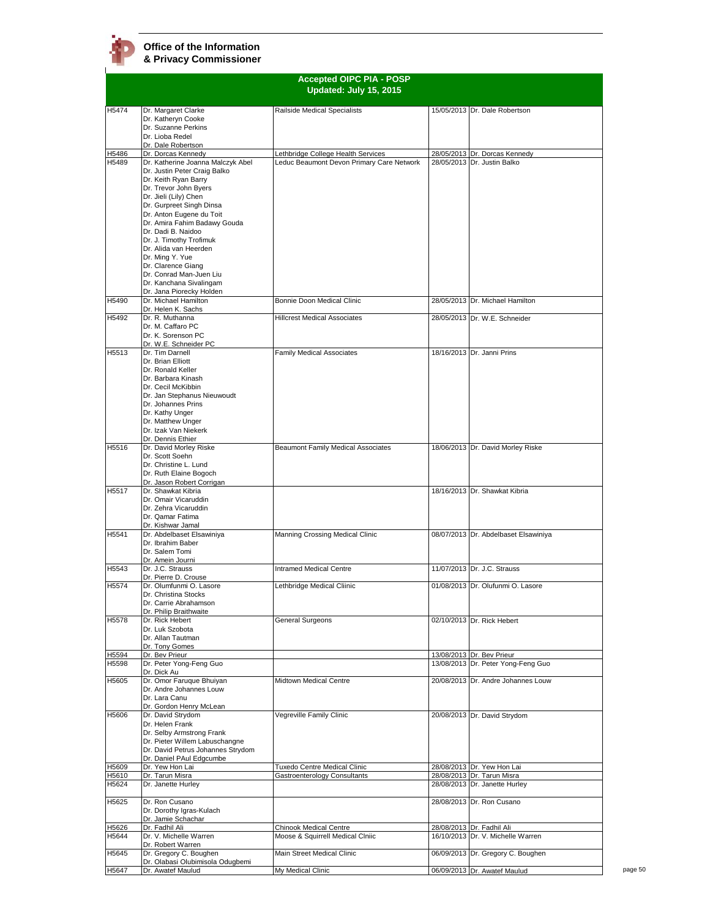$\mathbf{r}$ 

| <b>Accepted OIPC PIA - POSP</b> |                                                                   |                                                              |  |                                                          |
|---------------------------------|-------------------------------------------------------------------|--------------------------------------------------------------|--|----------------------------------------------------------|
|                                 |                                                                   | Updated: July 15, 2015                                       |  |                                                          |
|                                 |                                                                   |                                                              |  |                                                          |
| H5474                           | Dr. Margaret Clarke                                               | Railside Medical Specialists                                 |  | 15/05/2013 Dr. Dale Robertson                            |
|                                 | Dr. Katheryn Cooke<br>Dr. Suzanne Perkins                         |                                                              |  |                                                          |
|                                 | Dr. Lioba Redel                                                   |                                                              |  |                                                          |
|                                 | Dr. Dale Robertson                                                |                                                              |  |                                                          |
| H5486                           | Dr. Dorcas Kennedv                                                | Lethbridge College Health Services                           |  | 28/05/2013 Dr. Dorcas Kennedy                            |
| H5489                           | Dr. Katherine Joanna Malczyk Abel<br>Dr. Justin Peter Craig Balko | Leduc Beaumont Devon Primary Care Network                    |  | 28/05/2013 Dr. Justin Balko                              |
|                                 | Dr. Keith Ryan Barry                                              |                                                              |  |                                                          |
|                                 | Dr. Trevor John Byers                                             |                                                              |  |                                                          |
|                                 | Dr. Jieli (Lily) Chen                                             |                                                              |  |                                                          |
|                                 | Dr. Gurpreet Singh Dinsa<br>Dr. Anton Eugene du Toit              |                                                              |  |                                                          |
|                                 | Dr. Amira Fahim Badawy Gouda                                      |                                                              |  |                                                          |
|                                 | Dr. Dadi B. Naidoo                                                |                                                              |  |                                                          |
|                                 | Dr. J. Timothy Trofimuk                                           |                                                              |  |                                                          |
|                                 | Dr. Alida van Heerden                                             |                                                              |  |                                                          |
|                                 | Dr. Ming Y. Yue<br>Dr. Clarence Giang                             |                                                              |  |                                                          |
|                                 | Dr. Conrad Man-Juen Liu                                           |                                                              |  |                                                          |
|                                 | Dr. Kanchana Sivalingam                                           |                                                              |  |                                                          |
|                                 | Dr. Jana Piorecky Holden                                          |                                                              |  |                                                          |
| H5490                           | Dr. Michael Hamilton                                              | Bonnie Doon Medical Clinic                                   |  | 28/05/2013 Dr. Michael Hamilton                          |
| H5492                           | Dr. Helen K. Sachs<br>Dr. R. Muthanna                             | <b>Hillcrest Medical Associates</b>                          |  | 28/05/2013 Dr. W.E. Schneider                            |
|                                 | Dr. M. Caffaro PC                                                 |                                                              |  |                                                          |
|                                 | Dr. K. Sorenson PC                                                |                                                              |  |                                                          |
|                                 | Dr. W.E. Schneider PC<br>Dr. Tim Darnell                          |                                                              |  | 18/16/2013 Dr. Janni Prins                               |
| H5513                           | Dr. Brian Elliott                                                 | <b>Family Medical Associates</b>                             |  |                                                          |
|                                 | Dr. Ronald Keller                                                 |                                                              |  |                                                          |
|                                 | Dr. Barbara Kinash                                                |                                                              |  |                                                          |
|                                 | Dr. Cecil McKibbin                                                |                                                              |  |                                                          |
|                                 | Dr. Jan Stephanus Nieuwoudt<br>Dr. Johannes Prins                 |                                                              |  |                                                          |
|                                 | Dr. Kathy Unger                                                   |                                                              |  |                                                          |
|                                 | Dr. Matthew Unger                                                 |                                                              |  |                                                          |
|                                 | Dr. Izak Van Niekerk                                              |                                                              |  |                                                          |
| H <sub>5516</sub>               | Dr. Dennis Ethier                                                 |                                                              |  |                                                          |
|                                 | Dr. David Morley Riske<br>Dr. Scott Soehn                         | Beaumont Family Medical Associates                           |  | 18/06/2013 Dr. David Morley Riske                        |
|                                 | Dr. Christine L. Lund                                             |                                                              |  |                                                          |
|                                 | Dr. Ruth Elaine Bogoch                                            |                                                              |  |                                                          |
|                                 | Dr. Jason Robert Corrigan                                         |                                                              |  |                                                          |
| H <sub>5517</sub>               | Dr. Shawkat Kibria<br>Dr. Omair Vicaruddin                        |                                                              |  | 18/16/2013 Dr. Shawkat Kibria                            |
|                                 | Dr. Zehra Vicaruddin                                              |                                                              |  |                                                          |
|                                 | Dr. Qamar Fatima                                                  |                                                              |  |                                                          |
|                                 | Dr. Kishwar Jamal                                                 |                                                              |  |                                                          |
| H5541                           | Dr. Abdelbaset Elsawiniya<br>Dr. Ibrahim Baber                    | Manning Crossing Medical Clinic                              |  | 08/07/2013 Dr. Abdelbaset Elsawiniya                     |
|                                 | Dr. Salem Tomi                                                    |                                                              |  |                                                          |
|                                 | Dr. Amein Journi                                                  |                                                              |  |                                                          |
| H5543                           | Dr. J.C. Strauss                                                  | <b>Intramed Medical Centre</b>                               |  | 11/07/2013 Dr. J.C. Strauss                              |
|                                 | Dr. Pierre D. Crouse<br>Dr. Olumfunmi O. Lasore                   |                                                              |  |                                                          |
| H5574                           | Dr. Christina Stocks                                              | Lethbridge Medical Cliinic                                   |  | 01/08/2013 Dr. Olufunmi O. Lasore                        |
|                                 | Dr. Carrie Abrahamson                                             |                                                              |  |                                                          |
|                                 | Dr. Philip Braithwaite                                            |                                                              |  |                                                          |
| H <sub>5578</sub>               | Dr. Rick Hebert                                                   | General Surgeons                                             |  | 02/10/2013 Dr. Rick Hebert                               |
|                                 | Dr. Luk Szobota<br>Dr. Allan Tautman                              |                                                              |  |                                                          |
|                                 | Dr. Tony Gomes                                                    |                                                              |  |                                                          |
| H5594                           | Dr. Bev Prieur                                                    |                                                              |  | 13/08/2013 Dr. Bev Prieur                                |
| H5598                           | Dr. Peter Yong-Feng Guo                                           |                                                              |  | 13/08/2013 Dr. Peter Yong-Feng Guo                       |
| H5605                           | Dr. Dick Au<br>Dr. Omor Faruque Bhuiyan                           | Midtown Medical Centre                                       |  | 20/08/2013 Dr. Andre Johannes Louw                       |
|                                 | Dr. Andre Johannes Louw                                           |                                                              |  |                                                          |
|                                 | Dr. Lara Canu                                                     |                                                              |  |                                                          |
|                                 | Dr. Gordon Henry McLean                                           |                                                              |  |                                                          |
| H5606                           | Dr. David Strydom<br>Dr. Helen Frank                              | Vegreville Family Clinic                                     |  | 20/08/2013 Dr. David Strydom                             |
|                                 | Dr. Selby Armstrong Frank                                         |                                                              |  |                                                          |
|                                 | Dr. Pieter Willem Labuschangne                                    |                                                              |  |                                                          |
|                                 | Dr. David Petrus Johannes Strydom                                 |                                                              |  |                                                          |
|                                 | Dr. Daniel PAul Edgcumbe                                          |                                                              |  |                                                          |
| H5609<br>H5610                  | Dr. Yew Hon Lai<br>Dr. Tarun Misra                                | Tuxedo Centre Medical Clinic<br>Gastroenterology Consultants |  | 28/08/2013 Dr. Yew Hon Lai<br>28/08/2013 Dr. Tarun Misra |
| H5624                           | Dr. Janette Hurley                                                |                                                              |  | 28/08/2013 Dr. Janette Hurley                            |
|                                 |                                                                   |                                                              |  |                                                          |
| H5625                           | Dr. Ron Cusano                                                    |                                                              |  | 28/08/2013 Dr. Ron Cusano                                |
|                                 | Dr. Dorothy Igras-Kulach<br>Dr. Jamie Schachar                    |                                                              |  |                                                          |
| H5626                           | Dr. Fadhil Ali                                                    | Chinook Medical Centre                                       |  | 28/08/2013 Dr. Fadhil Ali                                |
| H5644                           | Dr. V. Michelle Warren                                            | Moose & Squirrell Medical Clniic                             |  | 16/10/2013 Dr. V. Michelle Warren                        |
|                                 | Dr. Robert Warren                                                 |                                                              |  |                                                          |
| H5645                           | Dr. Gregory C. Boughen<br>Dr. Olabasi Olubimisola Odugbemi        | Main Street Medical Clinic                                   |  | 06/09/2013 Dr. Gregory C. Boughen                        |
| H5647                           | Dr. Awatef Maulud                                                 | My Medical Clinic                                            |  | 06/09/2013 Dr. Awatef Maulud                             |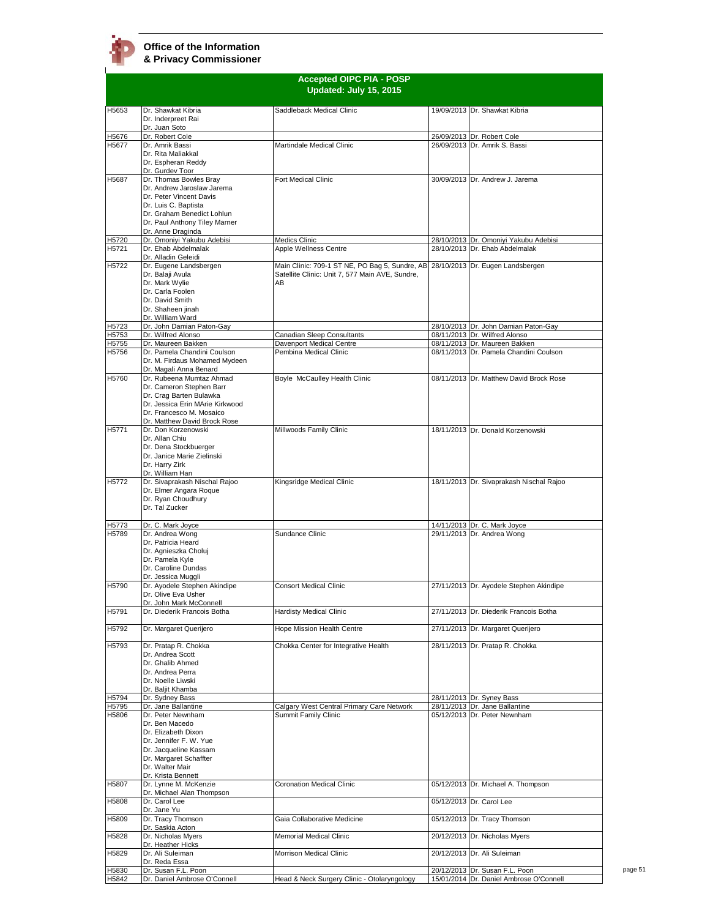|                |                                                                                                                                                                                                         | <b>Accepted OIPC PIA - POSP</b><br>Updated: July 15, 2015                                               |                                                                         |
|----------------|---------------------------------------------------------------------------------------------------------------------------------------------------------------------------------------------------------|---------------------------------------------------------------------------------------------------------|-------------------------------------------------------------------------|
| H5653          | Dr. Shawkat Kibria<br>Dr. Inderpreet Rai<br>Dr. Juan Soto                                                                                                                                               | Saddleback Medical Clinic                                                                               | 19/09/2013 Dr. Shawkat Kibria                                           |
| H5676<br>H5677 | Dr. Robert Cole<br>Dr. Amrik Bassi<br>Dr. Rita Maliakkal<br>Dr. Espheran Reddy<br>Dr. Gurdev Toor                                                                                                       | Martindale Medical Clinic                                                                               | 26/09/2013 Dr. Robert Cole<br>26/09/2013 Dr. Amrik S. Bassi             |
| H5687          | Dr. Thomas Bowles Bray<br>Dr. Andrew Jaroslaw Jarema<br>Dr. Peter Vincent Davis<br>Dr. Luis C. Baptista<br>Dr. Graham Benedict Lohlun<br>Dr. Paul Anthony Tiley Marner<br>Dr. Anne Draginda             | Fort Medical Clinic                                                                                     | 30/09/2013 Dr. Andrew J. Jarema                                         |
| H5720<br>H5721 | Dr. Omoniyi Yakubu Adebisi<br>Dr. Ehab Abdelmalak                                                                                                                                                       | <b>Medics Clinic</b><br>Apple Wellness Centre                                                           | 28/10/2013 Dr. Omoniyi Yakubu Adebisi<br>28/10/2013 Dr. Ehab Abdelmalak |
| H5722          | Dr. Alladin Geleidi<br>Dr. Eugene Landsbergen<br>Dr. Balaji Avula<br>Dr. Mark Wylie<br>Dr. Carla Foolen<br>Dr. David Smith<br>Dr. Shaheen jinah<br>Dr. William Ward                                     | Main Clinic: 709-1 ST NE, PO Bag 5, Sundre, AB<br>Satellite Clinic: Unit 7, 577 Main AVE, Sundre,<br>AB | 28/10/2013 Dr. Eugen Landsbergen                                        |
| H5723          | Dr. John Damian Paton-Gay                                                                                                                                                                               |                                                                                                         | 28/10/2013 Dr. John Damian Paton-Gay                                    |
| H5753          | Dr. Wilfred Alonso                                                                                                                                                                                      | Canadian Sleep Consultants                                                                              | 08/11/2013 Dr. Wilfred Alonso                                           |
| H5755          | Dr. Maureen Bakken                                                                                                                                                                                      | Davenport Medical Centre                                                                                | 08/11/2013 Dr. Maureen Bakken<br>08/11/2013 Dr. Pamela Chandini Coulson |
| H5756          | Dr. Pamela Chandini Coulson<br>Dr. M. Firdaus Mohamed Mydeen<br>Dr. Magali Anna Benard                                                                                                                  | Pembina Medical Clinic                                                                                  |                                                                         |
| H5760          | Dr. Rubeena Mumtaz Ahmad<br>Dr. Cameron Stephen Barr<br>Dr. Crag Barten Bulawka<br>Dr. Jessica Erin MArie Kirkwood<br>Dr. Francesco M. Mosaico<br>Dr. Matthew David Brock Rose                          | Boyle McCaulley Health Clinic                                                                           | 08/11/2013 Dr. Matthew David Brock Rose                                 |
| H5771          | Dr. Don Korzenowski<br>Dr. Allan Chiu<br>Dr. Dena Stockbuerger<br>Dr. Janice Marie Zielinski<br>Dr. Harry Zirk<br>Dr. William Han                                                                       | Millwoods Family Clinic                                                                                 | 18/11/2013 Dr. Donald Korzenowski                                       |
| H5772          | Dr. Sivaprakash Nischal Rajoo<br>Dr. Elmer Angara Roque<br>Dr. Ryan Choudhury<br>Dr. Tal Zucker                                                                                                         | Kingsridge Medical Clinic                                                                               | 18/11/2013 Dr. Sivaprakash Nischal Rajoo                                |
| H5773<br>H5789 | Dr. C. Mark Joyce<br>Dr. Andrea Wong<br>Dr. Patricia Heard<br>Dr. Agnieszka Choluj<br>Dr. Pamela Kyle<br>Dr. Caroline Dundas<br>Dr. Jessica Muggli                                                      | Sundance Clinic                                                                                         | 14/11/2013 Dr. C. Mark Joyce<br>29/11/2013 Dr. Andrea Wong              |
| H5790          | Dr. Ayodele Stephen Akindipe<br>Dr. Olive Eva Usher<br>Dr. John Mark McConnell                                                                                                                          | <b>Consort Medical Clinic</b>                                                                           | 27/11/2013 Dr. Ayodele Stephen Akindipe                                 |
| H5791          | Dr. Diederik Francois Botha                                                                                                                                                                             | Hardisty Medical Clinic                                                                                 | 27/11/2013 Dr. Diederik Francois Botha                                  |
| H5792          | Dr. Margaret Querijero                                                                                                                                                                                  | Hope Mission Health Centre                                                                              | 27/11/2013 Dr. Margaret Querijero                                       |
| H5793          | Dr. Pratap R. Chokka<br>Dr. Andrea Scott<br>Dr. Ghalib Ahmed<br>Dr. Andrea Perra<br>Dr. Noelle Liwski<br>Dr. Baljit Khamba                                                                              | Chokka Center for Integrative Health                                                                    | 28/11/2013 Dr. Pratap R. Chokka                                         |
| H5794          | Dr. Sydney Bass                                                                                                                                                                                         |                                                                                                         | 28/11/2013 Dr. Syney Bass                                               |
| H5795<br>H5806 | Dr. Jane Ballantine<br>Dr. Peter Newnham<br>Dr. Ben Macedo<br>Dr. Elizabeth Dixon<br>Dr. Jennifer F. W. Yue<br>Dr. Jacqueline Kassam<br>Dr. Margaret Schaffter<br>Dr. Walter Mair<br>Dr. Krista Bennett | Calgary West Central Primary Care Network<br>Summit Family Clinic                                       | 28/11/2013 Dr. Jane Ballantine<br>05/12/2013 Dr. Peter Newnham          |
| H5807          | Dr. Lynne M. McKenzie<br>Dr. Michael Alan Thompson                                                                                                                                                      | <b>Coronation Medical Clinic</b>                                                                        | 05/12/2013 Dr. Michael A. Thompson                                      |
| H5808          | Dr. Carol Lee<br>Dr. Jane Yu                                                                                                                                                                            |                                                                                                         | 05/12/2013 Dr. Carol Lee                                                |
| H5809          | Dr. Tracy Thomson<br>Dr. Saskia Acton                                                                                                                                                                   | Gaia Collaborative Medicine                                                                             | 05/12/2013 Dr. Tracy Thomson                                            |
| H5828          | Dr. Nicholas Myers<br>Dr. Heather Hicks                                                                                                                                                                 | <b>Memorial Medical Clinic</b>                                                                          | 20/12/2013 Dr. Nicholas Myers                                           |
| H5829          | Dr. Ali Suleiman<br>Dr. Reda Essa                                                                                                                                                                       | Morrison Medical Clinic                                                                                 | 20/12/2013 Dr. Ali Suleiman                                             |
| H5830          | Dr. Susan F.L. Poon                                                                                                                                                                                     |                                                                                                         | 20/12/2013 Dr. Susan F.L. Poon                                          |
| H5842          | Dr. Daniel Ambrose O'Connell                                                                                                                                                                            | Head & Neck Surgery Clinic - Otolaryngology                                                             | 15/01/2014 Dr. Daniel Ambrose O'Connell                                 |

page 51